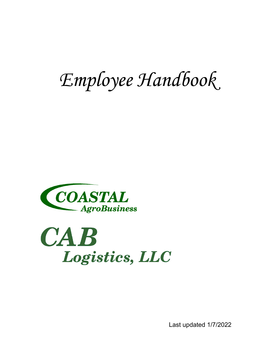# *Employee Handbook*





Last updated 1/7/2022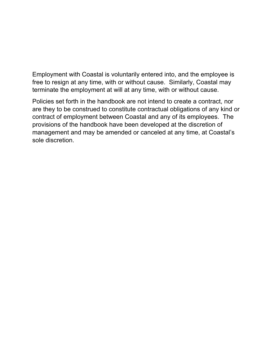Employment with Coastal is voluntarily entered into, and the employee is free to resign at any time, with or without cause. Similarly, Coastal may terminate the employment at will at any time, with or without cause.

Policies set forth in the handbook are not intend to create a contract, nor are they to be construed to constitute contractual obligations of any kind or contract of employment between Coastal and any of its employees. The provisions of the handbook have been developed at the discretion of management and may be amended or canceled at any time, at Coastal's sole discretion.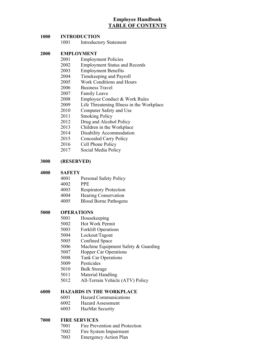### **Employee Handbook TABLE OF CONTENTS**

#### **1000 INTRODUCTION**

1001 Introductory Statement

#### **2000 EMPLOYMENT**

- 2001 Employment Policies
- 2002 Employment Status and Records
- 2003 Employment Benefits
- 2004 Timekeeping and Payroll
- 2005 Work Conditions and Hours
- 2006 Business Travel
- 2007 Family Leave
- 2008 Employee Conduct & Work Rules
- 2009 Life Threatening Illness in the Workplace
- 2010 Computer Safety and Use
- 2011 Smoking Policy
- 2012 Drug and Alcohol Policy
- 2013 Children in the Workplace
- 2014 Disability Accommodation
- 2015 Concealed Carry Policy
- 2016 Cell Phone Policy
- 2017 Social Media Policy

#### **3000 (RESERVED)**

- **4000 SAFETY** 
	- 4001 Personal Safety Policy
	- 4002 PPE
	- 4003 Respiratory Protection
	- 4004 Hearing Conservation
	- 4005 Blood Borne Pathogens

#### **5000 OPERATIONS**

- 5001 Housekeeping
- 5002 Hot Work Permit
- 5003 Forklift Operations
- 5004 Lockout/Tagout
- 5005 Confined Space
- 5006 Machine Equipment Safety & Guarding
- 5007 Hopper Car Operations
- 5008 Tank Car Operations
- 5009 Pesticides
- 5010 Bulk Storage
- 5011 Material Handling
- 5012 All-Terrain Vehicle (ATV) Policy

#### **6000 HAZARDS IN THE WORKPLACE**

- 6001 Hazard Communications
- 6002 Hazard Assessment
- 6003 HazMat Security

#### **7000 FIRE SERVICES**

- 7001 Fire Prevention and Protection
- 7002 Fire System Impairment
- 7003 Emergency Action Plan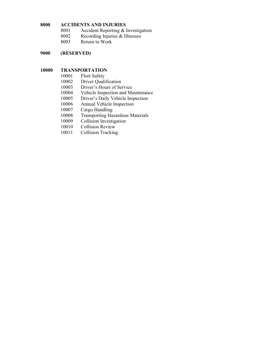## **8000 ACCIDENTS AND INJURIES**

- 8001 Accident Reporting & Investigation<br>8002 Recording Injuries & Illnesses
- Recording Injuries & Illnesses
- 8003 Return to Work

#### **9000 (RESERVED)**

#### **10000 TRANSPORTATION**

- 10001 Fleet Safety<br>10002 Driver Quali
- 10002 Driver Qualification<br>10003 Driver's Hours of Se
- Driver's Hours of Service
- 10004 Vehicle Inspection and Maintenance
- 10005 Driver's Daily Vehicle Inspection
- 10006 Annual Vehicle Inspection
- 10007 Cargo Handling
- 10008 Transporting Hazardous Materials<br>10009 Collision Investigation
- 10009 Collision Investigation<br>10010 Collision Review
- Collision Review
- 10011 Collision Tracking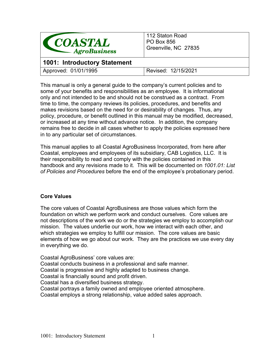

## **1001: Introductory Statement**

Approved: 01/01/1995 Revised: 12/15/2021

This manual is only a general guide to the company's current policies and to some of your benefits and responsibilities as an employee. It is informational only and not intended to be and should not be construed as a contract. From time to time, the company reviews its policies, procedures, and benefits and makes revisions based on the need for or desirability of changes. Thus, any policy, procedure, or benefit outlined in this manual may be modified, decreased, or increased at any time without advance notice. In addition, the company remains free to decide in all cases whether to apply the policies expressed here in to any particular set of circumstances.

This manual applies to all Coastal AgroBusiness Incorporated, from here after Coastal, employees and employees of its subsidiary, CAB Logistics, LLC. It is their responsibility to read and comply with the policies contained in this handbook and any revisions made to it. This will be documented on *1001.01: List of Policies and Procedures* before the end of the employee's probationary period.

## **Core Values**

The core values of Coastal AgroBusiness are those values which form the foundation on which we perform work and conduct ourselves. Core values are not descriptions of the work we do or the strategies we employ to accomplish our mission. The values underlie our work, how we interact with each other, and which strategies we employ to fulfill our mission. The core values are basic elements of how we go about our work. They are the practices we use every day in everything we do.

Coastal AgroBusiness' core values are: Coastal conducts business in a professional and safe manner. Coastal is progressive and highly adapted to business change. Coastal is financially sound and profit driven. Coastal has a diversified business strategy. Coastal portrays a family owned and employee oriented atmosphere. Coastal employs a strong relationship, value added sales approach.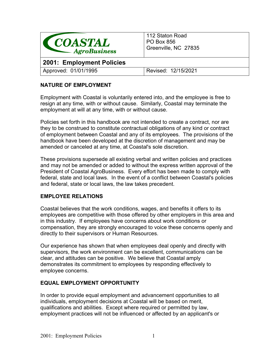

## **2001: Employment Policies**

Approved: 01/01/1995 Revised: 12/15/2021

## **NATURE OF EMPLOYMENT**

Employment with Coastal is voluntarily entered into, and the employee is free to resign at any time, with or without cause. Similarly, Coastal may terminate the employment at will at any time, with or without cause.

Policies set forth in this handbook are not intended to create a contract, nor are they to be construed to constitute contractual obligations of any kind or contract of employment between Coastal and any of its employees. The provisions of the handbook have been developed at the discretion of management and may be amended or canceled at any time, at Coastal's sole discretion.

These provisions supersede all existing verbal and written policies and practices and may not be amended or added to without the express written approval of the President of Coastal AgroBusiness. Every effort has been made to comply with federal, state and local laws. In the event of a conflict between Coastal's policies and federal, state or local laws, the law takes precedent.

## **EMPLOYEE RELATIONS**

Coastal believes that the work conditions, wages, and benefits it offers to its employees are competitive with those offered by other employers in this area and in this industry. If employees have concerns about work conditions or compensation, they are strongly encouraged to voice these concerns openly and directly to their supervisors or Human Resources.

Our experience has shown that when employees deal openly and directly with supervisors, the work environment can be excellent, communications can be clear, and attitudes can be positive. We believe that Coastal amply demonstrates its commitment to employees by responding effectively to employee concerns.

## **EQUAL EMPLOYMENT OPPORTUNITY**

In order to provide equal employment and advancement opportunities to all individuals, employment decisions at Coastal will be based on merit, qualifications and abilities. Except where required or permitted by law, employment practices will not be influenced or affected by an applicant's or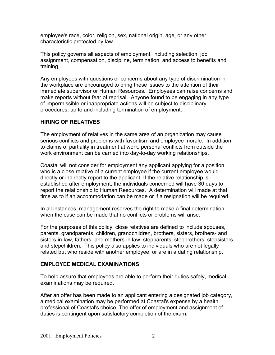employee's race, color, religion, sex, national origin, age, or any other characteristic protected by law.

This policy governs all aspects of employment, including selection, job assignment, compensation, discipline, termination, and access to benefits and training.

Any employees with questions or concerns about any type of discrimination in the workplace are encouraged to bring these issues to the attention of their immediate supervisor or Human Resources. Employees can raise concerns and make reports without fear of reprisal. Anyone found to be engaging in any type of impermissible or inappropriate actions will be subject to disciplinary procedures, up to and including termination of employment.

## **HIRING OF RELATIVES**

The employment of relatives in the same area of an organization may cause serious conflicts and problems with favoritism and employee morale. In addition to claims of partiality in treatment at work, personal conflicts from outside the work environment can be carried into day-to-day working relationships.

Coastal will not consider for employment any applicant applying for a position who is a close relative of a current employee if the current employee would directly or indirectly report to the applicant. If the relative relationship is established after employment, the individuals concerned will have 30 days to report the relationship to Human Resources. A determination will made at that time as to if an accommodation can be made or if a resignation will be required.

In all instances, management reserves the right to make a final determination when the case can be made that no conflicts or problems will arise.

For the purposes of this policy, close relatives are defined to include spouses, parents, grandparents, children, grandchildren, brothers, sisters, brothers- and sisters-in-law, fathers- and mothers-in law, stepparents, stepbrothers, stepsisters and stepchildren. This policy also applies to individuals who are not legally related but who reside with another employee, or are in a dating relationship.

## **EMPLOYEE MEDICAL EXAMINATIONS**

To help assure that employees are able to perform their duties safely, medical examinations may be required.

After an offer has been made to an applicant entering a designated job category, a medical examination may be performed at Coastal's expense by a health professional of Coastal's choice. The offer of employment and assignment of duties is contingent upon satisfactory completion of the exam.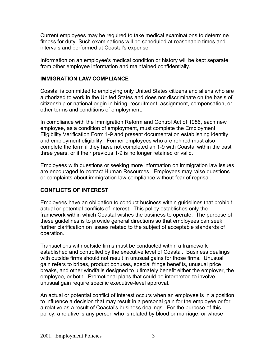Current employees may be required to take medical examinations to determine fitness for duty. Such examinations will be scheduled at reasonable times and intervals and performed at Coastal's expense.

Information on an employee's medical condition or history will be kept separate from other employee information and maintained confidentially.

## **IMMIGRATION LAW COMPLIANCE**

Coastal is committed to employing only United States citizens and aliens who are authorized to work in the United States and does not discriminate on the basis of citizenship or national origin in hiring, recruitment, assignment, compensation, or other terms and conditions of employment.

In compliance with the Immigration Reform and Control Act of 1986, each new employee, as a condition of employment, must complete the Employment Eligibility Verification Form 1-9 and present documentation establishing identity and employment eligibility. Former employees who are rehired must also complete the form if they have not completed an 1-9 with Coastal within the past three years, or if their previous 1-9 is no longer retained or valid.

Employees with questions or seeking more information on immigration law issues are encouraged to contact Human Resources. Employees may raise questions or complaints about immigration law compliance without fear of reprisal.

## **CONFLICTS OF INTEREST**

Employees have an obligation to conduct business within guidelines that prohibit actual or potential conflicts of interest. This policy establishes only the framework within which Coastal wishes the business to operate. The purpose of these guidelines is to provide general directions so that employees can seek further clarification on issues related to the subject of acceptable standards of operation.

Transactions with outside firms must be conducted within a framework established and controlled by the executive level of Coastal. Business dealings with outside firms should not result in unusual gains for those firms. Unusual gain refers to bribes, product bonuses, special fringe benefits, unusual price breaks, and other windfalls designed to ultimately benefit either the employer, the employee, or both. Promotional plans that could be interpreted to involve unusual gain require specific executive-level approval.

An actual or potential conflict of interest occurs when an employee is in a position to influence a decision that may result in a personal gain for the employee or for a relative as a result of Coastal's business dealings. For the purpose of this policy, a relative is any person who is related by blood or marriage, or whose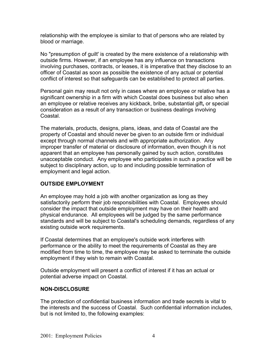relationship with the employee is similar to that of persons who are related by blood or marriage.

No "presumption of guilt' is created by the mere existence of a relationship with outside firms. However, if an employee has any influence on transactions involving purchases, contracts, or leases, it is imperative that they disclose to an officer of Coastal as soon as possible the existence of any actual or potential conflict of interest so that safeguards can be established to protect all parties.

Personal gain may result not only in cases where an employee or relative has a significant ownership in a firm with which Coastal does business but also when an employee or relative receives any kickback, bribe, substantial gift**,** or special consideration as a result of any transaction or business dealings involving Coastal.

The materials, products, designs, plans, ideas, and data of Coastal are the property of Coastal and should never be given to an outside firm or individual except through normal channels and with appropriate authorization. Any improper transfer of material or disclosure of information, even though it is not apparent that an employee has personally gained by such action, constitutes unacceptable conduct. Any employee who participates in such a practice will be subject to disciplinary action, up to and including possible termination of employment and legal action.

## **OUTSIDE EMPLOYMENT**

An employee may hold a job with another organization as long as they satisfactorily perform their job responsibilities with Coastal. Employees should consider the impact that outside employment may have on their health and physical endurance. All employees will be judged by the same performance standards and will be subject to Coastal's scheduling demands, regardless of any existing outside work requirements.

If Coastal determines that an employee's outside work interferes with performance or the ability to meet the requirements of Coastal as they are modified from time to time, the employee may be asked to terminate the outside employment if they wish to remain with Coastal.

Outside employment will present a conflict of interest if it has an actual or potential adverse impact on Coastal.

## **NON-DISCLOSURE**

The protection of confidential business information and trade secrets is vital to the interests and the success of Coastal. Such confidential information includes, but is not limited to, the following examples: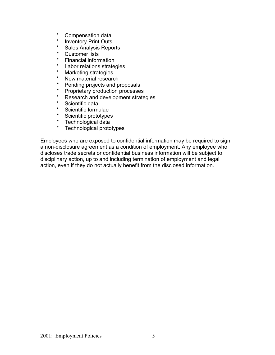- \* Compensation data
- \* Inventory Print Outs<br>\* Sales Analysis Peng
- \* Sales Analysis Reports<br>\* Customer lists
- \* Customer lists<br>\* Financial inform
- \* Financial information<br>\* Labor relations strates
- \* Labor relations strategies
- \* Marketing strategies
- \* New material research<br>\* Pending projects and p
- \* Pending projects and proposals
- \* Proprietary production processes
- \* Research and development strategies
- \* Scientific data<br>\* Scientific formul
- \* Scientific formulae<br>\* Scientific prototype
- \* Scientific prototypes<br>\* Technological data
- Technological data
- \* Technological prototypes

Employees who are exposed to confidential information may be required to sign a non-disclosure agreement as a condition of employment. Any employee who discloses trade secrets or confidential business information will be subject to disciplinary action, up to and including termination of employment and legal action, even if they do not actually benefit from the disclosed information.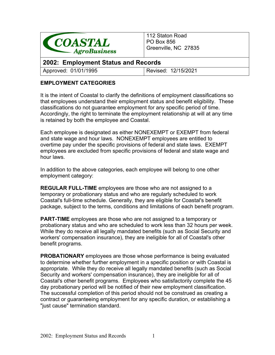

## **2002: Employment Status and Records**

Approved: 01/01/1995 Revised: 12/15/2021

## **EMPLOYMENT CATEGORIES**

It is the intent of Coastal to clarify the definitions of employment classifications so that employees understand their employment status and benefit eligibility. These classifications do not guarantee employment for any specific period of time. Accordingly, the right to terminate the employment relationship at will at any time is retained by both the employee and Coastal.

Each employee is designated as either NONEXEMPT or EXEMPT from federal and state wage and hour laws. NONEXEMPT employees are entitled to overtime pay under the specific provisions of federal and state laws. EXEMPT employees are excluded from specific provisions of federal and state wage and hour laws.

In addition to the above categories, each employee will belong to one other employment category:

**REGULAR FULL-TIME** employees are those who are not assigned to a temporary or probationary status and who are regularly scheduled to work Coastal's full-time schedule. Generally, they are eligible for Coastal's benefit package, subject to the terms, conditions and limitations of each benefit program.

**PART-TIME** employees are those who are not assigned to a temporary or probationary status and who are scheduled to work less than 32 hours per week. While they do receive all legally mandated benefits (such as Social Security and workers' compensation insurance), they are ineligible for all of Coastal's other benefit programs.

**PROBATIONARY** employees are those whose performance is being evaluated to determine whether further employment in a specific position or with Coastal is appropriate. While they do receive all legally mandated benefits (such as Social Security and workers' compensation insurance), they are ineligible for all of Coastal's other benefit programs. Employees who satisfactorily complete the 45 day probationary period will be notified of their new employment classification. The successful completion of this period should not be construed as creating a contract or guaranteeing employment for any specific duration, or establishing a "just cause" termination standard.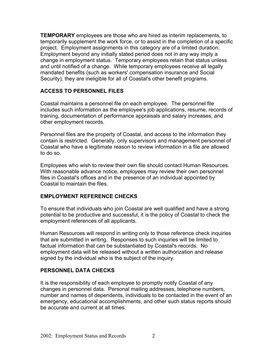**TEMPORARY** employees are those who are hired as interim replacements, to temporarily supplement the work force, or to assist in the completion of a specific project. Employment assignments in this category are of a limited duration. Employment beyond any initially stated period does not in any way imply a change in employment status. Temporary employees retain that status unless and until notified of a change. While temporary employees receive all legally mandated benefits (such as workers' compensation insurance and Social Security), they are ineligible for all of Coastal's other benefit programs.

## **ACCESS TO PERSONNEL FILES**

Coastal maintains a personnel file on each employee. The personnel file includes such information as the employee's job applications, resume, records of training, documentation of performance appraisals and salary increases, and other employment records.

Personnel files are the property of Coastal, and access to the information they contain is restricted. Generally, only supervisors and management personnel of Coastal who have a legitimate reason to review information in a file are allowed to do so.

Employees who wish to review their own file should contact Human Resources. With reasonable advance notice, employees may review their own personnel files in Coastal's offices and in the presence of an individual appointed by Coastal to maintain the files.

## **EMPLOYMENT REFERENCE CHECKS**

To ensure that individuals who join Coastal are well qualified and have a strong potential to be productive and successful, it is the policy of Coastal to check the employment references of all applicants.

Human Resources will respond in writing only to those reference check inquiries that are submitted in writing. Responses to such inquiries will be limited to factual information that can be substantiated by Coastal's records. No employment data will be released without a written authorization and release signed by the individual who is the subject of the inquiry.

## **PERSONNEL DATA CHECKS**

It is the responsibility of each employee to promptly notify Coastal of any changes in personnel data. Personal mailing addresses, telephone numbers, number and names of dependents, individuals to be contacted in the event of an emergency, educational accomplishments, and other such status reports should be accurate and current at all times.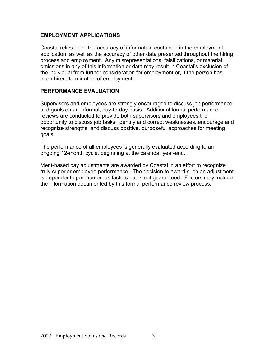## **EMPLOYMENT APPLICATIONS**

Coastal relies upon the accuracy of information contained in the employment application, as well as the accuracy of other data presented throughout the hiring process and employment. Any misrepresentations, falsifications, or material omissions in any of this information or data may result in Coastal's exclusion of the individual from further consideration for employment or, if the person has been hired, termination of employment.

## **PERFORMANCE EVALUATION**

Supervisors and employees are strongly encouraged to discuss job performance and goals on an informal, day-to-day basis. Additional formal performance reviews are conducted to provide both supervisors and employees the opportunity to discuss job tasks, identify and correct weaknesses, encourage and recognize strengths, and discuss positive, purposeful approaches for meeting goals.

The performance of all employees is generally evaluated according to an ongoing 12-month cycle, beginning at the calendar year-end.

Merit-based pay adjustments are awarded by Coastal in an effort to recognize truly superior employee performance. The decision to award such an adjustment is dependent upon numerous factors but is not guaranteed. Factors may include the information documented by this formal performance review process.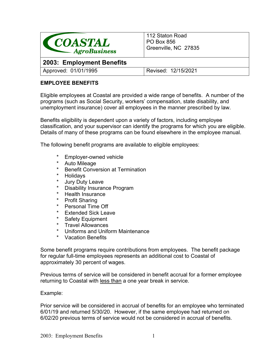

## **2003: Employment Benefits**

Approved: 01/01/1995 Revised: 12/15/2021

## **EMPLOYEE BENEFITS**

Eligible employees at Coastal are provided a wide range of benefits. A number of the programs (such as Social Security, workers' compensation, state disability, and unemployment insurance) cover all employees in the manner prescribed by law.

Benefits eligibility is dependent upon a variety of factors, including employee classification, and your supervisor can identify the programs for which you are eligible. Details of many of these programs can be found elsewhere in the employee manual.

The following benefit programs are available to eligible employees:

- \* Employer-owned vehicle
- \* Auto Mileage<br>\* Benefit Conve
- \* Benefit Conversion at Termination<br>\* Holidavs
- **Holidays**
- \* Jury Duty Leave<br>\* Disability Insuran
- \* Disability Insurance Program
- \* Health Insurance
- \* Profit Sharing<br>\* Personal Time
- \* Personal Time Off<br>\* Extended Sick Lea
- \* Extended Sick Leave
- \* Safety Equipment
- \* Travel Allowances<br>\* Uniforms and Uniform
- \* Uniforms and Uniform Maintenance<br>\* Vecation Benefits
- **Vacation Benefits**

Some benefit programs require contributions from employees. The benefit package for regular full-time employees represents an additional cost to Coastal of approximately 30 percent of wages.

Previous terms of service will be considered in benefit accrual for a former employee returning to Coastal with less than a one year break in service.

#### Example:

Prior service will be considered in accrual of benefits for an employee who terminated 6/01/19 and returned 5/30/20. However, if the same employee had returned on 6/02/20 previous terms of service would not be considered in accrual of benefits.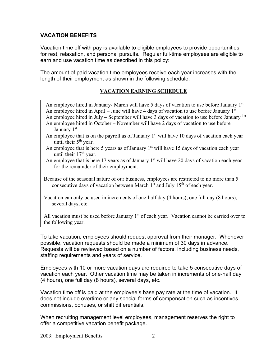## **VACATION BENEFITS**

Vacation time off with pay is available to eligible employees to provide opportunities for rest, relaxation, and personal pursuits. Regular full-time employees are eligible to earn and use vacation time as described in this policy:

The amount of paid vacation time employees receive each year increases with the length of their employment as shown in the following schedule.

## **VACATION EARNING SCHEDULE**

An employee hired in January- March will have 5 days of vacation to use before January 1<sup>st</sup> An employee hired in April – June will have 4 days of vacation to use before January  $1<sup>st</sup>$ An employee hired in July – September will have 3 days of vacation to use before January <sup>1st</sup> An employee hired in October – November will have 2 days of vacation to use before January 1<sup>st</sup>

- An employee that is on the payroll as of January  $1<sup>st</sup>$  will have 10 days of vacation each year until their  $5<sup>th</sup>$  year.
- An employee that is here 5 years as of January  $1<sup>st</sup>$  will have 15 days of vacation each year until their  $17<sup>th</sup>$  year.

An employee that is here 17 years as of January  $1<sup>st</sup>$  will have 20 days of vacation each year for the remainder of their employment.

Because of the seasonal nature of our business, employees are restricted to no more than 5 consecutive days of vacation between March  $1<sup>st</sup>$  and July  $15<sup>th</sup>$  of each year.

Vacation can only be used in increments of one-half day (4 hours), one full day (8 hours), several days, etc.

All vacation must be used before January 1<sup>st</sup> of each year. Vacation cannot be carried over to the following year.

To take vacation, employees should request approval from their manager. Whenever possible, vacation requests should be made a minimum of 30 days in advance. Requests will be reviewed based on a number of factors, including business needs, staffing requirements and years of service.

Employees with 10 or more vacation days are required to take 5 consecutive days of vacation each year. Other vacation time may be taken in increments of one-half day (4 hours), one full day (8 hours), several days, etc.

Vacation time off is paid at the employee's base pay rate at the time of vacation. It does not include overtime or any special forms of compensation such as incentives, commissions, bonuses, or shift differentials.

When recruiting management level employees, management reserves the right to offer a competitive vacation benefit package.

2003: Employment Benefits 2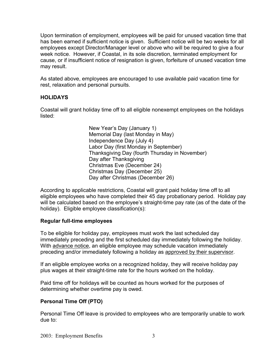Upon termination of employment, employees will be paid for unused vacation time that has been earned if sufficient notice is given. Sufficient notice will be two weeks for all employees except Director/Manager level or above who will be required to give a four week notice. However, if Coastal, in its sole discretion, terminated employment for cause, or if insufficient notice of resignation is given, forfeiture of unused vacation time may result.

As stated above, employees are encouraged to use available paid vacation time for rest, relaxation and personal pursuits.

## **HOLIDAYS**

Coastal will grant holiday time off to all eligible nonexempt employees on the holidays listed:

> New Year's Day (January 1) Memorial Day (last Monday in May) Independence Day (July 4) Labor Day (first Monday in September) Thanksgiving Day (fourth Thursday in November) Day after Thanksgiving Christmas Eve (December 24) Christmas Day (December 25) Day after Christmas (December 26)

According to applicable restrictions, Coastal will grant paid holiday time off to all eligible employees who have completed their 45 day probationary period. Holiday pay will be calculated based on the employee's straight-time pay rate (as of the date of the holiday). Eligible employee classification(s):

## **Regular full-time employees**

To be eligible for holiday pay, employees must work the last scheduled day immediately preceding and the first scheduled day immediately following the holiday. With advance notice, an eligible employee may schedule vacation immediately preceding and/or immediately following a holiday as approved by their supervisor.

If an eligible employee works on a recognized holiday, they will receive holiday pay plus wages at their straight-time rate for the hours worked on the holiday.

Paid time off for holidays will be counted as hours worked for the purposes of determining whether overtime pay is owed.

## **Personal Time Off (PTO)**

Personal Time Off leave is provided to employees who are temporarily unable to work due to: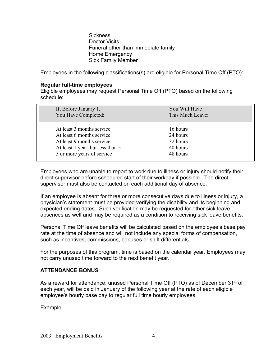**Sickness**  Doctor Visits Funeral other than immediate family Home Emergency Sick Family Member

Employees in the following classifications(s) are eligible for Personal Time Off (PTO):

#### **Regular full-time employees**

Eligible employees may request Personal Time Off (PTO) based on the following schedule:

| If, Before January 1,            | You Will Have    |
|----------------------------------|------------------|
| You Have Completed:              | This Much Leave: |
| At least 3 months service        | 16 hours         |
| At least 6 months service        | 24 hours         |
| At least 9 months service        | 32 hours         |
| At least 1 year, but less than 5 | 40 hours         |
| 5 or more years of service       | 48 hours         |

Employees who are unable to report to work due to illness or injury should notify their direct supervisor before scheduled start of their workday if possible. The direct supervisor must also be contacted on each additional day of absence.

If an employee is absent for three or more consecutive days due to illness or injury, a physician's statement must be provided verifying the disability and its beginning and expected ending dates. Such verification may be requested for other sick leave absences as well and may be required as a condition to receiving sick leave benefits.

Personal Time Off leave benefits will be calculated based on the employee's base pay rate at the time of absence and will not include any special forms of compensation, such as incentives, commissions, bonuses or shift differentials.

For the purposes of this program, time is based on the calendar year. Employees may not carry unused time forward to the next benefit year.

#### **ATTENDANCE BONUS**

As a reward for attendance, unused Personal Time Off (PTO) as of December 31<sup>st</sup> of each year, will be paid in January of the following year at the rate of each eligible employee's hourly base pay to regular full time hourly employees.

Example: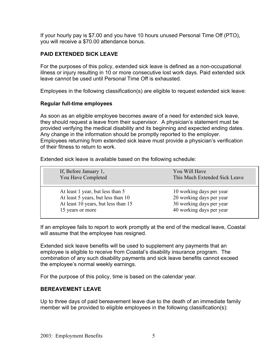If your hourly pay is \$7.00 and you have 10 hours unused Personal Time Off (PTO), you will receive a \$70.00 attendance bonus.

## **PAID EXTENDED SICK LEAVE**

For the purposes of this policy, extended sick leave is defined as a non-occupational illness or injury resulting in 10 or more consecutive lost work days. Paid extended sick leave cannot be used until Personal Time Off is exhausted.

Employees in the following classification(s) are eligible to request extended sick leave:

## **Regular full-time employees**

As soon as an eligible employee becomes aware of a need for extended sick leave, they should request a leave from their supervisor. A physician's statement must be provided verifying the medical disability and its beginning and expected ending dates. Any change in the information should be promptly reported to the employer. Employees returning from extended sick leave must provide a physician's verification of their fitness to return to work.

Extended sick leave is available based on the following schedule:

| If, Before January 1,               | You Will Have                 |
|-------------------------------------|-------------------------------|
| You Have Completed                  | This Much Extended Sick Leave |
| At least 1 year, but less than 5    | 10 working days per year      |
| At least 5 years, but less than 10  | 20 working days per year      |
| At least 10 years, but less than 15 | 30 working days per year      |
| 15 years or more                    | 40 working days per year      |

If an employee fails to report to work promptly at the end of the medical leave, Coastal will assume that the employee has resigned.

Extended sick leave benefits will be used to supplement any payments that an employee is eligible to receive from Coastal's disability insurance program. The combination of any such disability payments and sick leave benefits cannot exceed the employee's normal weekly earnings.

For the purpose of this policy, time is based on the calendar year.

## **BEREAVEMENT LEAVE**

Up to three days of paid bereavement leave due to the death of an immediate family member will be provided to eligible employees in the following classification(s):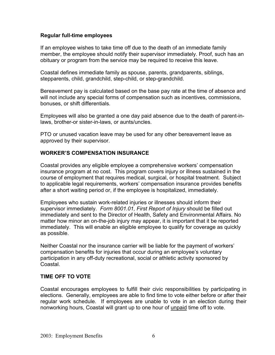## **Regular full-time employees**

If an employee wishes to take time off due to the death of an immediate family member, the employee should notify their supervisor immediately. Proof, such has an obituary or program from the service may be required to receive this leave.

Coastal defines immediate family as spouse, parents, grandparents, siblings, stepparents, child, grandchild, step-child, or step-grandchild.

Bereavement pay is calculated based on the base pay rate at the time of absence and will not include any special forms of compensation such as incentives, commissions, bonuses, or shift differentials.

Employees will also be granted a one day paid absence due to the death of parent-inlaws, brother-or sister-in-laws, or aunts/uncles.

PTO or unused vacation leave may be used for any other bereavement leave as approved by their supervisor.

## **WORKER'S COMPENSATION INSURANCE**

Coastal provides any eligible employee a comprehensive workers' compensation insurance program at no cost. This program covers injury or illness sustained in the course of employment that requires medical, surgical, or hospital treatment. Subject to applicable legal requirements, workers' compensation insurance provides benefits after a short waiting period or, if the employee is hospitalized, immediately.

Employees who sustain work-related injuries or illnesses should inform their supervisor immediately. *Form 8001.01, First Report of Injury* should be filled out immediately and sent to the Director of Health, Safety and Environmental Affairs. No matter how minor an on-the-job injury may appear, it is important that it be reported immediately. This will enable an eligible employee to qualify for coverage as quickly as possible.

Neither Coastal nor the insurance carrier will be liable for the payment of workers' compensation benefits for injuries that occur during an employee's voluntary participation in any off-duty recreational, social or athletic activity sponsored by Coastal.

## **TIME OFF TO VOTE**

Coastal encourages employees to fulfill their civic responsibilities by participating in elections. Generally, employees are able to find time to vote either before or after their regular work schedule. If employees are unable to vote in an election during their nonworking hours, Coastal will grant up to one hour of unpaid time off to vote.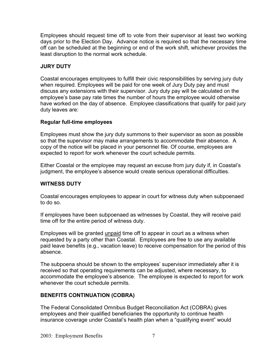Employees should request time off to vote from their supervisor at least two working days prior to the Election Day. Advance notice is required so that the necessary time off can be scheduled at the beginning or end of the work shift, whichever provides the least disruption to the normal work schedule.

## **JURY DUTY**

Coastal encourages employees to fulfill their civic responsibilities by serving jury duty when required. Employees will be paid for one week of Jury Duty pay and must discuss any extensions with their supervisor. Jury duty pay will be calculated on the employee's base pay rate times the number of hours the employee would otherwise have worked on the day of absence. Employee classifications that qualify for paid jury duty leaves are:

## **Regular full-time employees**

Employees must show the jury duty summons to their supervisor as soon as possible so that the supervisor may make arrangements to accommodate their absence. A copy of the notice will be placed in your personnel file. Of course, employees are expected to report for work whenever the court schedule permits.

Either Coastal or the employee may request an excuse from jury duty if, in Coastal's judgment, the employee's absence would create serious operational difficulties.

## **WITNESS DUTY**

Coastal encourages employees to appear in court for witness duty when subpoenaed to do so.

If employees have been subpoenaed as witnesses by Coastal, they will receive paid time off for the entire period of witness duty.

Employees will be granted unpaid time off to appear in court as a witness when requested by a party other than Coastal. Employees are free to use any available paid leave benefits (e.g., vacation leave) to receive compensation for the period of this absence.

The subpoena should be shown to the employees' supervisor immediately after it is received so that operating requirements can be adjusted, where necessary, to accommodate the employee's absence. The employee is expected to report for work whenever the court schedule permits.

## **BENEFITS CONTINUATION (COBRA)**

The Federal Consolidated Omnibus Budget Reconciliation Act (COBRA) gives employees and their qualified beneficiaries the opportunity to continue health insurance coverage under Coastal's health plan when a "qualifying event" would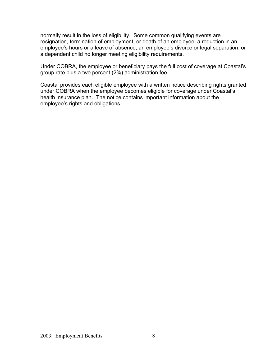normally result in the loss of eligibility. Some common qualifying events are resignation, termination of employment, or death of an employee; a reduction in an employee's hours or a leave of absence; an employee's divorce or legal separation; or a dependent child no longer meeting eligibility requirements.

Under COBRA, the employee or beneficiary pays the full cost of coverage at Coastal's group rate plus a two percent (2%) administration fee.

Coastal provides each eligible employee with a written notice describing rights granted under COBRA when the employee becomes eligible for coverage under Coastal's health insurance plan. The notice contains important information about the employee's rights and obligations.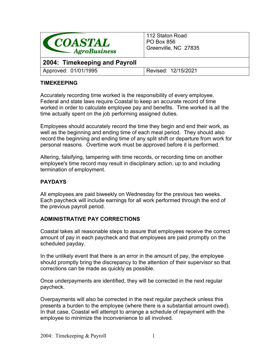

## **2004: Timekeeping and Payroll**

Approved: 01/01/1995 Revised: 12/15/2021

## **TIMEKEEPING**

Accurately recording time worked is the responsibility of every employee. Federal and state laws require Coastal to keep an accurate record of time worked in order to calculate employee pay and benefits. Time worked is all the time actually spent on the job performing assigned duties.

Employees should accurately record the time they begin and end their work, as well as the beginning and ending time of each meal period. They should also record the beginning and ending time of any split shift or departure from work for personal reasons. Overtime work must be approved before it is performed.

Altering, falsifying, tampering with time records, or recording time on another employee's time record may result in disciplinary action, up to and including termination of employment.

## **PAYDAYS**

All employees are paid biweekly on Wednesday for the previous two weeks. Each paycheck will include earnings for all work performed through the end of the previous payroll period.

## **ADMINISTRATIVE PAY CORRECTIONS**

Coastal takes all reasonable steps to assure that employees receive the correct amount of pay in each paycheck and that employees are paid promptly on the scheduled payday.

In the unlikely event that there is an error in the amount of pay, the employee should promptly bring the discrepancy to the attention of their supervisor so that corrections can be made as quickly as possible.

Once underpayments are identified, they will be corrected in the next regular paycheck.

Overpayments will also be corrected in the next regular paycheck unless this presents a burden to the employee (where there is a substantial amount owed). In that case, Coastal will attempt to arrange a schedule of repayment with the employee to minimize the inconvenience to all involved.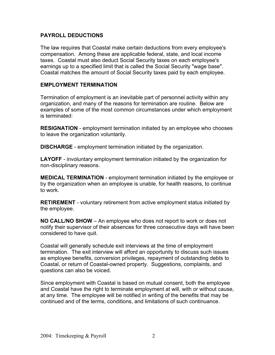## **PAYROLL DEDUCTIONS**

The law requires that Coastal make certain deductions from every employee's compensation. Among these are applicable federal, state, and local income taxes. Coastal must also deduct Social Security taxes on each employee's earnings up to a specified limit that is called the Social Security "wage base". Coastal matches the amount of Social Security taxes paid by each employee.

## **EMPLOYMENT TERMINATION**

Termination of employment is an inevitable part of personnel activity within any organization, and many of the reasons for termination are routine. Below are examples of some of the most common circumstances under which employment is terminated:

**RESIGNATION** - employment termination initiated by an employee who chooses to leave the organization voluntarily.

**DISCHARGE** - employment termination initiated by the organization.

**LAYOFF** - involuntary employment termination initiated by the organization for non-disciplinary reasons.

**MEDICAL TERMINATION** - employment termination initiated by the employee or by the organization when an employee is unable, for health reasons, to continue to work.

**RETIREMENT** - voluntary retirement from active employment status initiated by the employee.

**NO CALL/NO SHOW** – An employee who does not report to work or does not notify their supervisor of their absences for three consecutive days will have been considered to have quit.

Coastal will generally schedule exit interviews at the time of employment termination. The exit interview will afford an opportunity to discuss such issues as employee benefits, conversion privileges, repayment of outstanding debts to Coastal, or return of Coastal-owned property. Suggestions, complaints, and questions can also be voiced.

Since employment with Coastal is based on mutual consent, both the employee and Coastal have the right to terminate employment at will, with or without cause, at any time. The employee will be notified in writing of the benefits that may be continued and of the terms, conditions, and limitations of such continuance.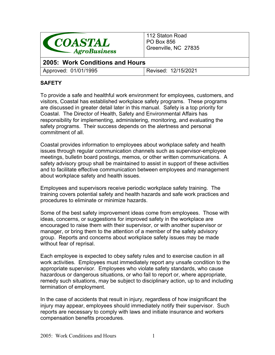

## **2005: Work Conditions and Hours**

Approved: 01/01/1995 Revised: 12/15/2021

## **SAFETY**

To provide a safe and healthful work environment for employees, customers, and visitors, Coastal has established workplace safety programs. These programs are discussed in greater detail later in this manual. Safety is a top priority for Coastal. The Director of Health, Safety and Environmental Affairs has responsibility for implementing, administering, monitoring, and evaluating the safety programs. Their success depends on the alertness and personal commitment of all.

Coastal provides information to employees about workplace safety and health issues through regular communication channels such as supervisor-employee meetings, bulletin board postings, memos, or other written communications. A safety advisory group shall be maintained to assist in support of these activities and to facilitate effective communication between employees and management about workplace safety and health issues.

Employees and supervisors receive periodic workplace safety training. The training covers potential safety and health hazards and safe work practices and procedures to eliminate or minimize hazards.

Some of the best safety improvement ideas come from employees. Those with ideas, concerns, or suggestions for improved safety in the workplace are encouraged to raise them with their supervisor, or with another supervisor or manager, or bring them to the attention of a member of the safety advisory group. Reports and concerns about workplace safety issues may be made without fear of reprisal.

Each employee is expected to obey safety rules and to exercise caution in all work activities. Employees must immediately report any unsafe condition to the appropriate supervisor. Employees who violate safety standards, who cause hazardous or dangerous situations, or who fail to report or, where appropriate, remedy such situations, may be subject to disciplinary action, up to and including termination of employment.

In the case of accidents that result in injury, regardless of how insignificant the injury may appear, employees should immediately notify their supervisor. Such reports are necessary to comply with laws and initiate insurance and workers compensation benefits procedures.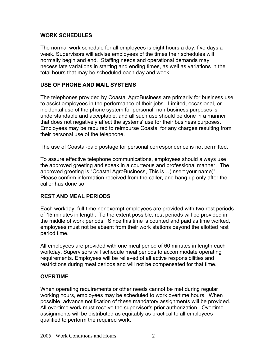## **WORK SCHEDULES**

The normal work schedule for all employees is eight hours a day, five days a week. Supervisors will advise employees of the times their schedules will normally begin and end. Staffing needs and operational demands may necessitate variations in starting and ending times, as well as variations in the total hours that may be scheduled each day and week.

## **USE OF PHONE AND MAIL SYSTEMS**

The telephones provided by Coastal AgroBusiness are primarily for business use to assist employees in the performance of their jobs. Limited, occasional, or incidental use of the phone system for personal, non-business purposes is understandable and acceptable, and all such use should be done in a manner that does not negatively affect the systems' use for their business purposes. Employees may be required to reimburse Coastal for any charges resulting from their personal use of the telephone.

The use of Coastal-paid postage for personal correspondence is not permitted.

To assure effective telephone communications, employees should always use the approved greeting and speak in a courteous and professional manner. The approved greeting is "Coastal AgroBusiness, This is…(Insert your name)". Please confirm information received from the caller, and hang up only after the caller has done so.

#### **REST AND MEAL PERIODS**

Each workday, full-time nonexempt employees are provided with two rest periods of 15 minutes in length. To the extent possible, rest periods will be provided in the middle of work periods. Since this time is counted and paid as time worked, employees must not be absent from their work stations beyond the allotted rest period time.

All employees are provided with one meal period of 60 minutes in length each workday. Supervisors will schedule meal periods to accommodate operating requirements. Employees will be relieved of all active responsibilities and restrictions during meal periods and will not be compensated for that time.

## **OVERTIME**

When operating requirements or other needs cannot be met during regular working hours, employees may be scheduled to work overtime hours. When possible, advance notification of these mandatory assignments will be provided. All overtime work must receive the supervisor's prior authorization. Overtime assignments will be distributed as equitably as practical to all employees qualified to perform the required work.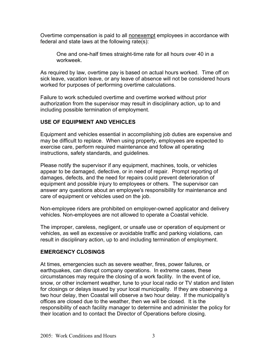Overtime compensation is paid to all nonexempt employees in accordance with federal and state laws at the following rate(s):

One and one-half times straight-time rate for all hours over 40 in a workweek.

As required by law, overtime pay is based on actual hours worked. Time off on sick leave, vacation leave, or any leave of absence will not be considered hours worked for purposes of performing overtime calculations.

Failure to work scheduled overtime and overtime worked without prior authorization from the supervisor may result in disciplinary action, up to and including possible termination of employment.

## **USE OF EQUIPMENT AND VEHICLES**

Equipment and vehicles essential in accomplishing job duties are expensive and may be difficult to replace. When using property, employees are expected to exercise care, perform required maintenance and follow all operating instructions, safety standards, and guidelines.

Please notify the supervisor if any equipment, machines, tools, or vehicles appear to be damaged, defective, or in need of repair. Prompt reporting of damages, defects, and the need for repairs could prevent deterioration of equipment and possible injury to employees or others. The supervisor can answer any questions about an employee's responsibility for maintenance and care of equipment or vehicles used on the job.

Non-employee riders are prohibited on employer-owned applicator and delivery vehicles. Non-employees are not allowed to operate a Coastal vehicle.

The improper, careless, negligent, or unsafe use or operation of equipment or vehicles, as well as excessive or avoidable traffic and parking violations, can result in disciplinary action, up to and including termination of employment.

## **EMERGENCY CLOSINGS**

At times, emergencies such as severe weather, fires, power failures, or earthquakes, can disrupt company operations. In extreme cases, these circumstances may require the closing of a work facility. In the event of ice, snow, or other inclement weather, tune to your local radio or TV station and listen for closings or delays issued by your local municipality. If they are observing a two hour delay, then Coastal will observe a two hour delay. If the municipality's offices are closed due to the weather, then we will be closed. It is the responsibility of each facility manager to determine and administer the policy for their location and to contact the Director of Operations before closing.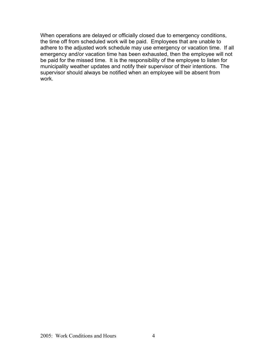When operations are delayed or officially closed due to emergency conditions, the time off from scheduled work will be paid. Employees that are unable to adhere to the adjusted work schedule may use emergency or vacation time. If all emergency and/or vacation time has been exhausted, then the employee will not be paid for the missed time. It is the responsibility of the employee to listen for municipality weather updates and notify their supervisor of their intentions. The supervisor should always be notified when an employee will be absent from work.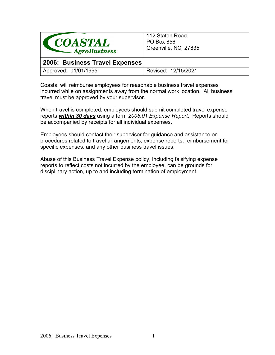

## **2006: Business Travel Expenses**

Approved: 01/01/1995 Revised: 12/15/2021

Coastal will reimburse employees for reasonable business travel expenses incurred while on assignments away from the normal work location. All business travel must be approved by your supervisor.

When travel is completed, employees should submit completed travel expense reports *within 30 days* using a form *2006.01 Expense Report*. Reports should be accompanied by receipts for all individual expenses.

Employees should contact their supervisor for guidance and assistance on procedures related to travel arrangements, expense reports, reimbursement for specific expenses, and any other business travel issues.

Abuse of this Business Travel Expense policy, including falsifying expense reports to reflect costs not incurred by the employee, can be grounds for disciplinary action, up to and including termination of employment.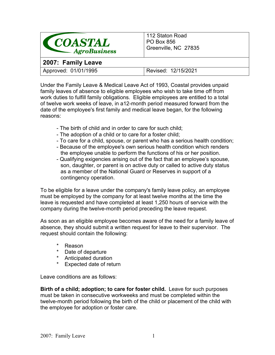

## **2007: Family Leave**

Approved: 01/01/1995 Revised: 12/15/2021

Under the Family Leave & Medical Leave Act of 1993, Coastal provides unpaid family leaves of absence to eligible employees who wish to take time off from work duties to fulfill family obligations. Eligible employees are entitled to a total of twelve work weeks of leave, in a12-month period measured forward from the date of the employee's first family and medical leave began, for the following reasons:

- The birth of child and in order to care for such child;
- The adoption of a child or to care for a foster child;
- To care for a child, spouse, or parent who has a serious health condition;
- Because of the employee's own serious health condition which renders the employee unable to perform the functions of his or her position.
- Qualifying exigencies arising out of the fact that an employee's spouse, son, daughter, or parent is on active duty or called to active duty status as a member of the National Guard or Reserves in support of a contingency operation.

To be eligible for a leave under the company's family leave policy, an employee must be employed by the company for at least twelve months at the time the leave is requested and have completed at least 1,250 hours of service with the company during the twelve-month period preceding the leave request.

As soon as an eligible employee becomes aware of the need for a family leave of absence, they should submit a written request for leave to their supervisor. The request should contain the following:

- Reason
- Date of departure
- \* Anticipated duration<br>\* Expected date of reti
- Expected date of return

Leave conditions are as follows:

**Birth of a child; adoption; to care for foster child.** Leave for such purposes must be taken in consecutive workweeks and must be completed within the twelve-month period following the birth of the child or placement of the child with the employee for adoption or foster care.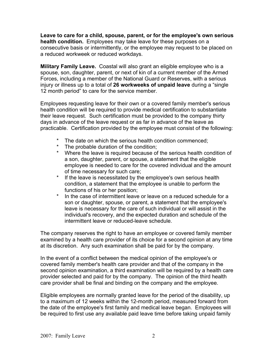**Leave to care for a child, spouse, parent, or for the employee's own serious health condition.** Employees may take leave for these purposes on a consecutive basis or intermittently, or the employee may request to be placed on a reduced workweek or reduced workdays.

**Military Family Leave.** Coastal will also grant an eligible employee who is a spouse, son, daughter, parent, or next of kin of a current member of the Armed Forces, including a member of the National Guard or Reserves, with a serious injury or illness up to a total of **26 workweeks of unpaid leave** during a "single 12 month period" to care for the service member.

Employees requesting leave for their own or a covered family member's serious health condition will be required to provide medical certification to substantiate their leave request. Such certification must be provided to the company thirty days in advance of the leave request or as far in advance of the leave as practicable. Certification provided by the employee must consist of the following:

- The date on which the serious health condition commenced;
- \* The probable duration of the condition;
- \* Where the leave is required because of the serious health condition of a son, daughter, parent, or spouse, a statement that the eligible employee is needed to care for the covered individual and the amount of time necessary for such care;
- \* If the leave is necessitated by the employee's own serious health condition, a statement that the employee is unable to perform the functions of his or her position;
- \* In the case of intermittent leave or leave on a reduced schedule for a son or daughter, spouse, or parent, a statement that the employee's leave is necessary for the care of such individual or will assist in the individual's recovery, and the expected duration and schedule of the intermittent leave or reduced-leave schedule.

The company reserves the right to have an employee or covered family member examined by a health care provider of its choice for a second opinion at any time at its discretion. Any such examination shall be paid for by the company.

In the event of a conflict between the medical opinion of the employee's or covered family member's health care provider and that of the company in the second opinion examination, a third examination will be required by a health care provider selected and paid for by the company. The opinion of the third health care provider shall be final and binding on the company and the employee.

Eligible employees are normally granted leave for the period of the disability, up to a maximum of 12 weeks within the 12-month period, measured forward from the date of the employee's first family and medical leave began. Employees will be required to first use any available paid leave time before taking unpaid family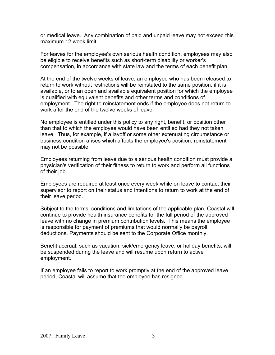or medical leave. Any combination of paid and unpaid leave may not exceed this maximum 12 week limit.

For leaves for the employee's own serious health condition, employees may also be eligible to receive benefits such as short-term disability or worker's compensation, in accordance with state law and the terms of each benefit plan.

At the end of the twelve weeks of leave, an employee who has been released to return to work without restrictions will be reinstated to the same position, if it is available, or to an open and available equivalent position for which the employee is qualified with equivalent benefits and other terms and conditions of employment. The right to reinstatement ends if the employee does not return to work after the end of the twelve weeks of leave.

No employee is entitled under this policy to any right, benefit, or position other than that to which the employee would have been entitled had they not taken leave. Thus, for example, if a layoff or some other extenuating circumstance or business condition arises which affects the employee's position, reinstatement may not be possible.

Employees returning from leave due to a serious health condition must provide a physician's verification of their fitness to return to work and perform all functions of their job.

Employees are required at least once every week while on leave to contact their supervisor to report on their status and intentions to return to work at the end of their leave period.

Subject to the terms, conditions and limitations of the applicable plan, Coastal will continue to provide health insurance benefits for the full period of the approved leave with no change in premium contribution levels. This means the employee is responsible for payment of premiums that would normally be payroll deductions. Payments should be sent to the Corporate Office monthly.

Benefit accrual, such as vacation, sick/emergency leave, or holiday benefits, will be suspended during the leave and will resume upon return to active employment.

If an employee fails to report to work promptly at the end of the approved leave period, Coastal will assume that the employee has resigned.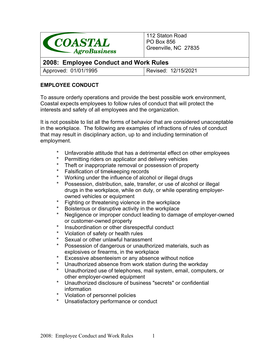

## **2008: Employee Conduct and Work Rules**

Approved: 01/01/1995 Revised: 12/15/2021

## **EMPLOYEE CONDUCT**

To assure orderly operations and provide the best possible work environment, Coastal expects employees to follow rules of conduct that will protect the interests and safety of all employees and the organization.

It is not possible to list all the forms of behavior that are considered unacceptable in the workplace. The following are examples of infractions of rules of conduct that may result in disciplinary action, up to and including termination of employment.

- \* Unfavorable attitude that has a detrimental effect on other employees<br>\* Permitting riders on annlicator and delivery vehicles
- Permitting riders on applicator and delivery vehicles
- \* Theft or inappropriate removal or possession of property<br>\* Ealsification of timekeening records
- \* Falsification of timekeeping records<br>\* Working under the influence of alcot
- \* Working under the influence of alcohol or illegal drugs<br>\* Possession distribution sale transfer or use of alcoh
- Possession, distribution, sale, transfer, or use of alcohol or illegal drugs in the workplace, while on duty, or while operating employerowned vehicles or equipment
- \* Fighting or threatening violence in the workplace
- \* Boisterous or disruptive activity in the workplace<br>\* Necligation or improper conduct leading to dama
- Negligence or improper conduct leading to damage of employer-owned or customer-owned property
- \* Insubordination or other disrespectful conduct<br>\* Violation of safety or health rules
- \* Violation of safety or health rules
- \* Sexual or other unlawful harassment<br>\* Possession of dangerous or unauthor
- Possession of dangerous or unauthorized materials, such as explosives or firearms, in the workplace
- \* Excessive absenteeism or any absence without notice<br>\* Unquitorized absence from work station during the wo
- \* Unauthorized absence from work station during the workday<br>\* Unauthorized use of telephones mail system email compute
- Unauthorized use of telephones, mail system, email, computers, or other employer-owned equipment
- \* Unauthorized disclosure of business "secrets" or confidential information
- \* Violation of personnel policies<br>\* Uneatisfactory performance or
- Unsatisfactory performance or conduct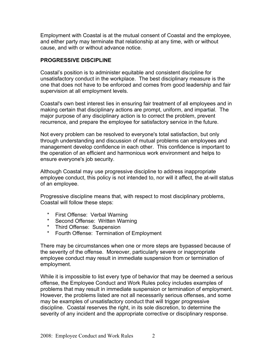Employment with Coastal is at the mutual consent of Coastal and the employee, and either party may terminate that relationship at any time, with or without cause, and with or without advance notice.

## **PROGRESSIVE DISCIPLINE**

Coastal's position is to administer equitable and consistent discipline for unsatisfactory conduct in the workplace. The best disciplinary measure is the one that does not have to be enforced and comes from good leadership and fair supervision at all employment levels.

Coastal's own best interest lies in ensuring fair treatment of all employees and in making certain that disciplinary actions are prompt, uniform, and impartial. The major purpose of any disciplinary action is to correct the problem, prevent recurrence, and prepare the employee for satisfactory service in the future.

Not every problem can be resolved to everyone's total satisfaction, but only through understanding and discussion of mutual problems can employees and management develop confidence in each other. This confidence is important to the operation of an efficient and harmonious work environment and helps to ensure everyone's job security.

Although Coastal may use progressive discipline to address inappropriate employee conduct, this policy is not intended to, nor will it affect, the at-will status of an employee.

Progressive discipline means that, with respect to most disciplinary problems, Coastal will follow these steps:

- \* First Offense: Verbal Warning
- \* Second Offense: Written Warning
- \* Third Offense: Suspension
- \* Fourth Offense: Termination of Employment

There may be circumstances when one or more steps are bypassed because of the severity of the offense. Moreover, particularly severe or inappropriate employee conduct may result in immediate suspension from or termination of employment.

While it is impossible to list every type of behavior that may be deemed a serious offense, the Employee Conduct and Work Rules policy includes examples of problems that may result in immediate suspension or termination of employment. However, the problems listed are not all necessarily serious offenses, and some may be examples of unsatisfactory conduct that will trigger progressive discipline. Coastal reserves the right, in its sole discretion, to determine the severity of any incident and the appropriate corrective or disciplinary response.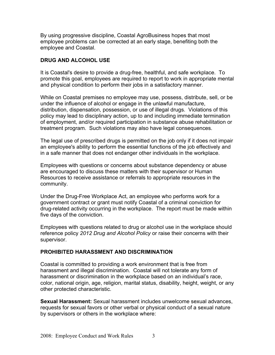By using progressive discipline, Coastal AgroBusiness hopes that most employee problems can be corrected at an early stage, benefiting both the employee and Coastal.

## **DRUG AND ALCOHOL USE**

It is Coastal's desire to provide a drug-free, healthful, and safe workplace. To promote this goal, employees are required to report to work in appropriate mental and physical condition to perform their jobs in a satisfactory manner.

While on Coastal premises no employee may use, possess, distribute, sell, or be under the influence of alcohol or engage in the unlawful manufacture, distribution, dispensation, possession, or use of illegal drugs. Violations of this policy may lead to disciplinary action, up to and including immediate termination of employment, and/or required participation in substance abuse rehabilitation or treatment program. Such violations may also have legal consequences.

The legal use of prescribed drugs is permitted on the job only if it does not impair an employee's ability to perform the essential functions of the job effectively and in a safe manner that does not endanger other individuals in the workplace.

Employees with questions or concerns about substance dependency or abuse are encouraged to discuss these matters with their supervisor or Human Resources to receive assistance or referrals to appropriate resources in the community.

Under the Drug-Free Workplace Act, an employee who performs work for a government contract or grant must notify Coastal of a criminal conviction for drug-related activity occurring in the workplace. The report must be made within five days of the conviction.

Employees with questions related to drug or alcohol use in the workplace should reference policy *2012 Drug and Alcohol Policy* or raise their concerns with their supervisor.

#### **PROHIBITED HARASSMENT AND DISCRIMINATION**

Coastal is committed to providing a work environment that is free from harassment and illegal discrimination. Coastal will not tolerate any form of harassment or discrimination in the workplace based on an individual's race, color, national origin, age, religion, marital status, disability, height, weight, or any other protected characteristic.

**Sexual Harassment:** Sexual harassment includes unwelcome sexual advances, requests for sexual favors or other verbal or physical conduct of a sexual nature by supervisors or others in the workplace where: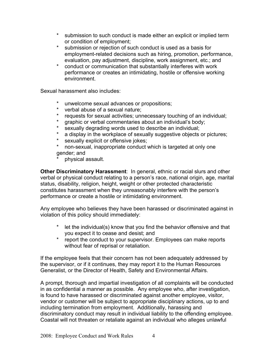- \* submission to such conduct is made either an explicit or implied term or condition of employment;
- \* submission or rejection of such conduct is used as a basis for employment-related decisions such as hiring, promotion, performance, evaluation, pay adjustment, discipline, work assignment, etc.; and
- \* conduct or communication that substantially interferes with work performance or creates an intimidating, hostile or offensive working environment.

Sexual harassment also includes:

- \* unwelcome sexual advances or propositions;<br>\* verhal abuse of a sexual nature;
- \* verbal abuse of a sexual nature;<br>\* requests for sexual activities; unr
- \* requests for sexual activities; unnecessary touching of an individual;<br>\* aranhic or verhal commentaries about an individual's body:
- \* graphic or verbal commentaries about an individual's body;<br>\* eovuelly degrading words used to describe an individual:
- \* sexually degrading words used to describe an individual;<br>\* a display in the worknlace of sexually suggestive objects
- a display in the workplace of sexually suggestive objects or pictures;
- \* sexually explicit or offensive jokes;<br>\* pon-sexual inappropriate conduct is
- non-sexual, inappropriate conduct which is targeted at only one gender; and
- physical assault.

**Other Discriminatory Harassment:** In general, ethnic or racial slurs and other verbal or physical conduct relating to a person's race, national origin, age, marital status, disability, religion, height, weight or other protected characteristic constitutes harassment when they unreasonably interfere with the person's performance or create a hostile or intimidating environment.

Any employee who believes they have been harassed or discriminated against in violation of this policy should immediately:

- let the individual(s) know that you find the behavior offensive and that you expect it to cease and desist; and
- \* report the conduct to your supervisor. Employees can make reports without fear of reprisal or retaliation.

If the employee feels that their concern has not been adequately addressed by the supervisor, or if it continues, they may report it to the Human Resources Generalist, or the Director of Health, Safety and Environmental Affairs.

A prompt, thorough and impartial investigation of all complaints will be conducted in as confidential a manner as possible. Any employee who, after investigation, is found to have harassed or discriminated against another employee, visitor, vendor or customer will be subject to appropriate disciplinary actions, up to and including termination from employment. Additionally, harassing and discriminatory conduct may result in individual liability to the offending employee. Coastal will not threaten or retaliate against an individual who alleges unlawful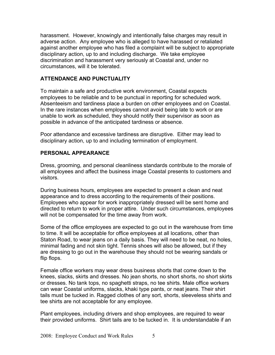harassment. However, knowingly and intentionally false charges may result in adverse action. Any employee who is alleged to have harassed or retaliated against another employee who has filed a complaint will be subject to appropriate disciplinary action, up to and including discharge. We take employee discrimination and harassment very seriously at Coastal and, under no circumstances, will it be tolerated.

# **ATTENDANCE AND PUNCTUALITY**

To maintain a safe and productive work environment, Coastal expects employees to be reliable and to be punctual in reporting for scheduled work. Absenteeism and tardiness place a burden on other employees and on Coastal. In the rare instances when employees cannot avoid being late to work or are unable to work as scheduled, they should notify their supervisor as soon as possible in advance of the anticipated tardiness or absence.

Poor attendance and excessive tardiness are disruptive. Either may lead to disciplinary action, up to and including termination of employment.

# **PERSONAL APPEARANCE**

Dress, grooming, and personal cleanliness standards contribute to the morale of all employees and affect the business image Coastal presents to customers and visitors.

During business hours, employees are expected to present a clean and neat appearance and to dress according to the requirements of their positions. Employees who appear for work inappropriately dressed will be sent home and directed to return to work in proper attire. Under such circumstances, employees will not be compensated for the time away from work.

Some of the office employees are expected to go out in the warehouse from time to time. It will be acceptable for office employees at all locations, other than Staton Road, to wear jeans on a daily basis. They will need to be neat, no holes, minimal fading and not skin tight. Tennis shoes will also be allowed, but if they are dressing to go out in the warehouse they should not be wearing sandals or flip flops.

Female office workers may wear dress business shorts that come down to the knees, slacks, skirts and dresses. No jean shorts, no short shorts, no short skirts or dresses. No tank tops, no spaghetti straps, no tee shirts. Male office workers can wear Coastal uniforms, slacks, khaki type pants, or neat jeans. Their shirt tails must be tucked in. Ragged clothes of any sort, shorts, sleeveless shirts and tee shirts are not acceptable for any employee.

Plant employees, including drivers and shop employees, are required to wear their provided uniforms. Shirt tails are to be tucked in. It is understandable if an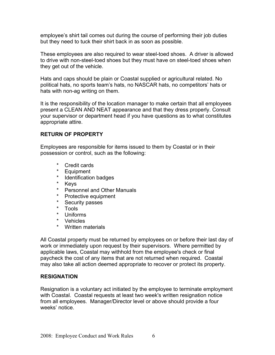employee's shirt tail comes out during the course of performing their job duties but they need to tuck their shirt back in as soon as possible.

These employees are also required to wear steel-toed shoes. A driver is allowed to drive with non-steel-toed shoes but they must have on steel-toed shoes when they get out of the vehicle.

Hats and caps should be plain or Coastal supplied or agricultural related. No political hats, no sports team's hats, no NASCAR hats, no competitors' hats or hats with non-ag writing on them.

It is the responsibility of the location manager to make certain that all employees present a CLEAN AND NEAT appearance and that they dress properly. Consult your supervisor or department head if you have questions as to what constitutes appropriate attire.

# **RETURN OF PROPERTY**

Employees are responsible for items issued to them by Coastal or in their possession or control, such as the following:

- \* Credit cards
- **Equipment**
- \* Identification badges
- \* Keys<br>\* Persc
- \* Personnel and Other Manuals<br>\* Protoctive equinment
- \* Protective equipment<br>\* Security passes
- Security passes
- \* Tools<br>\* Linifor
- \* Uniforms
- \* Vehicles<br>\* Written m
- Written materials

All Coastal property must be returned by employees on or before their last day of work or immediately upon request by their supervisors. Where permitted by applicable laws, Coastal may withhold from the employee's check or final paycheck the cost of any items that are not returned when required. Coastal may also take all action deemed appropriate to recover or protect its property.

# **RESIGNATION**

Resignation is a voluntary act initiated by the employee to terminate employment with Coastal. Coastal requests at least two week's written resignation notice from all employees. Manager/Director level or above should provide a four weeks' notice.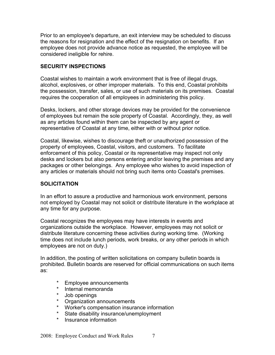Prior to an employee's departure, an exit interview may be scheduled to discuss the reasons for resignation and the effect of the resignation on benefits. If an employee does not provide advance notice as requested, the employee will be considered ineligible for rehire.

#### **SECURITY INSPECTIONS**

Coastal wishes to maintain a work environment that is free of illegal drugs, alcohol, explosives, or other improper materials. To this end, Coastal prohibits the possession, transfer, sales, or use of such materials on its premises. Coastal requires the cooperation of all employees in administering this policy.

Desks, lockers, and other storage devices may be provided for the convenience of employees but remain the sole property of Coastal. Accordingly, they, as well as any articles found within them can be inspected by any agent or representative of Coastal at any time, either with or without prior notice.

Coastal, likewise, wishes to discourage theft or unauthorized possession of the property of employees, Coastal, visitors, and customers. To facilitate enforcement of this policy, Coastal or its representative may inspect not only desks and lockers but also persons entering and/or leaving the premises and any packages or other belongings. Any employee who wishes to avoid inspection of any articles or materials should not bring such items onto Coastal's premises.

# **SOLICITATION**

In an effort to assure a productive and harmonious work environment, persons not employed by Coastal may not solicit or distribute literature in the workplace at any time for any purpose.

Coastal recognizes the employees may have interests in events and organizations outside the workplace. However, employees may not solicit or distribute literature concerning these activities during working time. (Working time does not include lunch periods, work breaks, or any other periods in which employees are not on duty.)

In addition, the posting of written solicitations on company bulletin boards is prohibited. Bulletin boards are reserved for official communications on such items as:

- \* Employee announcements
- \* Internal memoranda<br>\* Ich onenings
- \* Job openings
- \* Organization announcements
- \* Worker's compensation insurance information<br>\* State disability insurance/unemployment
- \* State disability insurance/unemployment<br>\* lnsurance information
- Insurance information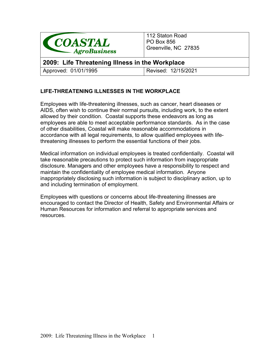

# **2009: Life Threatening Illness in the Workplace**

Approved: 01/01/1995 Revised: 12/15/2021

# **LIFE-THREATENING ILLNESSES IN THE WORKPLACE**

Employees with life-threatening illnesses, such as cancer, heart diseases or AIDS, often wish to continue their normal pursuits, including work, to the extent allowed by their condition. Coastal supports these endeavors as long as employees are able to meet acceptable performance standards. As in the case of other disabilities, Coastal will make reasonable accommodations in accordance with all legal requirements, to allow qualified employees with lifethreatening illnesses to perform the essential functions of their jobs.

Medical information on individual employees is treated confidentially. Coastal will take reasonable precautions to protect such information from inappropriate disclosure. Managers and other employees have a responsibility to respect and maintain the confidentiality of employee medical information. Anyone inappropriately disclosing such information is subject to disciplinary action, up to and including termination of employment.

Employees with questions or concerns about life-threatening illnesses are encouraged to contact the Director of Health, Safety and Environmental Affairs or Human Resources for information and referral to appropriate services and resources.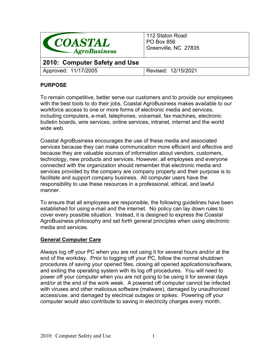

# **2010: Computer Safety and Use**

Approved: 11/17/2005 Revised: 12/15/2021

# **PURPOSE**

To remain competitive, better serve our customers and to provide our employees with the best tools to do their jobs, Coastal AgroBusiness makes available to our workforce access to one or more forms of electronic media and services, including computers, e-mail, telephones, voicemail, fax machines, electronic bulletin boards, wire services, online services, intranet, internet and the world wide web.

Coastal AgroBusiness encourages the use of these media and associated services because they can make communication more efficient and effective and because they are valuable sources of information about vendors, customers, technology, new products and services. However, all employees and everyone connected with the organization should remember that electronic media and services provided by the company are company property and their purpose is to facilitate and support company business. All computer users have the responsibility to use these resources in a professional, ethical, and lawful manner.

To ensure that all employees are responsible, the following guidelines have been established for using e-mail and the internet. No policy can lay down rules to cover every possible situation. Instead, it is designed to express the Coastal AgroBusiness philosophy and set forth general principles when using electronic media and services.

# **General Computer Care**

Always log off your PC when you are not using it for several hours and/or at the end of the workday. Prior to logging off your PC, follow the normal shutdown procedures of saving your opened files, closing all opened applications/software, and exiting the operating system with its log off procedures. You will need to power off your computer when you are not going to be using it for several days and/or at the end of the work week. A powered off computer cannot be infected with viruses and other malicious software (malware), damaged by unauthorized access/use, and damaged by electrical outages or spikes. Powering off your computer would also contribute to saving in electricity charges every month.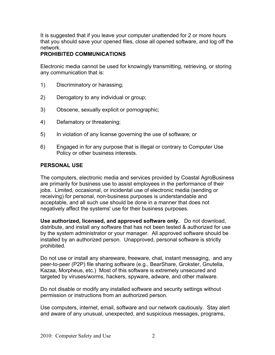It is suggested that if you leave your computer unattended for 2 or more hours that you should save your opened files, close all opened software, and log off the network.

# **PROHIBITED COMMUNICATIONS**

Electronic media cannot be used for knowingly transmitting, retrieving, or storing any communication that is:

- 1) Discriminatory or harassing;
- 2) Derogatory to any individual or group;
- 3) Obscene, sexually explicit or pornographic;
- 4) Defamatory or threatening;
- 5) In violation of any license governing the use of software; or
- 6) Engaged in for any purpose that is illegal or contrary to Computer Use Policy or other business interests.

#### **PERSONAL USE**

The computers, electronic media and services provided by Coastal AgroBusiness are primarily for business use to assist employees in the performance of their jobs. Limited, occasional, or incidental use of electronic media (sending or receiving) for personal, non-business purposes is understandable and acceptable, and all such use should be done in a manner that does not negatively affect the systems' use for their business purposes.

**Use authorized, licensed, and approved software only.** Do not download, distribute, and install any software that has not been tested & authorized for use by the system administrator or your manager. All approved software should be installed by an authorized person. Unapproved, personal software is strictly prohibited.

Do not use or install any shareware, freeware, chat, instant messaging, and any peer-to-peer (P2P) file sharing software (e.g., BearShare, Grokster, Gnutella, Kazaa, Morpheus, etc.) Most of this software is extremely unsecured and targeted by viruses/worms, hackers, spyware, adware, and other malware.

Do not disable or modify any installed software and security settings without permission or instructions from an authorized person.

Use computers, internet, email, software and our network cautiously. Stay alert and aware of any unusual, unexpected, and suspicious messages, programs,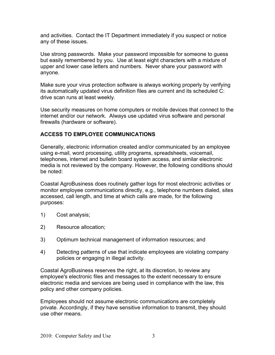and activities. Contact the IT Department immediately if you suspect or notice any of these issues.

Use strong passwords. Make your password impossible for someone to guess but easily remembered by you. Use at least eight characters with a mixture of upper and lower case letters and numbers. Never share your password with anyone.

Make sure your virus protection software is always working properly by verifying its automatically updated virus definition files are current and its scheduled C: drive scan runs at least weekly.

Use security measures on home computers or mobile devices that connect to the internet and/or our network. Always use updated virus software and personal firewalls (hardware or software).

#### **ACCESS TO EMPLOYEE COMMUNICATIONS**

Generally, electronic information created and/or communicated by an employee using e-mail, word processing, utility programs, spreadsheets, voicemail, telephones, internet and bulletin board system access, and similar electronic media is not reviewed by the company. However, the following conditions should be noted:

Coastal AgroBusiness does routinely gather logs for most electronic activities or monitor employee communications directly, e.g., telephone numbers dialed, sites accessed, call length, and time at which calls are made, for the following purposes:

- 1) Cost analysis;
- 2) Resource allocation;
- 3) Optimum technical management of information resources; and
- 4) Detecting patterns of use that indicate employees are violating company policies or engaging in illegal activity.

Coastal AgroBusiness reserves the right, at its discretion, to review any employee's electronic files and messages to the extent necessary to ensure electronic media and services are being used in compliance with the law, this policy and other company policies.

Employees should not assume electronic communications are completely private. Accordingly, if they have sensitive information to transmit, they should use other means.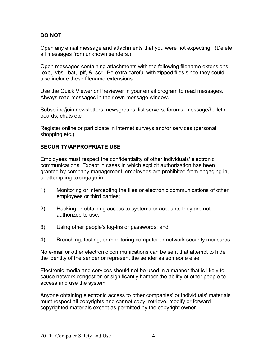#### **DO NOT**

Open any email message and attachments that you were not expecting. (Delete all messages from unknown senders.)

Open messages containing attachments with the following filename extensions: .exe, .vbs, .bat, .pif, & .scr. Be extra careful with zipped files since they could also include these filename extensions.

Use the Quick Viewer or Previewer in your email program to read messages. Always read messages in their own message window.

Subscribe/join newsletters, newsgroups, list servers, forums, message/bulletin boards, chats etc.

Register online or participate in internet surveys and/or services (personal shopping etc.)

#### **SECURITY/APPROPRIATE USE**

Employees must respect the confidentiality of other individuals' electronic communications. Except in cases in which explicit authorization has been granted by company management, employees are prohibited from engaging in, or attempting to engage in:

- 1) Monitoring or intercepting the files or electronic communications of other employees or third parties;
- 2) Hacking or obtaining access to systems or accounts they are not authorized to use;
- 3) Using other people's log-ins or passwords; and
- 4) Breaching, testing, or monitoring computer or network security measures.

No e-mail or other electronic communications can be sent that attempt to hide the identity of the sender or represent the sender as someone else.

Electronic media and services should not be used in a manner that is likely to cause network congestion or significantly hamper the ability of other people to access and use the system.

Anyone obtaining electronic access to other companies' or individuals' materials must respect all copyrights and cannot copy, retrieve, modify or forward copyrighted materials except as permitted by the copyright owner.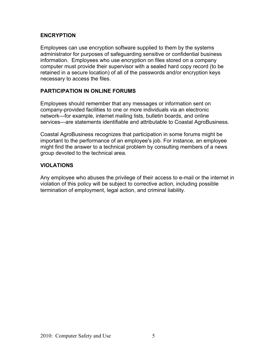# **ENCRYPTION**

Employees can use encryption software supplied to them by the systems administrator for purposes of safeguarding sensitive or confidential business information. Employees who use encryption on files stored on a company computer must provide their supervisor with a sealed hard copy record (to be retained in a secure location) of all of the passwords and/or encryption keys necessary to access the files.

# **PARTICIPATION IN ONLINE FORUMS**

Employees should remember that any messages or information sent on company-provided facilities to one or more individuals via an electronic network—for example, internet mailing lists, bulletin boards, and online services—are statements identifiable and attributable to Coastal AgroBusiness*.* 

Coastal AgroBusiness recognizes that participation in some forums might be important to the performance of an employee's job. For instance, an employee might find the answer to a technical problem by consulting members of a news group devoted to the technical area.

#### **VIOLATIONS**

Any employee who abuses the privilege of their access to e-mail or the internet in violation of this policy will be subject to corrective action, including possible termination of employment, legal action, and criminal liability.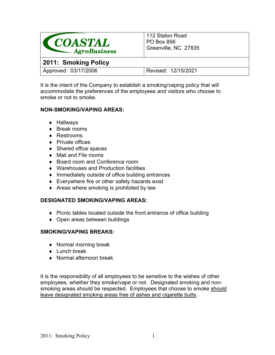

# **2011: Smoking Policy**

| Approved: 03/17/2006 | Revised: 12/15/2021 |
|----------------------|---------------------|
|----------------------|---------------------|

It is the intent of the Company to establish a smoking/vaping policy that will accommodate the preferences of the employees and visitors who choose to smoke or not to smoke.

# **NON-SMOKING/VAPING AREAS:**

- ◆ Hallways
- ◆ Break rooms
- ◆ Restrooms
- ◆ Private offices
- ◆ Shared office spaces
- ◆ Mail and File rooms
- ◆ Board room and Conference room
- Warehouses and Production facilities
- $\bullet$  Immediately outside of office building entrances
- ◆ Everywhere fire or other safety hazards exist
- ◆ Areas where smoking is prohibited by law

# **DESIGNATED SMOKING/VAPING AREAS:**

- Picnic tables located outside the front entrance of office building
- ◆ Open areas between buildings

# **SMOKING/VAPING BREAKS:**

- ◆ Normal morning break
- ◆ Lunch break
- Normal afternoon break

It is the responsibility of all employees to be sensitive to the wishes of other employees, whether they smoke/vape or not. Designated smoking and nonsmoking areas should be respected. Employees that choose to smoke should leave designated smoking areas free of ashes and cigarette butts.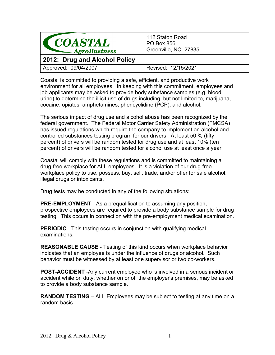

# **2012: Drug and Alcohol Policy**

Approved: 09/04/2007 Revised: 12/15/2021

Coastal is committed to providing a safe, efficient, and productive work environment for all employees. In keeping with this commitment, employees and job applicants may be asked to provide body substance samples (e.g. blood, urine) to determine the illicit use of drugs including, but not limited to, marijuana, cocaine, opiates, amphetamines, phencyclidine (PCP), and alcohol.

The serious impact of drug use and alcohol abuse has been recognized by the federal government. The Federal Motor Carrier Safety Administration (FMCSA) has issued regulations which require the company to implement an alcohol and controlled substances testing program for our drivers. At least 50 % (fifty percent) of drivers will be random tested for drug use and at least 10% (ten percent) of drivers will be random tested for alcohol use at least once a year.

Coastal will comply with these regulations and is committed to maintaining a drug-free workplace for ALL employees. It is a violation of our drug-free workplace policy to use, possess, buy, sell, trade, and/or offer for sale alcohol, illegal drugs or intoxicants.

Drug tests may be conducted in any of the following situations:

**PRE-EMPLOYMENT** - As a prequalification to assuming any position, prospective employees are required to provide a body substance sample for drug testing. This occurs in connection with the pre-employment medical examination.

**PERIODIC** - This testing occurs in conjunction with qualifying medical examinations.

**REASONABLE CAUSE** - Testing of this kind occurs when workplace behavior indicates that an employee is under the influence of drugs or alcohol. Such behavior must be witnessed by at least one supervisor or two co-workers.

**POST-ACCIDENT** -Any current employee who is involved in a serious incident or accident while on duty, whether on or off the employer's premises, may be asked to provide a body substance sample.

**RANDOM TESTING** – ALL Employees may be subject to testing at any time on a random basis.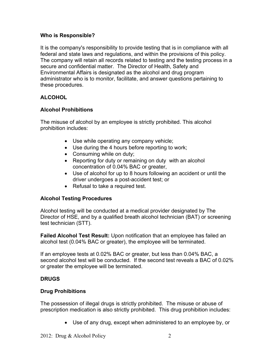# **Who is Responsible?**

It is the company's responsibility to provide testing that is in compliance with all federal and state laws and regulations, and within the provisions of this policy. The company will retain all records related to testing and the testing process in a secure and confidential matter. The Director of Health, Safety and Environmental Affairs is designated as the alcohol and drug program administrator who is to monitor, facilitate, and answer questions pertaining to these procedures.

# **ALCOHOL**

#### **Alcohol Prohibitions**

The misuse of alcohol by an employee is strictly prohibited. This alcohol prohibition includes:

- Use while operating any company vehicle;
- Use during the 4 hours before reporting to work;
- Consuming while on duty;
- Reporting for duty or remaining on duty with an alcohol concentration of 0.04% BAC or greater,
- Use of alcohol for up to 8 hours following an accident or until the driver undergoes a post-accident test; or
- Refusal to take a required test.

# **Alcohol Testing Procedures**

Alcohol testing will be conducted at a medical provider designated by The Director of HSE, and by a qualified breath alcohol technician (BAT) or screening test technician (STT).

**Failed Alcohol Test Result:** Upon notification that an employee has failed an alcohol test (0.04% BAC or greater), the employee will be terminated.

If an employee tests at 0.02% BAC or greater, but less than 0.04% BAC, a second alcohol test will be conducted. If the second test reveals a BAC of 0.02% or greater the employee will be terminated.

# **DRUGS**

#### **Drug Prohibitions**

The possession of illegal drugs is strictly prohibited. The misuse or abuse of prescription medication is also strictly prohibited. This drug prohibition includes:

Use of any drug, except when administered to an employee by, or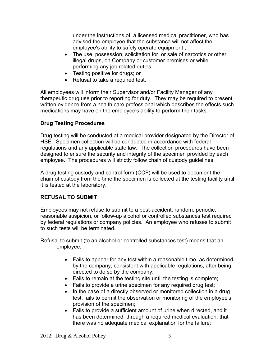under the instructions of, a licensed medical practitioner, who has advised the employee that the substance will not affect the employee's ability to safely operate equipment ;.

- The use, possession, solicitation for, or sale of narcotics or other illegal drugs, on Company or customer premises or while performing any job related duties;
- Testing positive for drugs; or
- Refusal to take a required test.

All employees will inform their Supervisor and/or Facility Manager of any therapeutic drug use prior to reporting for duty. They may be required to present written evidence from a health care professional which describes the effects such medications may have on the employee's ability to perform their tasks.

# **Drug Testing Procedures**

Drug testing will be conducted at a medical provider designated by the Director of HSE. Specimen collection will be conducted in accordance with federal regulations and any applicable state law. The collection procedures have been designed to ensure the security and integrity of the specimen provided by each employee. The procedures will strictly follow chain of custody guidelines.

A drug testing custody and control form (CCF) will be used to document the chain of custody from the time the specimen is collected at the testing facility until it is tested at the laboratory.

# **REFUSAL TO SUBMIT**

Employees may not refuse to submit to a post-accident, random, periodic, reasonable suspicion, or follow-up alcohol or controlled substances test required by federal regulations or company policies. An employee who refuses to submit to such tests will be terminated.

Refusal to submit (to an alcohol or controlled substances test) means that an employee:

- Fails to appear for any test within a reasonable time, as determined by the company, consistent with applicable regulations, after being directed to do so by the company;
- Fails to remain at the testing site until the testing is complete;
- Fails to provide a urine specimen for any required drug test;
- In the case of a directly observed or monitored collection in a drug test, fails to permit the observation or monitoring of the employee's provision of the specimen;
- Fails to provide a sufficient amount of urine when directed, and it has been determined, through a required medical evaluation, that there was no adequate medical explanation for the failure;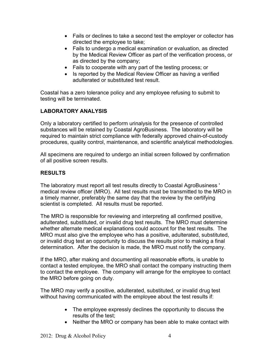- Fails or declines to take a second test the employer or collector has directed the employee to take;
- Fails to undergo a medical examination or evaluation, as directed by the Medical Review Officer as part of the verification process, or as directed by the company;
- Fails to cooperate with any part of the testing process; or
- Is reported by the Medical Review Officer as having a verified adulterated or substituted test result.

Coastal has a zero tolerance policy and any employee refusing to submit to testing will be terminated.

# **LABORATORY ANALYSIS**

Only a laboratory certified to perform urinalysis for the presence of controlled substances will be retained by Coastal AgroBusiness. The laboratory will be required to maintain strict compliance with federally approved chain-of-custody procedures, quality control, maintenance, and scientific analytical methodologies.

All specimens are required to undergo an initial screen followed by confirmation of all positive screen results.

# **RESULTS**

The laboratory must report all test results directly to Coastal AgroBusiness ' medical review officer (MRO). All test results must be transmitted to the MRO in a timely manner, preferably the same day that the review by the certifying scientist is completed. All results must be reported.

The MRO is responsible for reviewing and interpreting all confirmed positive, adulterated, substituted, or invalid drug test results. The MRO must determine whether alternate medical explanations could account for the test results. The MRO must also give the employee who has a positive, adulterated, substituted, or invalid drug test an opportunity to discuss the results prior to making a final determination. After the decision is made, the MRO must notify the company.

If the MRO, after making and documenting all reasonable efforts, is unable to contact a tested employee, the MRO shall contact the company instructing them to contact the employee. The company will arrange for the employee to contact the MRO before going on duty.

The MRO may verify a positive, adulterated, substituted, or invalid drug test without having communicated with the employee about the test results if:

- The employee expressly declines the opportunity to discuss the results of the test;
- Neither the MRO or company has been able to make contact with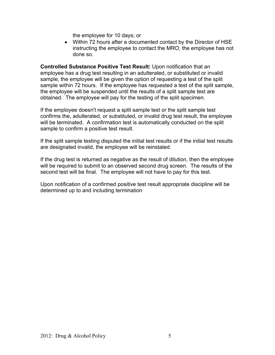the employee for 10 days; or

 Within 72 hours after a documented contact by the Director of HSE instructing the employee to contact the MRO, the employee has not done so.

**Controlled Substance Positive Test Result:** Upon notification that an employee has a drug test resulting in an adulterated, or substituted or invalid sample, the employee will be given the option of requesting a test of the split sample within 72 hours. If the employee has requested a test of the split sample, the employee will be suspended until the results of a split sample test are obtained. The employee will pay for the testing of the split specimen.

If the employee doesn't request a split sample test or the split sample test confirms the, adulterated, or substituted, or invalid drug test result, the employee will be terminated. A confirmation test is automatically conducted on the split sample to confirm a positive test result.

If the split sample testing disputed the initial test results or if the initial test results are designated invalid, the employee will be reinstated.

If the drug test is returned as negative as the result of dilution, then the employee will be required to submit to an observed second drug screen. The results of the second test will be final. The employee will not have to pay for this test.

Upon notification of a confirmed positive test result appropriate discipline will be determined up to and including termination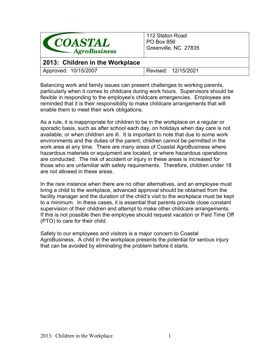

# **2013: Children in the Workplace**

Approved: 10/15/2007 Revised: 12/15/2021

Balancing work and family issues can present challenges to working parents, particularly when it comes to childcare during work hours. Supervisors should be flexible in responding to the employee's childcare emergencies. Employees are reminded that it is their responsibility to make childcare arrangements that will enable them to meet their work obligations.

As a rule, it is inappropriate for children to be in the workplace on a regular or sporadic basis, such as after school each day, on holidays when day care is not available, or when children are ill. It is important to note that due to some work environments and the duties of the parent, children cannot be permitted in the work area at any time. There are many areas of Coastal AgroBusiness where hazardous materials or equipment are located, or where hazardous operations are conducted. The risk of accident or injury in these areas is increased for those who are unfamiliar with safety requirements. Therefore, children under 18 are not allowed in these areas.

In the rare instance when there are no other alternatives, and an employee must bring a child to the workplace, advanced approval should be obtained from the facility manager and the duration of the child's visit to the workplace must be kept to a minimum. In these cases, it is essential that parents provide close constant supervision of their children and attempt to make other childcare arrangements. If this is not possible then the employee should request vacation or Paid Time Off (PTO) to care for their child.

Safety to our employees and visitors is a major concern to Coastal AgroBusiness. A child in the workplace presents the potential for serious injury that can be avoided by eliminating the problem before it starts.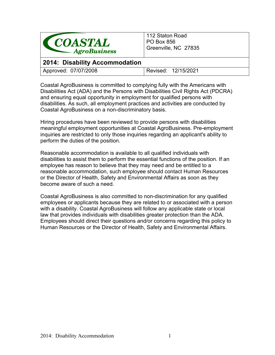

# **2014: Disability Accommodation**

Approved: 07/07/2008 Revised: 12/15/2021

Coastal AgroBusiness is committed to complying fully with the Americans with Disabilities Act (ADA) and the Persons with Disabilities Civil Rights Act (PDCRA) and ensuring equal opportunity in employment for qualified persons with disabilities. As such, all employment practices and activities are conducted by Coastal AgroBusiness on a non-discriminatory basis.

Hiring procedures have been reviewed to provide persons with disabilities meaningful employment opportunities at Coastal AgroBusiness. Pre-employment inquiries are restricted to only those inquiries regarding an applicant's ability to perform the duties of the position.

Reasonable accommodation is available to all qualified individuals with disabilities to assist them to perform the essential functions of the position. If an employee has reason to believe that they may need and be entitled to a reasonable accommodation, such employee should contact Human Resources or the Director of Health, Safety and Environmental Affairs as soon as they become aware of such a need.

Coastal AgroBusiness is also committed to non-discrimination for any qualified employees or applicants because they are related to or associated with a person with a disability. Coastal AgroBusiness will follow any applicable state or local law that provides individuals with disabilities greater protection than the ADA. Employees should direct their questions and/or concerns regarding this policy to Human Resources or the Director of Health, Safety and Environmental Affairs.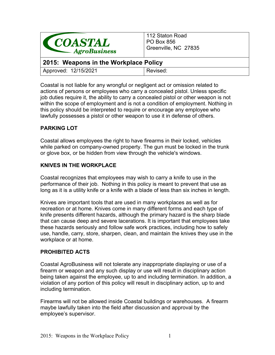

# **2015: Weapons in the Workplace Policy**

Approved: 12/15/2021 Revised:

Coastal is not liable for any wrongful or negligent act or omission related to actions of persons or employees who carry a concealed pistol. Unless specific job duties require it, the ability to carry a concealed pistol or other weapon is not within the scope of employment and is not a condition of employment. Nothing in this policy should be interpreted to require or encourage any employee who lawfully possesses a pistol or other weapon to use it in defense of others.

# **PARKING LOT**

Coastal allows employees the right to have firearms in their locked, vehicles while parked on company-owned property. The gun must be locked in the trunk or glove box, or be hidden from view through the vehicle's windows.

# **KNIVES IN THE WORKPLACE**

Coastal recognizes that employees may wish to carry a knife to use in the performance of their job. Nothing in this policy is meant to prevent that use as long as it is a utility knife or a knife with a blade of less than six inches in length.

Knives are important tools that are used in many workplaces as well as for recreation or at home. Knives come in many different forms and each type of knife presents different hazards, although the primary hazard is the sharp blade that can cause deep and severe lacerations. It is important that employees take these hazards seriously and follow safe work practices, including how to safely use, handle, carry, store, sharpen, clean, and maintain the knives they use in the workplace or at home.

# **PROHIBITED ACTS**

Coastal AgroBusiness will not tolerate any inappropriate displaying or use of a firearm or weapon and any such display or use will result in disciplinary action being taken against the employee, up to and including termination. In addition, a violation of any portion of this policy will result in disciplinary action, up to and including termination.

Firearms will not be allowed inside Coastal buildings or warehouses. A firearm maybe lawfully taken into the field after discussion and approval by the employee's supervisor.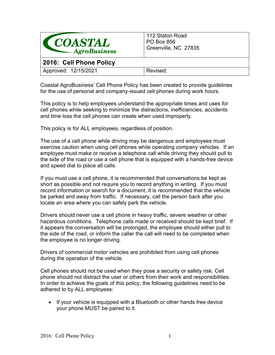

# **2016: Cell Phone Policy** Approved: 12/15/2021 **Revised:**

Coastal AgroBusiness' Cell Phone Policy has been created to provide guidelines for the use of personal and company-issued cell phones during work hours.

This policy is to help employees understand the appropriate times and uses for cell phones while seeking to minimize the distractions, inefficiencies, accidents and time loss the cell phones can create when used improperly.

This policy is for ALL employees, regardless of position.

The use of a cell phone while driving may be dangerous and employees must exercise caution when using cell phones while operating company vehicles. If an employee must make or receive a telephone call while driving they should pull to the side of the road or use a cell phone that is equipped with a hands-free device and speed dial to place all calls.

If you must use a cell phone, it is recommended that conversations be kept as short as possible and not require you to record anything in writing. If you must record information or search for a document, it is recommended that the vehicle be parked and away from traffic. If necessary, call the person back after you locate an area where you can safely park the vehicle.

Drivers should never use a cell phone in heavy traffic, severe weather or other hazardous conditions. Telephone calls made or received should be kept brief. If it appears the conversation will be prolonged, the employee should either pull to the side of the road, or inform the caller the call will need to be completed when the employee is no longer driving.

Drivers of commercial motor vehicles are prohibited from using cell phones during the operation of the vehicle.

Cell phones should not be used when they pose a security or safety risk. Cell phone should not distract the user or others from their work and responsibilities. In order to achieve the goals of this policy, the following guidelines need to be adhered to by ALL employees:

• If your vehicle is equipped with a Bluetooth or other hands free device your phone MUST be paired to it.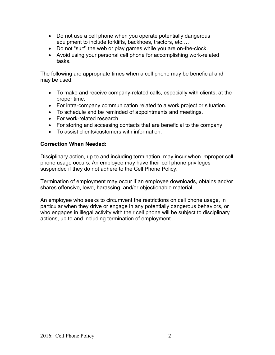- Do not use a cell phone when you operate potentially dangerous equipment to include forklifts, backhoes, tractors, etc….
- Do not "surf" the web or play games while you are on-the-clock.
- Avoid using your personal cell phone for accomplishing work-related tasks.

The following are appropriate times when a cell phone may be beneficial and may be used.

- To make and receive company-related calls, especially with clients, at the proper time.
- For intra-company communication related to a work project or situation.
- To schedule and be reminded of appointments and meetings.
- For work-related research
- For storing and accessing contacts that are beneficial to the company
- To assist clients/customers with information.

#### **Correction When Needed:**

Disciplinary action, up to and including termination, may incur when improper cell phone usage occurs. An employee may have their cell phone privileges suspended if they do not adhere to the Cell Phone Policy.

Termination of employment may occur if an employee downloads, obtains and/or shares offensive, lewd, harassing, and/or objectionable material.

An employee who seeks to circumvent the restrictions on cell phone usage, in particular when they drive or engage in any potentially dangerous behaviors, or who engages in illegal activity with their cell phone will be subject to disciplinary actions, up to and including termination of employment.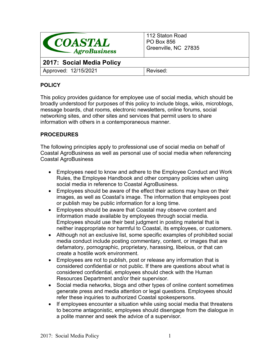

# **2017: Social Media Policy**

Approved: 12/15/2021 **Revised:** 

# **POLICY**

This policy provides guidance for employee use of social media, which should be broadly understood for purposes of this policy to include blogs, wikis, microblogs, message boards, chat rooms, electronic newsletters, online forums, social networking sites, and other sites and services that permit users to share information with others in a contemporaneous manner.

# **PROCEDURES**

The following principles apply to professional use of social media on behalf of Coastal AgroBusiness as well as personal use of social media when referencing Coastal AgroBusiness

- Employees need to know and adhere to the Employee Conduct and Work Rules, the Employee Handbook and other company policies when using social media in reference to Coastal AgroBusiness.
- Employees should be aware of the effect their actions may have on their images, as well as Coastal's image. The information that employees post or publish may be public information for a long time.
- Employees should be aware that Coastal may observe content and information made available by employees through social media. Employees should use their best judgment in posting material that is neither inappropriate nor harmful to Coastal, its employees, or customers.
- Although not an exclusive list, some specific examples of prohibited social media conduct include posting commentary, content, or images that are defamatory, pornographic, proprietary, harassing, libelous, or that can create a hostile work environment.
- Employees are not to publish, post or release any information that is considered confidential or not public. If there are questions about what is considered confidential, employees should check with the Human Resources Department and/or their supervisor.
- Social media networks, blogs and other types of online content sometimes generate press and media attention or legal questions. Employees should refer these inquiries to authorized Coastal spokespersons.
- If employees encounter a situation while using social media that threatens to become antagonistic, employees should disengage from the dialogue in a polite manner and seek the advice of a supervisor.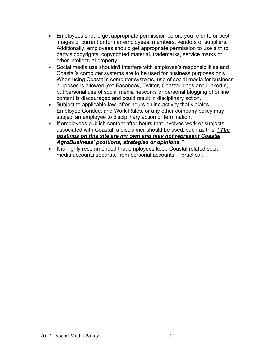- Employees should get appropriate permission before you refer to or post images of current or former employees, members, vendors or suppliers. Additionally, employees should get appropriate permission to use a third party's copyrights, copyrighted material, trademarks, service marks or other intellectual property.
- Social media use shouldn't interfere with employee's responsibilities and Coastal's computer systems are to be used for business purposes only. When using Coastal's computer systems, use of social media for business purposes is allowed (ex: Facebook, Twitter, Coastal blogs and LinkedIn), but personal use of social media networks or personal blogging of online content is discouraged and could result in disciplinary action.
- Subject to applicable law, after-hours online activity that violates Employee Conduct and Work Rules, or any other company policy may subject an employee to disciplinary action or termination.
- If employees publish content after-hours that involves work or subjects associated with Coastal, a disclaimer should be used, such as this: *"The postings on this site are my own and may not represent Coastal AgroBusiness' positions, strategies or opinions."*
- It is highly recommended that employees keep Coastal related social media accounts separate from personal accounts, if practical.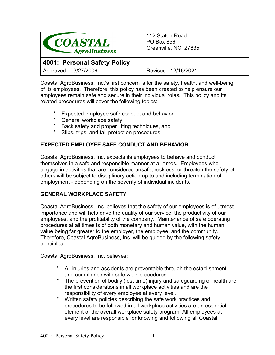

# **4001: Personal Safety Policy**

Approved: 03/27/2006 Revised: 12/15/2021

Coastal AgroBusiness, Inc.'s first concern is for the safety, health, and well-being of its employees. Therefore, this policy has been created to help ensure our employees remain safe and secure in their individual roles. This policy and its related procedures will cover the following topics:

- Expected employee safe conduct and behavior,
- \* General workplace safety,
- \* Back safety and proper lifting techniques, and
- Slips, trips, and fall protection procedures.

# **EXPECTED EMPLOYEE SAFE CONDUCT AND BEHAVIOR**

Coastal AgroBusiness, Inc. expects its employees to behave and conduct themselves in a safe and responsible manner at all times. Employees who engage in activities that are considered unsafe, reckless, or threaten the safety of others will be subject to disciplinary action up to and including termination of employment - depending on the severity of individual incidents.

# **GENERAL WORKPLACE SAFETY**

Coastal AgroBusiness, Inc. believes that the safety of our employees is of utmost importance and will help drive the quality of our service, the productivity of our employees, and the profitability of the company. Maintenance of safe operating procedures at all times is of both monetary and human value, with the human value being far greater to the employer, the employee, and the community. Therefore, Coastal AgroBusiness, Inc. will be guided by the following safety principles.

Coastal AgroBusiness, Inc. believes:

- All injuries and accidents are preventable through the establishment and compliance with safe work procedures.
- \* The prevention of bodily (lost time) injury and safeguarding of health are the first considerations in all workplace activities and are the responsibility of every employee at every level.
- \* Written safety policies describing the safe work practices and procedures to be followed in all workplace activities are an essential element of the overall workplace safety program. All employees at every level are responsible for knowing and following all Coastal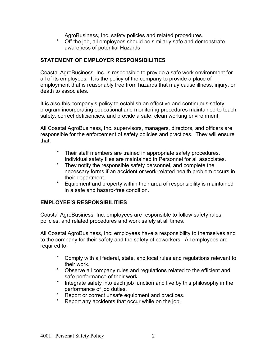AgroBusiness, Inc. safety policies and related procedures.

\* Off the job, all employees should be similarly safe and demonstrate awareness of potential Hazards

#### **STATEMENT OF EMPLOYER RESPONSIBILITIES**

Coastal AgroBusiness, Inc. is responsible to provide a safe work environment for all of its employees. It is the policy of the company to provide a place of employment that is reasonably free from hazards that may cause illness, injury, or death to associates.

It is also this company's policy to establish an effective and continuous safety program incorporating educational and monitoring procedures maintained to teach safety, correct deficiencies, and provide a safe, clean working environment.

All Coastal AgroBusiness, Inc. supervisors, managers, directors, and officers are responsible for the enforcement of safety policies and practices. They will ensure that:

- \* Their staff members are trained in appropriate safety procedures. Individual safety files are maintained in Personnel for all associates.
- \* They notify the responsible safety personnel, and complete the necessary forms if an accident or work-related health problem occurs in their department.
- \* Equipment and property within their area of responsibility is maintained in a safe and hazard-free condition.

# **EMPLOYEE'S RESPONSIBILITIES**

Coastal AgroBusiness, Inc. employees are responsible to follow safety rules, policies, and related procedures and work safely at all times.

All Coastal AgroBusiness, Inc. employees have a responsibility to themselves and to the company for their safety and the safety of coworkers. All employees are required to:

- Comply with all federal, state, and local rules and regulations relevant to their work.
- \* Observe all company rules and regulations related to the efficient and safe performance of their work.
- \* Integrate safety into each job function and live by this philosophy in the performance of job duties.
- \* Report or correct unsafe equipment and practices.<br>\* Penert any accidents that occur while on the inh
- Report any accidents that occur while on the job.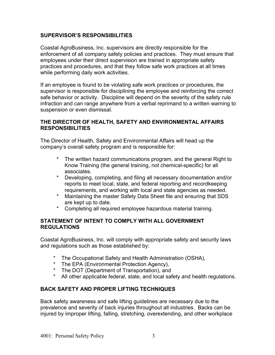#### **SUPERVISOR'S RESPONSIBILITIES**

Coastal AgroBusiness, Inc. supervisors are directly responsible for the enforcement of all company safety policies and practices. They must ensure that employees under their direct supervision are trained in appropriate safety practices and procedures, and that they follow safe work practices at all times while performing daily work activities.

If an employee is found to be violating safe work practices or procedures, the supervisor is responsible for disciplining the employee and reinforcing the correct safe behavior or activity. Discipline will depend on the severity of the safety rule infraction and can range anywhere from a verbal reprimand to a written warning to suspension or even dismissal.

#### **THE DIRECTOR OF HEALTH, SAFETY AND ENVIRONMENTAL AFFAIRS RESPONSIBILITIES**

The Director of Health, Safety and Environmental Affairs will head up the company's overall safety program and is responsible for:

- The written hazard communications program, and the general Right to Know Training (the general training, not chemical-specific) for all associates.
- \* Developing, completing, and filing all necessary documentation and/or reports to meet local, state, and federal reporting and recordkeeping requirements, and working with local and state agencies as needed.
- \* Maintaining the master Safety Data Sheet file and ensuring that SDS are kept up to date.
- \* Completing all required employee hazardous material training.

#### **STATEMENT OF INTENT TO COMPLY WITH ALL GOVERNMENT REGULATIONS**

Coastal AgroBusiness, Inc. will comply with appropriate safety and security laws and regulations such as those established by:

- The Occupational Safety and Health Administration (OSHA),
- \* The EPA (Environmental Protection Agency),
- \* The DOT (Department of Transportation), and
- All other applicable federal, state, and local safety and health regulations.

# **BACK SAFETY AND PROPER LIFTING TECHNIQUES**

Back safety awareness and safe lifting guidelines are necessary due to the prevalence and severity of back injuries throughout all industries. Backs can be injured by improper lifting, falling, stretching, overextending, and other workplace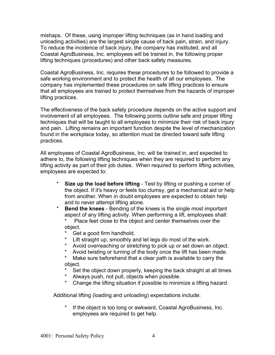mishaps. Of these, using improper lifting techniques (as in hand loading and unloading activities) are the largest single cause of back pain, strain, and injury. To reduce the incidence of back injury, the company has instituted, and all Coastal AgroBusiness, Inc. employees will be trained in, the following proper lifting techniques (procedures) and other back safety measures.

Coastal AgroBusiness, Inc. requires these procedures to be followed to provide a safe working environment and to protect the health of all our employees. The company has implemented these procedures on safe lifting practices to ensure that all employees are trained to protect themselves from the hazards of improper lifting practices.

The effectiveness of the back safety procedure depends on the active support and involvement of all employees. The following points outline safe and proper lifting techniques that will be taught to all employees to minimize their risk of back injury and pain. Lifting remains an important function despite the level of mechanization found in the workplace today, so attention must be directed toward safe lifting practices.

All employees of Coastal AgroBusiness, Inc. will be trained in, and expected to adhere to, the following lifting techniques when they are required to perform any lifting activity as part of their job duties. When required to perform lifting activities, employees are expected to:

- \* **Size up the load before lifting** Test by lifting or pushing a corner of the object. If it's heavy or feels too clumsy, get a mechanical aid or help from another. When in doubt employees are expected to obtain help and to never attempt lifting alone.
- \* **Bend the knees** Bending of the knees is the single most important aspect of any lifting activity. When performing a lift, employees shall: Place feet close to the object and center themselves over the object.
	- Get a good firm handhold.
	- \* Lift straight up, smoothly and let legs do most of the work.<br>\* Avoid overreaching or stretching to pick up or set down an
	- Avoid overreaching or stretching to pick up or set down an object.
	- Avoid twisting or turning of the body once the lift has been made.

Make sure beforehand that a clear path is available to carry the object.

- Set the object down properly, keeping the back straight at all times.
- Always push, not pull, objects when possible.
- Change the lifting situation if possible to minimize a lifting hazard.

Additional lifting (loading and unloading) expectations include:

If the object is too long or awkward, Coastal AgroBusiness, Inc. employees are required to get help.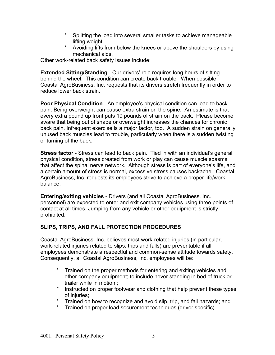- \* Splitting the load into several smaller tasks to achieve manageable lifting weight.
- \* Avoiding lifts from below the knees or above the shoulders by using mechanical aids.

Other work-related back safety issues include:

**Extended Sitting/Standing** - Our drivers' role requires long hours of sitting behind the wheel. This condition can create back trouble. When possible, Coastal AgroBusiness, Inc. requests that its drivers stretch frequently in order to reduce lower back strain.

**Poor Physical Condition** - An employee's physical condition can lead to back pain. Being overweight can cause extra strain on the spine. An estimate is that every extra pound up front puts 10 pounds of strain on the back. Please become aware that being out of shape or overweight increases the chances for chronic back pain. Infrequent exercise is a major factor, too. A sudden strain on generally unused back muscles lead to trouble, particularly when there is a sudden twisting or turning of the back.

**Stress factor** - Stress can lead to back pain. Tied in with an individual's general physical condition, stress created from work or play can cause muscle spasms that affect the spinal nerve network. Although stress is part of everyone's life, and a certain amount of stress is normal, excessive stress causes backache. Coastal AgroBusiness, Inc. requests its employees strive to achieve a proper life/work balance.

**Entering/exiting vehicles** - Drivers (and all Coastal AgroBusiness, Inc. personnel) are expected to enter and exit company vehicles using three points of contact at all times. Jumping from any vehicle or other equipment is strictly prohibited.

# **SLIPS, TRIPS, AND FALL PROTECTION PROCEDURES**

Coastal AgroBusiness, Inc. believes most work-related injuries (in particular, work-related injuries related to slips, trips and falls) are preventable if all employees demonstrate a respectful and common-sense attitude towards safety. Consequently, all Coastal AgroBusiness, Inc. employees will be:

- \* Trained on the proper methods for entering and exiting vehicles and other company equipment; to include never standing in bed of truck or trailer while in motion.;
- \* Instructed on proper footwear and clothing that help prevent these types of injuries;
- \* Trained on how to recognize and avoid slip, trip, and fall hazards; and
- \* Trained on proper load securement techniques (driver specific).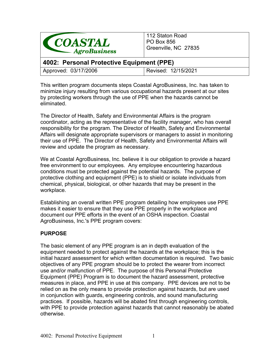

# **4002: Personal Protective Equipment (PPE)**

Approved: 03/17/2006 Revised: 12/15/2021

This written program documents steps Coastal AgroBusiness, Inc. has taken to minimize injury resulting from various occupational hazards present at our sites by protecting workers through the use of PPE when the hazards cannot be eliminated.

The Director of Health, Safety and Environmental Affairs is the program coordinator, acting as the representative of the facility manager, who has overall responsibility for the program. The Director of Health, Safety and Environmental Affairs will designate appropriate supervisors or managers to assist in monitoring their use of PPE. The Director of Health, Safety and Environmental Affairs will review and update the program as necessary.

We at Coastal AgroBusiness, Inc. believe it is our obligation to provide a hazard free environment to our employees. Any employee encountering hazardous conditions must be protected against the potential hazards. The purpose of protective clothing and equipment (PPE) is to shield or isolate individuals from chemical, physical, biological, or other hazards that may be present in the workplace.

Establishing an overall written PPE program detailing how employees use PPE makes it easier to ensure that they use PPE properly in the workplace and document our PPE efforts in the event of an OSHA inspection. Coastal AgroBusiness, Inc.'s PPE program covers:

# **PURPOSE**

The basic element of any PPE program is an in depth evaluation of the equipment needed to protect against the hazards at the workplace; this is the initial hazard assessment for which written documentation is required. Two basic objectives of any PPE program should be to protect the wearer from incorrect use and/or malfunction of PPE. The purpose of this Personal Protective Equipment (PPE) Program is to document the hazard assessment, protective measures in place, and PPE in use at this company. PPE devices are not to be relied on as the only means to provide protection against hazards, but are used in conjunction with guards, engineering controls, and sound manufacturing practices. If possible, hazards will be abated first through engineering controls, with PPE to provide protection against hazards that cannot reasonably be abated otherwise.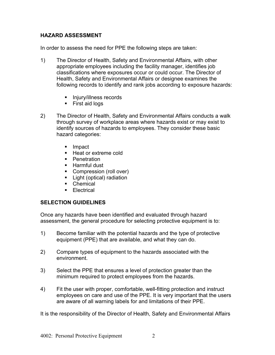# **HAZARD ASSESSMENT**

In order to assess the need for PPE the following steps are taken:

- 1) The Director of Health, Safety and Environmental Affairs, with other appropriate employees including the facility manager, identifies job classifications where exposures occur or could occur. The Director of Health, Safety and Environmental Affairs or designee examines the following records to identify and rank jobs according to exposure hazards:
	- **Injury/illness records**
	- **First aid logs**
- 2) The Director of Health, Safety and Environmental Affairs conducts a walk through survey of workplace areas where hazards exist or may exist to identify sources of hazards to employees. They consider these basic hazard categories:
	- **Impact**
	- Heat or extreme cold
	- **Penetration**
	- **Harmful dust**
	- **Compression (roll over)**
	- **Light (optical) radiation**
	- **Chemical**
	- **Electrical**

# **SELECTION GUIDELINES**

Once any hazards have been identified and evaluated through hazard assessment, the general procedure for selecting protective equipment is to:

- 1) Become familiar with the potential hazards and the type of protective equipment (PPE) that are available, and what they can do.
- 2) Compare types of equipment to the hazards associated with the environment.
- 3) Select the PPE that ensures a level of protection greater than the minimum required to protect employees from the hazards.
- 4) Fit the user with proper, comfortable, well-fitting protection and instruct employees on care and use of the PPE. It is very important that the users are aware of all warning labels for and limitations of their PPE.

It is the responsibility of the Director of Health, Safety and Environmental Affairs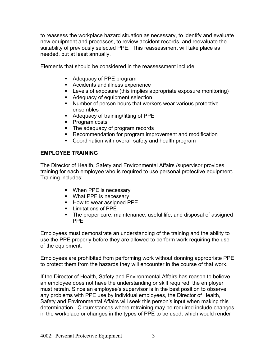to reassess the workplace hazard situation as necessary, to identify and evaluate new equipment and processes, to review accident records, and reevaluate the suitability of previously selected PPE. This reassessment will take place as needed, but at least annually.

Elements that should be considered in the reassessment include:

- **Adequacy of PPE program**
- **Accidents and illness experience**
- **EXPLES** 1 Levels of exposure (this implies appropriate exposure monitoring)
- **Adequacy of equipment selection**
- Number of person hours that workers wear various protective ensembles
- **Adequacy of training/fitting of PPE**
- Program costs
- The adequacy of program records
- Recommendation for program improvement and modification
- **Coordination with overall safety and health program**

# **EMPLOYEE TRAINING**

The Director of Health, Safety and Environmental Affairs /supervisor provides training for each employee who is required to use personal protective equipment. Training includes:

- **When PPE is necessary**
- **What PPE is necessary**
- How to wear assigned PPE
- **Limitations of PPE**
- The proper care, maintenance, useful life, and disposal of assigned PPE

Employees must demonstrate an understanding of the training and the ability to use the PPE properly before they are allowed to perform work requiring the use of the equipment.

Employees are prohibited from performing work without donning appropriate PPE to protect them from the hazards they will encounter in the course of that work.

If the Director of Health, Safety and Environmental Affairs has reason to believe an employee does not have the understanding or skill required, the employer must retrain. Since an employee's supervisor is in the best position to observe any problems with PPE use by individual employees, the Director of Health, Safety and Environmental Affairs will seek this person's input when making this determination. Circumstances where retraining may be required include changes in the workplace or changes in the types of PPE to be used, which would render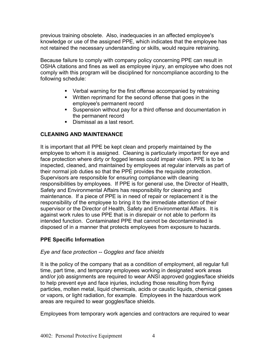previous training obsolete. Also, inadequacies in an affected employee's knowledge or use of the assigned PPE, which indicates that the employee has not retained the necessary understanding or skills, would require retraining.

Because failure to comply with company policy concerning PPE can result in OSHA citations and fines as well as employee injury, an employee who does not comply with this program will be disciplined for noncompliance according to the following schedule:

- Verbal warning for the first offense accompanied by retraining
- Written reprimand for the second offense that goes in the employee's permanent record
- Suspension without pay for a third offense and documentation in the permanent record
- Dismissal as a last resort.

# **CLEANING AND MAINTENANCE**

It is important that all PPE be kept clean and properly maintained by the employee to whom it is assigned. Cleaning is particularly important for eye and face protection where dirty or fogged lenses could impair vision. PPE is to be inspected, cleaned, and maintained by employees at regular intervals as part of their normal job duties so that the PPE provides the requisite protection. Supervisors are responsible for ensuring compliance with cleaning responsibilities by employees. If PPE is for general use, the Director of Health, Safety and Environmental Affairs has responsibility for cleaning and maintenance. If a piece of PPE is in need of repair or replacement it is the responsibility of the employee to bring it to the immediate attention of their supervisor or the Director of Health, Safety and Environmental Affairs. It is against work rules to use PPE that is in disrepair or not able to perform its intended function. Contaminated PPE that cannot be decontaminated is disposed of in a manner that protects employees from exposure to hazards.

# **PPE Specific Information**

# *Eye and face protection -- Goggles and face shields*

It is the policy of the company that as a condition of employment, all regular full time, part time, and temporary employees working in designated work areas and/or job assignments are required to wear ANSI approved goggles/face shields to help prevent eye and face injuries, including those resulting from flying particles, molten metal, liquid chemicals, acids or caustic liquids, chemical gases or vapors, or light radiation, for example. Employees in the hazardous work areas are required to wear goggles/face shields.

Employees from temporary work agencies and contractors are required to wear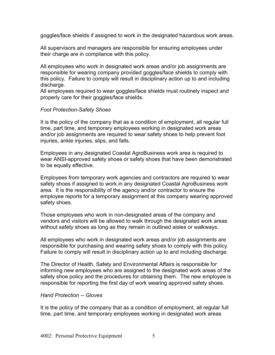goggles/face shields if assigned to work in the designated hazardous work areas.

All supervisors and managers are responsible for ensuring employees under their charge are in compliance with this policy.

All employees who work in designated work areas and/or job assignments are responsible for wearing company provided goggles/face shields to comply with this policy. Failure to comply will result in disciplinary action up to and including discharge.

All employees required to wear goggles/face shields must routinely inspect and properly care for their goggles/face shields.

#### *Foot Protection-Safety Shoes*

It is the policy of the company that as a condition of employment, all regular full time, part time, and temporary employees working in designated work areas and/or job assignments are required to wear safety shoes to help prevent foot injuries, ankle injuries, slips, and falls.

Employees in any designated Coastal AgroBusiness work area is required to wear ANSI-approved safety shoes or safety shoes that have been demonstrated to be equally effective.

Employees from temporary work agencies and contractors are required to wear safety shoes if assigned to work in any designated Coastal AgroBusiness work area. It is the responsibility of the agency and/or contractor to ensure the employee reports for a temporary assignment at this company wearing approved safety shoes.

Those employees who work in non-designated areas of the company and vendors and visitors will be allowed to walk through the designated work areas without safety shoes as long as they remain in outlined aisles or walkways.

All employees who work in designated work areas and/or job assignments are responsible for purchasing and wearing safety shoes to comply with this policy. Failure to comply will result in disciplinary action up to and including discharge.

The Director of Health, Safety and Environmental Affairs is responsible for informing new employees who are assigned to the designated work areas of the safety shoe policy and the procedures for obtaining them. The new employee is responsible for reporting the first day of work wearing approved safety shoes.

#### *Hand Protection -- Gloves*

It is the policy of the company that as a condition of employment, all regular full time, part time, and temporary employees working in designated work areas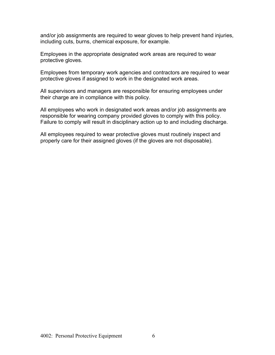and/or job assignments are required to wear gloves to help prevent hand injuries, including cuts, burns, chemical exposure, for example.

Employees in the appropriate designated work areas are required to wear protective gloves.

Employees from temporary work agencies and contractors are required to wear protective gloves if assigned to work in the designated work areas.

All supervisors and managers are responsible for ensuring employees under their charge are in compliance with this policy.

All employees who work in designated work areas and/or job assignments are responsible for wearing company provided gloves to comply with this policy. Failure to comply will result in disciplinary action up to and including discharge.

All employees required to wear protective gloves must routinely inspect and properly care for their assigned gloves (if the gloves are not disposable).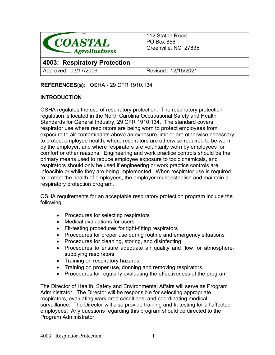

# **4003: Respiratory Protection**

Approved: 03/17/2006 Revised: 12/15/2021

# **REFERENCES(s)**: OSHA - 29 CFR 1910.134

#### **INTRODUCTION**

OSHA regulates the use of respiratory protection. The respiratory protection regulation is located in the North Carolina Occupational Safety and Health Standards for General Industry, 29 CFR 1910.134. The standard covers respirator use where respirators are being worn to protect employees from exposure to air contaminants above an exposure limit or are otherwise necessary to protect employee health, where respirators are otherwise required to be worn by the employer, and where respirators are voluntarily worn by employees for comfort or other reasons. Engineering and work practice controls should be the primary means used to reduce employee exposure to toxic chemicals, and respirators should only be used if engineering or work practice controls are infeasible or while they are being implemented. When respirator use is required to protect the health of employees, the employer must establish and maintain a respiratory protection program.

OSHA requirements for an acceptable respiratory protection program include the following:

- Procedures for selecting respirators
- Medical evaluations for users
- Fit-testing procedures for tight-fitting respirators
- Procedures for proper use during routine and emergency situations
- Procedures for cleaning, storing, and disinfecting
- Procedures to ensure adequate air quality and flow for atmospheresupplying respirators
- Training on respiratory hazards
- Training on proper use, donning and removing respirators
- Procedures for regularly evaluating the effectiveness of the program

The Director of Health, Safety and Environmental Affairs will serve as Program Administrator. The Director will be responsible for selecting appropriate respirators, evaluating work area conditions, and coordinating medical surveillance. The Director will also provide training and fit testing for all affected employees. Any questions regarding this program should be directed to the Program Administrator.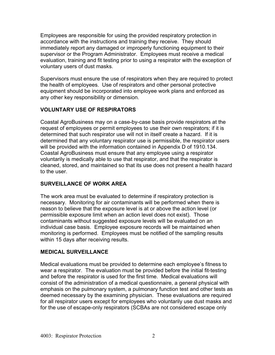Employees are responsible for using the provided respiratory protection in accordance with the instructions and training they receive. They should immediately report any damaged or improperly functioning equipment to their supervisor or the Program Administrator. Employees must receive a medical evaluation, training and fit testing prior to using a respirator with the exception of voluntary users of dust masks.

Supervisors must ensure the use of respirators when they are required to protect the health of employees. Use of respirators and other personal protective equipment should be incorporated into employee work plans and enforced as any other key responsibility or dimension.

# **VOLUNTARY USE OF RESPIRATORS**

Coastal AgroBusiness may on a case-by-case basis provide respirators at the request of employees or permit employees to use their own respirators; if it is determined that such respirator use will not in itself create a hazard. If it is determined that any voluntary respirator use is permissible, the respirator users will be provided with the information contained in Appendix D of 1910.134. Coastal AgroBusiness must ensure that any employee using a respirator voluntarily is medically able to use that respirator, and that the respirator is cleaned, stored, and maintained so that its use does not present a health hazard to the user.

# **SURVEILLANCE OF WORK AREA**

The work area must be evaluated to determine if respiratory protection is necessary. Monitoring for air contaminants will be performed when there is reason to believe that the exposure level is at or above the action level (or permissible exposure limit when an action level does not exist). Those contaminants without suggested exposure levels will be evaluated on an individual case basis. Employee exposure records will be maintained when monitoring is performed. Employees must be notified of the sampling results within 15 days after receiving results.

# **MEDICAL SURVEILLANCE**

Medical evaluations must be provided to determine each employee's fitness to wear a respirator. The evaluation must be provided before the initial fit-testing and before the respirator is used for the first time. Medical evaluations will consist of the administration of a medical questionnaire, a general physical with emphasis on the pulmonary system, a pulmonary function test and other tests as deemed necessary by the examining physician. These evaluations are required for all respirator users except for employees who voluntarily use dust masks and for the use of escape-only respirators (SCBAs are not considered escape only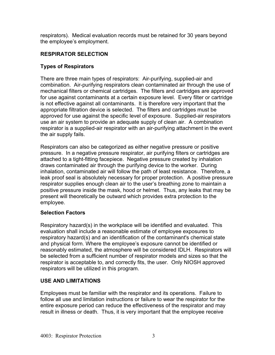respirators). Medical evaluation records must be retained for 30 years beyond the employee's employment.

### **RESPIRATOR SELECTION**

### **Types of Respirators**

There are three main types of respirators: Air-purifying, supplied-air and combination. Air-purifying respirators clean contaminated air through the use of mechanical filters or chemical cartridges. The filters and cartridges are approved for use against contaminants at a certain exposure level. Every filter or cartridge is not effective against all contaminants. It is therefore very important that the appropriate filtration device is selected. The filters and cartridges must be approved for use against the specific level of exposure. Supplied-air respirators use an air system to provide an adequate supply of clean air. A combination respirator is a supplied-air respirator with an air-purifying attachment in the event the air supply fails.

Respirators can also be categorized as either negative pressure or positive pressure. In a negative pressure respirator, air purifying filters or cartridges are attached to a tight-fitting facepiece. Negative pressure created by inhalation draws contaminated air through the purifying device to the worker. During inhalation, contaminated air will follow the path of least resistance. Therefore, a leak proof seal is absolutely necessary for proper protection. A positive pressure respirator supplies enough clean air to the user's breathing zone to maintain a positive pressure inside the mask, hood or helmet. Thus, any leaks that may be present will theoretically be outward which provides extra protection to the employee.

### **Selection Factors**

Respiratory hazard(s) in the workplace will be identified and evaluated. This evaluation shall include a reasonable estimate of employee exposures to respiratory hazard(s) and an identification of the contaminant's chemical state and physical form. Where the employee's exposure cannot be identified or reasonably estimated, the atmosphere will be considered IDLH. Respirators will be selected from a sufficient number of respirator models and sizes so that the respirator is acceptable to, and correctly fits, the user. Only NIOSH approved respirators will be utilized in this program.

### **USE AND LIMITATIONS**

Employees must be familiar with the respirator and its operations. Failure to follow all use and limitation instructions or failure to wear the respirator for the entire exposure period can reduce the effectiveness of the respirator and may result in illness or death. Thus, it is very important that the employee receive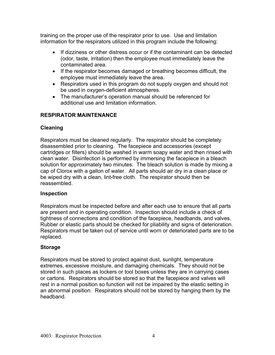training on the proper use of the respirator prior to use. Use and limitation information for the respirators utilized in this program include the following:

- If dizziness or other distress occur or if the contaminant can be detected (odor, taste, irritation) then the employee must immediately leave the contaminated area.
- If the respirator becomes damaged or breathing becomes difficult, the employee must immediately leave the area.
- Respirators used in this program do not supply oxygen and should not be used in oxygen-deficient atmospheres.
- The manufacturer's operation manual should be referenced for additional use and limitation information.

### **RESPIRATOR MAINTENANCE**

### **Cleaning**

Respirators must be cleaned regularly. The respirator should be completely disassembled prior to cleaning. The facepiece and accessories (except cartridges or filters) should be washed in warm soapy water and then rinsed with clean water. Disinfection is performed by immersing the facepiece in a bleach solution for approximately two minutes. The bleach solution is made by mixing a cap of Clorox with a gallon of water. All parts should air dry in a clean place or be wiped dry with a clean, lint-free cloth. The respirator should then be reassembled.

#### **Inspection**

Respirators must be inspected before and after each use to ensure that all parts are present and in operating condition. Inspection should include a check of tightness of connections and condition of the facepiece, headbands, and valves. Rubber or elastic parts should be checked for pliability and signs of deterioration. Respirators must be taken out of service until worn or deteriorated parts are to be replaced.

### **Storage**

Respirators must be stored to protect against dust, sunlight, temperature extremes, excessive moisture, and damaging chemicals. They should not be stored in such places as lockers or tool boxes unless they are in carrying cases or cartons. Respirators should be stored so that the facepiece and valves will rest in a normal position so function will not be impaired by the elastic setting in an abnormal position. Respirators should not be stored by hanging them by the headband.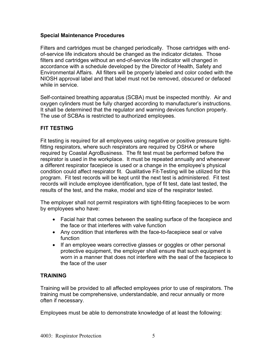#### **Special Maintenance Procedures**

Filters and cartridges must be changed periodically. Those cartridges with endof-service life indicators should be changed as the indicator dictates. Those filters and cartridges without an end-of-service life indicator will changed in accordance with a schedule developed by the Director of Health, Safety and Environmental Affairs. All filters will be properly labeled and color coded with the NIOSH approval label and that label must not be removed, obscured or defaced while in service.

Self-contained breathing apparatus (SCBA) must be inspected monthly. Air and oxygen cylinders must be fully charged according to manufacturer's instructions. It shall be determined that the regulator and warning devices function properly. The use of SCBAs is restricted to authorized employees.

### **FIT TESTING**

Fit testing is required for all employees using negative or positive pressure tightfitting respirators, where such respirators are required by OSHA or where required by Coastal AgroBusiness. The fit test must be performed before the respirator is used in the workplace. It must be repeated annually and whenever a different respirator facepiece is used or a change in the employee's physical condition could affect respirator fit. Qualitative Fit-Testing will be utilized for this program. Fit test records will be kept until the next test is administered. Fit test records will include employee identification, type of fit test, date last tested, the results of the test, and the make, model and size of the respirator tested.

The employer shall not permit respirators with tight-fitting facepieces to be worn by employees who have:

- Facial hair that comes between the sealing surface of the facepiece and the face or that interferes with valve function
- Any condition that interferes with the face-to-facepiece seal or valve function
- If an employee wears corrective glasses or goggles or other personal protective equipment, the employer shall ensure that such equipment is worn in a manner that does not interfere with the seal of the facepiece to the face of the user

### **TRAINING**

Training will be provided to all affected employees prior to use of respirators. The training must be comprehensive, understandable, and recur annually or more often if necessary.

Employees must be able to demonstrate knowledge of at least the following: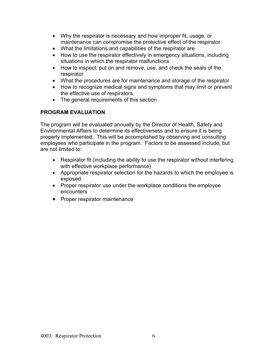- Why the respirator is necessary and how improper fit, usage, or maintenance can compromise the protective effect of the respirator
- What the limitations and capabilities of the respirator are
- How to use the respirator effectively in emergency situations, including situations in which the respirator malfunctions
- How to inspect, put on and remove, use, and check the seals of the respirator
- What the procedures are for maintenance and storage of the respirator
- How to recognize medical signs and symptoms that may limit or prevent the effective use of respirators
- The general requirements of this section

### **PROGRAM EVALUATION**

The program will be evaluated annually by the Director of Health, Safety and Environmental Affairs to determine its effectiveness and to ensure it is being properly implemented. This will be accomplished by observing and consulting employees who participate in the program. Factors to be assessed include, but are not limited to:

- Respirator fit (including the ability to use the respirator without interfering with effective workplace performance)
- Appropriate respirator selection for the hazards to which the employee is exposed
- Proper respirator use under the workplace conditions the employee encounters
- Proper respirator maintenance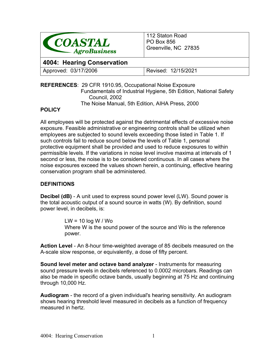

112 Staton Road PO Box 856 Greenville, NC 27835

# **4004: Hearing Conservation**

Approved: 03/17/2006 Revised: 12/15/2021

#### **REFERENCES**: 29 CFR 1910.95, Occupational Noise Exposure Fundamentals of Industrial Hygiene, 5th Edition, National Safety Council, 2002 The Noise Manual, 5th Edition, AIHA Press, 2000

### **POLICY**

All employees will be protected against the detrimental effects of excessive noise exposure. Feasible administrative or engineering controls shall be utilized when employees are subjected to sound levels exceeding those listed in Table 1. If such controls fail to reduce sound below the levels of Table 1, personal protective equipment shall be provided and used to reduce exposures to within permissible levels. If the variations in noise level involve maxima at intervals of 1 second or less, the noise is to be considered continuous. In all cases where the noise exposures exceed the values shown herein, a continuing, effective hearing conservation program shall be administered.

### **DEFINITIONS**

**Decibel (dB)** - A unit used to express sound power level (LW). Sound power is the total acoustic output of a sound source in watts (W). By definition, sound power level, in decibels, is:

> $LW = 10$  log W / Wo Where W is the sound power of the source and Wo is the reference power.

**Action Level** - An 8-hour time-weighted average of 85 decibels measured on the A-scale slow response, or equivalently, a dose of fifty percent.

**Sound level meter and octave band analyzer** - Instruments for measuring sound pressure levels in decibels referenced to 0.0002 microbars. Readings can also be made in specific octave bands, usually beginning at 75 Hz and continuing through 10,000 Hz.

**Audiogram** - the record of a given individual's hearing sensitivity. An audiogram shows hearing threshold level measured in decibels as a function of frequency measured in hertz.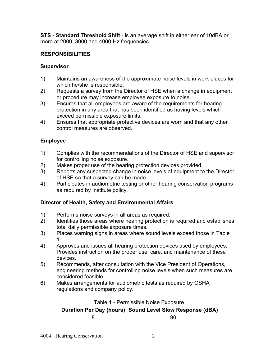**STS - Standard Threshold Shift** - is an average shift in either ear of 10dBA or more at 2000, 3000 and 4000-Hz frequencies.

# **RESPONSIBILITIES**

### **Supervisor**

- 1) Maintains an awareness of the approximate noise levels in work places for which he/she is responsible.
- 2) Requests a survey from the Director of HSE when a change in equipment or procedure may increase employee exposure to noise.
- 3) Ensures that all employees are aware of the requirements for hearing protection in any area that has been identified as having levels which exceed permissible exposure limits.
- 4) Ensures that appropriate protective devices are worn and that any other control measures are observed.

# **Employee**

- 1) Complies with the recommendations of the Director of HSE and supervisor for controlling noise exposure.
- 2) Makes proper use of the hearing protection devices provided.
- 3) Reports any suspected change in noise levels of equipment to the Director of HSE so that a survey can be made.
- 4) Participates in audiometric testing or other hearing conservation programs as required by Institute policy.

# **Director of Health, Safety and Environmental Affairs**

- 1) Performs noise surveys in all areas as required.
- 2) Identifies those areas where hearing protection is required and establishes total daily permissible exposure times.
- 3) Places warning signs in areas where sound levels exceed those in Table 1.
- 4) Approves and issues all hearing protection devices used by employees. Provides instruction on the proper use, care, and maintenance of these devices.
- 5) Recommends, after consultation with the Vice President of Operations, engineering methods for controlling noise levels when such measures are considered feasible.
- 6) Makes arrangements for audiometric tests as required by OSHA regulations and company policy.

# Table 1 - Permissible Noise Exposure

### **Duration Per Day (hours) Sound Level Slow Response (dBA)**

8 90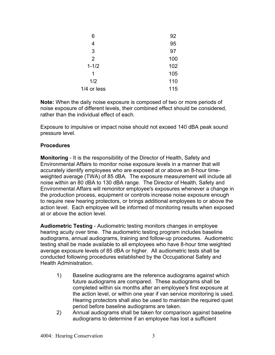| 6              | 92  |
|----------------|-----|
| 4              | 95  |
| 3              | 97  |
| $\overline{2}$ | 100 |
| $1 - 1/2$      | 102 |
| 1              | 105 |
| 1/2            | 110 |
| 1/4 or less    | 115 |
|                |     |

**Note:** When the daily noise exposure is composed of two or more periods of noise exposure of different levels, their combined effect should be considered, rather than the individual effect of each.

Exposure to impulsive or impact noise should not exceed 140 dBA peak sound pressure level.

#### **Procedures**

**Monitoring** - It is the responsibility of the Director of Health, Safety and Environmental Affairs to monitor noise exposure levels in a manner that will accurately identify employees who are exposed at or above an 8-hour timeweighted average (TWA) of 85 dBA. The exposure measurement will include all noise within an 80 dBA to 130 dBA range. The Director of Health, Safety and Environmental Affairs will remonitor employee's exposures whenever a change in the production process, equipment or controls increase noise exposure enough to require new hearing protectors, or brings additional employees to or above the action level. Each employee will be informed of monitoring results when exposed at or above the action level.

**Audiometric Testing** - Audiometric testing monitors changes in employee hearing acuity over time. The audiometric testing program includes baseline audiograms, annual audiograms, training and follow-up procedures. Audiometric testing shall be made available to all employees who have 8-hour time weighted average exposure levels of 85 dBA or higher. All audiometric tests shall be conducted following procedures established by the Occupational Safety and Health Administration.

- 1) Baseline audiograms are the reference audiograms against which future audiograms are compared. These audiograms shall be completed within six months after an employee's first exposure at the action level, or within one year if van service monitoring is used. Hearing protectors shall also be used to maintain the required quiet period before baseline audiograms are taken.
- 2) Annual audiograms shall be taken for comparison against baseline audiograms to determine if an employee has lost a sufficient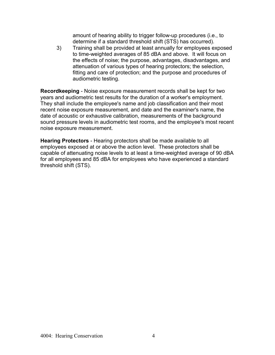amount of hearing ability to trigger follow-up procedures (i.e., to determine if a standard threshold shift (STS) has occurred).

3) Training shall be provided at least annually for employees exposed to time-weighted averages of 85 dBA and above. It will focus on the effects of noise; the purpose, advantages, disadvantages, and attenuation of various types of hearing protectors; the selection, fitting and care of protection; and the purpose and procedures of audiometric testing.

**Recordkeeping** - Noise exposure measurement records shall be kept for two years and audiometric test results for the duration of a worker's employment. They shall include the employee's name and job classification and their most recent noise exposure measurement, and date and the examiner's name, the date of acoustic or exhaustive calibration, measurements of the background sound pressure levels in audiometric test rooms, and the employee's most recent noise exposure measurement.

**Hearing Protectors** - Hearing protectors shall be made available to all employees exposed at or above the action level. These protectors shall be capable of attenuating noise levels to at least a time-weighted average of 90 dBA for all employees and 85 dBA for employees who have experienced a standard threshold shift (STS).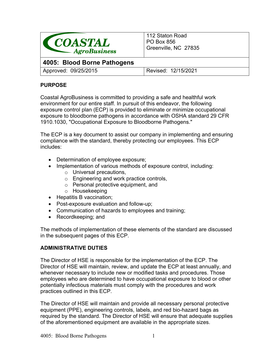

112 Staton Road PO Box 856 Greenville, NC 27835

# **4005: Blood Borne Pathogens**

Approved: 09/25/2015 Revised: 12/15/2021

# **PURPOSE**

Coastal AgroBusiness is committed to providing a safe and healthful work environment for our entire staff. In pursuit of this endeavor, the following exposure control plan (ECP) is provided to eliminate or minimize occupational exposure to bloodborne pathogens in accordance with OSHA standard 29 CFR 1910.1030, "Occupational Exposure to Bloodborne Pathogens."

The ECP is a key document to assist our company in implementing and ensuring compliance with the standard, thereby protecting our employees. This ECP includes:

- Determination of employee exposure;
- Implementation of various methods of exposure control, including:
	- o Universal precautions,
	- o Engineering and work practice controls,
	- o Personal protective equipment, and
	- o Housekeeping
- Hepatitis B vaccination;
- Post-exposure evaluation and follow-up;
- Communication of hazards to employees and training;
- Recordkeeping; and

The methods of implementation of these elements of the standard are discussed in the subsequent pages of this ECP.

# **ADMINISTRATIVE DUTIES**

The Director of HSE is responsible for the implementation of the ECP. The Director of HSE will maintain, review, and update the ECP at least annually, and whenever necessary to include new or modified tasks and procedures. Those employees who are determined to have occupational exposure to blood or other potentially infectious materials must comply with the procedures and work practices outlined in this ECP.

The Director of HSE will maintain and provide all necessary personal protective equipment (PPE), engineering controls, labels, and red bio-hazard bags as required by the standard. The Director of HSE will ensure that adequate supplies of the aforementioned equipment are available in the appropriate sizes.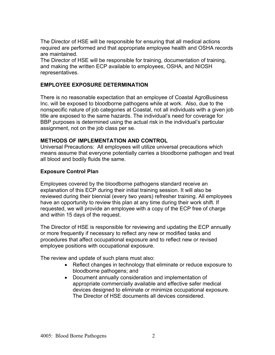The Director of HSE will be responsible for ensuring that all medical actions required are performed and that appropriate employee health and OSHA records are maintained.

The Director of HSE will be responsible for training, documentation of training, and making the written ECP available to employees, OSHA, and NIOSH representatives.

#### **EMPLOYEE EXPOSURE DETERMINATION**

There is no reasonable expectation that an employee of Coastal AgroBusiness Inc. will be exposed to bloodborne pathogens while at work. Also, due to the nonspecific nature of job categories at Coastal, not all individuals with a given job title are exposed to the same hazards. The individual's need for coverage for BBP purposes is determined using the actual risk in the individual's particular assignment, not on the job class per se.

#### **METHODS OF IMPLEMENTATION AND CONTROL**

Universal Precautions: All employees will utilize universal precautions which means assume that everyone potentially carries a bloodborne pathogen and treat all blood and bodily fluids the same.

#### **Exposure Control Plan**

Employees covered by the bloodborne pathogens standard receive an explanation of this ECP during their initial training session. It will also be reviewed during their biennial (every two years) refresher training. All employees have an opportunity to review this plan at any time during their work shift. If requested, we will provide an employee with a copy of the ECP free of charge and within 15 days of the request.

The Director of HSE is responsible for reviewing and updating the ECP annually or more frequently if necessary to reflect any new or modified tasks and procedures that affect occupational exposure and to reflect new or revised employee positions with occupational exposure.

The review and update of such plans must also:

- Reflect changes in technology that eliminate or reduce exposure to bloodborne pathogens; and
- Document annually consideration and implementation of appropriate commercially available and effective safer medical devices designed to eliminate or minimize occupational exposure. The Director of HSE documents all devices considered.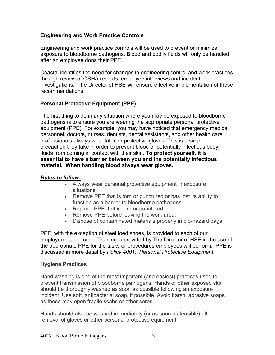### **Engineering and Work Practice Controls**

Engineering and work practice controls will be used to prevent or minimize exposure to bloodborne pathogens. Blood and bodily fluids will only be handled after an employee dons their PPE.

Coastal identifies the need for changes in engineering control and work practices through review of OSHA records, employee interviews and incident investigations. The Director of HSE will ensure effective implementation of these recommendations.

### **Personal Protective Equipment (PPE)**

The first thing to do in any situation where you may be exposed to bloodborne pathogens is to ensure you are wearing the appropriate personal protective equipment (PPE). For example, you may have noticed that emergency medical personnel, doctors, nurses, dentists, dental assistants, and other health care professionals always wear latex or protective gloves. This is a simple precaution they take in order to prevent blood or potentially infectious body fluids from coming in contact with their skin. **To protect yourself, it is essential to have a barrier between you and the potentially infectious material. When handling blood always wear gloves.** 

#### *Rules to follow:*

- Always wear personal protective equipment in exposure situations.
- Remove PPE that is torn or punctured or has lost its ability to function as a barrier to bloodborne pathogens.
- Replace PPE that is torn or punctured.
- Remove PPE before leaving the work area.
- Dispose of contaminated materials properly in bio-hazard bags

PPE, with the exception of steel toed shoes, is provided to each of our employees, at no cost. Training is provided by The Director of HSE in the use of the appropriate PPE for the tasks or procedures employees will perform. PPE is discussed in more detail by *Policy 4001: Personal Protective Equipment*.

#### **Hygiene Practices**

Hand washing is one of the most important (and easiest) practices used to prevent transmission of bloodborne pathogens. Hands or other exposed skin should be thoroughly washed as soon as possible following an exposure incident. Use soft, antibacterial soap, if possible. Avoid harsh, abrasive soaps, as these may open fragile scabs or other sores.

Hands should also be washed immediately (or as soon as feasible) after removal of gloves or other personal protective equipment.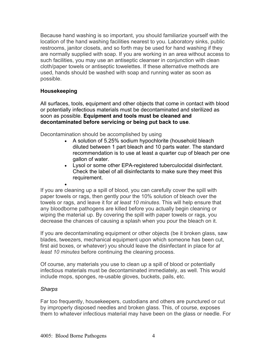Because hand washing is so important, you should familiarize yourself with the location of the hand washing facilities nearest to you. Laboratory sinks, public restrooms, janitor closets, and so forth may be used for hand washing if they are normally supplied with soap. If you are working in an area without access to such facilities, you may use an antiseptic cleanser in conjunction with clean cloth/paper towels or antiseptic towelettes. If these alternative methods are used, hands should be washed with soap and running water as soon as possible.

#### **Housekeeping**

All surfaces, tools, equipment and other objects that come in contact with blood or potentially infectious materials must be decontaminated and sterilized as soon as possible. **Equipment and tools must be cleaned and decontaminated before servicing or being put back to use**.

Decontamination should be accomplished by using

- A solution of 5.25% sodium hypochlorite (household bleach diluted between 1 part bleach and 10 parts water. The standard recommendation is to use at least a quarter cup of bleach per one gallon of water.
- Lysol or some other EPA-registered tuberculocidal disinfectant. Check the label of all disinfectants to make sure they meet this requirement.

 $\bullet$ If you are cleaning up a spill of blood, you can carefully cover the spill with paper towels or rags, then gently pour the 10% solution of bleach over the towels or rags, and leave it for *at least 10 minutes*. This will help ensure that any bloodborne pathogens are killed before you actually begin cleaning or wiping the material up. By covering the spill with paper towels or rags, you decrease the chances of causing a splash when you pour the bleach on it.

If you are decontaminating equipment or other objects (be it broken glass, saw blades, tweezers, mechanical equipment upon which someone has been cut, first aid boxes, or whatever) you should leave the disinfectant in place for *at least 10 minutes* before continuing the cleaning process.

Of course, any materials you use to clean up a spill of blood or potentially infectious materials must be decontaminated immediately, as well. This would include mops, sponges, re-usable gloves, buckets, pails, etc.

#### *Sharps*

Far too frequently, housekeepers, custodians and others are punctured or cut by improperly disposed needles and broken glass. This, of course, exposes them to whatever infectious material may have been on the glass or needle. For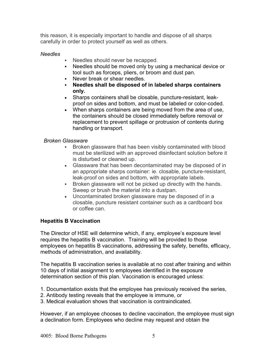this reason, it is especially important to handle and dispose of all sharps carefully in order to protect yourself as well as others.

#### *Needles*

- Needles should never be recapped.
- Needles should be moved only by using a mechanical device or tool such as forceps, pliers, or broom and dust pan.
- Never break or shear needles.
- **Needles shall be disposed of in labeled sharps containers only.**
- Sharps containers shall be closable, puncture-resistant, leakproof on sides and bottom, and must be labeled or color-coded.
- When sharps containers are being moved from the area of use, the containers should be closed immediately before removal or replacement to prevent spillage or protrusion of contents during handling or transport.

#### *Broken Glassware*

- Broken glassware that has been visibly contaminated with blood must be sterilized with an approved disinfectant solution before it is disturbed or cleaned up.
- Glassware that has been decontaminated may be disposed of in an appropriate sharps container: ie. closable, puncture-resistant, leak-proof on sides and bottom, with appropriate labels.
- Broken glassware will not be picked up directly with the hands. Sweep or brush the material into a dustpan.
- Uncontaminated broken glassware may be disposed of in a closable, puncture resistant container such as a cardboard box or coffee can.

### **Hepatitis B Vaccination**

The Director of HSE will determine which, if any, employee's exposure level requires the hepatitis B vaccination. Training will be provided to those employees on hepatitis B vaccinations, addressing the safety, benefits, efficacy, methods of administration, and availability.

The hepatitis B vaccination series is available at no cost after training and within 10 days of initial assignment to employees identified in the exposure determination section of this plan. Vaccination is encouraged unless:

- 1. Documentation exists that the employee has previously received the series,
- 2. Antibody testing reveals that the employee is immune, or
- 3. Medical evaluation shows that vaccination is contraindicated.

However, if an employee chooses to decline vaccination, the employee must sign a declination form. Employees who decline may request and obtain the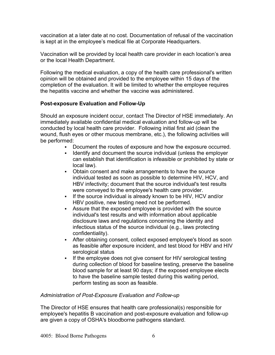vaccination at a later date at no cost. Documentation of refusal of the vaccination is kept at in the employee's medical file at Corporate Headquarters.

Vaccination will be provided by local health care provider in each location's area or the local Health Department.

Following the medical evaluation, a copy of the health care professional's written opinion will be obtained and provided to the employee within 15 days of the completion of the evaluation. It will be limited to whether the employee requires the hepatitis vaccine and whether the vaccine was administered.

### **Post-exposure Evaluation and Follow-Up**

Should an exposure incident occur, contact The Director of HSE immediately. An immediately available confidential medical evaluation and follow-up will be conducted by local health care provider. Following initial first aid (clean the wound, flush eyes or other mucous membrane, etc.), the following activities will be performed:

- Document the routes of exposure and how the exposure occurred.
- I dentify and document the source individual (unless the employer can establish that identification is infeasible or prohibited by state or local law).
- Obtain consent and make arrangements to have the source individual tested as soon as possible to determine HIV, HCV, and HBV infectivity; document that the source individual's test results were conveyed to the employee's health care provider.
- If the source individual is already known to be HIV, HCV and/or HBV positive, new testing need not be performed.
- Assure that the exposed employee is provided with the source individual's test results and with information about applicable disclosure laws and regulations concerning the identity and infectious status of the source individual (e.g., laws protecting confidentiality).
- After obtaining consent, collect exposed employee's blood as soon as feasible after exposure incident, and test blood for HBV and HIV serological status
- If the employee does not give consent for HIV serological testing during collection of blood for baseline testing, preserve the baseline blood sample for at least 90 days; if the exposed employee elects to have the baseline sample tested during this waiting period, perform testing as soon as feasible.

### *Administration of Post-Exposure Evaluation and Follow-up*

The Director of HSE ensures that health care professional(s) responsible for employee's hepatitis B vaccination and post-exposure evaluation and follow-up are given a copy of OSHA's bloodborne pathogens standard.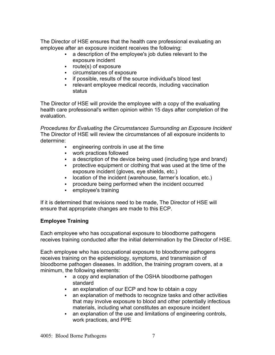The Director of HSE ensures that the health care professional evaluating an employee after an exposure incident receives the following:

- a description of the employee's job duties relevant to the exposure incident
- route(s) of exposure
- circumstances of exposure
- **i** if possible, results of the source individual's blood test
- relevant employee medical records, including vaccination status

The Director of HSE will provide the employee with a copy of the evaluating health care professional's written opinion within 15 days after completion of the evaluation.

*Procedures for Evaluating the Circumstances Surrounding an Exposure Incident* The Director of HSE will review the circumstances of all exposure incidents to determine:

- engineering controls in use at the time
- work practices followed
- a description of the device being used (including type and brand)
- protective equipment or clothing that was used at the time of the exposure incident (gloves, eye shields, etc.)
- location of the incident (warehouse, farmer's location, etc.)
- procedure being performed when the incident occurred
- **EXECUTE:** employee's training

If it is determined that revisions need to be made, The Director of HSE will ensure that appropriate changes are made to this ECP.

### **Employee Training**

Each employee who has occupational exposure to bloodborne pathogens receives training conducted after the initial determination by the Director of HSE.

Each employee who has occupational exposure to bloodborne pathogens receives training on the epidemiology, symptoms, and transmission of bloodborne pathogen diseases. In addition, the training program covers, at a minimum, the following elements:

- a copy and explanation of the OSHA bloodborne pathogen standard
- an explanation of our ECP and how to obtain a copy
- an explanation of methods to recognize tasks and other activities that may involve exposure to blood and other potentially infectious materials, including what constitutes an exposure incident
- an explanation of the use and limitations of engineering controls, work practices, and PPE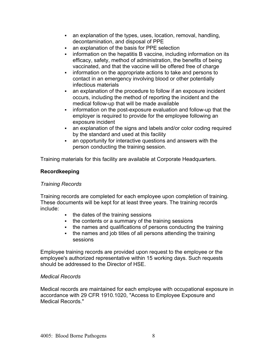- an explanation of the types, uses, location, removal, handling, decontamination, and disposal of PPE
- an explanation of the basis for PPE selection
- information on the hepatitis B vaccine, including information on its efficacy, safety, method of administration, the benefits of being vaccinated, and that the vaccine will be offered free of charge
- **i** information on the appropriate actions to take and persons to contact in an emergency involving blood or other potentially infectious materials
- an explanation of the procedure to follow if an exposure incident occurs, including the method of reporting the incident and the medical follow-up that will be made available
- **EXEDEE FING** information on the post-exposure evaluation and follow-up that the employer is required to provide for the employee following an exposure incident
- an explanation of the signs and labels and/or color coding required by the standard and used at this facility
- an opportunity for interactive questions and answers with the person conducting the training session.

Training materials for this facility are available at Corporate Headquarters.

### **Recordkeeping**

#### *Training Records*

Training records are completed for each employee upon completion of training. These documents will be kept for at least three years. The training records include:

- the dates of the training sessions
- the contents or a summary of the training sessions
- the names and qualifications of persons conducting the training
- the names and job titles of all persons attending the training sessions

Employee training records are provided upon request to the employee or the employee's authorized representative within 15 working days. Such requests should be addressed to the Director of HSE.

#### *Medical Records*

Medical records are maintained for each employee with occupational exposure in accordance with 29 CFR 1910.1020, "Access to Employee Exposure and Medical Records."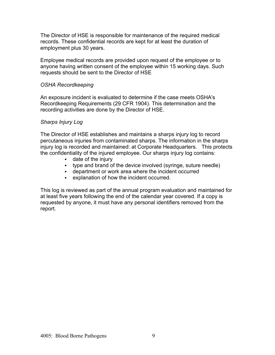The Director of HSE is responsible for maintenance of the required medical records. These confidential records are kept for at least the duration of employment plus 30 years.

Employee medical records are provided upon request of the employee or to anyone having written consent of the employee within 15 working days. Such requests should be sent to the Director of HSE

#### *OSHA Recordkeeping*

An exposure incident is evaluated to determine if the case meets OSHA's Recordkeeping Requirements (29 CFR 1904). This determination and the recording activities are done by the Director of HSE.

#### *Sharps Injury Log*

The Director of HSE establishes and maintains a sharps injury log to record percutaneous injuries from contaminated sharps. The information in the sharps injury log is recorded and maintained: at Corporate Headquarters. This protects the confidentiality of the injured employee. Our sharps injury log contains:

- **date of the injury**
- type and brand of the device involved (syringe, suture needle)
- department or work area where the incident occurred
- explanation of how the incident occurred.

This log is reviewed as part of the annual program evaluation and maintained for at least five years following the end of the calendar year covered. If a copy is requested by anyone, it must have any personal identifiers removed from the report.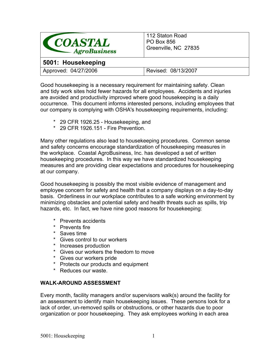

# **5001: Housekeeping**

Approved: 04/27/2006 Revised: 08/13/2007

Good housekeeping is a necessary requirement for maintaining safety. Clean and tidy work sites hold fewer hazards for all employees. Accidents and injuries are avoided and productivity improved where good housekeeping is a daily occurrence. This document informs interested persons, including employees that our company is complying with OSHA's housekeeping requirements, including:

- \* 29 CFR 1926.25 Housekeeping, and
- \* 29 CFR 1926.151 Fire Prevention.

Many other regulations also lead to housekeeping procedures. Common sense and safety concerns encourage standardization of housekeeping measures in the workplace. Coastal AgroBusiness, Inc. has developed a set of written housekeeping procedures. In this way we have standardized housekeeping measures and are providing clear expectations and procedures for housekeeping at our company.

Good housekeeping is possibly the most visible evidence of management and employee concern for safety and health that a company displays on a day-to-day basis. Orderliness in our workplace contributes to a safe working environment by minimizing obstacles and potential safety and health threats such as spills, trip hazards, etc. In fact, we have nine good reasons for housekeeping:

- Prevents accidents
- \* Prevents fire
- \* Saves time
- \* Gives control to our workers
- \* Increases production
- \* Gives our workers the freedom to move
- \* Gives our workers pride
- Protects our products and equipment
- \* Reduces our waste.

### **WALK-AROUND ASSESSMENT**

Every month, facility managers and/or supervisors walk(s) around the facility for an assessment to identify main housekeeping issues. These persons look for a lack of order, un-removed spills or obstructions, or other hazards due to poor organization or poor housekeeping. They ask employees working in each area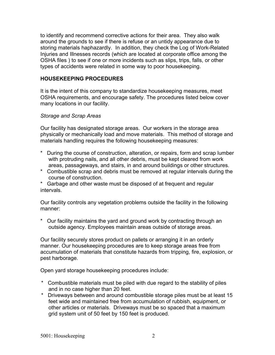to identify and recommend corrective actions for their area. They also walk around the grounds to see if there is refuse or an untidy appearance due to storing materials haphazardly. In addition, they check the Log of Work-Related Injuries and Illnesses records (which are located at corporate office among the OSHA files ) to see if one or more incidents such as slips, trips, falls, or other types of accidents were related in some way to poor housekeeping.

#### **HOUSEKEEPING PROCEDURES**

It is the intent of this company to standardize housekeeping measures, meet OSHA requirements, and encourage safety. The procedures listed below cover many locations in our facility.

#### *Storage and Scrap Areas*

Our facility has designated storage areas. Our workers in the storage area physically or mechanically load and move materials. This method of storage and materials handling requires the following housekeeping measures:

- \* During the course of construction, alteration, or repairs, form and scrap lumber with protruding nails, and all other debris, must be kept cleared from work areas, passageways, and stairs, in and around buildings or other structures.
- \* Combustible scrap and debris must be removed at regular intervals during the course of construction.

\* Garbage and other waste must be disposed of at frequent and regular intervals.

Our facility controls any vegetation problems outside the facility in the following manner:

\* Our facility maintains the yard and ground work by contracting through an outside agency. Employees maintain areas outside of storage areas.

Our facility securely stores product on pallets or arranging it in an orderly manner. Our housekeeping procedures are to keep storage areas free from accumulation of materials that constitute hazards from tripping, fire, explosion, or pest harborage.

Open yard storage housekeeping procedures include:

- \* Combustible materials must be piled with due regard to the stability of piles and in no case higher than 20 feet.
- \* Driveways between and around combustible storage piles must be at least 15 feet wide and maintained free from accumulation of rubbish, equipment, or other articles or materials. Driveways must be so spaced that a maximum grid system unit of 50 feet by 150 feet is produced.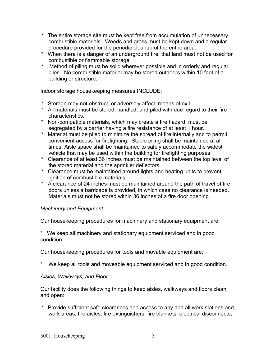- \* The entire storage site must be kept free from accumulation of unnecessary combustible materials. Weeds and grass must be kept down and a regular procedure provided for the periodic cleanup of the entire area.
- \* When there is a danger of an underground fire, that land must not be used for combustible or flammable storage.
- \* Method of piling must be solid wherever possible and in orderly and regular piles. No combustible material may be stored outdoors within 10 feet of a building or structure.

Indoor storage housekeeping measures INCLUDE:

- \* Storage may not obstruct, or adversely affect, means of exit.
- \* All materials must be stored, handled, and piled with due regard to their fire characteristics.
- \* Non-compatible materials, which may create a fire hazard, must be segregated by a barrier having a fire resistance of at least 1 hour.
- \* Material must be piled to minimize the spread of fire internally and to permit convenient access for firefighting. Stable piling shall be maintained at all times. Aisle space shall be maintained to safely accommodate the widest vehicle that may be used within the building for firefighting purposes.
- \* Clearance of at least 36 inches must be maintained between the top level of the stored material and the sprinkler deflectors.
- \* Clearance must be maintained around lights and heating units to prevent ignition of combustible materials.
- \* A clearance of 24 inches must be maintained around the path of travel of fire doors unless a barricade is provided, in which case no clearance is needed. Materials must not be stored within 36 inches of a fire door opening.

### *Machinery and Equipment*

Our housekeeping procedures for machinery and stationary equipment are:

\* We keep all machinery and stationary equipment serviced and in good condition.

Our housekeeping procedures for tools and movable equipment are:

\* We keep all tools and moveable equipment serviced and in good condition.

#### *Aisles, Walkways, and Floor*

Our facility does the following things to keep aisles, walkways and floors clean and open:

\* Provide sufficient safe clearances and access to any and all work stations and work areas, fire aisles, fire extinguishers, fire blankets, electrical disconnects,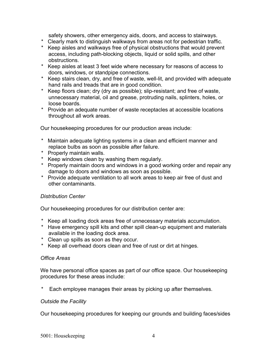safety showers, other emergency aids, doors, and access to stairways.

- \* Clearly mark to distinguish walkways from areas not for pedestrian traffic.
- \* Keep aisles and walkways free of physical obstructions that would prevent access, including path-blocking objects, liquid or solid spills, and other obstructions.
- \* Keep aisles at least 3 feet wide where necessary for reasons of access to doors, windows, or standpipe connections.
- \* Keep stairs clean, dry, and free of waste, well-lit, and provided with adequate hand rails and treads that are in good condition.
- \* Keep floors clean; dry (dry as possible); slip-resistant; and free of waste, unnecessary material, oil and grease, protruding nails, splinters, holes, or loose boards.
- \* Provide an adequate number of waste receptacles at accessible locations throughout all work areas.

Our housekeeping procedures for our production areas include:

- \* Maintain adequate lighting systems in a clean and efficient manner and replace bulbs as soon as possible after failure.
- \* Properly maintain walls.
- \* Keep windows clean by washing them regularly.
- \* Properly maintain doors and windows in a good working order and repair any damage to doors and windows as soon as possible.
- \* Provide adequate ventilation to all work areas to keep air free of dust and other contaminants.

### *Distribution Center*

Our housekeeping procedures for our distribution center are:

- \* Keep all loading dock areas free of unnecessary materials accumulation.
- \* Have emergency spill kits and other spill clean-up equipment and materials available in the loading dock area.
- \* Clean up spills as soon as they occur.
- \* Keep all overhead doors clean and free of rust or dirt at hinges.

### *Office Areas*

We have personal office spaces as part of our office space. Our housekeeping procedures for these areas include:

\* Each employee manages their areas by picking up after themselves.

### *Outside the Facility*

Our housekeeping procedures for keeping our grounds and building faces/sides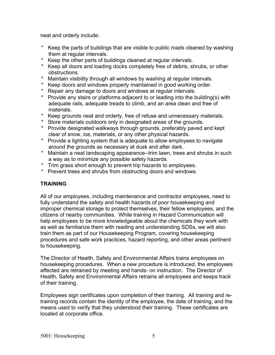neat and orderly include:

- \* Keep the parts of buildings that are visible to public roads cleaned by washing them at regular intervals.
- \* Keep the other parts of buildings cleaned at regular intervals.
- \* Keep all doors and loading docks completely free of debris, shrubs, or other obstructions.
- \* Maintain visibility through all windows by washing at regular intervals.
- \* Keep doors and windows properly maintained in good working order.
- \* Repair any damage to doors and windows at regular intervals.
- \* Provide any stairs or platforms adjacent to or leading into the building(s) with adequate rails, adequate treads to climb, and an area clean and free of materials.
- \* Keep grounds neat and orderly, free of refuse and unnecessary materials.
- \* Store materials outdoors only in designated areas of the grounds.
- \* Provide designated walkways through grounds, preferably paved and kept clear of snow, ice, materials, or any other physical hazards.
- \* Provide a lighting system that is adequate to allow employees to navigate around the grounds as necessary at dusk and after dark.
- \* Maintain a neat landscaping appearance--trim lawn, trees and shrubs in such a way as to minimize any possible safety hazards.
- \* Trim grass short enough to prevent trip hazards to employees.
- \* Prevent trees and shrubs from obstructing doors and windows.

# **TRAINING**

All of our employees, including maintenance and contractor employees, need to fully understand the safety and health hazards of poor housekeeping and improper chemical storage to protect themselves, their fellow employees, and the citizens of nearby communities. While training in Hazard Communication will help employees to be more knowledgeable about the chemicals they work with as well as familiarize them with reading and understanding SDSs, we will also train them as part of our Housekeeping Program, covering housekeeping procedures and safe work practices, hazard reporting, and other areas pertinent to housekeeping.

The Director of Health, Safety and Environmental Affairs trains employees on housekeeping procedures. When a new procedure is introduced, the employees affected are retrained by meeting and hands- on instruction. The Director of Health, Safety and Environmental Affairs retrains all employees and keeps track of their training.

Employees sign certificates upon completion of their training. All training and retraining records contain the identity of the employee, the date of training, and the means used to verify that they understood their training. These certificates are located at corporate office.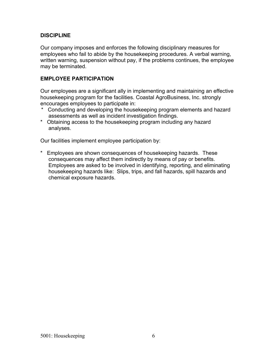#### **DISCIPLINE**

Our company imposes and enforces the following disciplinary measures for employees who fail to abide by the housekeeping procedures. A verbal warning, written warning, suspension without pay, if the problems continues, the employee may be terminated.

#### **EMPLOYEE PARTICIPATION**

Our employees are a significant ally in implementing and maintaining an effective housekeeping program for the facilities. Coastal AgroBusiness, Inc. strongly encourages employees to participate in:

- \* Conducting and developing the housekeeping program elements and hazard assessments as well as incident investigation findings.
- \* Obtaining access to the housekeeping program including any hazard analyses.

Our facilities implement employee participation by:

Employees are shown consequences of housekeeping hazards. These consequences may affect them indirectly by means of pay or benefits. Employees are asked to be involved in identifying, reporting, and eliminating housekeeping hazards like: Slips, trips, and fall hazards, spill hazards and chemical exposure hazards.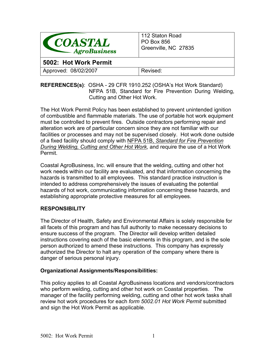

# **5002: Hot Work Permit**

Approved: 08/02/2007 Revised:

**REFERENCES(s)**: OSHA - 29 CFR 1910.252 (OSHA's Hot Work Standard) NFPA 51B, Standard for Fire Prevention During Welding, Cutting and Other Hot Work.

The Hot Work Permit Policy has been established to prevent unintended ignition of combustible and flammable materials. The use of portable hot work equipment must be controlled to prevent fires. Outside contractors performing repair and alteration work are of particular concern since they are not familiar with our facilities or processes and may not be supervised closely. Hot work done outside of a fixed facility should comply with NFPA 51B, *Standard for Fire Prevention During Welding, Cutting and Other Hot Work*, and require the use of a Hot Work Permit.

Coastal AgroBusiness, Inc. will ensure that the welding, cutting and other hot work needs within our facility are evaluated, and that information concerning the hazards is transmitted to all employees. This standard practice instruction is intended to address comprehensively the issues of evaluating the potential hazards of hot work, communicating information concerning these hazards, and establishing appropriate protective measures for all employees.

# **RESPONSIBILITY**

The Director of Health, Safety and Environmental Affairs is solely responsible for all facets of this program and has full authority to make necessary decisions to ensure success of the program. The Director will develop written detailed instructions covering each of the basic elements in this program, and is the sole person authorized to amend these instructions. This company has expressly authorized the Director to halt any operation of the company where there is danger of serious personal injury.

### **Organizational Assignments/Responsibilities:**

This policy applies to all Coastal AgroBusiness locations and vendors/contractors who perform welding, cutting and other hot work on Coastal properties. The manager of the facility performing welding, cutting and other hot work tasks shall review hot work procedures for each *form 5002.01 Hot Work Permit* submitted and sign the Hot Work Permit as applicable.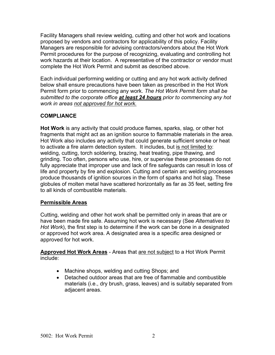Facility Managers shall review welding, cutting and other hot work and locations proposed by vendors and contractors for applicability of this policy. Facility Managers are responsible for advising contractors/vendors about the Hot Work Permit procedures for the purpose of recognizing, evaluating and controlling hot work hazards at their location. A representative of the contractor or vendor must complete the Hot Work Permit and submit as described above.

Each individual performing welding or cutting and any hot work activity defined below shall ensure precautions have been taken as prescribed in the Hot Work Permit form prior to commencing any work. *The Hot Work Permit form shall be submitted to the corporate office at least 24 hours prior to commencing any hot work in areas not approved for hot work.*

### **COMPLIANCE**

**Hot Work** is any activity that could produce flames, sparks, slag, or other hot fragments that might act as an ignition source to flammable materials in the area. Hot Work also includes any activity that could generate sufficient smoke or heat to activate a fire alarm detection system. It includes, but is not limited to: welding, cutting, torch soldering, brazing, heat treating, pipe thawing, and grinding. Too often, persons who use, hire, or supervise these processes do not fully appreciate that improper use and lack of fire safeguards can result in loss of life and property by fire and explosion. Cutting and certain arc welding processes produce thousands of ignition sources in the form of sparks and hot slag. These globules of molten metal have scattered horizontally as far as 35 feet, setting fire to all kinds of combustible materials.

### **Permissible Areas**

Cutting, welding and other hot work shall be permitted only in areas that are or have been made fire safe. Assuming hot work is necessary (See *Alternatives to Hot Work*), the first step is to determine if the work can be done in a designated or approved hot work area. A designated area is a specific area designed or approved for hot work.

**Approved Hot Work Areas** - Areas that are not subject to a Hot Work Permit include:

- Machine shops, welding and cutting Shops; and
- Detached outdoor areas that are free of flammable and combustible materials (i.e., dry brush, grass, leaves) and is suitably separated from adjacent areas.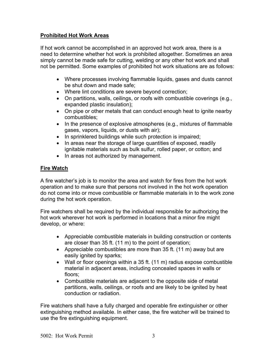### **Prohibited Hot Work Areas**

If hot work cannot be accomplished in an approved hot work area, there is a need to determine whether hot work is prohibited altogether. Sometimes an area simply cannot be made safe for cutting, welding or any other hot work and shall not be permitted. Some examples of prohibited hot work situations are as follows:

- Where processes involving flammable liquids, gases and dusts cannot be shut down and made safe;
- Where lint conditions are severe beyond correction;
- On partitions, walls, ceilings, or roofs with combustible coverings (e.g., expanded plastic insulation);
- On pipe or other metals that can conduct enough heat to ignite nearby combustibles;
- In the presence of explosive atmospheres (e.g., mixtures of flammable gases, vapors, liquids, or dusts with air);
- In sprinklered buildings while such protection is impaired;
- In areas near the storage of large quantities of exposed, readily ignitable materials such as bulk sulfur, rolled paper, or cotton; and
- In areas not authorized by management.

# **Fire Watch**

A fire watcher's job is to monitor the area and watch for fires from the hot work operation and to make sure that persons not involved in the hot work operation do not come into or move combustible or flammable materials in to the work zone during the hot work operation.

Fire watchers shall be required by the individual responsible for authorizing the hot work wherever hot work is performed in locations that a minor fire might develop, or where:

- Appreciable combustible materials in building construction or contents are closer than 35 ft. (11 m) to the point of operation;
- Appreciable combustibles are more than 35 ft. (11 m) away but are easily ignited by sparks;
- Wall or floor openings within a 35 ft. (11 m) radius expose combustible material in adjacent areas, including concealed spaces in walls or floors;
- Combustible materials are adjacent to the opposite side of metal partitions, walls, ceilings, or roofs and are likely to be ignited by heat conduction or radiation.

Fire watchers shall have a fully charged and operable fire extinguisher or other extinguishing method available. In either case, the fire watcher will be trained to use the fire extinguishing equipment.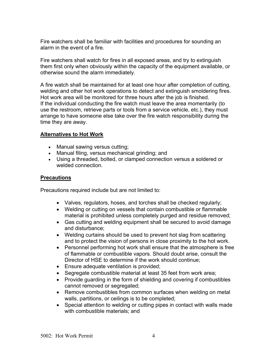Fire watchers shall be familiar with facilities and procedures for sounding an alarm in the event of a fire.

Fire watchers shall watch for fires in all exposed areas, and try to extinguish them first only when obviously within the capacity of the equipment available, or otherwise sound the alarm immediately.

A fire watch shall be maintained for at least one hour after completion of cutting, welding and other hot work operations to detect and extinguish smoldering fires. Hot work area will be monitored for three hours after the job is finished. If the individual conducting the fire watch must leave the area momentarily (to use the restroom, retrieve parts or tools from a service vehicle, etc.), they must arrange to have someone else take over the fire watch responsibility during the time they are away.

#### **Alternatives to Hot Work**

- Manual sawing versus cutting;
- Manual filing, versus mechanical grinding; and
- Using a threaded, bolted, or clamped connection versus a soldered or welded connection.

#### **Precautions**

Precautions required include but are not limited to:

- Valves, regulators, hoses, and torches shall be checked regularly;
- Welding or cutting on vessels that contain combustible or flammable material is prohibited unless completely purged and residue removed;
- Gas cutting and welding equipment shall be secured to avoid damage and disturbance;
- Welding curtains should be used to prevent hot slag from scattering and to protect the vision of persons in close proximity to the hot work.
- Personnel performing hot work shall ensure that the atmosphere is free of flammable or combustible vapors. Should doubt arise, consult the Director of HSE to determine if the work should continue;
- Ensure adequate ventilation is provided;
- Segregate combustible material at least 35 feet from work area;
- Provide guarding in the form of shielding and covering if combustibles cannot removed or segregated;
- Remove combustibles from common surfaces when welding on metal walls, partitions, or ceilings is to be completed;
- Special attention to welding or cutting pipes in contact with walls made with combustible materials; and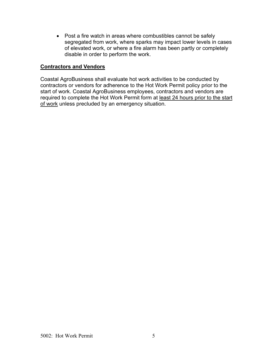• Post a fire watch in areas where combustibles cannot be safely segregated from work, where sparks may impact lower levels in cases of elevated work, or where a fire alarm has been partly or completely disable in order to perform the work.

#### **Contractors and Vendors**

Coastal AgroBusiness shall evaluate hot work activities to be conducted by contractors or vendors for adherence to the Hot Work Permit policy prior to the start of work. Coastal AgroBusiness employees, contractors and vendors are required to complete the Hot Work Permit form at least 24 hours prior to the start of work unless precluded by an emergency situation.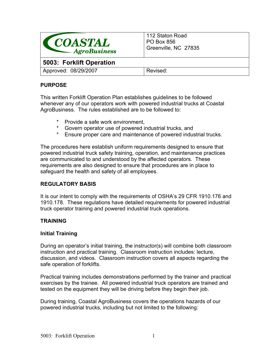

112 Staton Road PO Box 856 Greenville, NC 27835

# **5003: Forklift Operation**

Approved: 08/29/2007 Revised:

# **PURPOSE**

This written Forklift Operation Plan establishes guidelines to be followed whenever any of our operators work with powered industrial trucks at Coastal AgroBusiness. The rules established are to be followed to:

- Provide a safe work environment,
- \* Govern operator use of powered industrial trucks, and
- \* Ensure proper care and maintenance of powered industrial trucks.

The procedures here establish uniform requirements designed to ensure that powered industrial truck safety training, operation, and maintenance practices are communicated to and understood by the affected operators. These requirements are also designed to ensure that procedures are in place to safeguard the health and safety of all employees.

# **REGULATORY BASIS**

It is our intent to comply with the requirements of OSHA's 29 CFR 1910.176 and 1910.178. These regulations have detailed requirements for powered industrial truck operator training and powered industrial truck operations.

# **TRAINING**

### **Initial Training**

During an operator's initial training, the instructor(s) will combine both classroom instruction and practical training. Classroom instruction includes: lecture, discussion, and videos. Classroom instruction covers all aspects regarding the safe operation of forklifts.

Practical training includes demonstrations performed by the trainer and practical exercises by the trainee. All powered industrial truck operators are trained and tested on the equipment they will be driving before they begin their job.

During training, Coastal AgroBusiness covers the operations hazards of our powered industrial trucks, including but not limited to the following: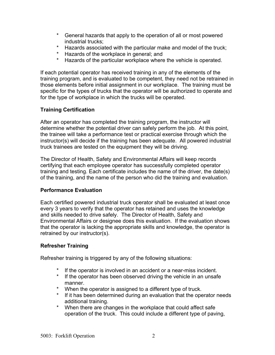- \* General hazards that apply to the operation of all or most powered industrial trucks;
- \* Hazards associated with the particular make and model of the truck;<br>\* Hazards of the worknlace in general: and
- \* Hazards of the workplace in general; and<br>\* Hazards of the particular workplace where
- Hazards of the particular workplace where the vehicle is operated.

If each potential operator has received training in any of the elements of the training program, and is evaluated to be competent, they need not be retrained in those elements before initial assignment in our workplace. The training must be specific for the types of trucks that the operator will be authorized to operate and for the type of workplace in which the trucks will be operated.

# **Training Certification**

After an operator has completed the training program, the instructor will determine whether the potential driver can safely perform the job. At this point, the trainee will take a performance test or practical exercise through which the instructor(s) will decide if the training has been adequate. All powered industrial truck trainees are tested on the equipment they will be driving.

The Director of Health, Safety and Environmental Affairs will keep records certifying that each employee operator has successfully completed operator training and testing. Each certificate includes the name of the driver, the date(s) of the training, and the name of the person who did the training and evaluation.

# **Performance Evaluation**

Each certified powered industrial truck operator shall be evaluated at least once every 3 years to verify that the operator has retained and uses the knowledge and skills needed to drive safely. The Director of Health, Safety and Environmental Affairs or designee does this evaluation. If the evaluation shows that the operator is lacking the appropriate skills and knowledge, the operator is retrained by our instructor(s).

# **Refresher Training**

Refresher training is triggered by any of the following situations:

- \* If the operator is involved in an accident or a near-miss incident.<br>\* If the operator has been observed driving the vehicle in an unsaft
- If the operator has been observed driving the vehicle in an unsafe manner.
- \* When the operator is assigned to a different type of truck.
- \* If it has been determined during an evaluation that the operator needs additional training.
- \* When there are changes in the workplace that could affect safe operation of the truck. This could include a different type of paving,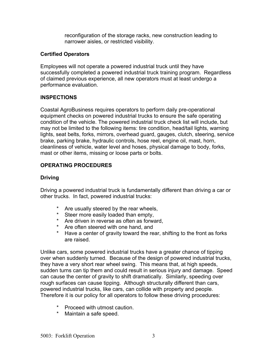reconfiguration of the storage racks, new construction leading to narrower aisles, or restricted visibility.

### **Certified Operators**

Employees will not operate a powered industrial truck until they have successfully completed a powered industrial truck training program. Regardless of claimed previous experience, all new operators must at least undergo a performance evaluation.

### **INSPECTIONS**

Coastal AgroBusiness requires operators to perform daily pre-operational equipment checks on powered industrial trucks to ensure the safe operating condition of the vehicle. The powered industrial truck check list will include, but may not be limited to the following items: tire condition, head/tail lights, warning lights, seat belts, forks, mirrors, overhead guard, gauges, clutch, steering, service brake, parking brake, hydraulic controls, hose reel, engine oil, mast, horn, cleanliness of vehicle, water level and hoses, physical damage to body, forks, mast or other items, missing or loose parts or bolts.

# **OPERATING PROCEDURES**

### **Driving**

Driving a powered industrial truck is fundamentally different than driving a car or other trucks. In fact, powered industrial trucks:

- \* Are usually steered by the rear wheels,
- \* Steer more easily loaded than empty,
- \* Are driven in reverse as often as forward,
- \* Are often steered with one hand, and
- \* Have a center of gravity toward the rear, shifting to the front as forks are raised.

Unlike cars, some powered industrial trucks have a greater chance of tipping over when suddenly turned. Because of the design of powered industrial trucks, they have a very short rear wheel swing. This means that, at high speeds, sudden turns can tip them and could result in serious injury and damage. Speed can cause the center of gravity to shift dramatically. Similarly, speeding over rough surfaces can cause tipping. Although structurally different than cars, powered industrial trucks, like cars, can collide with property and people. Therefore it is our policy for all operators to follow these driving procedures:

- \* Proceed with utmost caution.
- \* Maintain a safe speed.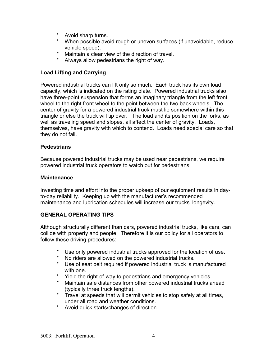- \* Avoid sharp turns.
- \* When possible avoid rough or uneven surfaces (if unavoidable, reduce vehicle speed).
- \* Maintain a clear view of the direction of travel.<br>\* Always allow pedestrians the right of way.
- Always allow pedestrians the right of way.

#### **Load Lifting and Carrying**

Powered industrial trucks can lift only so much. Each truck has its own load capacity, which is indicated on the rating plate. Powered industrial trucks also have three-point suspension that forms an imaginary triangle from the left front wheel to the right front wheel to the point between the two back wheels. The center of gravity for a powered industrial truck must lie somewhere within this triangle or else the truck will tip over. The load and its position on the forks, as well as traveling speed and slopes, all affect the center of gravity. Loads, themselves, have gravity with which to contend. Loads need special care so that they do not fall.

#### **Pedestrians**

Because powered industrial trucks may be used near pedestrians, we require powered industrial truck operators to watch out for pedestrians.

#### **Maintenance**

Investing time and effort into the proper upkeep of our equipment results in dayto-day reliability. Keeping up with the manufacturer's recommended maintenance and lubrication schedules will increase our trucks' longevity.

### **GENERAL OPERATING TIPS**

Although structurally different than cars, powered industrial trucks, like cars, can collide with property and people. Therefore it is our policy for all operators to follow these driving procedures:

- Use only powered industrial trucks approved for the location of use.
- No riders are allowed on the powered industrial trucks.
- \* Use of seat belt required if powered industrial truck is manufactured with one.
- \* Yield the right-of-way to pedestrians and emergency vehicles.
- \* Maintain safe distances from other powered industrial trucks ahead (typically three truck lengths).
- \* Travel at speeds that will permit vehicles to stop safely at all times, under all road and weather conditions.
- \* Avoid quick starts/changes of direction.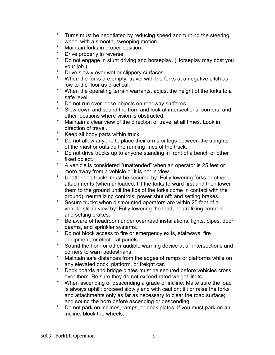- \* Turns must be negotiated by reducing speed and turning the steering wheel with a smooth, sweeping motion.
- \* Maintain forks in proper position.<br>\* Drive properly in reverse
- \* Drive properly in reverse.<br>\* Do not engage in stunt drive
- Do not engage in stunt driving and horseplay. (Horseplay may cost you your job.)
- \* Drive slowly over wet or slippery surfaces.<br>\* When the forks are empty travel with the fo
- When the forks are empty, travel with the forks at a negative pitch as low to the floor as practical.
- \* When the operating terrain warrants, adjust the height of the forks to a safe level.
- \* Do not run over loose objects on roadway surfaces.<br>\* Slow down and sound the born and look at intersective
- Slow down and sound the horn and look at intersections, corners, and other locations where vision is obstructed.
- \* Maintain a clear view of the direction of travel at all times. Look in direction of travel.
- \* Keep all body parts within truck.
- \* Do not allow anyone to place their arms or legs between the uprights of the mast or outside the running lines of the truck.
- \* Do not drive trucks up to anyone standing in front of a bench or other fixed object.
- \* A vehicle is considered "unattended" when an operator is 25 feet or more away from a vehicle or it is not in view.
- \* Unattended trucks must be secured by: Fully lowering forks or other attachments (when unloaded, tilt the forks forward first and then lower them to the ground until the tips of the forks come in contact with the ground); neutralizing controls; power shut off; and setting brakes.
- \* Secure trucks when dismounted operators are within 25 feet of a vehicle still in view by: Fully lowering the load; neutralizing controls; and setting brakes.
- \* Be aware of headroom under overhead installations, lights, pipes, door beams, and sprinkler systems.
- \* Do not block access to fire or emergency exits, stairways, fire equipment, or electrical panels.
- \* Sound the horn or other audible warning device at all intersections and corners to warn pedestrians.
- \* Maintain safe distances from the edges of ramps or platforms while on any elevated dock, platform, or freight car.
- \* Dock boards and bridge plates must be secured before vehicles cross over them. Be sure they do not exceed rated weight limits.
- \* When ascending or descending a grade or incline: Make sure the load is always uphill; proceed slowly and with caution; tilt or raise the forks and attachments only as far as necessary to clear the road surface; and sound the horn before ascending or descending.
- Do not park on inclines, ramps, or dock plates. If you must park on an incline, block the wheels.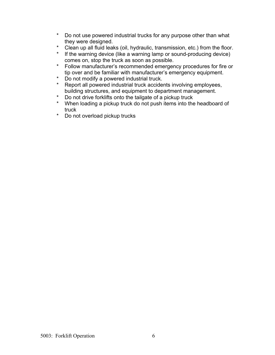- \* Do not use powered industrial trucks for any purpose other than what they were designed.
- \* Clean up all fluid leaks (oil, hydraulic, transmission, etc.) from the floor.<br>\* If the warning device (like a warning lamp or sound-producing device)
- If the warning device (like a warning lamp or sound-producing device) comes on, stop the truck as soon as possible.
- \* Follow manufacturer's recommended emergency procedures for fire or tip over and be familiar with manufacturer's emergency equipment.
- \* Do not modify a powered industrial truck.<br>\* Report all powered industrial truck accide
- Report all powered industrial truck accidents involving employees, building structures, and equipment to department management.
- \* Do not drive forklifts onto the tailgate of a pickup truck<br>\* Whan loading a pickup truck do not push items into the
- When loading a pickup truck do not push items into the headboard of truck
- \* Do not overload pickup trucks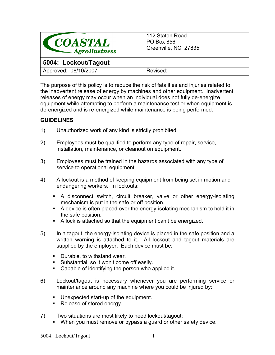

# **5004: Lockout/Tagout**

Approved: 08/10/2007 | Revised:

The purpose of this policy is to reduce the risk of fatalities and injuries related to the inadvertent release of energy by machines and other equipment. Inadvertent releases of energy may occur when an individual does not fully de-energize equipment while attempting to perform a maintenance test or when equipment is de-energized and is re-energized while maintenance is being performed.

# **GUIDELINES**

- 1) Unauthorized work of any kind is strictly prohibited.
- 2) Employees must be qualified to perform any type of repair, service, installation, maintenance, or cleanout on equipment.
- 3) Employees must be trained in the hazards associated with any type of service to operational equipment.
- 4) A lockout is a method of keeping equipment from being set in motion and endangering workers. In lockouts:
	- A disconnect switch, circuit breaker, valve or other energy-isolating mechanism is put in the safe or off position.
	- A device is often placed over the energy-isolating mechanism to hold it in the safe position.
	- A lock is attached so that the equipment can't be energized.
- 5) In a tagout, the energy-isolating device is placed in the safe position and a written warning is attached to it. All lockout and tagout materials are supplied by the employer. Each device must be:
	- **Durable, to withstand wear.**
	- **Substantial, so it won't come off easily.**
	- **Capable of identifying the person who applied it.**
- 6) Lockout/tagout is necessary whenever you are performing service or maintenance around any machine where you could be injured by:
	- **Unexpected start-up of the equipment.**
	- Release of stored energy.
- 7) Two situations are most likely to need lockout/tagout:
	- **When you must remove or bypass a guard or other safety device.**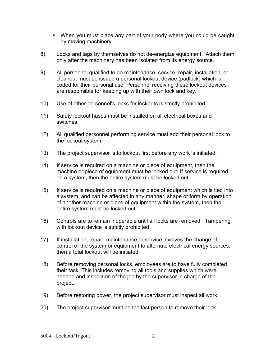- When you must place any part of your body where you could be caught by moving machinery.
- 8) Locks and tags by themselves do not de-energize equipment. Attach them only after the machinery has been isolated from its energy source.
- 9) All personnel qualified to do maintenance, service, repair, installation, or cleanout must be issued a personal lockout device (padlock) which is coded for their personal use. Personnel receiving these lockout devices are responsible for keeping up with their own lock and key.
- 10) Use of other personnel's locks for lockouts is strictly prohibited.
- 11) Safety lockout hasps must be installed on all electrical boxes and switches.
- 12) All qualified personnel performing service must add their personal lock to the lockout system.
- 13) The project supervisor is to lockout first before any work is initiated.
- 14) If service is required on a machine or piece of equipment, then the machine or piece of equipment must be locked out. If service is required on a system, then the entire system must be locked out.
- 15) If service is required on a machine or piece of equipment which is tied into a system, and can be affected in any manner, shape or form by operation of another machine or piece of equipment within the system, then the entire system must be locked out.
- 16) Controls are to remain inoperable until all locks are removed. Tampering with lockout device is strictly prohibited
- 17) If installation, repair, maintenance or service involves the change of control of the system or equipment to alternate electrical energy sources, then a total lockout will be initiated.
- 18) Before removing personal locks, employees are to have fully completed their task. This includes removing all tools and supplies which were needed and inspection of the job by the supervisor in charge of the project.
- 19) Before restoring power, the project supervisor must inspect all work.
- 20) The project supervisor must be the last person to remove their lock.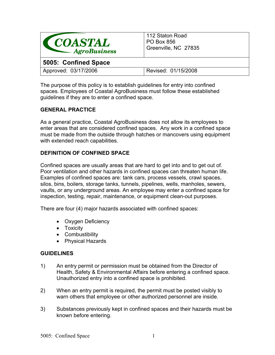

## **5005: Confined Space**

Approved: 03/17/2006 Revised: 01/15/2008

The purpose of this policy is to establish guidelines for entry into confined spaces. Employees of Coastal AgroBusiness must follow these established guidelines if they are to enter a confined space.

## **GENERAL PRACTICE**

As a general practice, Coastal AgroBusiness does not allow its employees to enter areas that are considered confined spaces. Any work in a confined space must be made from the outside through hatches or mancovers using equipment with extended reach capabilities.

## **DEFINITION OF CONFINED SPACE**

Confined spaces are usually areas that are hard to get into and to get out of. Poor ventilation and other hazards in confined spaces can threaten human life. Examples of confined spaces are: tank cars, process vessels, crawl spaces, silos, bins, boilers, storage tanks, tunnels, pipelines, wells, manholes, sewers, vaults, or any underground areas. An employee may enter a confined space for inspection, testing, repair, maintenance, or equipment clean-out purposes.

There are four (4) major hazards associated with confined spaces:

- Oxygen Deficiency
- Toxicity
- **•** Combustibility
- Physical Hazards

## **GUIDELINES**

- 1) An entry permit or permission must be obtained from the Director of Health, Safety & Environmental Affairs before entering a confined space. Unauthorized entry into a confined space is prohibited.
- 2) When an entry permit is required, the permit must be posted visibly to warn others that employee or other authorized personnel are inside.
- 3) Substances previously kept in confined spaces and their hazards must be known before entering.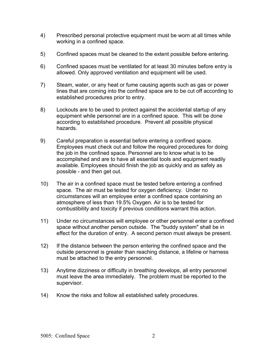- 4) Prescribed personal protective equipment must be worn at all times while working in a confined space.
- 5) Confined spaces must be cleaned to the extent possible before entering.
- 6) Confined spaces must be ventilated for at least 30 minutes before entry is allowed. Only approved ventilation and equipment will be used.
- 7) Steam, water, or any heat or fume causing agents such as gas or power lines that are coming into the confined space are to be cut off according to established procedures prior to entry.
- 8) Lockouts are to be used to protect against the accidental startup of any equipment while personnel are in a confined space. This will be done according to established procedure. Prevent all possible physical hazards.
- 9) Careful preparation is essential before entering a confined space. Employees must check out and follow the required procedures for doing the job in the confined space. Personnel are to know what is to be accomplished and are to have all essential tools and equipment readily available. Employees should finish the job as quickly and as safely as possible - and then get out.
- 10) The air in a confined space must be tested before entering a confined space. The air must be tested for oxygen deficiency. Under no circumstances will an employee enter a confined space containing an atmosphere of less than 19.5% Oxygen. Air is to be tested for combustibility and toxicity if previous conditions warrant this action.
- 11) Under no circumstances will employee or other personnel enter a confined space without another person outside. The "buddy system" shall be in effect for the duration of entry. A second person must always be present.
- 12) If the distance between the person entering the confined space and the outside personnel is greater than reaching distance, a lifeline or harness must be attached to the entry personnel.
- 13) Anytime dizziness or difficulty in breathing develops, all entry personnel must leave the area immediately. The problem must be reported to the supervisor.
- 14) Know the risks and follow all established safety procedures.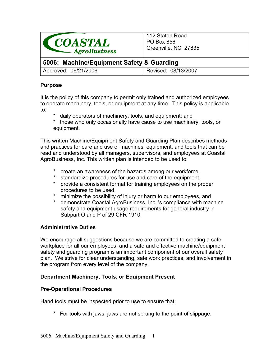

## **5006: Machine/Equipment Safety & Guarding**

Approved: 06/21/2006 Revised: 08/13/2007

#### **Purpose**

It is the policy of this company to permit only trained and authorized employees to operate machinery, tools, or equipment at any time. This policy is applicable to:

- \* daily operators of machinery, tools, and equipment; and
- \* those who only occasionally have cause to use machinery, tools, or equipment.

This written Machine/Equipment Safety and Guarding Plan describes methods and practices for care and use of machines, equipment, and tools that can be read and understood by all managers, supervisors, and employees at Coastal AgroBusiness, Inc. This written plan is intended to be used to:

- \* create an awareness of the hazards among our workforce,
- standardize procedures for use and care of the equipment,
- \* provide a consistent format for training employees on the proper procedures to be used,
- \* minimize the possibility of injury or harm to our employees, and
- demonstrate Coastal AgroBusiness, Inc. 's compliance with machine safety and equipment usage requirements for general industry in Subpart O and P of 29 CFR 1910.

## **Administrative Duties**

We encourage all suggestions because we are committed to creating a safe workplace for all our employees, and a safe and effective machine/equipment safety and guarding program is an important component of our overall safety plan. We strive for clear understanding, safe work practices, and involvement in the program from every level of the company.

## **Department Machinery, Tools, or Equipment Present**

## **Pre-Operational Procedures**

Hand tools must be inspected prior to use to ensure that:

\* For tools with jaws, jaws are not sprung to the point of slippage.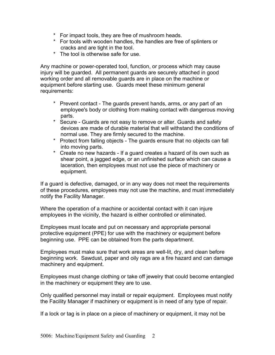- \* For impact tools, they are free of mushroom heads.
- \* For tools with wooden handles, the handles are free of splinters or cracks and are tight in the tool.
- \* The tool is otherwise safe for use.

Any machine or power-operated tool, function, or process which may cause injury will be guarded. All permanent guards are securely attached in good working order and all removable guards are in place on the machine or equipment before starting use. Guards meet these minimum general requirements:

- Prevent contact The guards prevent hands, arms, or any part of an employee's body or clothing from making contact with dangerous moving parts.
- \* Secure Guards are not easy to remove or alter. Guards and safety devices are made of durable material that will withstand the conditions of normal use. They are firmly secured to the machine.
- \* Protect from falling objects The guards ensure that no objects can fall into moving parts.
- \* Create no new hazards If a guard creates a hazard of its own such as shear point, a jagged edge, or an unfinished surface which can cause a laceration, then employees must not use the piece of machinery or equipment.

If a guard is defective, damaged, or in any way does not meet the requirements of these procedures, employees may not use the machine, and must immediately notify the Facility Manager.

Where the operation of a machine or accidental contact with it can injure employees in the vicinity, the hazard is either controlled or eliminated.

Employees must locate and put on necessary and appropriate personal protective equipment (PPE) for use with the machinery or equipment before beginning use. PPE can be obtained from the parts department.

Employees must make sure that work areas are well-lit, dry, and clean before beginning work. Sawdust, paper and oily rags are a fire hazard and can damage machinery and equipment.

Employees must change clothing or take off jewelry that could become entangled in the machinery or equipment they are to use.

Only qualified personnel may install or repair equipment. Employees must notify the Facility Manager if machinery or equipment is in need of any type of repair.

If a lock or tag is in place on a piece of machinery or equipment, it may not be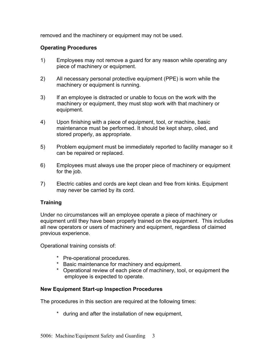removed and the machinery or equipment may not be used.

#### **Operating Procedures**

- 1) Employees may not remove a guard for any reason while operating any piece of machinery or equipment.
- 2) All necessary personal protective equipment (PPE) is worn while the machinery or equipment is running.
- 3) If an employee is distracted or unable to focus on the work with the machinery or equipment, they must stop work with that machinery or equipment.
- 4) Upon finishing with a piece of equipment, tool, or machine, basic maintenance must be performed. It should be kept sharp, oiled, and stored properly, as appropriate.
- 5) Problem equipment must be immediately reported to facility manager so it can be repaired or replaced.
- 6) Employees must always use the proper piece of machinery or equipment for the job.
- 7) Electric cables and cords are kept clean and free from kinks. Equipment may never be carried by its cord.

## **Training**

Under no circumstances will an employee operate a piece of machinery or equipment until they have been properly trained on the equipment. This includes all new operators or users of machinery and equipment, regardless of claimed previous experience.

Operational training consists of:

- \* Pre-operational procedures.
- \* Basic maintenance for machinery and equipment.
- \* Operational review of each piece of machinery, tool, or equipment the employee is expected to operate.

## **New Equipment Start-up Inspection Procedures**

The procedures in this section are required at the following times:

\* during and after the installation of new equipment,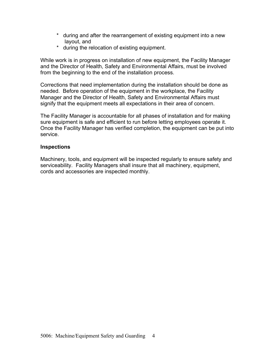- \* during and after the rearrangement of existing equipment into a new layout, and
- \* during the relocation of existing equipment.

While work is in progress on installation of new equipment, the Facility Manager and the Director of Health, Safety and Environmental Affairs, must be involved from the beginning to the end of the installation process.

Corrections that need implementation during the installation should be done as needed. Before operation of the equipment in the workplace, the Facility Manager and the Director of Health, Safety and Environmental Affairs must signify that the equipment meets all expectations in their area of concern.

The Facility Manager is accountable for all phases of installation and for making sure equipment is safe and efficient to run before letting employees operate it. Once the Facility Manager has verified completion, the equipment can be put into service.

#### **Inspections**

Machinery, tools, and equipment will be inspected regularly to ensure safety and serviceability. Facility Managers shall insure that all machinery, equipment, cords and accessories are inspected monthly.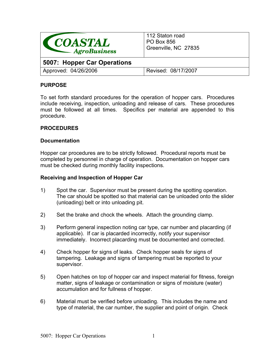

## **5007: Hopper Car Operations**

Approved: 04/26/2006 Revised: 08/17/2007

## **PURPOSE**

To set forth standard procedures for the operation of hopper cars. Procedures include receiving, inspection, unloading and release of cars. These procedures must be followed at all times. Specifics per material are appended to this procedure.

## **PROCEDURES**

#### **Documentation**

Hopper car procedures are to be strictly followed. Procedural reports must be completed by personnel in charge of operation. Documentation on hopper cars must be checked during monthly facility inspections.

#### **Receiving and Inspection of Hopper Car**

- 1) Spot the car. Supervisor must be present during the spotting operation. The car should be spotted so that material can be unloaded onto the slider (unloading) belt or into unloading pit.
- 2) Set the brake and chock the wheels. Attach the grounding clamp.
- 3) Perform general inspection noting car type, car number and placarding (if applicable). If car is placarded incorrectly, notify your supervisor immediately. Incorrect placarding must be documented and corrected.
- 4) Check hopper for signs of leaks. Check hopper seals for signs of tampering. Leakage and signs of tampering must be reported to your supervisor.
- 5) Open hatches on top of hopper car and inspect material for fitness, foreign matter, signs of leakage or contamination or signs of moisture (water) accumulation and for fullness of hopper.
- 6) Material must be verified before unloading. This includes the name and type of material, the car number, the supplier and point of origin. Check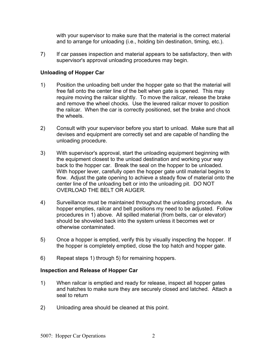with your supervisor to make sure that the material is the correct material and to arrange for unloading (i.e., holding bin destination, timing, etc.).

7) If car passes inspection and material appears to be satisfactory, then with supervisor's approval unloading procedures may begin.

#### **Unloading of Hopper Car**

- 1) Position the unloading belt under the hopper gate so that the material will free fall onto the center line of the belt when gate is opened. This may require moving the railcar slightly. To move the railcar, release the brake and remove the wheel chocks. Use the levered railcar mover to position the railcar. When the car is correctly positioned, set the brake and chock the wheels.
- 2) Consult with your supervisor before you start to unload. Make sure that all devises and equipment are correctly set and are capable of handling the unloading procedure.
- 3) With supervisor's approval, start the unloading equipment beginning with the equipment closest to the unload destination and working your way back to the hopper car. Break the seal on the hopper to be unloaded. With hopper lever, carefully open the hopper gate until material begins to flow. Adjust the gate opening to achieve a steady flow of material onto the center line of the unloading belt or into the unloading pit. DO NOT OVERLOAD THE BELT OR AUGER.
- 4) Surveillance must be maintained throughout the unloading procedure. As hopper empties, railcar and belt positions my need to be adjusted. Follow procedures in 1) above. All spilled material (from belts, car or elevator) should be shoveled back into the system unless it becomes wet or otherwise contaminated.
- 5) Once a hopper is emptied, verify this by visually inspecting the hopper. If the hopper is completely emptied, close the top hatch and hopper gate.
- 6) Repeat steps 1) through 5) for remaining hoppers.

#### **Inspection and Release of Hopper Car**

- 1) When railcar is emptied and ready for release, inspect all hopper gates and hatches to make sure they are securely closed and latched. Attach a seal to return
- 2) Unloading area should be cleaned at this point.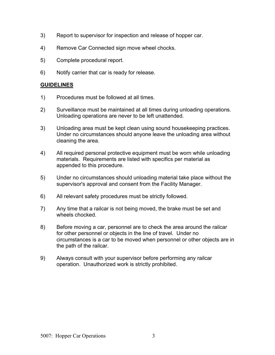- 3) Report to supervisor for inspection and release of hopper car.
- 4) Remove Car Connected sign move wheel chocks.
- 5) Complete procedural report.
- 6) Notify carrier that car is ready for release.

### **GUIDELINES**

- 1) Procedures must be followed at all times.
- 2) Surveillance must be maintained at all times during unloading operations. Unloading operations are never to be left unattended.
- 3) Unloading area must be kept clean using sound housekeeping practices. Under no circumstances should anyone leave the unloading area without cleaning the area.
- 4) All required personal protective equipment must be worn while unloading materials. Requirements are listed with specifics per material as appended to this procedure.
- 5) Under no circumstances should unloading material take place without the supervisor's approval and consent from the Facility Manager.
- 6) All relevant safety procedures must be strictly followed.
- 7) Any time that a railcar is not being moved, the brake must be set and wheels chocked.
- 8) Before moving a car, personnel are to check the area around the railcar for other personnel or objects in the line of travel. Under no circumstances is a car to be moved when personnel or other objects are in the path of the railcar.
- 9) Always consult with your supervisor before performing any railcar operation. Unauthorized work is strictly prohibited.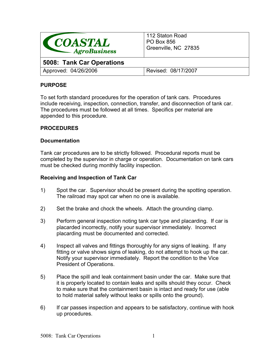

## **5008: Tank Car Operations**

Approved: 04/26/2006 Revised: 08/17/2007

## **PURPOSE**

To set forth standard procedures for the operation of tank cars. Procedures include receiving, inspection, connection, transfer, and disconnection of tank car. The procedures must be followed at all times. Specifics per material are appended to this procedure.

## **PROCEDURES**

## **Documentation**

Tank car procedures are to be strictly followed. Procedural reports must be completed by the supervisor in charge or operation. Documentation on tank cars must be checked during monthly facility inspection.

## **Receiving and Inspection of Tank Car**

- 1) Spot the car. Supervisor should be present during the spotting operation. The railroad may spot car when no one is available.
- 2) Set the brake and chock the wheels. Attach the grounding clamp.
- 3) Perform general inspection noting tank car type and placarding. If car is placarded incorrectly, notify your supervisor immediately. Incorrect placarding must be documented and corrected.
- 4) Inspect all valves and fittings thoroughly for any signs of leaking. If any fitting or valve shows signs of leaking, do not attempt to hook up the car. Notify your supervisor immediately. Report the condition to the Vice President of Operations.
- 5) Place the spill and leak containment basin under the car. Make sure that it is properly located to contain leaks and spills should they occur. Check to make sure that the containment basin is intact and ready for use (able to hold material safely without leaks or spills onto the ground).
- 6) If car passes inspection and appears to be satisfactory, continue with hook up procedures.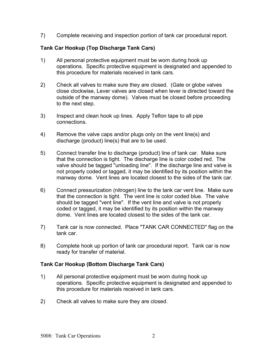7) Complete receiving and inspection portion of tank car procedural report.

## **Tank Car Hookup (Top Discharge Tank Cars)**

- 1) All personal protective equipment must be worn during hook up operations. Specific protective equipment is designated and appended to this procedure for materials received in tank cars.
- 2) Check all valves to make sure they are closed. (Gate or globe valves close clockwise, Lever valves are closed when lever is directed toward the outside of the manway dome). Valves must be closed before proceeding to the next step.
- 3) Inspect and clean hook up lines. Apply Teflon tape to all pipe connections.
- 4) Remove the valve caps and/or plugs only on the vent line(s) and discharge (product) line(s) that are to be used.
- 5) Connect transfer line to discharge (product) line of tank car. Make sure that the connection is tight. The discharge line is color coded red. The valve should be tagged "unloading line". If the discharge line and valve is not properly coded or tagged, it may be identified by its position within the manway dome. Vent lines are located closest to the sides of the tank car.
- 6) Connect pressurization (nitrogen) line to the tank car vent line. Make sure that the connection is tight. The vent line is color coded blue. The valve should be tagged "vent line". If the vent line and valve is not properly coded or tagged, it may be identified by its position within the manway dome. Vent lines are located closest to the sides of the tank car.
- 7) Tank car is now connected. Place "TANK CAR CONNECTED" flag on the tank car.
- 8) Complete hook up portion of tank car procedural report. Tank car is now ready for transfer of material.

## **Tank Car Hookup (Bottom Discharge Tank Cars)**

- 1) All personal protective equipment must be worn during hook up operations. Specific protective equipment is designated and appended to this procedure for materials received in tank cars.
- 2) Check all valves to make sure they are closed.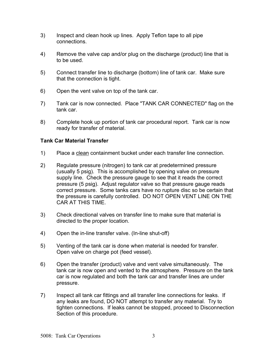- 3) Inspect and clean hook up lines. Apply Teflon tape to all pipe connections.
- 4) Remove the valve cap and/or plug on the discharge (product) line that is to be used.
- 5) Connect transfer line to discharge (bottom) line of tank car. Make sure that the connection is tight.
- 6) Open the vent valve on top of the tank car.
- 7) Tank car is now connected. Place "TANK CAR CONNECTED" flag on the tank car.
- 8) Complete hook up portion of tank car procedural report. Tank car is now ready for transfer of material.

## **Tank Car Material Transfer**

- 1) Place a clean containment bucket under each transfer line connection.
- 2) Regulate pressure (nitrogen) to tank car at predetermined pressure (usually 5 psig). This is accomplished by opening valve on pressure supply line. Check the pressure gauge to see that it reads the correct pressure (5 psig). Adjust regulator valve so that pressure gauge reads correct pressure. Some tanks cars have no rupture disc so be certain that the pressure is carefully controlled. DO NOT OPEN VENT LINE ON THE CAR AT THIS TIME.
- 3) Check directional valves on transfer line to make sure that material is directed to the proper location.
- 4) Open the in-line transfer valve. (In-line shut-off)
- 5) Venting of the tank car is done when material is needed for transfer. Open valve on charge pot (feed vessel).
- 6) Open the transfer (product) valve and vent valve simultaneously. The tank car is now open and vented to the atmosphere. Pressure on the tank car is now regulated and both the tank car and transfer lines are under pressure.
- 7) Inspect all tank car fittings and all transfer line connections for leaks. If any leaks are found, DO NOT attempt to transfer any material. Try to tighten connections. If leaks cannot be stopped, proceed to Disconnection Section of this procedure.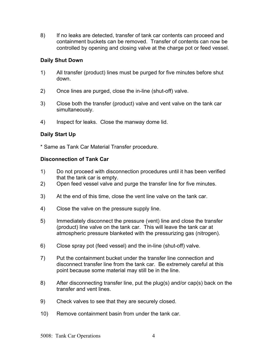8) If no leaks are detected, transfer of tank car contents can proceed and containment buckets can be removed. Transfer of contents can now be controlled by opening and closing valve at the charge pot or feed vessel.

#### **Daily Shut Down**

- 1) All transfer (product) lines must be purged for five minutes before shut down.
- 2) Once lines are purged, close the in-line (shut-off) valve.
- 3) Close both the transfer (product) valve and vent valve on the tank car simultaneously.
- 4) Inspect for leaks. Close the manway dome lid.

## **Daily Start Up**

\* Same as Tank Car Material Transfer procedure.

#### **Disconnection of Tank Car**

- 1) Do not proceed with disconnection procedures until it has been verified that the tank car is empty.
- 2) Open feed vessel valve and purge the transfer line for five minutes.
- 3) At the end of this time, close the vent line valve on the tank car.
- 4) Close the valve on the pressure supply line.
- 5) Immediately disconnect the pressure (vent) line and close the transfer (product) line valve on the tank car. This will leave the tank car at atmospheric pressure blanketed with the pressurizing gas (nitrogen).
- 6) Close spray pot (feed vessel) and the in-line (shut-off) valve.
- 7) Put the containment bucket under the transfer line connection and disconnect transfer line from the tank car. Be extremely careful at this point because some material may still be in the line.
- 8) After disconnecting transfer line, put the plug(s) and/or cap(s) back on the transfer and vent lines.
- 9) Check valves to see that they are securely closed.
- 10) Remove containment basin from under the tank car.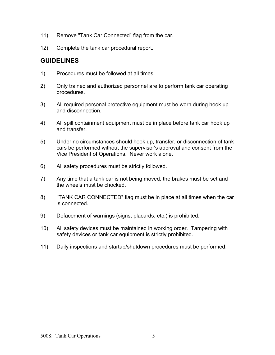- 11) Remove "Tank Car Connected" flag from the car.
- 12) Complete the tank car procedural report.

## **GUIDELINES**

- 1) Procedures must be followed at all times.
- 2) Only trained and authorized personnel are to perform tank car operating procedures.
- 3) All required personal protective equipment must be worn during hook up and disconnection.
- 4) All spill containment equipment must be in place before tank car hook up and transfer.
- 5) Under no circumstances should hook up, transfer, or disconnection of tank cars be performed without the supervisor's approval and consent from the Vice President of Operations. Never work alone.
- 6) All safety procedures must be strictly followed.
- 7) Any time that a tank car is not being moved, the brakes must be set and the wheels must be chocked.
- 8) "TANK CAR CONNECTED" flag must be in place at all times when the car is connected.
- 9) Defacement of warnings (signs, placards, etc.) is prohibited.
- 10) All safety devices must be maintained in working order. Tampering with safety devices or tank car equipment is strictly prohibited.
- 11) Daily inspections and startup/shutdown procedures must be performed.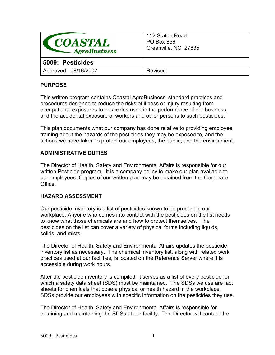

# **5009: Pesticides**

Approved: 08/16/2007 Revised:

## **PURPOSE**

This written program contains Coastal AgroBusiness' standard practices and procedures designed to reduce the risks of illness or injury resulting from occupational exposures to pesticides used in the performance of our business, and the accidental exposure of workers and other persons to such pesticides.

This plan documents what our company has done relative to providing employee training about the hazards of the pesticides they may be exposed to, and the actions we have taken to protect our employees, the public, and the environment.

## **ADMINISTRATIVE DUTIES**

The Director of Health, Safety and Environmental Affairs is responsible for our written Pesticide program. It is a company policy to make our plan available to our employees. Copies of our written plan may be obtained from the Corporate Office.

## **HAZARD ASSESSMENT**

Our pesticide inventory is a list of pesticides known to be present in our workplace. Anyone who comes into contact with the pesticides on the list needs to know what those chemicals are and how to protect themselves. The pesticides on the list can cover a variety of physical forms including liquids, solids, and mists.

The Director of Health, Safety and Environmental Affairs updates the pesticide inventory list as necessary. The chemical inventory list, along with related work practices used at our facilities, is located on the Reference Server where it is accessible during work hours.

After the pesticide inventory is compiled, it serves as a list of every pesticide for which a safety data sheet (SDS) must be maintained. The SDSs we use are fact sheets for chemicals that pose a physical or health hazard in the workplace. SDSs provide our employees with specific information on the pesticides they use.

The Director of Health, Safety and Environmental Affairs is responsible for obtaining and maintaining the SDSs at our facility. The Director will contact the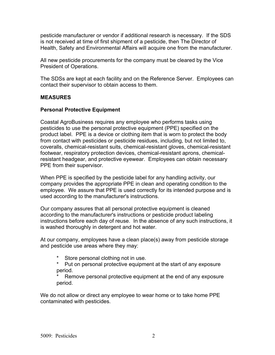pesticide manufacturer or vendor if additional research is necessary. If the SDS is not received at time of first shipment of a pesticide, then The Director of Health, Safety and Environmental Affairs will acquire one from the manufacturer.

All new pesticide procurements for the company must be cleared by the Vice President of Operations.

The SDSs are kept at each facility and on the Reference Server. Employees can contact their supervisor to obtain access to them.

#### **MEASURES**

#### **Personal Protective Equipment**

Coastal AgroBusiness requires any employee who performs tasks using pesticides to use the personal protective equipment (PPE) specified on the product label. PPE is a device or clothing item that is worn to protect the body from contact with pesticides or pesticide residues, including, but not limited to, coveralls, chemical-resistant suits, chemical-resistant gloves, chemical-resistant footwear, respiratory protection devices, chemical-resistant aprons, chemicalresistant headgear, and protective eyewear. Employees can obtain necessary PPE from their supervisor.

When PPE is specified by the pesticide label for any handling activity, our company provides the appropriate PPE in clean and operating condition to the employee. We assure that PPE is used correctly for its intended purpose and is used according to the manufacturer's instructions.

Our company assures that all personal protective equipment is cleaned according to the manufacturer's instructions or pesticide product labeling instructions before each day of reuse. In the absence of any such instructions, it is washed thoroughly in detergent and hot water.

At our company, employees have a clean place(s) away from pesticide storage and pesticide use areas where they may:

- Store personal clothing not in use.
- Put on personal protective equipment at the start of any exposure period.

Remove personal protective equipment at the end of any exposure period.

We do not allow or direct any employee to wear home or to take home PPE contaminated with pesticides.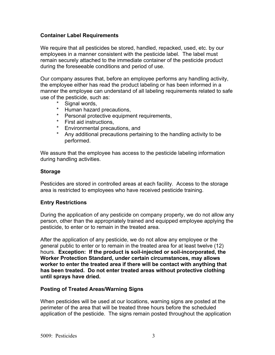#### **Container Label Requirements**

We require that all pesticides be stored, handled, repacked, used, etc. by our employees in a manner consistent with the pesticide label. The label must remain securely attached to the immediate container of the pesticide product during the foreseeable conditions and period of use.

Our company assures that, before an employee performs any handling activity, the employee either has read the product labeling or has been informed in a manner the employee can understand of all labeling requirements related to safe use of the pesticide, such as:

- Signal words,
- \* Human hazard precautions,
- \* Personal protective equipment requirements,
- \* First aid instructions,<br>\* Fovironmental precar
- \* Environmental precautions, and<br>\* Any additional precautions perta
- Any additional precautions pertaining to the handling activity to be performed.

We assure that the employee has access to the pesticide labeling information during handling activities.

#### **Storage**

Pesticides are stored in controlled areas at each facility. Access to the storage area is restricted to employees who have received pesticide training.

#### **Entry Restrictions**

During the application of any pesticide on company property, we do not allow any person, other than the appropriately trained and equipped employee applying the pesticide, to enter or to remain in the treated area.

After the application of any pesticide, we do not allow any employee or the general public to enter or to remain in the treated area for at least twelve (12) hours. **Exception: If the product is soil-injected or soil-incorporated, the Worker Protection Standard, under certain circumstances, may allows worker to enter the treated area if there will be contact with anything that has been treated. Do not enter treated areas without protective clothing until sprays have dried.**

#### **Posting of Treated Areas/Warning Signs**

When pesticides will be used at our locations, warning signs are posted at the perimeter of the area that will be treated three hours before the scheduled application of the pesticide. The signs remain posted throughout the application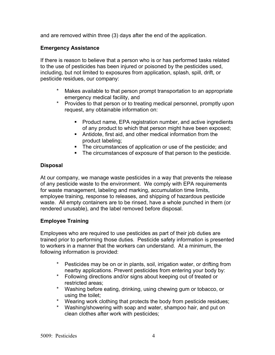and are removed within three (3) days after the end of the application.

### **Emergency Assistance**

If there is reason to believe that a person who is or has performed tasks related to the use of pesticides has been injured or poisoned by the pesticides used, including, but not limited to exposures from application, splash, spill, drift, or pesticide residues, our company:

- Makes available to that person prompt transportation to an appropriate emergency medical facility, and
- \* Provides to that person or to treating medical personnel, promptly upon request, any obtainable information on:
	- **Product name, EPA registration number, and active ingredients** of any product to which that person might have been exposed;
	- Antidote, first aid, and other medical information from the product labeling;
	- **The circumstances of application or use of the pesticide; and**
	- The circumstances of exposure of that person to the pesticide.

## **Disposal**

At our company, we manage waste pesticides in a way that prevents the release of any pesticide waste to the environment. We comply with EPA requirements for waste management, labeling and marking, accumulation time limits, employee training, response to releases, and shipping of hazardous pesticide waste. All empty containers are to be rinsed, have a whole punched in them (or rendered unusable), and the label removed before disposal.

## **Employee Training**

Employees who are required to use pesticides as part of their job duties are trained prior to performing those duties. Pesticide safety information is presented to workers in a manner that the workers can understand. At a minimum, the following information is provided:

- \* Pesticides may be on or in plants, soil, irrigation water, or drifting from nearby applications. Prevent pesticides from entering your body by:
- \* Following directions and/or signs about keeping out of treated or restricted areas;
- \* Washing before eating, drinking, using chewing gum or tobacco, or using the toilet;
- \* Wearing work clothing that protects the body from pesticide residues;
- \* Washing/showering with soap and water, shampoo hair, and put on clean clothes after work with pesticides;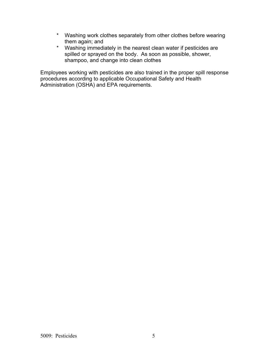- \* Washing work clothes separately from other clothes before wearing them again; and
- \* Washing immediately in the nearest clean water if pesticides are spilled or sprayed on the body. As soon as possible, shower, shampoo, and change into clean clothes

Employees working with pesticides are also trained in the proper spill response procedures according to applicable Occupational Safety and Health Administration (OSHA) and EPA requirements.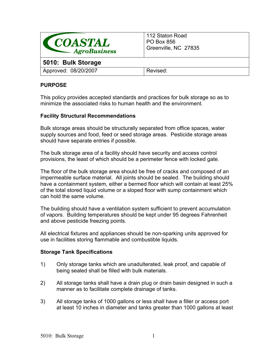

# **5010: Bulk Storage**

Approved: 08/20/2007 **Revised:** 

## **PURPOSE**

This policy provides accepted standards and practices for bulk storage so as to minimize the associated risks to human health and the environment.

## **Facility Structural Recommendations**

Bulk storage areas should be structurally separated from office spaces, water supply sources and food, feed or seed storage areas. Pesticide storage areas should have separate entries if possible.

The bulk storage area of a facility should have security and access control provisions, the least of which should be a perimeter fence with locked gate.

The floor of the bulk storage area should be free of cracks and composed of an impermeable surface material. All joints should be sealed. The building should have a containment system, either a bermed floor which will contain at least 25% of the total stored liquid volume or a sloped floor with sump containment which can hold the same volume.

The building should have a ventilation system sufficient to prevent accumulation of vapors. Building temperatures should be kept under 95 degrees Fahrenheit and above pesticide freezing points.

All electrical fixtures and appliances should be non-sparking units approved for use in facilities storing flammable and combustible liquids.

## **Storage Tank Specifications**

- 1) Only storage tanks which are unadulterated, leak proof, and capable of being sealed shall be filled with bulk materials.
- 2) All storage tanks shall have a drain plug or drain basin designed in such a manner as to facilitate complete drainage of tanks.
- 3) All storage tanks of 1000 gallons or less shall have a filler or access port at least 10 inches in diameter and tanks greater than 1000 gallons at least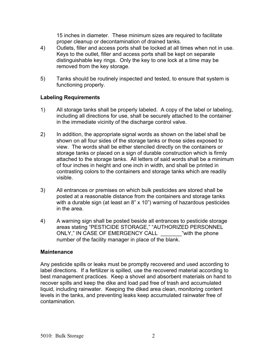15 inches in diameter. These minimum sizes are required to facilitate proper cleanup or decontamination of drained tanks.

- 4) Outlets, filler and access ports shall be locked at all times when not in use. Keys to the outlet, filler and access ports shall be kept on separate distinguishable key rings. Only the key to one lock at a time may be removed from the key storage.
- 5) Tanks should be routinely inspected and tested, to ensure that system is functioning properly.

#### **Labeling Requirements**

- 1) All storage tanks shall be properly labeled. A copy of the label or labeling, including all directions for use, shall be securely attached to the container in the immediate vicinity of the discharge control valve.
- 2) In addition, the appropriate signal words as shown on the label shall be shown on all four sides of the storage tanks or those sides exposed to view. The words shall be either stenciled directly on the containers or storage tanks or placed on a sign of durable construction which is firmly attached to the storage tanks. All letters of said words shall be a minimum of four inches in height and one inch in width, and shall be printed in contrasting colors to the containers and storage tanks which are readily visible.
- 3) All entrances or premises on which bulk pesticides are stored shall be posted at a reasonable distance from the containers and storage tanks with a durable sign (at least an 8" x 10") warning of hazardous pesticides in the area.
- 4) A warning sign shall be posted beside all entrances to pesticide storage areas stating "PESTICIDE STORAGE," "AUTHORIZED PERSONNEL ONLY," IN CASE OF EMERGENCY CALL "with the phone" number of the facility manager in place of the blank.

#### **Maintenance**

Any pesticide spills or leaks must be promptly recovered and used according to label directions. If a fertilizer is spilled, use the recovered material according to best management practices. Keep a shovel and absorbent materials on hand to recover spills and keep the dike and load pad free of trash and accumulated liquid, including rainwater. Keeping the diked area clean, monitoring content levels in the tanks, and preventing leaks keep accumulated rainwater free of contamination.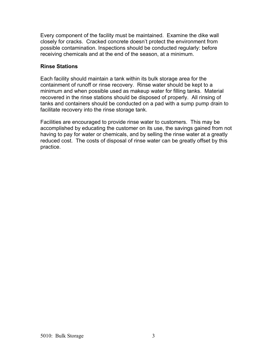Every component of the facility must be maintained. Examine the dike wall closely for cracks. Cracked concrete doesn't protect the environment from possible contamination. Inspections should be conducted regularly: before receiving chemicals and at the end of the season, at a minimum.

#### **Rinse Stations**

Each facility should maintain a tank within its bulk storage area for the containment of runoff or rinse recovery. Rinse water should be kept to a minimum and when possible used as makeup water for filling tanks. Material recovered in the rinse stations should be disposed of properly. All rinsing of tanks and containers should be conducted on a pad with a sump pump drain to facilitate recovery into the rinse storage tank.

Facilities are encouraged to provide rinse water to customers. This may be accomplished by educating the customer on its use, the savings gained from not having to pay for water or chemicals, and by selling the rinse water at a greatly reduced cost. The costs of disposal of rinse water can be greatly offset by this practice.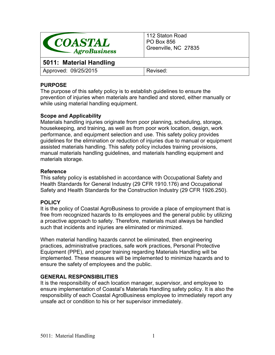

## **5011: Material Handling**

Approved: 09/25/2015 | Revised:

## **PURPOSE**

The purpose of this safety policy is to establish guidelines to ensure the prevention of injuries when materials are handled and stored, either manually or while using material handling equipment.

## **Scope and Applicability**

Materials handling injuries originate from poor planning, scheduling, storage, housekeeping, and training, as well as from poor work location, design, work performance, and equipment selection and use. This safety policy provides guidelines for the elimination or reduction of injuries due to manual or equipment assisted materials handling. This safety policy includes training provisions, manual materials handling guidelines, and materials handling equipment and materials storage.

## **Reference**

This safety policy is established in accordance with Occupational Safety and Health Standards for General Industry (29 CFR 1910.176) and Occupational Safety and Health Standards for the Construction Industry (29 CFR 1926.250).

## **POLICY**

It is the policy of Coastal AgroBusiness to provide a place of employment that is free from recognized hazards to its employees and the general public by utilizing a proactive approach to safety. Therefore, materials must always be handled such that incidents and injuries are eliminated or minimized.

When material handling hazards cannot be eliminated, then engineering practices, administrative practices, safe work practices, Personal Protective Equipment (PPE), and proper training regarding Materials Handling will be implemented. These measures will be implemented to minimize hazards and to ensure the safety of employees and the public.

## **GENERAL RESPONSIBILITIES**

It is the responsibility of each location manager, supervisor, and employee to ensure implementation of Coastal's Materials Handling safety policy. It is also the responsibility of each Coastal AgroBusiness employee to immediately report any unsafe act or condition to his or her supervisor immediately.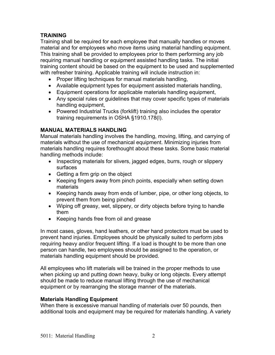## **TRAINING**

Training shall be required for each employee that manually handles or moves material and for employees who move items using material handling equipment. This training shall be provided to employees prior to them performing any job requiring manual handling or equipment assisted handling tasks. The initial training content should be based on the equipment to be used and supplemented with refresher training. Applicable training will include instruction in:

- Proper lifting techniques for manual materials handling.
- Available equipment types for equipment assisted materials handling,
- Equipment operations for applicable materials handling equipment,
- Any special rules or guidelines that may cover specific types of materials handling equipment,
- Powered Industrial Trucks (forklift) training also includes the operator training requirements in OSHA §1910.178(l).

## **MANUAL MATERIALS HANDLING**

Manual materials handling involves the handling, moving, lifting, and carrying of materials without the use of mechanical equipment. Minimizing injuries from materials handling requires forethought about these tasks. Some basic material handling methods include:

- Inspecting materials for slivers, jagged edges, burrs, rough or slippery surfaces
- Getting a firm grip on the object
- Keeping fingers away from pinch points, especially when setting down materials
- Keeping hands away from ends of lumber, pipe, or other long objects, to prevent them from being pinched
- Wiping off greasy, wet, slippery, or dirty objects before trying to handle them
- Keeping hands free from oil and grease

In most cases, gloves, hand leathers, or other hand protectors must be used to prevent hand injuries. Employees should be physically suited to perform jobs requiring heavy and/or frequent lifting. If a load is thought to be more than one person can handle, two employees should be assigned to the operation, or materials handling equipment should be provided.

All employees who lift materials will be trained in the proper methods to use when picking up and putting down heavy, bulky or long objects. Every attempt should be made to reduce manual lifting through the use of mechanical equipment or by rearranging the storage manner of the materials.

#### **Materials Handling Equipment**

When there is excessive manual handling of materials over 50 pounds, then additional tools and equipment may be required for materials handling. A variety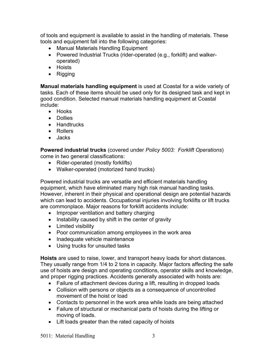of tools and equipment is available to assist in the handling of materials. These tools and equipment fall into the following categories:

- Manual Materials Handling Equipment
- Powered Industrial Trucks (rider-operated (e.g., forklift) and walkeroperated)
- Hoists
- Rigging

**Manual materials handling equipment** is used at Coastal for a wide variety of tasks. Each of these items should be used only for its designed task and kept in good condition. Selected manual materials handling equipment at Coastal include:

- Hooks
- Dollies
- Handtrucks
- Rollers
- Jacks

**Powered industrial trucks** (covered under *Policy 5003: Forklift Operations*) come in two general classifications:

- Rider-operated (mostly forklifts)
- Walker-operated (motorized hand trucks)

Powered industrial trucks are versatile and efficient materials handling equipment, which have eliminated many high risk manual handling tasks. However, inherent in their physical and operational design are potential hazards which can lead to accidents. Occupational injuries involving forklifts or lift trucks are commonplace. Major reasons for forklift accidents include:

- Improper ventilation and battery charging
- Instability caused by shift in the center of gravity
- Limited visibility
- Poor communication among employees in the work area
- Inadequate vehicle maintenance
- Using trucks for unsuited tasks

**Hoists** are used to raise, lower, and transport heavy loads for short distances. They usually range from 1/4 to 2 tons in capacity. Major factors affecting the safe use of hoists are design and operating conditions, operator skills and knowledge, and proper rigging practices. Accidents generally associated with hoists are:

- Failure of attachment devices during a lift, resulting in dropped loads
- Collision with persons or objects as a consequence of uncontrolled movement of the hoist or load
- Contacts to personnel in the work area while loads are being attached
- Failure of structural or mechanical parts of hoists during the lifting or moving of loads.
- Lift loads greater than the rated capacity of hoists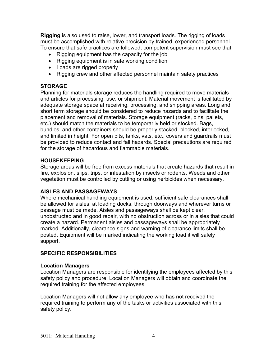**Rigging** is also used to raise, lower, and transport loads. The rigging of loads must be accomplished with relative precision by trained, experienced personnel. To ensure that safe practices are followed, competent supervision must see that:

- Rigging equipment has the capacity for the job
- Rigging equipment is in safe working condition
- Loads are rigged properly
- Rigging crew and other affected personnel maintain safety practices

#### **STORAGE**

Planning for materials storage reduces the handling required to move materials and articles for processing, use, or shipment. Material movement is facilitated by adequate storage space at receiving, processing, and shipping areas. Long and short term storage should be considered to reduce hazards and to facilitate the placement and removal of materials. Storage equipment (racks, bins, pallets, etc.) should match the materials to be temporarily held or stocked. Bags, bundles, and other containers should be properly stacked, blocked, interlocked, and limited in height. For open pits, tanks, vats, etc., covers and guardrails must be provided to reduce contact and fall hazards. Special precautions are required for the storage of hazardous and flammable materials.

#### **HOUSEKEEPING**

Storage areas will be free from excess materials that create hazards that result in fire, explosion, slips, trips, or infestation by insects or rodents. Weeds and other vegetation must be controlled by cutting or using herbicides when necessary.

## **AISLES AND PASSAGEWAYS**

Where mechanical handling equipment is used, sufficient safe clearances shall be allowed for aisles, at loading docks, through doorways and wherever turns or passage must be made. Aisles and passageways shall be kept clear, unobstructed and in good repair, with no obstruction across or in aisles that could create a hazard. Permanent aisles and passageways shall be appropriately marked. Additionally, clearance signs and warning of clearance limits shall be posted. Equipment will be marked indicating the working load it will safely support.

#### **SPECIFIC RESPONSIBILITIES**

#### **Location Managers**

Location Managers are responsible for identifying the employees affected by this safety policy and procedure. Location Managers will obtain and coordinate the required training for the affected employees.

Location Managers will not allow any employee who has not received the required training to perform any of the tasks or activities associated with this safety policy.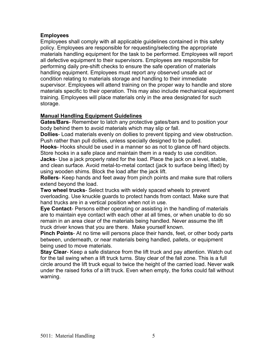#### **Employees**

Employees shall comply with all applicable guidelines contained in this safety policy. Employees are responsible for requesting/selecting the appropriate materials handling equipment for the task to be performed. Employees will report all defective equipment to their supervisors. Employees are responsible for performing daily pre-shift checks to ensure the safe operation of materials handling equipment. Employees must report any observed unsafe act or condition relating to materials storage and handling to their immediate supervisor. Employees will attend training on the proper way to handle and store materials specific to their operation. This may also include mechanical equipment training. Employees will place materials only in the area designated for such storage.

## **Manual Handling Equipment Guidelines**

**Gates/Bars**- Remember to latch any protective gates/bars and to position your body behind them to avoid materials which may slip or fall.

**Dollies**- Load materials evenly on dollies to prevent tipping and view obstruction. Push rather than pull dollies, unless specially designed to be pulled.

**Hooks**- Hooks should be used in a manner so as not to glance off hard objects. Store hooks in a safe place and maintain them in a ready to use condition.

**Jacks**- Use a jack properly rated for the load. Place the jack on a level, stable, and clean surface. Avoid metal-to-metal contact (jack to surface being lifted) by using wooden shims. Block the load after the jack lift.

**Rollers**- Keep hands and feet away from pinch points and make sure that rollers extend beyond the load.

**Two wheel trucks**- Select trucks with widely spaced wheels to prevent overloading. Use knuckle guards to protect hands from contact. Make sure that hand trucks are in a vertical position when not in use.

**Eye Contact**- Persons either operating or assisting in the handling of materials are to maintain eye contact with each other at all times, or when unable to do so remain in an area clear of the materials being handled. Never assume the lift truck driver knows that you are there. Make yourself known.

**Pinch Points**- At no time will persons place their hands, feet, or other body parts between, underneath, or near materials being handled, pallets, or equipment being used to move materials.

**Stay Clear**- Keep a safe distance from the lift truck and pay attention. Watch out for the tail swing when a lift truck turns. Stay clear of the fall zone. This is a full circle around the lift truck equal to twice the height of the carried load. Never walk under the raised forks of a lift truck. Even when empty, the forks could fall without warning.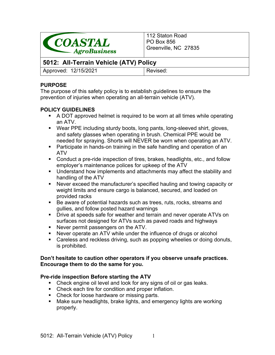

## **5012: All-Terrain Vehicle (ATV) Policy**

Approved: 12/15/2021 | Revised:

## **PURPOSE**

The purpose of this safety policy is to establish guidelines to ensure the prevention of injuries when operating an all-terrain vehicle (ATV).

## **POLICY GUIDELINES**

- A DOT approved helmet is required to be worn at all times while operating an ATV.
- Wear PPE including sturdy boots, long pants, long-sleeved shirt, gloves, and safety glasses when operating in brush. Chemical PPE would be needed for spraying. Shorts will NEVER be worn when operating an ATV.
- Participate in hands-on training in the safe handling and operation of an ATV
- Conduct a pre-ride inspection of tires, brakes, headlights, etc., and follow employer's maintenance polices for upkeep of the ATV
- Understand how implements and attachments may affect the stability and handling of the ATV
- Never exceed the manufacturer's specified hauling and towing capacity or weight limits and ensure cargo is balanced, secured, and loaded on provided racks
- Be aware of potential hazards such as trees, ruts, rocks, streams and gullies, and follow posted hazard warnings
- **Drive at speeds safe for weather and terrain and never operate ATVs on** surfaces not designed for ATVs such as paved roads and highways
- Never permit passengers on the ATV.
- Never operate an ATV while under the influence of drugs or alcohol
- Careless and reckless driving, such as popping wheelies or doing donuts, is prohibited.

#### **Don't hesitate to caution other operators if you observe unsafe practices. Encourage them to do the same for you.**

## **Pre-ride inspection Before starting the ATV**

- Check engine oil level and look for any signs of oil or gas leaks.
- Check each tire for condition and proper inflation.
- Check for loose hardware or missing parts.
- Make sure headlights, brake lights, and emergency lights are working properly.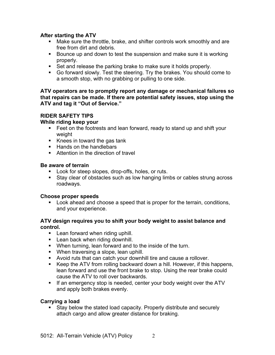### **After starting the ATV**

- Make sure the throttle, brake, and shifter controls work smoothly and are free from dirt and debris.
- **Bounce up and down to test the suspension and make sure it is working** properly.
- Set and release the parking brake to make sure it holds properly.
- Go forward slowly. Test the steering. Try the brakes. You should come to a smooth stop, with no grabbing or pulling to one side.

**ATV operators are to promptly report any damage or mechanical failures so that repairs can be made. If there are potential safety issues, stop using the ATV and tag it "Out of Service."** 

## **RIDER SAFETY TIPS**

#### **While riding keep your**

- **Feet on the footrests and lean forward, ready to stand up and shift your** weight
- Knees in toward the gas tank
- Hands on the handlebars
- **EXTENT** Attention in the direction of travel

#### **Be aware of terrain**

- **Look for steep slopes, drop-offs, holes, or ruts.**
- Stay clear of obstacles such as low hanging limbs or cables strung across roadways.

## **Choose proper speeds**

**Look ahead and choose a speed that is proper for the terrain, conditions,** and your experience.

#### **ATV design requires you to shift your body weight to assist balance and control.**

- **Lean forward when riding uphill.**
- **Lean back when riding downhill.**
- When turning, lean forward and to the inside of the turn.
- **When traversing a slope, lean uphill.**
- Avoid ruts that can catch your downhill tire and cause a rollover.
- Keep the ATV from rolling backward down a hill. However, if this happens, lean forward and use the front brake to stop. Using the rear brake could cause the ATV to roll over backwards.
- **If an emergency stop is needed, center your body weight over the ATV** and apply both brakes evenly.

## **Carrying a load**

 Stay below the stated load capacity. Properly distribute and securely attach cargo and allow greater distance for braking.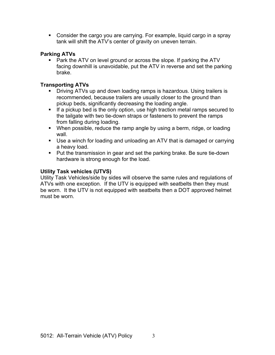Consider the cargo you are carrying. For example, liquid cargo in a spray tank will shift the ATV's center of gravity on uneven terrain.

## **Parking ATVs**

• Park the ATV on level ground or across the slope. If parking the ATV facing downhill is unavoidable, put the ATV in reverse and set the parking brake.

## **Transporting ATVs**

- **•** Driving ATVs up and down loading ramps is hazardous. Using trailers is recommended, because trailers are usually closer to the ground than pickup beds, significantly decreasing the loading angle.
- If a pickup bed is the only option, use high traction metal ramps secured to the tailgate with two tie-down straps or fasteners to prevent the ramps from falling during loading.
- When possible, reduce the ramp angle by using a berm, ridge, or loading wall.
- Use a winch for loading and unloading an ATV that is damaged or carrying a heavy load.
- Put the transmission in gear and set the parking brake. Be sure tie-down hardware is strong enough for the load.

## **Utility Task vehicles (UTVS)**

Utility Task Vehicles/side by sides will observe the same rules and regulations of ATVs with one exception. If the UTV is equipped with seatbelts then they must be worn. It the UTV is not equipped with seatbelts then a DOT approved helmet must be worn.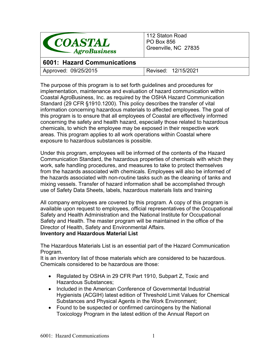

## **6001: Hazard Communications**

Approved: 09/25/2015 Revised: 12/15/2021

The purpose of this program is to set forth guidelines and procedures for implementation, maintenance and evaluation of hazard communication within Coastal AgroBusiness, Inc. as required by the OSHA Hazard Communication Standard (29 CFR §1910.1200). This policy describes the transfer of vital information concerning hazardous materials to affected employees. The goal of this program is to ensure that all employees of Coastal are effectively informed concerning the safety and health hazard, especially those related to hazardous chemicals, to which the employee may be exposed in their respective work areas. This program applies to all work operations within Coastal where exposure to hazardous substances is possible.

Under this program, employees will be informed of the contents of the Hazard Communication Standard, the hazardous properties of chemicals with which they work, safe handling procedures, and measures to take to protect themselves from the hazards associated with chemicals. Employees will also be informed of the hazards associated with non-routine tasks such as the cleaning of tanks and mixing vessels. Transfer of hazard information shall be accomplished through use of Safety Data Sheets, labels, hazardous materials lists and training

All company employees are covered by this program. A copy of this program is available upon request to employees, official representatives of the Occupational Safety and Health Administration and the National Institute for Occupational Safety and Health. The master program will be maintained in the office of the Director of Health, Safety and Environmental Affairs. **Inventory and Hazardous Material List** 

The Hazardous Materials List is an essential part of the Hazard Communication Program.

It is an inventory list of those materials which are considered to be hazardous. Chemicals considered to be hazardous are those:

- Regulated by OSHA in 29 CFR Part 1910, Subpart Z, Toxic and Hazardous Substances;
- Included in the American Conference of Governmental Industrial Hygienists (ACGIH) latest edition of Threshold Limit Values for Chemical Substances and Physical Agents in the Work Environment;
- Found to be suspected or confirmed carcinogens by the National Toxicology Program in the latest edition of the Annual Report on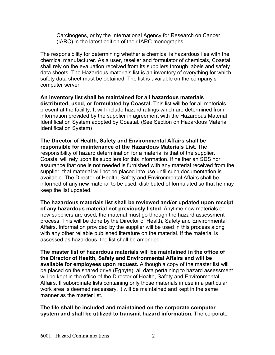Carcinogens, or by the International Agency for Research on Cancer (IARC) in the latest edition of their IARC monographs.

The responsibility for determining whether a chemical is hazardous lies with the chemical manufacturer. As a user, reseller and formulator of chemicals, Coastal shall rely on the evaluation received from its suppliers through labels and safety data sheets. The Hazardous materials list is an inventory of everything for which safety data sheet must be obtained. The list is available on the company's computer server.

**An inventory list shall be maintained for all hazardous materials distributed, used, or formulated by Coastal.** This list will be for all materials present at the facility. It will include hazard ratings which are determined from information provided by the supplier in agreement with the Hazardous Material Identification System adopted by Coastal. (See Section on Hazardous Material Identification System)

**The Director of Health, Safety and Environmental Affairs shall be responsible for maintenance of the Hazardous Materials List.** The responsibility of hazard determination for a material is that of the supplier. Coastal will rely upon its suppliers for this information. If neither an SDS nor assurance that one is not needed is furnished with any material received from the supplier, that material will not be placed into use until such documentation is available. The Director of Health, Safety and Environmental Affairs shall be informed of any new material to be used, distributed of formulated so that he may keep the list updated.

**The hazardous materials list shall be reviewed and/or updated upon receipt of any hazardous material not previously listed.** Anytime new materials or new suppliers are used, the material must go through the hazard assessment process. This will be done by the Director of Health, Safety and Environmental Affairs. Information provided by the supplier will be used in this process along with any other reliable published literature on the material. If the material is assessed as hazardous, the list shall be amended.

**The master list of hazardous materials will be maintained in the office of the Director of Health, Safety and Environmental Affairs and will be available for employees upon request.** Although a copy of the master list will be placed on the shared drive (Egnyte), all data pertaining to hazard assessment will be kept in the office of the Director of Health, Safety and Environmental Affairs. If subordinate lists containing only those materials in use in a particular work area is deemed necessary, it will be maintained and kept in the same manner as the master list.

**The file shall be included and maintained on the corporate computer system and shall be utilized to transmit hazard information.** The corporate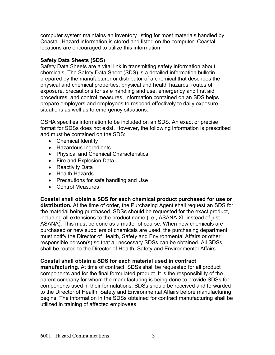computer system maintains an inventory listing for most materials handled by Coastal. Hazard information is stored and listed on the computer. Coastal locations are encouraged to utilize this information

#### **Safety Data Sheets (SDS)**

Safety Data Sheets are a vital link in transmitting safety information about chemicals. The Safety Data Sheet (SDS) is a detailed information bulletin prepared by the manufacturer or distributor of a chemical that describes the physical and chemical properties, physical and health hazards, routes of exposure, precautions for safe handling and use, emergency and first aid procedures, and control measures. Information contained on an SDS helps prepare employers and employees to respond effectively to daily exposure situations as well as to emergency situations.

OSHA specifies information to be included on an SDS. An exact or precise format for SDSs does not exist. However, the following information is prescribed and must be contained on the SDS:

- Chemical Identity
- Hazardous Ingredients
- Physical and Chemical Characteristics
- Fire and Explosion Data
- Reactivity Data
- Health Hazards
- Precautions for safe handling and Use
- Control Measures

**Coastal shall obtain a SDS for each chemical product purchased for use or distribution.** At the time of order, the Purchasing Agent shall request an SDS for the material being purchased. SDSs should be requested for the exact product, including all extensions to the product name (i.e., ASANA XL instead of just ASANA). This must be done as a matter of course. When new chemicals are purchased or new suppliers of chemicals are used, the purchasing department must notify the Director of Health, Safety and Environmental Affairs or other responsible person(s) so that all necessary SDSs can be obtained. All SDSs shall be routed to the Director of Health, Safety and Environmental Affairs.

#### **Coastal shall obtain a SDS for each material used in contract**

**manufacturing.** At time of contract, SDSs shall be requested for all product components and for the final formulated product. It is the responsibility of the parent company for whom the manufacturing is being done to provide SDSs for components used in their formulations. SDSs should be received and forwarded to the Director of Health, Safety and Environmental Affairs before manufacturing begins. The information in the SDSs obtained for contract manufacturing shall be utilized in training of affected employees.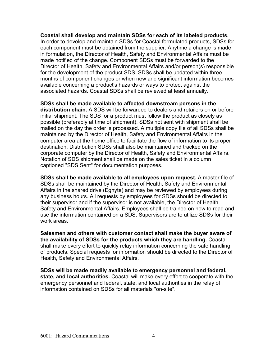**Coastal shall develop and maintain SDSs for each of its labeled products.**  In order to develop and maintain SDSs for Coastal formulated products, SDSs for each component must be obtained from the supplier. Anytime a change is made in formulation, the Director of Health, Safety and Environmental Affairs must be made notified of the change. Component SDSs must be forwarded to the Director of Health, Safety and Environmental Affairs and/or person(s) responsible for the development of the product SDS. SDSs shall be updated within three months of component changes or when new and significant information becomes available concerning a product's hazards or ways to protect against the associated hazards. Coastal SDSs shall be reviewed at least annually.

**SDSs shall be made available to affected downstream persons in the distribution chain.** A SDS will be forwarded to dealers and retailers on or before initial shipment. The SDS for a product must follow the product as closely as possible (preferably at time of shipment). SDSs not sent with shipment shall be mailed on the day the order is processed. A multiple copy file of all SDSs shall be maintained by the Director of Health, Safety and Environmental Affairs in the computer area at the home office to facilitate the flow of information to its proper destination. Distribution SDSs shall also be maintained and tracked on the corporate computer by the Director of Health, Safety and Environmental Affairs. Notation of SDS shipment shall be made on the sales ticket in a column captioned "SDS Sent" for documentation purposes.

**SDSs shall be made available to all employees upon request.** A master file of SDSs shall be maintained by the Director of Health, Safety and Environmental Affairs in the shared drive (Egnyte) and may be reviewed by employees during any business hours. All requests by employees for SDSs should be directed to their supervisor and if the supervisor is not available, the Director of Health, Safety and Environmental Affairs. Employees shall be trained on how to read and use the information contained on a SDS. Supervisors are to utilize SDSs for their work areas.

**Salesmen and others with customer contact shall make the buyer aware of the availability of SDSs for the products which they are handling.** Coastal shall make every effort to quickly relay information concerning the safe handling of products. Special requests for information should be directed to the Director of Health, Safety and Environmental Affairs.

**SDSs will be made readily available to emergency personnel and federal, state, and local authorities.** Coastal will make every effort to cooperate with the emergency personnel and federal, state, and local authorities in the relay of information contained on SDSs for all materials "on-site".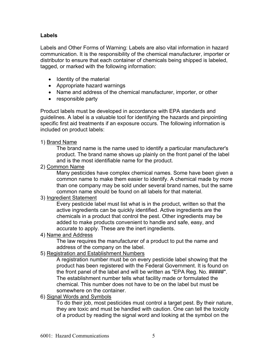## **Labels**

Labels and Other Forms of Warning: Labels are also vital information in hazard communication. It is the responsibility of the chemical manufacturer, importer or distributor to ensure that each container of chemicals being shipped is labeled, tagged, or marked with the following information:

- Identity of the material
- Appropriate hazard warnings
- Name and address of the chemical manufacturer, importer, or other
- responsible party

Product labels must be developed in accordance with EPA standards and guidelines. A label is a valuable tool for identifying the hazards and pinpointing specific first aid treatments if an exposure occurs. The following information is included on product labels:

#### 1) Brand Name

 The brand name is the name used to identify a particular manufacturer's product. The brand name shows up plainly on the front panel of the label and is the most identifiable name for the product.

2) Common Name

 Many pesticides have complex chemical names. Some have been given a common name to make them easier to identify. A chemical made by more than one company may be sold under several brand names, but the same common name should be found on all labels for that material.

## 3) Ingredient Statement

 Every pesticide label must list what is in the product, written so that the active ingredients can be quickly identified. Active ingredients are the chemicals in a product that control the pest. Other ingredients may be added to make products convenient to handle and safe, easy, and accurate to apply. These are the inert ingredients.

## 4) Name and Address

 The law requires the manufacturer of a product to put the name and address of the company on the label.

## 5) Registration and Establishment Numbers

 A registration number must be on every pesticide label showing that the product has been registered with the Federal Government. It is found on the front panel of the label and will be written as "EPA Reg. No. #####". The establishment number tells what facility made or formulated the chemical. This number does not have to be on the label but must be somewhere on the container.

6) Signal Words and Symbols

 To do their job, most pesticides must control a target pest. By their nature, they are toxic and must be handled with caution. One can tell the toxicity of a product by reading the signal word and looking at the symbol on the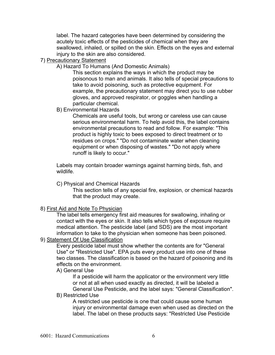label. The hazard categories have been determined by considering the acutely toxic effects of the pesticides of chemical when they are swallowed, inhaled, or spilled on the skin. Effects on the eyes and external injury to the skin are also considered.

### 7) Precautionary Statement

A) Hazard To Humans (And Domestic Animals)

 This section explains the ways in which the product may be poisonous to man and animals. It also tells of special precautions to take to avoid poisoning, such as protective equipment. For example, the precautionary statement may direct you to use rubber gloves, and approved respirator, or goggles when handling a particular chemical.

B) Environmental Hazards

 Chemicals are useful tools, but wrong or careless use can cause serious environmental harm. To help avoid this, the label contains environmental precautions to read and follow. For example: "This product is highly toxic to bees exposed to direct treatment or to residues on crops." "Do not contaminate water when cleaning equipment or when disposing of wastes." "Do not apply where runoff is likely to occur."

Labels may contain broader warnings against harming birds, fish, and wildlife.

C) Physical and Chemical Hazards

 This section tells of any special fire, explosion, or chemical hazards that the product may create.

8) First Aid and Note To Physician

 The label tells emergency first aid measures for swallowing, inhaling or contact with the eyes or skin. It also tells which types of exposure require medical attention. The pesticide label (and SDS) are the most important information to take to the physician when someone has been poisoned.

9) Statement Of Use Classification

 Every pesticide label must show whether the contents are for "General Use" or "Restricted Use". EPA puts every product use into one of these two classes. The classification is based on the hazard of poisoning and its effects on the environment.

A) General Use

 If a pesticide will harm the applicator or the environment very little or not at all when used exactly as directed, it will be labeled a General Use Pesticide, and the label says: "General Classification".

B) Restricted Use

 A restricted use pesticide is one that could cause some human injury or environmental damage even when used as directed on the label. The label on these products says: "Restricted Use Pesticide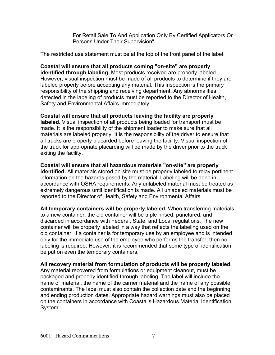For Retail Sale To And Application Only By Certified Applicators Or Persons Under Their Supervision".

The restricted use statement must be at the top of the front panel of the label

**Coastal will ensure that all products coming "on-site" are properly identified through labeling.** Most products received are properly labeled. However, visual inspection must be made of all products to determine if they are labeled properly before accepting any material. This inspection is the primary responsibility of the shipping and receiving department. Any abnormalities detected in the labeling of products must be reported to the Director of Health, Safety and Environmental Affairs immediately.

**Coastal will ensure that all products leaving the facility are properly labeled.** Visual inspection of all products being loaded for transport must be made. It is the responsibility of the shipment loader to make sure that all materials are labeled properly. It is the responsibility of the driver to ensure that all trucks are properly placarded before leaving the facility. Visual inspection of the truck for appropriate placarding will be made by the driver prior to the truck exiting the facility.

**Coastal will ensure that all hazardous materials "on-site" are properly identified.** All materials stored on-site must be properly labeled to relay pertinent information on the hazards posed by the material. Labeling will be done in accordance with OSHA requirements. Any unlabeled material must be treated as extremely dangerous until identification is made. All unlabeled materials must be reported to the Director of Health, Safety and Environmental Affairs.

**All temporary containers will be properly labeled.** When transferring materials to a new container, the old container will be triple rinsed, punctured, and discarded in accordance with Federal, State, and Local regulations. The new container will be properly labeled in a way that reflects the labeling used on the old container. If a container is for temporary use by an employee and is intended only for the immediate use of the employee who performs the transfer, then no labeling is required. However, it is recommended that some type of identification be put on even the temporary containers.

**All recovery material from formulation of products will be properly labeled.**  Any material recovered from formulations or equipment cleanout, must be packaged and properly identified through labeling. The label will include the name of material, the name of the carrier material and the name of any possible contaminants. The label must also contain the collection date and the beginning and ending production dates. Appropriate hazard warnings must also be placed on the containers in accordance with Coastal's Hazardous Material Identification System.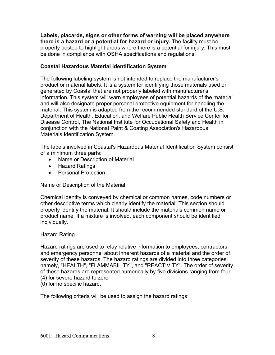**Labels, placards, signs or other forms of warning will be placed anywhere there is a hazard or a potential for hazard or injury.** The facility must be properly posted to highlight areas where there is a potential for injury. This must be done in compliance with OSHA specifications and regulations.

#### **Coastal Hazardous Material Identification System**

The following labeling system is not intended to replace the manufacturer's product or material labels. It is a system for identifying those materials used or generated by Coastal that are not properly labeled with manufacturer's information. This system will warn employees of potential hazards of the material and will also designate proper personal protective equipment for handling the material. This system is adapted from the recommended standard of the U.S. Department of Health, Education, and Welfare Public Health Service Center for Disease Control, The National Institute for Occupational Safety and Health in conjunction with the National Paint & Coating Association's Hazardous Materials Identification System.

The labels involved in Coastal's Hazardous Material Identification System consist of a minimum three parts:

- Name or Description of Material
- Hazard Ratings
- Personal Protection

Name or Description of the Material

Chemical identity is conveyed by chemical or common names, code numbers or other descriptive terms which clearly identify the material. This section should properly identify the material. It should include the materials common name or product name. If a mixture is involved, each component should be identified individually.

#### Hazard Rating

Hazard ratings are used to relay relative information to employees, contractors, and emergency personnel about inherent hazards of a material and the order of severity of these hazards. The hazard ratings are divided into three categories, namely, "HEALTH", "FLAMMABILITY", and "REACTIVITY". The order of severity of these hazards are represented numerically by five divisions ranging from four

(4) for severe hazard to zero (0) for no specific hazard.

The following criteria will be used to assign the hazard ratings: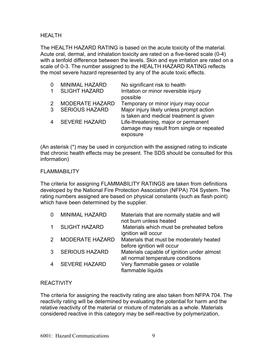#### HEALTH

The HEALTH HAZARD RATING is based on the acute toxicity of the material. Acute oral, dermal, and inhalation toxicity are rated on a five-tiered scale (0-4) with a tenfold difference between the levels. Skin and eye irritation are rated on a scale of 0-3. The number assigned to the HEALTH HAZARD RATING reflects the most severe hazard represented by any of the acute toxic effects.

| 0              | <b>MINIMAL HAZARD</b>  | No significant risk to health                                                                 |
|----------------|------------------------|-----------------------------------------------------------------------------------------------|
| 1              | <b>SLIGHT HAZARD</b>   | Irritation or minor reversible injury<br>possible                                             |
| $\overline{2}$ | <b>MODERATE HAZARD</b> | Temporary or minor injury may occur                                                           |
| 3              | <b>SERIOUS HAZARD</b>  | Major injury likely unless prompt action<br>is taken and medical treatment is given           |
| 4              | <b>SEVERE HAZARD</b>   | Life-threatening, major or permanent<br>damage may result from single or repeated<br>exposure |

(An asterisk (\*) may be used in conjunction with the assigned rating to indicate that chronic health effects may be present. The SDS should be consulted for this information)

#### FLAMMABILITY

The criteria for assigning FLAMMABILITY RATINGS are taken from definitions developed by the National Fire Protection Association (NFPA) 704 System. The rating numbers assigned are based on physical constants (such as flash point) which have been determined by the supplier.

| $\Omega$      | <b>MINIMAL HAZARD</b>  | Materials that are normally stable and will<br>not burn unless heated           |
|---------------|------------------------|---------------------------------------------------------------------------------|
| $\mathbf{1}$  | <b>SLIGHT HAZARD</b>   | Materials which must be preheated before<br>ignition will occur                 |
| $\mathcal{P}$ | <b>MODERATE HAZARD</b> | Materials that must be moderately heated<br>before ignition will occur          |
| 3             | <b>SERIOUS HAZARD</b>  | Materials capable of ignition under almost<br>all normal temperature conditions |
| 4             | <b>SEVERE HAZARD</b>   | Very flammable gases or volatile<br>flammable liquids                           |

#### **REACTIVITY**

The criteria for assigning the reactivity rating are also taken from NFPA 704. The reactivity rating will be determined by evaluating the potential for harm and the relative reactivity of the material or mixture of materials as a whole. Materials considered reactive in this category may be self-reactive by polymerization,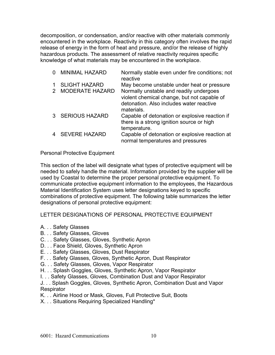decomposition, or condensation, and/or reactive with other materials commonly encountered in the workplace. Reactivity in this category often involves the rapid release of energy in the form of heat and pressure, and/or the release of highly hazardous products. The assessment of relative reactivity requires specific knowledge of what materials may be encountered in the workplace.

| <sup>0</sup>  | <b>MINIMAL HAZARD</b>  | Normally stable even under fire conditions; not<br>reactive                                                                                      |
|---------------|------------------------|--------------------------------------------------------------------------------------------------------------------------------------------------|
|               | <b>SLIGHT HAZARD</b>   | May become unstable under heat or pressure                                                                                                       |
| $\mathcal{P}$ | <b>MODERATE HAZARD</b> | Normally unstable and readily undergoes<br>violent chemical change, but not capable of<br>detonation. Also includes water reactive<br>materials. |
|               | 3 SERIOUS HAZARD       | Capable of detonation or explosive reaction if<br>there is a strong ignition source or high<br>temperature.                                      |
|               | 4 SEVERE HAZARD        | Capable of detonation or explosive reaction at<br>normal temperatures and pressures                                                              |

#### Personal Protective Equipment

This section of the label will designate what types of protective equipment will be needed to safely handle the material. Information provided by the supplier will be used by Coastal to determine the proper personal protective equipment. To communicate protective equipment information to the employees, the Hazardous Material Identification System uses letter designations keyed to specific combinations of protective equipment. The following table summarizes the letter designations of personal protective equipment:

## LETTER DESIGNATIONS OF PERSONAL PROTECTIVE EQUIPMENT

- A. . . Safety Glasses
- B. . . Safety Glasses, Gloves
- C. . . Safety Glasses, Gloves, Synthetic Apron
- D. . . Face Shield, Gloves, Synthetic Apron
- E. . . Safety Glasses, Gloves, Dust Respirator
- F. . . Safety Glasses, Gloves, Synthetic Apron, Dust Respirator
- G. . . Safety Glasses, Gloves, Vapor Respirator
- H. . . Splash Goggles, Gloves, Synthetic Apron, Vapor Respirator
- I. . . Safety Glasses, Gloves, Combination Dust and Vapor Respirator
- J. . . Splash Goggles, Gloves, Synthetic Apron, Combination Dust and Vapor **Respirator**
- K. . . Airline Hood or Mask, Gloves, Full Protective Suit, Boots
- X. . . Situations Requiring Specialized Handling\*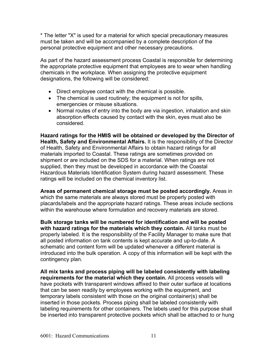\* The letter "X" is used for a material for which special precautionary measures must be taken and will be accompanied by a complete description of the personal protective equipment and other necessary precautions.

As part of the hazard assessment process Coastal is responsible for determining the appropriate protective equipment that employees are to wear when handling chemicals in the workplace. When assigning the protective equipment designations, the following will be considered:

- Direct employee contact with the chemical is possible.
- The chemical is used routinely; the equipment is not for spills, emergencies or misuse situations.
- Normal routes of entry into the body are via ingestion, inhalation and skin absorption effects caused by contact with the skin, eyes must also be considered.

**Hazard ratings for the HMIS will be obtained or developed by the Director of Health, Safety and Environmental Affairs.** It is the responsibility of the Director of Health, Safety and Environmental Affairs to obtain hazard ratings for all materials imported to Coastal. These ratings are sometimes provided on shipment or are included on the SDS for a material. When ratings are not supplied, then they must be developed in accordance with the Coastal Hazardous Materials Identification System during hazard assessment. These ratings will be included on the chemical inventory list.

**Areas of permanent chemical storage must be posted accordingly.** Areas in which the same materials are always stored must be properly posted with placards/labels and the appropriate hazard ratings. These areas include sections within the warehouse where formulation and recovery materials are stored.

**Bulk storage tanks will be numbered for identification and will be posted with hazard ratings for the materials which they contain.** All tanks must be properly labeled. It is the responsibility of the Facility Manager to make sure that all posted information on tank contents is kept accurate and up-to-date. A schematic and content form will be updated whenever a different material is introduced into the bulk operation. A copy of this information will be kept with the contingency plan.

**All mix tanks and process piping will be labeled consistently with labeling requirements for the material which they contain.** All process vessels will have pockets with transparent windows affixed to their outer surface at locations that can be seen readily by employees working with the equipment, and temporary labels consistent with those on the original container(s) shall be inserted in those pockets. Process piping shall be labeled consistently with labeling requirements for other containers. The labels used for this purpose shall be inserted into transparent protective pockets which shall be attached to or hung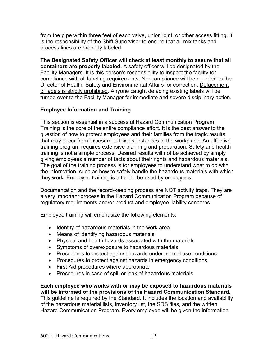from the pipe within three feet of each valve, union joint, or other access fitting. It is the responsibility of the Shift Supervisor to ensure that all mix tanks and process lines are properly labeled.

**The Designated Safety Officer will check at least monthly to assure that all containers are properly labeled.** A safety officer will be designated by the Facility Managers. It is this person's responsibility to inspect the facility for compliance with all labeling requirements. Noncompliance will be reported to the Director of Health, Safety and Environmental Affairs for correction. Defacement of labels is strictly prohibited. Anyone caught defacing existing labels will be turned over to the Facility Manager for immediate and severe disciplinary action.

## **Employee Information and Training**

This section is essential in a successful Hazard Communication Program. Training is the core of the entire compliance effort. It is the best answer to the question of how to protect employees and their families from the tragic results that may occur from exposure to toxic substances in the workplace. An effective training program requires extensive planning and preparation. Safety and health training is not a simple process. Desired results will not be achieved by simply giving employees a number of facts about their rights and hazardous materials. The goal of the training process is for employees to understand what to do with the information, such as how to safely handle the hazardous materials with which they work. Employee training is a tool to be used by employees.

Documentation and the record-keeping process are NOT activity traps. They are a very important process in the Hazard Communication Program because of regulatory requirements and/or product and employee liability concerns.

Employee training will emphasize the following elements:

- Identity of hazardous materials in the work area
- Means of identifying hazardous materials
- Physical and health hazards associated with the materials
- Symptoms of overexposure to hazardous materials
- Procedures to protect against hazards under normal use conditions
- Procedures to protect against hazards in emergency conditions
- First Aid procedures where appropriate
- Procedures in case of spill or leak of hazardous materials

**Each employee who works with or may be exposed to hazardous materials will be informed of the provisions of the Hazard Communication Standard.**  This guideline is required by the Standard. It includes the location and availability of the hazardous material lists, inventory list, the SDS files, and the written

Hazard Communication Program. Every employee will be given the information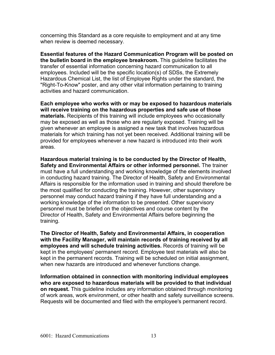concerning this Standard as a core requisite to employment and at any time when review is deemed necessary.

**Essential features of the Hazard Communication Program will be posted on the bulletin board in the employee breakroom.** This guideline facilitates the transfer of essential information concerning hazard communication to all employees. Included will be the specific location(s) of SDSs, the Extremely Hazardous Chemical List, the list of Employee Rights under the standard, the "Right-To-Know" poster, and any other vital information pertaining to training activities and hazard communication.

**Each employee who works with or may be exposed to hazardous materials will receive training on the hazardous properties and safe use of those materials.** Recipients of this training will include employees who occasionally may be exposed as well as those who are regularly exposed. Training will be given whenever an employee is assigned a new task that involves hazardous materials for which training has not yet been received. Additional training will be provided for employees whenever a new hazard is introduced into their work areas.

**Hazardous material training is to be conducted by the Director of Health, Safety and Environmental Affairs or other informed personnel.** The trainer must have a full understanding and working knowledge of the elements involved in conducting hazard training. The Director of Health, Safety and Environmental Affairs is responsible for the information used in training and should therefore be the most qualified for conducting the training. However, other supervisory personnel may conduct hazard training if they have full understanding and a working knowledge of the information to be presented. Other supervisory personnel must be briefed on the objectives and course content by the Director of Health, Safety and Environmental Affairs before beginning the training.

**The Director of Health, Safety and Environmental Affairs, in cooperation with the Facility Manager, will maintain records of training received by all employees and will schedule training activities.** Records of training will be kept in the employees' permanent record. Employee test materials will also be kept in the permanent records. Training will be scheduled on initial assignment, when new hazards are introduced and whenever functions change.

**Information obtained in connection with monitoring individual employees who are exposed to hazardous materials will be provided to that individual on request.** This guideline includes any information obtained through monitoring of work areas, work environment, or other health and safety surveillance screens. Requests will be documented and filed with the employee's permanent record.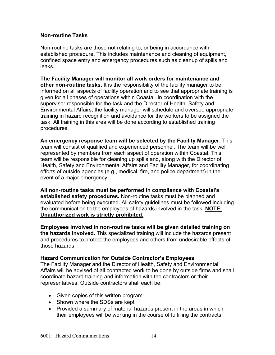#### **Non-routine Tasks**

Non-routine tasks are those not relating to, or being in accordance with established procedure. This includes maintenance and cleaning of equipment, confined space entry and emergency procedures such as cleanup of spills and leaks.

**The Facility Manager will monitor all work orders for maintenance and other non-routine tasks.** It is the responsibility of the facility manager to be informed on all aspects of facility operation and to see that appropriate training is given for all phases of operations within Coastal. In coordination with the supervisor responsible for the task and the Director of Health, Safety and Environmental Affairs, the facility manager will schedule and oversee appropriate training in hazard recognition and avoidance for the workers to be assigned the task. All training in this area will be done according to established training procedures.

**An emergency response team will be selected by the Facility Manager.** This team will consist of qualified and experienced personnel. The team will be well represented by members from each aspect of operation within Coastal. This team will be responsible for cleaning up spills and, along with the Director of Health, Safety and Environmental Affairs and Facility Manager, for coordinating efforts of outside agencies (e.g., medical, fire, and police department) in the event of a major emergency.

**All non-routine tasks must be performed in compliance with Coastal's established safety procedures.** Non-routine tasks must be planned and evaluated before being executed. All safety guidelines must be followed including the communication to the employees of hazards involved in the task. **NOTE: Unauthorized work is strictly prohibited.** 

**Employees involved in non-routine tasks will be given detailed training on the hazards involved.** This specialized training will include the hazards present and procedures to protect the employees and others from undesirable effects of those hazards.

#### **Hazard Communication for Outside Contractor's Employees**

The Facility Manager and the Director of Health, Safety and Environmental Affairs will be advised of all contracted work to be done by outside firms and shall coordinate hazard training and information with the contractors or their representatives. Outside contractors shall each be:

- Given copies of this written program
- Shown where the SDSs are kept
- Provided a summary of material hazards present in the areas in which their employees will be working in the course of fulfilling the contracts.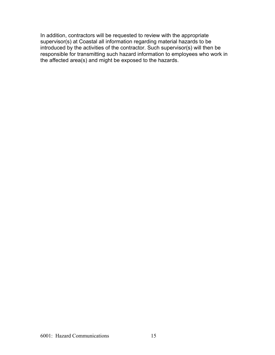In addition, contractors will be requested to review with the appropriate supervisor(s) at Coastal all information regarding material hazards to be introduced by the activities of the contractor. Such supervisor(s) will then be responsible for transmitting such hazard information to employees who work in the affected area(s) and might be exposed to the hazards.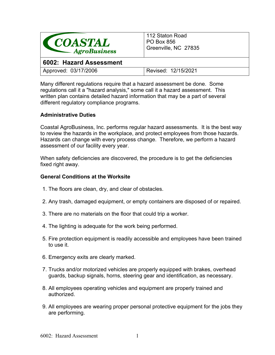

112 Staton Road PO Box 856 Greenville, NC 27835

## **6002: Hazard Assessment**

Approved: 03/17/2006 Revised: 12/15/2021

Many different regulations require that a hazard assessment be done. Some regulations call it a "hazard analysis," some call it a hazard assessment. This written plan contains detailed hazard information that may be a part of several different regulatory compliance programs.

## **Administrative Duties**

Coastal AgroBusiness, Inc. performs regular hazard assessments. It is the best way to review the hazards in the workplace, and protect employees from those hazards. Hazards can change with every process change. Therefore, we perform a hazard assessment of our facility every year.

When safety deficiencies are discovered, the procedure is to get the deficiencies fixed right away.

## **General Conditions at the Worksite**

- 1. The floors are clean, dry, and clear of obstacles.
- 2. Any trash, damaged equipment, or empty containers are disposed of or repaired.
- 3. There are no materials on the floor that could trip a worker.
- 4. The lighting is adequate for the work being performed.
- 5. Fire protection equipment is readily accessible and employees have been trained to use it.
- 6. Emergency exits are clearly marked.
- 7. Trucks and/or motorized vehicles are properly equipped with brakes, overhead guards, backup signals, horns, steering gear and identification, as necessary.
- 8. All employees operating vehicles and equipment are properly trained and authorized.
- 9. All employees are wearing proper personal protective equipment for the jobs they are performing.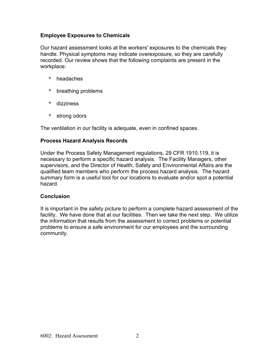## **Employee Exposures to Chemicals**

Our hazard assessment looks at the workers' exposures to the chemicals they handle. Physical symptoms may indicate overexposure, so they are carefully recorded. Our review shows that the following complaints are present in the workplace:

- \* headaches
- \* breathing problems
- \* dizziness
- \* strong odors

The ventilation in our facility is adequate, even in confined spaces.

#### **Process Hazard Analysis Records**

Under the Process Safety Management regulations, 29 CFR 1910.119, it is necessary to perform a specific hazard analysis. The Facility Managers, other supervisors, and the Director of Health, Safety and Environmental Affairs are the qualified team members who perform the process hazard analysis. The hazard summary form is a useful tool for our locations to evaluate and/or spot a potential hazard.

#### **Conclusion**

It is important in the safety picture to perform a complete hazard assessment of the facility. We have done that at our facilities. Then we take the next step. We utilize the information that results from the assessment to correct problems or potential problems to ensure a safe environment for our employees and the surrounding community.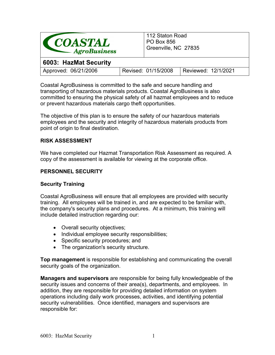

112 Staton Road PO Box 856 Greenville, NC 27835

# **6003: HazMat Security**

| Approved: 06/21/2006 | Revised: 01/15/2008 | Reviewed: 12/1/2021 |
|----------------------|---------------------|---------------------|
|----------------------|---------------------|---------------------|

Coastal AgroBusiness is committed to the safe and secure handling and transporting of hazardous materials products. Coastal AgroBusiness is also committed to ensuring the physical safety of all hazmat employees and to reduce or prevent hazardous materials cargo theft opportunities.

The objective of this plan is to ensure the safety of our hazardous materials employees and the security and integrity of hazardous materials products from point of origin to final destination.

#### **RISK ASSESSMENT**

We have completed our Hazmat Transportation Risk Assessment as required. A copy of the assessment is available for viewing at the corporate office.

#### **PERSONNEL SECURITY**

#### **Security Training**

Coastal AgroBusiness will ensure that all employees are provided with security training. All employees will be trained in, and are expected to be familiar with, the company's security plans and procedures. At a minimum, this training will include detailed instruction regarding our:

- Overall security objectives;
- Individual employee security responsibilities;
- Specific security procedures; and
- The organization's security structure.

**Top management** is responsible for establishing and communicating the overall security goals of the organization.

**Managers and supervisors** are responsible for being fully knowledgeable of the security issues and concerns of their area(s), departments, and employees. In addition, they are responsible for providing detailed information on system operations including daily work processes, activities, and identifying potential security vulnerabilities. Once identified, managers and supervisors are responsible for: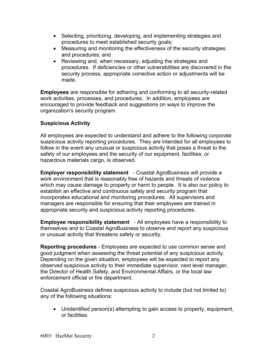- Selecting, prioritizing, developing, and implementing strategies and procedures to meet established security goals;
- Measuring and monitoring the effectiveness of the security strategies and procedures; and
- Reviewing and, when necessary, adjusting the strategies and procedures. If deficiencies or other vulnerabilities are discovered in the security process, appropriate corrective action or adjustments will be made.

**Employees** are responsible for adhering and conforming to all security-related work activities, processes, and procedures. In addition, employees are encouraged to provide feedback and suggestions on ways to improve the organization's security program.

## **Suspicious Activity**

All employees are expected to understand and adhere to the following corporate suspicious activity reporting procedures. They are intended for all employees to follow in the event any unusual or suspicious activity that poses a threat to the safety of our employees and the security of our equipment, facilities, or hazardous materials cargo, is observed.

**Employer responsibility statement** - Coastal AgroBusiness will provide a work environment that is reasonably free of hazards and threats of violence which may cause damage to property or harm to people. It is also our policy to establish an effective and continuous safety and security program that incorporates educational and monitoring procedures. All supervisors and managers are responsible for ensuring that their employees are trained in appropriate security and suspicious activity reporting procedures.

**Employee responsibility statement** - All employees have a responsibility to themselves and to Coastal AgroBusiness to observe and report any suspicious or unusual activity that threatens safety or security.

**Reporting procedures** - Employees are expected to use common sense and good judgment when assessing the threat potential of any suspicious activity. Depending on the given situation, employees will be expected to report any observed suspicious activity to their immediate supervisor, next level manager, the Director of Health Safety, and Environmental Affairs, or the local law enforcement official or fire department.

Coastal AgroBusiness defines suspicious activity to include (but not limited to) any of the following situations:

 Unidentified person(s) attempting to gain access to property, equipment, or facilities.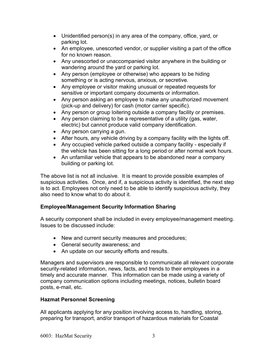- Unidentified person(s) in any area of the company, office, yard, or parking lot.
- An employee, unescorted vendor, or supplier visiting a part of the office for no known reason.
- Any unescorted or unaccompanied visitor anywhere in the building or wandering around the yard or parking lot.
- Any person (employee or otherwise) who appears to be hiding something or is acting nervous, anxious, or secretive.
- Any employee or visitor making unusual or repeated requests for sensitive or important company documents or information.
- Any person asking an employee to make any unauthorized movement (pick-up and delivery) for cash (motor carrier specific).
- Any person or group loitering outside a company facility or premises.
- Any person claiming to be a representative of a utility (gas, water, electric) but cannot produce valid company identification.
- Any person carrying a gun.
- After hours, any vehicle driving by a company facility with the lights off.
- Any occupied vehicle parked outside a company facility especially if the vehicle has been sitting for a long period or after normal work hours.
- An unfamiliar vehicle that appears to be abandoned near a company building or parking lot.

The above list is not all inclusive. It is meant to provide possible examples of suspicious activities. Once, and if, a suspicious activity is identified, the next step is to act. Employees not only need to be able to identify suspicious activity, they also need to know what to do about it.

# **Employee/Management Security Information Sharing**

A security component shall be included in every employee/management meeting. Issues to be discussed include:

- New and current security measures and procedures;
- General security awareness; and
- An update on our security efforts and results.

Managers and supervisors are responsible to communicate all relevant corporate security-related information, news, facts, and trends to their employees in a timely and accurate manner. This information can be made using a variety of company communication options including meetings, notices, bulletin board posts, e-mail, etc.

# **Hazmat Personnel Screening**

All applicants applying for any position involving access to, handling, storing, preparing for transport, and/or transport of hazardous materials for Coastal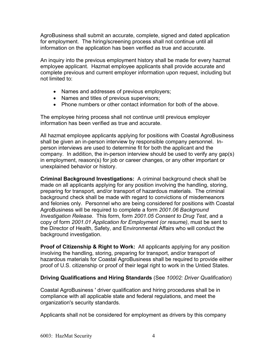AgroBusiness shall submit an accurate, complete, signed and dated application for employment. The hiring/screening process shall not continue until all information on the application has been verified as true and accurate.

An inquiry into the previous employment history shall be made for every hazmat employee applicant. Hazmat employee applicants shall provide accurate and complete previous and current employer information upon request, including but not limited to:

- Names and addresses of previous employers;
- Names and titles of previous supervisors;
- Phone numbers or other contact information for both of the above.

The employee hiring process shall not continue until previous employer information has been verified as true and accurate.

All hazmat employee applicants applying for positions with Coastal AgroBusiness shall be given an in-person interview by responsible company personnel. Inperson interviews are used to determine fit for both the applicant and the company. In addition, the in-person interview should be used to verify any gap(s) in employment, reason(s) for job or career changes, or any other important or unexplained behavior or history.

**Criminal Background Investigations:** A criminal background check shall be made on all applicants applying for any position involving the handling, storing, preparing for transport, and/or transport of hazardous materials. The criminal background check shall be made with regard to convictions of misdemeanors and felonies only. Personnel who are being considered for positions with Coastal AgroBusiness will be required to complete a form *2001.06 Background Investigation Release*. This form, form *2001.05 Consent to Drug Test*, and a copy of form *2001.01 Application for Employment (or resume)*, must be sent to the Director of Health, Safety, and Environmental Affairs who will conduct the background investigation.

**Proof of Citizenship & Right to Work:** All applicants applying for any position involving the handling, storing, preparing for transport, and/or transport of hazardous materials for Coastal AgroBusiness shall be required to provide either proof of U.S. citizenship or proof of their legal right to work in the Untied States.

## **Driving Qualifications and Hiring Standards** (See *10002: Driver Qualification*)

Coastal AgroBusiness ' driver qualification and hiring procedures shall be in compliance with all applicable state and federal regulations, and meet the organization's security standards.

Applicants shall not be considered for employment as drivers by this company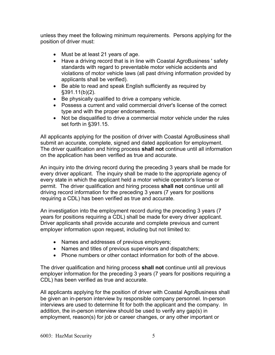unless they meet the following minimum requirements. Persons applying for the position of driver must:

- Must be at least 21 years of age.
- Have a driving record that is in line with Coastal AgroBusiness 'safety standards with regard to preventable motor vehicle accidents and violations of motor vehicle laws (all past driving information provided by applicants shall be verified).
- Be able to read and speak English sufficiently as required by §391.11(b)(2).
- Be physically qualified to drive a company vehicle.
- Possess a current and valid commercial driver's license of the correct type and with the proper endorsements.
- Not be disqualified to drive a commercial motor vehicle under the rules set forth in §391.15.

All applicants applying for the position of driver with Coastal AgroBusiness shall submit an accurate, complete, signed and dated application for employment. The driver qualification and hiring process **shall not** continue until all information on the application has been verified as true and accurate.

An inquiry into the driving record during the preceding 3 years shall be made for every driver applicant. The inquiry shall be made to the appropriate agency of every state in which the applicant held a motor vehicle operator's license or permit. The driver qualification and hiring process **shall not** continue until all driving record information for the preceding 3 years (7 years for positions requiring a CDL) has been verified as true and accurate.

An investigation into the employment record during the preceding 3 years (7 years for positions requiring a CDL) shall be made for every driver applicant. Driver applicants shall provide accurate and complete previous and current employer information upon request, including but not limited to:

- Names and addresses of previous employers;
- Names and titles of previous supervisors and dispatchers;
- Phone numbers or other contact information for both of the above.

The driver qualification and hiring process **shall not** continue until all previous employer information for the preceding 3 years (7 years for positions requiring a CDL) has been verified as true and accurate.

All applicants applying for the position of driver with Coastal AgroBusiness shall be given an in-person interview by responsible company personnel. In-person interviews are used to determine fit for both the applicant and the company. In addition, the in-person interview should be used to verify any gap(s) in employment, reason(s) for job or career changes, or any other important or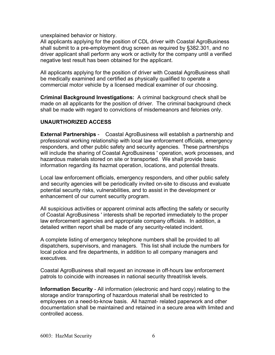unexplained behavior or history.

All applicants applying for the position of CDL driver with Coastal AgroBusiness shall submit to a pre-employment drug screen as required by §382.301, and no driver applicant shall perform any work or activity for the company until a verified negative test result has been obtained for the applicant.

All applicants applying for the position of driver with Coastal AgroBusiness shall be medically examined and certified as physically qualified to operate a commercial motor vehicle by a licensed medical examiner of our choosing.

**Criminal Background Investigations:** A criminal background check shall be made on all applicants for the position of driver. The criminal background check shall be made with regard to convictions of misdemeanors and felonies only.

## **UNAURTHORIZED ACCESS**

**External Partnerships** - Coastal AgroBusiness will establish a partnership and professional working relationship with local law enforcement officials, emergency responders, and other public safety and security agencies. These partnerships will include the sharing of Coastal AgroBusiness ' operation, work processes, and hazardous materials stored on site or transported. We shall provide basic information regarding its hazmat operation, locations, and potential threats.

Local law enforcement officials, emergency responders, and other public safety and security agencies will be periodically invited on-site to discuss and evaluate potential security risks, vulnerabilities, and to assist in the development or enhancement of our current security program.

All suspicious activities or apparent criminal acts affecting the safety or security of Coastal AgroBusiness ' interests shall be reported immediately to the proper law enforcement agencies and appropriate company officials. In addition, a detailed written report shall be made of any security-related incident.

A complete listing of emergency telephone numbers shall be provided to all dispatchers, supervisors, and managers. This list shall include the numbers for local police and fire departments, in addition to all company managers and executives.

Coastal AgroBusiness shall request an increase in off-hours law enforcement patrols to coincide with increases in national security threat/risk levels.

**Information Security** - All information (electronic and hard copy) relating to the storage and/or transporting of hazardous material shall be restricted to employees on a need-to-know basis. All hazmat- related paperwork and other documentation shall be maintained and retained in a secure area with limited and controlled access.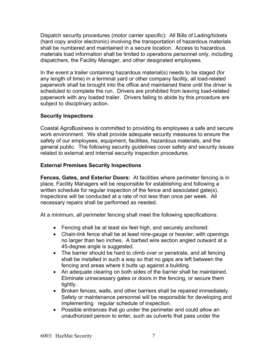Dispatch security procedures (motor carrier specific): All Bills of Lading/tickets (hard copy and/or electronic) involving the transportation of hazardous materials shall be numbered and maintained in a secure location. Access to hazardous materials load information shall be limited to operations personnel only, including dispatchers, the Facility Manager, and other designated employees.

In the event a trailer containing hazardous material(s) needs to be staged (for any length of time) in a terminal yard or other company facility, all load-related paperwork shall be brought into the office and maintained there until the driver is scheduled to complete the run. Drivers are prohibited from leaving load-related paperwork with any loaded trailer. Drivers failing to abide by this procedure are subject to disciplinary action.

## **Security Inspections**

Coastal AgroBusiness is committed to providing its employees a safe and secure work environment. We shall provide adequate security measures to ensure the safety of our employees, equipment, facilities, hazardous materials, and the general public. The following security guidelines cover safety and security issues related to external and internal security inspection procedures.

## **External Premises Security Inspections**

**Fences, Gates, and Exterior Doors:** At facilities where perimeter fencing is in place, Facility Managers will be responsible for establishing and following a written schedule for regular inspection of the fence and associated gate(s). Inspections will be conducted at a rate of not less than once per week. All necessary repairs shall be performed as needed.

At a minimum, all perimeter fencing shall meet the following specifications:

- Fencing shall be at least six feet high, and securely anchored.
- Chain-link fence shall be at least nine-gauge or heavier, with openings no larger than two inches. A barbed wire section angled outward at a 45-degree angle is suggested.
- The barrier should be hard to climb over or penetrate, and all fencing shall be installed in such a way so that no gaps are left between the fencing and areas where it butts up against a building.
- An adequate clearing on both sides of the barrier shall be maintained. Eliminate unnecessary gates or doors in the fencing, or secure them tightly.
- Broken fences, walls, and other barriers shall be repaired immediately. Safety or maintenance personnel will be responsible for developing and implementing regular schedule of inspection.
- Possible entrances that go under the perimeter and could allow an unauthorized person to enter, such as culverts that pass under the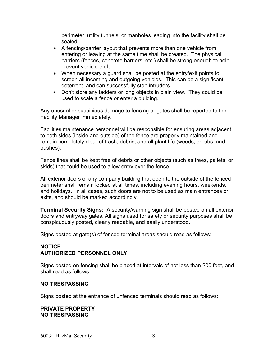perimeter, utility tunnels, or manholes leading into the facility shall be sealed.

- A fencing/barrier layout that prevents more than one vehicle from entering or leaving at the same time shall be created. The physical barriers (fences, concrete barriers, etc.) shall be strong enough to help prevent vehicle theft.
- When necessary a guard shall be posted at the entry/exit points to screen all incoming and outgoing vehicles. This can be a significant deterrent, and can successfully stop intruders.
- Don't store any ladders or long objects in plain view. They could be used to scale a fence or enter a building.

Any unusual or suspicious damage to fencing or gates shall be reported to the Facility Manager immediately.

Facilities maintenance personnel will be responsible for ensuring areas adjacent to both sides (inside and outside) of the fence are properly maintained and remain completely clear of trash, debris, and all plant life (weeds, shrubs, and bushes).

Fence lines shall be kept free of debris or other objects (such as trees, pallets, or skids) that could be used to allow entry over the fence.

All exterior doors of any company building that open to the outside of the fenced perimeter shall remain locked at all times, including evening hours, weekends, and holidays. In all cases, such doors are not to be used as main entrances or exits, and should be marked accordingly.

**Terminal Security Signs:** A security/warning sign shall be posted on all exterior doors and entryway gates. All signs used for safety or security purposes shall be conspicuously posted, clearly readable, and easily understood.

Signs posted at gate(s) of fenced terminal areas should read as follows:

#### **NOTICE AUTHORIZED PERSONNEL ONLY**

Signs posted on fencing shall be placed at intervals of not less than 200 feet, and shall read as follows:

#### **NO TRESPASSING**

Signs posted at the entrance of unfenced terminals should read as follows:

#### **PRIVATE PROPERTY NO TRESPASSING**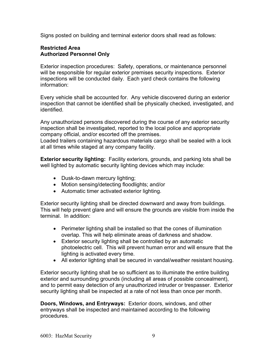Signs posted on building and terminal exterior doors shall read as follows:

#### **Restricted Area Authorized Personnel Only**

Exterior inspection procedures: Safety, operations, or maintenance personnel will be responsible for regular exterior premises security inspections. Exterior inspections will be conducted daily. Each yard check contains the following information:

Every vehicle shall be accounted for. Any vehicle discovered during an exterior inspection that cannot be identified shall be physically checked, investigated, and identified.

Any unauthorized persons discovered during the course of any exterior security inspection shall be investigated, reported to the local police and appropriate company official, and/or escorted off the premises.

Loaded trailers containing hazardous materials cargo shall be sealed with a lock at all times while staged at any company facility.

**Exterior security lighting:** Facility exteriors, grounds, and parking lots shall be well lighted by automatic security lighting devices which may include:

- Dusk-to-dawn mercury lighting;
- Motion sensing/detecting floodlights; and/or
- Automatic timer activated exterior lighting.

Exterior security lighting shall be directed downward and away from buildings. This will help prevent glare and will ensure the grounds are visible from inside the terminal. In addition:

- Perimeter lighting shall be installed so that the cones of illumination overlap. This will help eliminate areas of darkness and shadow.
- Exterior security lighting shall be controlled by an automatic photoelectric cell. This will prevent human error and will ensure that the lighting is activated every time.
- All exterior lighting shall be secured in vandal/weather resistant housing.

Exterior security lighting shall be so sufficient as to illuminate the entire building exterior and surrounding grounds (including all areas of possible concealment), and to permit easy detection of any unauthorized intruder or trespasser. Exterior security lighting shall be inspected at a rate of not less than once per month.

**Doors, Windows, and Entryways:** Exterior doors, windows, and other entryways shall be inspected and maintained according to the following procedures.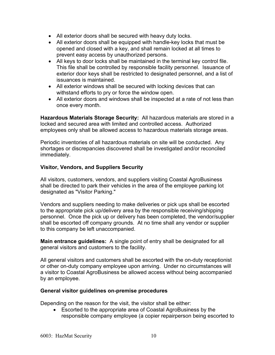- All exterior doors shall be secured with heavy duty locks.
- All exterior doors shall be equipped with handle-key locks that must be opened and closed with a key, and shall remain locked at all times to prevent easy access by unauthorized persons.
- All keys to door locks shall be maintained in the terminal key control file. This file shall be controlled by responsible facility personnel. Issuance of exterior door keys shall be restricted to designated personnel, and a list of issuances is maintained.
- All exterior windows shall be secured with locking devices that can withstand efforts to pry or force the window open.
- All exterior doors and windows shall be inspected at a rate of not less than once every month.

**Hazardous Materials Storage Security:** All hazardous materials are stored in a locked and secured area with limited and controlled access. Authorized employees only shall be allowed access to hazardous materials storage areas.

Periodic inventories of all hazardous materials on site will be conducted. Any shortages or discrepancies discovered shall be investigated and/or reconciled immediately.

## **Visitor, Vendors, and Suppliers Security**

All visitors, customers, vendors, and suppliers visiting Coastal AgroBusiness shall be directed to park their vehicles in the area of the employee parking lot designated as "Visitor Parking."

Vendors and suppliers needing to make deliveries or pick ups shall be escorted to the appropriate pick up/delivery area by the responsible receiving/shipping personnel. Once the pick up or delivery has been completed, the vendor/supplier shall be escorted off company grounds. At no time shall any vendor or supplier to this company be left unaccompanied.

**Main entrance guidelines:** A single point of entry shall be designated for all general visitors and customers to the facility.

All general visitors and customers shall be escorted with the on-duty receptionist or other on-duty company employee upon arriving. Under no circumstances will a visitor to Coastal AgroBusiness be allowed access without being accompanied by an employee.

#### **General visitor guidelines on-premise procedures**

Depending on the reason for the visit, the visitor shall be either:

 Escorted to the appropriate area of Coastal AgroBusiness by the responsible company employee (a copier repairperson being escorted to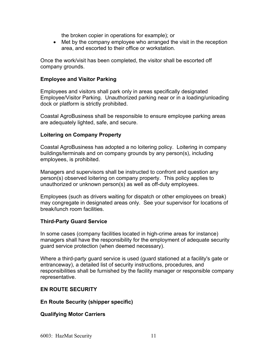the broken copier in operations for example); or

• Met by the company employee who arranged the visit in the reception area, and escorted to their office or workstation.

Once the work/visit has been completed, the visitor shall be escorted off company grounds.

#### **Employee and Visitor Parking**

Employees and visitors shall park only in areas specifically designated Employee/Visitor Parking. Unauthorized parking near or in a loading/unloading dock or platform is strictly prohibited.

Coastal AgroBusiness shall be responsible to ensure employee parking areas are adequately lighted, safe, and secure.

#### **Loitering on Company Property**

Coastal AgroBusiness has adopted a no loitering policy. Loitering in company buildings/terminals and on company grounds by any person(s), including employees, is prohibited.

Managers and supervisors shall be instructed to confront and question any person(s) observed loitering on company property. This policy applies to unauthorized or unknown person(s) as well as off-duty employees.

Employees (such as drivers waiting for dispatch or other employees on break) may congregate in designated areas only. See your supervisor for locations of break/lunch room facilities.

## **Third-Party Guard Service**

In some cases (company facilities located in high-crime areas for instance) managers shall have the responsibility for the employment of adequate security guard service protection (when deemed necessary).

Where a third-party guard service is used (guard stationed at a facility's gate or entranceway), a detailed list of security instructions, procedures, and responsibilities shall be furnished by the facility manager or responsible company representative.

#### **EN ROUTE SECURITY**

## **En Route Security (shipper specific)**

## **Qualifying Motor Carriers**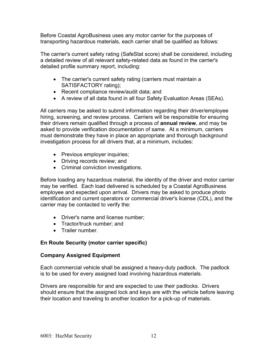Before Coastal AgroBusiness uses any motor carrier for the purposes of transporting hazardous materials, each carrier shall be qualified as follows:

The carrier's current safety rating (SafeStat score) shall be considered, including a detailed review of all relevant safety-related data as found in the carrier's detailed profile summary report, including:

- The carrier's current safety rating (carriers must maintain a SATISFACTORY rating);
- Recent compliance review/audit data; and
- A review of all data found in all four Safety Evaluation Areas (SEAs).

All carriers may be asked to submit information regarding their driver/employee hiring, screening, and review process. Carriers will be responsible for ensuring their drivers remain qualified through a process of **annual review**, and may be asked to provide verification documentation of same. At a minimum, carriers must demonstrate they have in place an appropriate and thorough background investigation process for all drivers that, at a minimum, includes:

- Previous employer inquiries;
- Driving records review; and
- Criminal conviction investigations.

Before loading any hazardous material, the identity of the driver and motor carrier may be verified. Each load delivered is scheduled by a Coastal AgroBusiness employee and expected upon arrival. Drivers may be asked to produce photo identification and current operators or commercial driver's license (CDL), and the carrier may be contacted to verify the:

- Driver's name and license number:
- Tractor/truck number; and
- Trailer number.

## **En Route Security (motor carrier specific)**

#### **Company Assigned Equipment**

Each commercial vehicle shall be assigned a heavy-duty padlock. The padlock is to be used for every assigned load involving hazardous materials.

Drivers are responsible for and are expected to use their padlocks. Drivers should ensure that the assigned lock and keys are with the vehicle before leaving their location and traveling to another location for a pick-up of materials.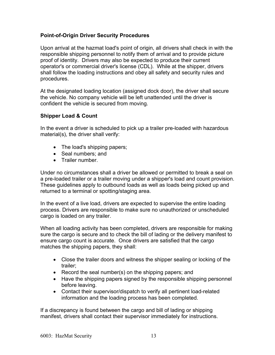## **Point-of-Origin Driver Security Procedures**

Upon arrival at the hazmat load's point of origin, all drivers shall check in with the responsible shipping personnel to notify them of arrival and to provide picture proof of identity. Drivers may also be expected to produce their current operator's or commercial driver's license (CDL). While at the shipper, drivers shall follow the loading instructions and obey all safety and security rules and procedures.

At the designated loading location (assigned dock door), the driver shall secure the vehicle. No company vehicle will be left unattended until the driver is confident the vehicle is secured from moving.

## **Shipper Load & Count**

In the event a driver is scheduled to pick up a trailer pre-loaded with hazardous material(s), the driver shall verify:

- The load's shipping papers;
- Seal numbers: and
- Trailer number.

Under no circumstances shall a driver be allowed or permitted to break a seal on a pre-loaded trailer or a trailer moving under a shipper's load and count provision. These guidelines apply to outbound loads as well as loads being picked up and returned to a terminal or spotting/staging area.

In the event of a live load, drivers are expected to supervise the entire loading process. Drivers are responsible to make sure no unauthorized or unscheduled cargo is loaded on any trailer.

When all loading activity has been completed, drivers are responsible for making sure the cargo is secure and to check the bill of lading or the delivery manifest to ensure cargo count is accurate. Once drivers are satisfied that the cargo matches the shipping papers, they shall:

- Close the trailer doors and witness the shipper sealing or locking of the trailer;
- Record the seal number(s) on the shipping papers; and
- Have the shipping papers signed by the responsible shipping personnel before leaving.
- Contact their supervisor/dispatch to verify all pertinent load-related information and the loading process has been completed.

If a discrepancy is found between the cargo and bill of lading or shipping manifest, drivers shall contact their supervisor immediately for instructions.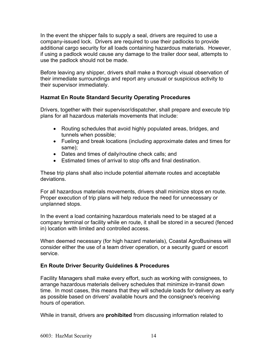In the event the shipper fails to supply a seal, drivers are required to use a company-issued lock. Drivers are required to use their padlocks to provide additional cargo security for all loads containing hazardous materials. However, if using a padlock would cause any damage to the trailer door seal, attempts to use the padlock should not be made.

Before leaving any shipper, drivers shall make a thorough visual observation of their immediate surroundings and report any unusual or suspicious activity to their supervisor immediately.

## **Hazmat En Route Standard Security Operating Procedures**

Drivers, together with their supervisor/dispatcher, shall prepare and execute trip plans for all hazardous materials movements that include:

- Routing schedules that avoid highly populated areas, bridges, and tunnels when possible;
- Fueling and break locations (including approximate dates and times for same);
- Dates and times of daily/routine check calls; and
- Estimated times of arrival to stop offs and final destination.

These trip plans shall also include potential alternate routes and acceptable deviations.

For all hazardous materials movements, drivers shall minimize stops en route. Proper execution of trip plans will help reduce the need for unnecessary or unplanned stops.

In the event a load containing hazardous materials need to be staged at a company terminal or facility while en route, it shall be stored in a secured (fenced in) location with limited and controlled access.

When deemed necessary (for high hazard materials), Coastal AgroBusiness will consider either the use of a team driver operation, or a security guard or escort service.

## **En Route Driver Security Guidelines & Procedures**

Facility Managers shall make every effort, such as working with consignees, to arrange hazardous materials delivery schedules that minimize in-transit down time. In most cases, this means that they will schedule loads for delivery as early as possible based on drivers' available hours and the consignee's receiving hours of operation.

While in transit, drivers are **prohibited** from discussing information related to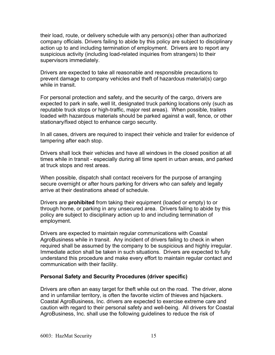their load, route, or delivery schedule with any person(s) other than authorized company officials. Drivers failing to abide by this policy are subject to disciplinary action up to and including termination of employment. Drivers are to report any suspicious activity (including load-related inquiries from strangers) to their supervisors immediately.

Drivers are expected to take all reasonable and responsible precautions to prevent damage to company vehicles and theft of hazardous material(s) cargo while in transit.

For personal protection and safety, and the security of the cargo, drivers are expected to park in safe, well lit, designated truck parking locations only (such as reputable truck stops or high-traffic, major rest areas). When possible, trailers loaded with hazardous materials should be parked against a wall, fence, or other stationary/fixed object to enhance cargo security.

In all cases, drivers are required to inspect their vehicle and trailer for evidence of tampering after each stop.

Drivers shall lock their vehicles and have all windows in the closed position at all times while in transit - especially during all time spent in urban areas, and parked at truck stops and rest areas.

When possible, dispatch shall contact receivers for the purpose of arranging secure overnight or after hours parking for drivers who can safely and legally arrive at their destinations ahead of schedule.

Drivers are **prohibited** from taking their equipment (loaded or empty) to or through home, or parking in any unsecured area. Drivers failing to abide by this policy are subject to disciplinary action up to and including termination of employment.

Drivers are expected to maintain regular communications with Coastal AgroBusiness while in transit. Any incident of drivers failing to check in when required shall be assumed by the company to be suspicious and highly irregular. Immediate action shall be taken in such situations. Drivers are expected to fully understand this procedure and make every effort to maintain regular contact and communication with their facility.

## **Personal Safety and Security Procedures (driver specific)**

Drivers are often an easy target for theft while out on the road. The driver, alone and in unfamiliar territory, is often the favorite victim of thieves and hijackers. Coastal AgroBusiness, Inc. drivers are expected to exercise extreme care and caution with regard to their personal safety and well-being. All drivers for Coastal AgroBusiness, Inc. shall use the following guidelines to reduce the risk of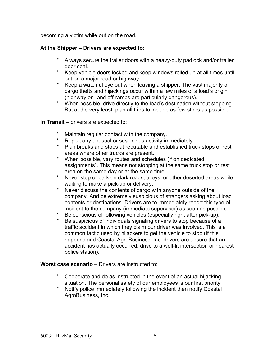becoming a victim while out on the road.

#### **At the Shipper – Drivers are expected to:**

- \* Always secure the trailer doors with a heavy-duty padlock and/or trailer door seal.
- \* Keep vehicle doors locked and keep windows rolled up at all times until out on a major road or highway.
- \* Keep a watchful eye out when leaving a shipper. The vast majority of cargo thefts and hijackings occur within a few miles of a load's origin (highway on- and off-ramps are particularly dangerous).
- \* When possible, drive directly to the load's destination without stopping. But at the very least, plan all trips to include as few stops as possible.

**In Transit** – drivers are expected to:

- \* Maintain regular contact with the company.<br>\* Penert any unusual or suspicious activity im
- Report any unusual or suspicious activity immediately.
- \* Plan breaks and stops at reputable and established truck stops or rest areas where other trucks are present.
- \* When possible, vary routes and schedules (if on dedicated assignments). This means not stopping at the same truck stop or rest area on the same day or at the same time.
- \* Never stop or park on dark roads, alleys, or other deserted areas while waiting to make a pick-up or delivery.
- \* Never discuss the contents of cargo with anyone outside of the company. And be extremely suspicious of strangers asking about load contents or destinations. Drivers are to immediately report this type of incident to the company (immediate supervisor) as soon as possible.
- \* Be conscious of following vehicles (especially right after pick-up).
- Be suspicious of individuals signaling drivers to stop because of a traffic accident in which they claim our driver was involved. This is a common tactic used by hijackers to get the vehicle to stop (If this happens and Coastal AgroBusiness, Inc. drivers are unsure that an accident has actually occurred, drive to a well-lit intersection or nearest police station).

#### **Worst case scenario** – Drivers are instructed to:

- Cooperate and do as instructed in the event of an actual hijacking situation. The personal safety of our employees is our first priority.
- \* Notify police immediately following the incident then notify Coastal AgroBusiness, Inc.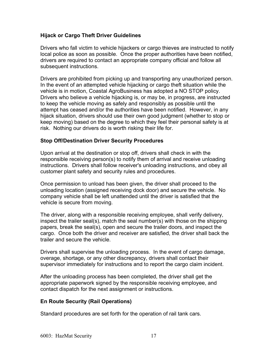#### **Hijack or Cargo Theft Driver Guidelines**

Drivers who fall victim to vehicle hijackers or cargo thieves are instructed to notify local police as soon as possible. Once the proper authorities have been notified, drivers are required to contact an appropriate company official and follow all subsequent instructions.

Drivers are prohibited from picking up and transporting any unauthorized person. In the event of an attempted vehicle hijacking or cargo theft situation while the vehicle is in motion, Coastal AgroBusiness has adopted a NO STOP policy. Drivers who believe a vehicle hijacking is, or may be, in progress, are instructed to keep the vehicle moving as safely and responsibly as possible until the attempt has ceased and/or the authorities have been notified. However, in any hijack situation, drivers should use their own good judgment (whether to stop or keep moving) based on the degree to which they feel their personal safety is at risk. Nothing our drivers do is worth risking their life for.

#### **Stop Off/Destination Driver Security Procedures**

Upon arrival at the destination or stop off, drivers shall check in with the responsible receiving person(s) to notify them of arrival and receive unloading instructions. Drivers shall follow receiver's unloading instructions, and obey all customer plant safety and security rules and procedures.

Once permission to unload has been given, the driver shall proceed to the unloading location (assigned receiving dock door) and secure the vehicle. No company vehicle shall be left unattended until the driver is satisfied that the vehicle is secure from moving.

The driver, along with a responsible receiving employee, shall verify delivery, inspect the trailer seal(s), match the seal number(s) with those on the shipping papers, break the seal(s), open and secure the trailer doors, and inspect the cargo. Once both the driver and receiver are satisfied, the driver shall back the trailer and secure the vehicle.

Drivers shall supervise the unloading process. In the event of cargo damage, overage, shortage, or any other discrepancy, drivers shall contact their supervisor immediately for instructions and to report the cargo claim incident.

After the unloading process has been completed, the driver shall get the appropriate paperwork signed by the responsible receiving employee, and contact dispatch for the next assignment or instructions.

## **En Route Security (Rail Operations)**

Standard procedures are set forth for the operation of rail tank cars.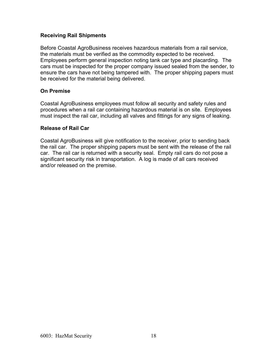#### **Receiving Rail Shipments**

Before Coastal AgroBusiness receives hazardous materials from a rail service, the materials must be verified as the commodity expected to be received. Employees perform general inspection noting tank car type and placarding. The cars must be inspected for the proper company issued sealed from the sender, to ensure the cars have not being tampered with. The proper shipping papers must be received for the material being delivered.

#### **On Premise**

Coastal AgroBusiness employees must follow all security and safety rules and procedures when a rail car containing hazardous material is on site. Employees must inspect the rail car, including all valves and fittings for any signs of leaking.

#### **Release of Rail Car**

Coastal AgroBusiness will give notification to the receiver, prior to sending back the rail car. The proper shipping papers must be sent with the release of the rail car. The rail car is returned with a security seal. Empty rail cars do not pose a significant security risk in transportation. A log is made of all cars received and/or released on the premise.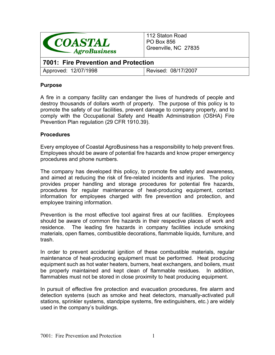

112 Staton Road PO Box 856 Greenville, NC 27835

## **7001: Fire Prevention and Protection**

Approved: 12/07/1998 Revised: 08/17/2007

#### **Purpose**

A fire in a company facility can endanger the lives of hundreds of people and destroy thousands of dollars worth of property. The purpose of this policy is to promote the safety of our facilities, prevent damage to company property, and to comply with the Occupational Safety and Health Administration (OSHA) Fire Prevention Plan regulation (29 CFR 1910.39).

#### **Procedures**

Every employee of Coastal AgroBusiness has a responsibility to help prevent fires. Employees should be aware of potential fire hazards and know proper emergency procedures and phone numbers.

The company has developed this policy, to promote fire safety and awareness, and aimed at reducing the risk of fire-related incidents and injuries. The policy provides proper handling and storage procedures for potential fire hazards, procedures for regular maintenance of heat-producing equipment, contact information for employees charged with fire prevention and protection, and employee training information.

Prevention is the most effective tool against fires at our facilities. Employees should be aware of common fire hazards in their respective places of work and residence. The leading fire hazards in company facilities include smoking materials, open flames, combustible decorations, flammable liquids, furniture, and trash.

In order to prevent accidental ignition of these combustible materials, regular maintenance of heat-producing equipment must be performed. Heat producing equipment such as hot water heaters, burners, heat exchangers, and boilers, must be properly maintained and kept clean of flammable residues. In addition, flammables must not be stored in close proximity to heat producing equipment.

In pursuit of effective fire protection and evacuation procedures, fire alarm and detection systems (such as smoke and heat detectors, manually-activated pull stations, sprinkler systems, standpipe systems, fire extinguishers, etc.) are widely used in the company's buildings.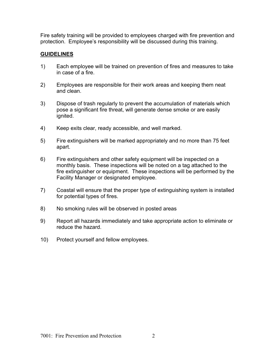Fire safety training will be provided to employees charged with fire prevention and protection. Employee's responsibility will be discussed during this training.

#### **GUIDELINES**

- 1) Each employee will be trained on prevention of fires and measures to take in case of a fire.
- 2) Employees are responsible for their work areas and keeping them neat and clean.
- 3) Dispose of trash regularly to prevent the accumulation of materials which pose a significant fire threat, will generate dense smoke or are easily ignited.
- 4) Keep exits clear, ready accessible, and well marked.
- 5) Fire extinguishers will be marked appropriately and no more than 75 feet apart.
- 6) Fire extinguishers and other safety equipment will be inspected on a monthly basis. These inspections will be noted on a tag attached to the fire extinguisher or equipment. These inspections will be performed by the Facility Manager or designated employee.
- 7) Coastal will ensure that the proper type of extinguishing system is installed for potential types of fires.
- 8) No smoking rules will be observed in posted areas
- 9) Report all hazards immediately and take appropriate action to eliminate or reduce the hazard.
- 10) Protect yourself and fellow employees.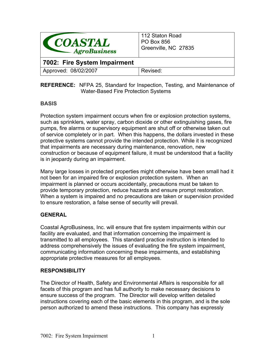

112 Staton Road PO Box 856 Greenville, NC 27835

# **7002: Fire System Impairment**

Approved: 08/02/2007 | Revised:

**REFERENCE:** NFPA 25, Standard for Inspection, Testing, and Maintenance of Water-Based Fire Protection Systems

## **BASIS**

Protection system impairment occurs when fire or explosion protection systems, such as sprinklers, water spray, carbon dioxide or other extinguishing gases, fire pumps, fire alarms or supervisory equipment are shut off or otherwise taken out of service completely or in part. When this happens, the dollars invested in these protective systems cannot provide the intended protection. While it is recognized that impairments are necessary during maintenance, renovation, new construction or because of equipment failure, it must be understood that a facility is in jeopardy during an impairment.

Many large losses in protected properties might otherwise have been small had it not been for an impaired fire or explosion protection system. When an impairment is planned or occurs accidentally, precautions must be taken to provide temporary protection, reduce hazards and ensure prompt restoration. When a system is impaired and no precautions are taken or supervision provided to ensure restoration, a false sense of security will prevail.

## **GENERAL**

Coastal AgroBusiness, Inc. will ensure that fire system impairments within our facility are evaluated, and that information concerning the impairment is transmitted to all employees. This standard practice instruction is intended to address comprehensively the issues of evaluating the fire system impairment, communicating information concerning these impairments, and establishing appropriate protective measures for all employees.

## **RESPONSIBILITY**

The Director of Health, Safety and Environmental Affairs is responsible for all facets of this program and has full authority to make necessary decisions to ensure success of the program. The Director will develop written detailed instructions covering each of the basic elements in this program, and is the sole person authorized to amend these instructions. This company has expressly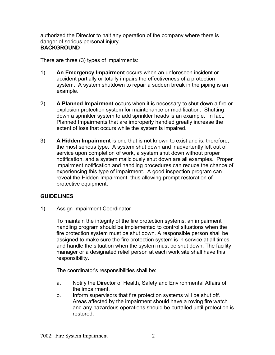authorized the Director to halt any operation of the company where there is danger of serious personal injury.

## **BACKGROUND**

There are three (3) types of impairments:

- 1) **An Emergency Impairment** occurs when an unforeseen incident or accident partially or totally impairs the effectiveness of a protection system. A system shutdown to repair a sudden break in the piping is an example.
- 2) **A Planned Impairment** occurs when it is necessary to shut down a fire or explosion protection system for maintenance or modification. Shutting down a sprinkler system to add sprinkler heads is an example. In fact, Planned Impairments that are improperly handled greatly increase the extent of loss that occurs while the system is impaired.
- 3) **A Hidden Impairment** is one that is not known to exist and is, therefore, the most serious type. A system shut down and inadvertently left out of service upon completion of work, a system shut down without proper notification, and a system maliciously shut down are all examples. Proper impairment notification and handling procedures can reduce the chance of experiencing this type of impairment. A good inspection program can reveal the Hidden Impairment, thus allowing prompt restoration of protective equipment.

# **GUIDELINES**

1) Assign Impairment Coordinator

To maintain the integrity of the fire protection systems, an impairment handling program should be implemented to control situations when the fire protection system must be shut down. A responsible person shall be assigned to make sure the fire protection system is in service at all times and handle the situation when the system must be shut down. The facility manager or a designated relief person at each work site shall have this responsibility.

The coordinator's responsibilities shall be:

- a. Notify the Director of Health, Safety and Environmental Affairs of the impairment.
- b. Inform supervisors that fire protection systems will be shut off. Areas affected by the impairment should have a roving fire watch and any hazardous operations should be curtailed until protection is restored.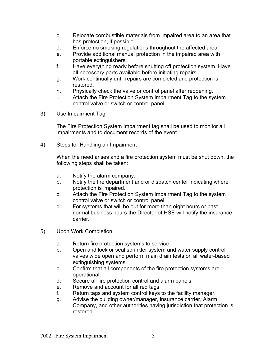- c. Relocate combustible materials from impaired area to an area that has protection, if possible.
- d. Enforce no smoking regulations throughout the affected area.
- e. Provide additional manual protection in the impaired area with portable extinguishers.
- f. Have everything ready before shutting off protection system. Have all necessary parts available before initiating repairs.
- g. Work continually until repairs are completed and protection is restored.
- h. Physically check the valve or control panel after reopening.
- i. Attach the Fire Protection System Impairment Tag to the system control valve or switch or control panel.
- 3) Use Impairment Tag

The Fire Protection System Impairment tag shall be used to monitor all impairments and to document records of the event.

4) Steps for Handling an Impairment

When the need arises and a fire protection system must be shut down, the following steps shall be taken:

- a. Notify the alarm company.
- b. Notify the fire department and or dispatch center indicating where protection is impaired.
- c. Attach the Fire Protection System Impairment Tag to the system control valve or switch or control panel.
- d. For systems that will be out for more than eight hours or past normal business hours the Director of HSE will notify the insurance carrier.
- 5) Upon Work Completion
	- a. Return fire protection systems to service
	- b. Open and lock or seal sprinkler system and water supply control valves wide open and perform main drain tests on all water-based extinguishing systems.
	- c. Confirm that all components of the fire protection systems are operational.
	- d. Secure all fire protection control and alarm panels.
	- e. Remove and account for all red tags.
	- f. Return tags and system control keys to the facility manager.
	- g. Advise the building owner/manager, insurance carrier, Alarm Company, and other authorities having jurisdiction that protection is restored.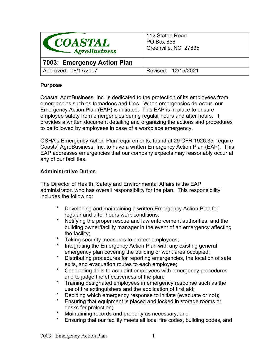

112 Staton Road PO Box 856 Greenville, NC 27835

# **7003: Emergency Action Plan**

Approved: 08/17/2007 Revised: 12/15/2021

#### **Purpose**

Coastal AgroBusiness, Inc. is dedicated to the protection of its employees from emergencies such as tornadoes and fires. When emergencies do occur, our Emergency Action Plan (EAP) is initiated. This EAP is in place to ensure employee safety from emergencies during regular hours and after hours. It provides a written document detailing and organizing the actions and procedures to be followed by employees in case of a workplace emergency.

OSHA's Emergency Action Plan requirements, found at 29 CFR 1926.35, require Coastal AgroBusiness, Inc. to have a written Emergency Action Plan (EAP). This EAP addresses emergencies that our company expects may reasonably occur at any of our facilities.

#### **Administrative Duties**

The Director of Health, Safety and Environmental Affairs is the EAP administrator, who has overall responsibility for the plan. This responsibility includes the following:

- \* Developing and maintaining a written Emergency Action Plan for regular and after hours work conditions;
- \* Notifying the proper rescue and law enforcement authorities, and the building owner/facility manager in the event of an emergency affecting the facility;
- \* Taking security measures to protect employees;<br>\* Integrating the Emergency Action Plan with any
- Integrating the Emergency Action Plan with any existing general emergency plan covering the building or work area occupied;
- \* Distributing procedures for reporting emergencies, the location of safe exits, and evacuation routes to each employee;
- \* Conducting drills to acquaint employees with emergency procedures and to judge the effectiveness of the plan;
- \* Training designated employees in emergency response such as the use of fire extinguishers and the application of first aid;
- \* Deciding which emergency response to initiate (evacuate or not);<br>\* Ensuring that equipment is placed and locked in storage rooms or
- Ensuring that equipment is placed and locked in storage rooms or desks for protection;
- \* Maintaining records and property as necessary; and
- \* Ensuring that our facility meets all local fire codes, building codes, and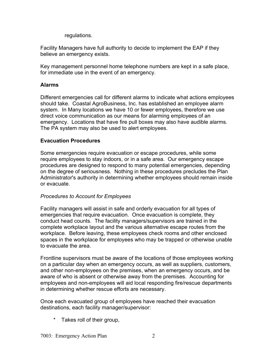regulations.

Facility Managers have full authority to decide to implement the EAP if they believe an emergency exists.

Key management personnel home telephone numbers are kept in a safe place, for immediate use in the event of an emergency.

#### **Alarms**

Different emergencies call for different alarms to indicate what actions employees should take. Coastal AgroBusiness, Inc. has established an employee alarm system. In Many locations we have 10 or fewer employees, therefore we use direct voice communication as our means for alarming employees of an emergency. Locations that have fire pull boxes may also have audible alarms. The PA system may also be used to alert employees.

#### **Evacuation Procedures**

Some emergencies require evacuation or escape procedures, while some require employees to stay indoors, or in a safe area. Our emergency escape procedures are designed to respond to many potential emergencies, depending on the degree of seriousness. Nothing in these procedures precludes the Plan Administrator's authority in determining whether employees should remain inside or evacuate.

#### *Procedures to Account for Employees*

Facility managers will assist in safe and orderly evacuation for all types of emergencies that require evacuation. Once evacuation is complete, they conduct head counts. The facility managers/supervisors are trained in the complete workplace layout and the various alternative escape routes from the workplace. Before leaving, these employees check rooms and other enclosed spaces in the workplace for employees who may be trapped or otherwise unable to evacuate the area.

Frontline supervisors must be aware of the locations of those employees working on a particular day when an emergency occurs, as well as suppliers, customers, and other non-employees on the premises, when an emergency occurs, and be aware of who is absent or otherwise away from the premises. Accounting for employees and non-employees will aid local responding fire/rescue departments in determining whether rescue efforts are necessary.

Once each evacuated group of employees have reached their evacuation destinations, each facility manager/supervisor:

Takes roll of their group,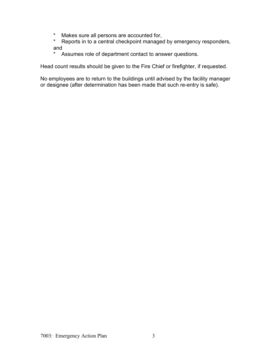- \* Makes sure all persons are accounted for,<br>\* Reports in to a central checknoint manage
- Reports in to a central checkpoint managed by emergency responders, and
- \* Assumes role of department contact to answer questions.

Head count results should be given to the Fire Chief or firefighter, if requested.

No employees are to return to the buildings until advised by the facility manager or designee (after determination has been made that such re-entry is safe).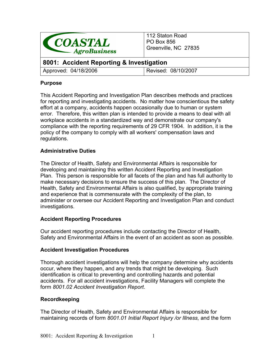

# **8001: Accident Reporting & Investigation**

Approved: 04/18/2006 Revised: 08/10/2007

#### **Purpose**

This Accident Reporting and Investigation Plan describes methods and practices for reporting and investigating accidents. No matter how conscientious the safety effort at a company, accidents happen occasionally due to human or system error. Therefore, this written plan is intended to provide a means to deal with all workplace accidents in a standardized way and demonstrate our company's compliance with the reporting requirements of 29 CFR 1904. In addition, it is the policy of the company to comply with all workers' compensation laws and regulations.

# **Administrative Duties**

The Director of Health, Safety and Environmental Affairs is responsible for developing and maintaining this written Accident Reporting and Investigation Plan. This person is responsible for all facets of the plan and has full authority to make necessary decisions to ensure the success of this plan. The Director of Health, Safety and Environmental Affairs is also qualified, by appropriate training and experience that is commensurate with the complexity of the plan, to administer or oversee our Accident Reporting and Investigation Plan and conduct investigations.

# **Accident Reporting Procedures**

Our accident reporting procedures include contacting the Director of Health, Safety and Environmental Affairs in the event of an accident as soon as possible.

# **Accident Investigation Procedures**

Thorough accident investigations will help the company determine why accidents occur, where they happen, and any trends that might be developing. Such identification is critical to preventing and controlling hazards and potential accidents. For all accident investigations, Facility Managers will complete the form *8001.02 Accident Investigation Report*.

# **Recordkeeping**

The Director of Health, Safety and Environmental Affairs is responsible for maintaining records of form *8001.01 Initial Report Injury /or Illness,* and the form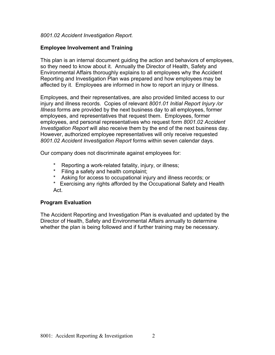#### *8001.02 Accident Investigation Report.*

# **Employee Involvement and Training**

This plan is an internal document guiding the action and behaviors of employees, so they need to know about it. Annually the Director of Health, Safety and Environmental Affairs thoroughly explains to all employees why the Accident Reporting and Investigation Plan was prepared and how employees may be affected by it. Employees are informed in how to report an injury or illness.

Employees, and their representatives, are also provided limited access to our injury and illness records. Copies of relevant *8001.01 Initial Report Injury /or Illness* forms are provided by the next business day to all employees, former employees, and representatives that request them. Employees, former employees, and personal representatives who request form *8001.02 Accident Investigation Report* will also receive them by the end of the next business day. However, authorized employee representatives will only receive requested *8001.02 Accident Investigation Report* forms within seven calendar days.

Our company does not discriminate against employees for:

- \* Reporting a work-related fatality, injury, or illness;
- \* Filing a safety and health complaint;
- \* Asking for access to occupational injury and illness records; or

\* Exercising any rights afforded by the Occupational Safety and Health Act.

#### **Program Evaluation**

The Accident Reporting and Investigation Plan is evaluated and updated by the Director of Health, Safety and Environmental Affairs annually to determine whether the plan is being followed and if further training may be necessary.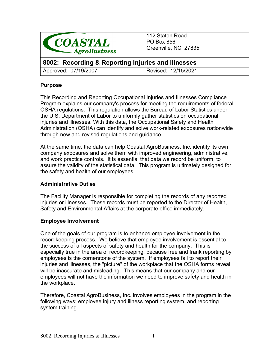

# **8002: Recording & Reporting Injuries and Illnesses**

| Approved: 07/19/2007 | Revised: 12/15/2021 |
|----------------------|---------------------|
|                      |                     |

#### **Purpose**

This Recording and Reporting Occupational Injuries and Illnesses Compliance Program explains our company's process for meeting the requirements of federal OSHA regulations. This regulation allows the Bureau of Labor Statistics under the U.S. Department of Labor to uniformly gather statistics on occupational injuries and illnesses. With this data, the Occupational Safety and Health Administration (OSHA) can identify and solve work-related exposures nationwide through new and revised regulations and guidance.

At the same time, the data can help Coastal AgroBusiness, Inc. identify its own company exposures and solve them with improved engineering, administrative, and work practice controls. It is essential that data we record be uniform, to assure the validity of the statistical data. This program is ultimately designed for the safety and health of our employees.

# **Administrative Duties**

The Facility Manager is responsible for completing the records of any reported injuries or illnesses. These records must be reported to the Director of Health, Safety and Environmental Affairs at the corporate office immediately.

# **Employee Involvement**

One of the goals of our program is to enhance employee involvement in the recordkeeping process. We believe that employee involvement is essential to the success of all aspects of safety and health for the company. This is especially true in the area of recordkeeping, because free and frank reporting by employees is the cornerstone of the system. If employees fail to report their injuries and illnesses, the "picture" of the workplace that the OSHA forms reveal will be inaccurate and misleading. This means that our company and our employees will not have the information we need to improve safety and health in the workplace.

Therefore, Coastal AgroBusiness, Inc. involves employees in the program in the following ways: employee injury and illness reporting system, and reporting system training.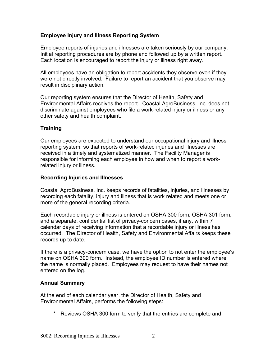# **Employee Injury and Illness Reporting System**

Employee reports of injuries and illnesses are taken seriously by our company. Initial reporting procedures are by phone and followed up by a written report. Each location is encouraged to report the injury or illness right away.

All employees have an obligation to report accidents they observe even if they were not directly involved. Failure to report an accident that you observe may result in disciplinary action.

Our reporting system ensures that the Director of Health, Safety and Environmental Affairs receives the report. Coastal AgroBusiness, Inc. does not discriminate against employees who file a work-related injury or illness or any other safety and health complaint.

# **Training**

Our employees are expected to understand our occupational injury and illness reporting system, so that reports of work-related injuries and illnesses are received in a timely and systematized manner. The Facility Manager is responsible for informing each employee in how and when to report a workrelated injury or illness.

# **Recording Injuries and Illnesses**

Coastal AgroBusiness, Inc. keeps records of fatalities, injuries, and illnesses by recording each fatality, injury and illness that is work related and meets one or more of the general recording criteria.

Each recordable injury or illness is entered on OSHA 300 form, OSHA 301 form, and a separate, confidential list of privacy-concern cases, if any, within 7 calendar days of receiving information that a recordable injury or illness has occurred. The Director of Health, Safety and Environmental Affairs keeps these records up to date.

If there is a privacy-concern case, we have the option to not enter the employee's name on OSHA 300 form. Instead, the employee ID number is entered where the name is normally placed. Employees may request to have their names not entered on the log.

# **Annual Summary**

At the end of each calendar year, the Director of Health, Safety and Environmental Affairs, performs the following steps:

\* Reviews OSHA 300 form to verify that the entries are complete and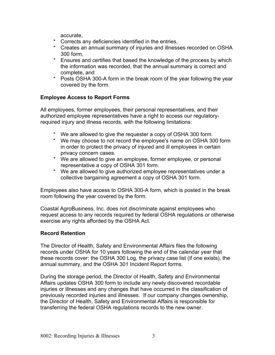accurate,

- \* Corrects any deficiencies identified in the entries,
- \* Creates an annual summary of injuries and illnesses recorded on OSHA 300 form,
- \* Ensures and certifies that based the knowledge of the process by which the information was recorded, that the annual summary is correct and complete, and
- \* Posts OSHA 300-A form in the break room of the year following the year covered by the form.

# **Employee Access to Report Forms**

All employees, former employees, their personal representatives, and their authorized employee representatives have a right to access our regulatoryrequired injury and illness records, with the following limitations:

- \* We are allowed to give the requester a copy of OSHA 300 form.
- \* We may choose to not record the employee's name on OSHA 300 form in order to protect the privacy of injured and ill employees in certain privacy concern cases.
- \* We are allowed to give an employee, former employee, or personal representative a copy of OSHA 301 form.
- \* We are allowed to give authorized employee representatives under a collective bargaining agreement a copy of OSHA 301 form.

Employees also have access to OSHA 300-A form, which is posted in the break room following the year covered by the form.

Coastal AgroBusiness, Inc. does not discriminate against employees who request access to any records required by federal OSHA regulations or otherwise exercise any rights afforded by the OSHA Act.

#### **Record Retention**

The Director of Health, Safety and Environmental Affairs files the following records under OSHA for 10 years following the end of the calendar year that these records cover: the OSHA 300 Log, the privacy case list (if one exists), the annual summary, and the OSHA 301 Incident Report forms.

During the storage period, the Director of Health, Safety and Environmental Affairs updates OSHA 300 form to include any newly discovered recordable injuries or illnesses and any changes that have occurred in the classification of previously recorded injuries and illnesses. If our company changes ownership, the Director of Health, Safety and Environmental Affairs is responsible for transferring the federal OSHA regulations records to the new owner.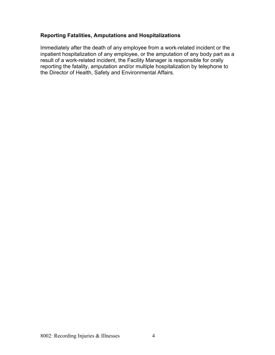# **Reporting Fatalities, Amputations and Hospitalizations**

Immediately after the death of any employee from a work-related incident or the inpatient hospitalization of any employee, or the amputation of any body part as a result of a work-related incident, the Facility Manager is responsible for orally reporting the fatality, amputation and/or multiple hospitalization by telephone to the Director of Health, Safety and Environmental Affairs.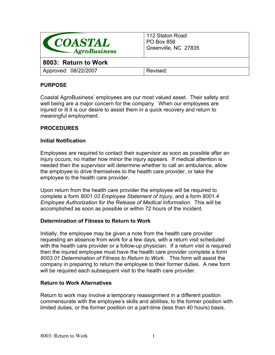

# **8003: Return to Work**

Approved: 08/22/2007 | Revised:

# **PURPOSE**

Coastal AgroBusiness' employees are our most valued asset. Their safety and well being are a major concern for the company. When our employees are injured or ill it is our desire to assist them in a quick recovery and return to meaningful employment.

# **PROCEDURES**

# **Initial Notification**

Employees are required to contact their supervisor as soon as possible after an injury occurs; no matter how minor the injury appears. If medical attention is needed then the supervisor will determine whether to call an ambulance, allow the employee to drive themselves to the health care provider, or take the employee to the health care provider.

Upon return from the health care provider the employee will be required to complete a form *8001.03 Employee Statement of Injury*, and a form *8001.4 Employee Authorization for the Release of Medical Information*. This will be accomplished as soon as possible or within 72 hours of the incident.

# **Determination of Fitness to Return to Work**

Initially, the employee may be given a note from the health care provider requesting an absence from work for a few days, with a return visit scheduled with the health care provider or a follow-up physician. If a return visit is required then the injured employee must have the health care provider complete a form *8003.01 Determination of Fitness to Return to Work*. This form will assist the company in preparing to return the employee to their former duties. A new form will be required each subsequent visit to the health care provider.

# **Return to Work Alternatives**

Return to work may involve a temporary reassignment in a different position commensurate with the employee's skills and abilities, to the former position with limited duties, or the former position on a part-time (less than 40 hours) basis.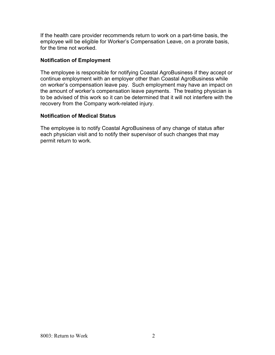If the health care provider recommends return to work on a part-time basis, the employee will be eligible for Worker's Compensation Leave, on a prorate basis, for the time not worked.

#### **Notification of Employment**

The employee is responsible for notifying Coastal AgroBusiness if they accept or continue employment with an employer other than Coastal AgroBusiness while on worker's compensation leave pay. Such employment may have an impact on the amount of worker's compensation leave payments. The treating physician is to be advised of this work so it can be determined that it will not interfere with the recovery from the Company work-related injury.

# **Notification of Medical Status**

The employee is to notify Coastal AgroBusiness of any change of status after each physician visit and to notify their supervisor of such changes that may permit return to work.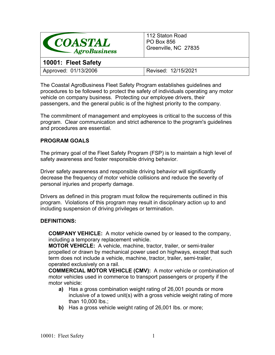

# **10001: Fleet Safety**

Approved: 01/13/2006 Revised: 12/15/2021

The Coastal AgroBusiness Fleet Safety Program establishes guidelines and procedures to be followed to protect the safety of individuals operating any motor vehicle on company business. Protecting our employee drivers, their passengers, and the general public is of the highest priority to the company.

The commitment of management and employees is critical to the success of this program. Clear communication and strict adherence to the program's guidelines and procedures are essential.

# **PROGRAM GOALS**

The primary goal of the Fleet Safety Program (FSP) is to maintain a high level of safety awareness and foster responsible driving behavior.

Driver safety awareness and responsible driving behavior will significantly decrease the frequency of motor vehicle collisions and reduce the severity of personal injuries and property damage.

Drivers as defined in this program must follow the requirements outlined in this program. Violations of this program may result in disciplinary action up to and including suspension of driving privileges or termination.

# **DEFINITIONS:**

 **COMPANY VEHICLE:** A motor vehicle owned by or leased to the company, including a temporary replacement vehicle.

 **MOTOR VEHICLE:** A vehicle, machine, tractor, trailer, or semi-trailer propelled or drawn by mechanical power used on highways, except that such term does not include a vehicle, machine, tractor, trailer, semi-trailer, operated exclusively on a rail.

 **COMMERCIAL MOTOR VEHICLE (CMV):** A motor vehicle or combination of motor vehicles used in commerce to transport passengers or property if the motor vehicle:

- **a)** Has a gross combination weight rating of 26,001 pounds or more inclusive of a towed unit(s) with a gross vehicle weight rating of more than 10,000 lbs.;
- **b)** Has a gross vehicle weight rating of 26,001 lbs. or more;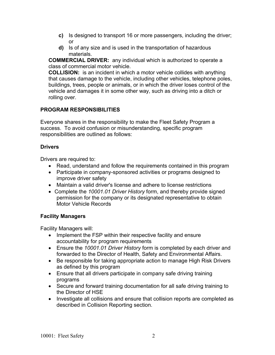- **c)** Is designed to transport 16 or more passengers, including the driver; or
- **d)** Is of any size and is used in the transportation of hazardous materials.

 **COMMERCIAL DRIVER:** any individual which is authorized to operate a class of commercial motor vehicle.

 **COLLISION:** is an incident in which a motor vehicle collides with anything that causes damage to the vehicle, including other vehicles, telephone poles, buildings, trees, people or animals, or in which the driver loses control of the vehicle and damages it in some other way, such as driving into a ditch or rolling over.

# **PROGRAM RESPONSIBILITIES**

Everyone shares in the responsibility to make the Fleet Safety Program a success. To avoid confusion or misunderstanding, specific program responsibilities are outlined as follows:

# **Drivers**

Drivers are required to:

- Read, understand and follow the requirements contained in this program
- Participate in company-sponsored activities or programs designed to improve driver safety
- Maintain a valid driver's license and adhere to license restrictions
- Complete the *10001.01 Driver History* form, and thereby provide signed permission for the company or its designated representative to obtain Motor Vehicle Records

# **Facility Managers**

Facility Managers will:

- Implement the FSP within their respective facility and ensure accountability for program requirements
- Ensure the *10001.01 Driver History* form is completed by each driver and forwarded to the Director of Health, Safety and Environmental Affairs.
- Be responsible for taking appropriate action to manage High Risk Drivers as defined by this program
- Ensure that all drivers participate in company safe driving training programs
- Secure and forward training documentation for all safe driving training to the Director of HSE
- Investigate all collisions and ensure that collision reports are completed as described in Collision Reporting section.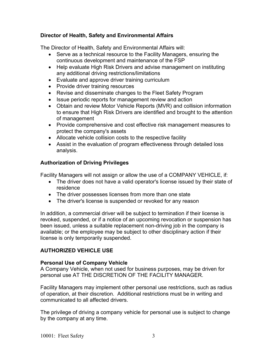# **Director of Health, Safety and Environmental Affairs**

The Director of Health, Safety and Environmental Affairs will:

- Serve as a technical resource to the Facility Managers, ensuring the continuous development and maintenance of the FSP
- Help evaluate High Risk Drivers and advise management on instituting any additional driving restrictions/limitations
- Evaluate and approve driver training curriculum
- Provide driver training resources
- Revise and disseminate changes to the Fleet Safety Program
- Issue periodic reports for management review and action
- Obtain and review Motor Vehicle Reports (MVR) and collision information to ensure that High Risk Drivers are identified and brought to the attention of management
- Provide comprehensive and cost effective risk management measures to protect the company's assets
- Allocate vehicle collision costs to the respective facility
- Assist in the evaluation of program effectiveness through detailed loss analysis.

# **Authorization of Driving Privileges**

Facility Managers will not assign or allow the use of a COMPANY VEHICLE, if:

- The driver does not have a valid operator's license issued by their state of residence
- The driver possesses licenses from more than one state
- The driver's license is suspended or revoked for any reason

In addition, a commercial driver will be subject to termination if their license is revoked, suspended, or if a notice of an upcoming revocation or suspension has been issued, unless a suitable replacement non-driving job in the company is available; or the employee may be subject to other disciplinary action if their license is only temporarily suspended.

# **AUTHORIZED VEHICLE USE**

#### **Personal Use of Company Vehicle**

A Company Vehicle, when not used for business purposes, may be driven for personal use AT THE DISCRETION OF THE FACILITY MANAGER.

Facility Managers may implement other personal use restrictions, such as radius of operation, at their discretion. Additional restrictions must be in writing and communicated to all affected drivers.

The privilege of driving a company vehicle for personal use is subject to change by the company at any time.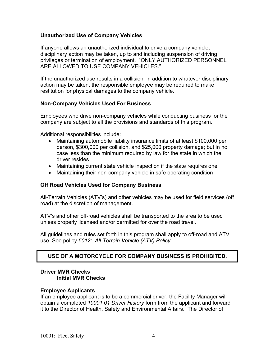### **Unauthorized Use of Company Vehicles**

If anyone allows an unauthorized individual to drive a company vehicle, disciplinary action may be taken, up to and including suspension of driving privileges or termination of employment. "ONLY AUTHORIZED PERSONNEL ARE ALLOWED TO USE COMPANY VEHICLES."

If the unauthorized use results in a collision, in addition to whatever disciplinary action may be taken, the responsible employee may be required to make restitution for physical damages to the company vehicle.

#### **Non-Company Vehicles Used For Business**

Employees who drive non-company vehicles while conducting business for the company are subject to all the provisions and standards of this program.

Additional responsibilities include:

- Maintaining automobile liability insurance limits of at least \$100,000 per person, \$300,000 per collision, and \$25,000 property damage; but in no case less than the minimum required by law for the state in which the driver resides
- Maintaining current state vehicle inspection if the state requires one
- Maintaining their non-company vehicle in safe operating condition

# **Off Road Vehicles Used for Company Business**

All-Terrain Vehicles (ATV's) and other vehicles may be used for field services (off road) at the discretion of management.

ATV's and other off-road vehicles shall be transported to the area to be used unless properly licensed and/or permitted for over the road travel.

All guidelines and rules set forth in this program shall apply to off-road and ATV use. See policy *5012: All-Terrain Vehicle (ATV) Policy*

# **USE OF A MOTORCYCLE FOR COMPANY BUSINESS IS PROHIBITED.**

# **Driver MVR Checks Initial MVR Checks**

#### **Employee Applicants**

If an employee applicant is to be a commercial driver, the Facility Manager will obtain a completed *10001.01 Driver History* form from the applicant and forward it to the Director of Health, Safety and Environmental Affairs. The Director of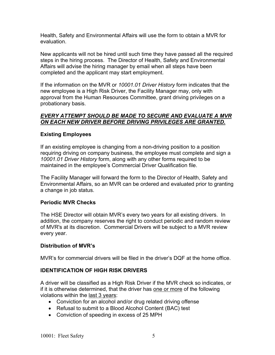Health, Safety and Environmental Affairs will use the form to obtain a MVR for evaluation.

New applicants will not be hired until such time they have passed all the required steps in the hiring process. The Director of Health, Safety and Environmental Affairs will advise the hiring manager by email when all steps have been completed and the applicant may start employment.

If the information on the MVR or *10001.01 Driver History* form indicates that the new employee is a High Risk Driver, the Facility Manager may, only with approval from the Human Resources Committee, grant driving privileges on a probationary basis.

#### *EVERY ATTEMPT SHOULD BE MADE TO SECURE AND EVALUATE A MVR ON EACH NEW DRIVER BEFORE DRIVING PRIVILEGES ARE GRANTED.*

# **Existing Employees**

If an existing employee is changing from a non-driving position to a position requiring driving on company business, the employee must complete and sign a *10001.01 Driver History* form, along with any other forms required to be maintained in the employee's Commercial Driver Qualification file.

 The Facility Manager will forward the form to the Director of Health, Safety and Environmental Affairs, so an MVR can be ordered and evaluated prior to granting a change in job status.

# **Periodic MVR Checks**

The HSE Director will obtain MVR's every two years for all existing drivers. In addition, the company reserves the right to conduct periodic and random review of MVR's at its discretion. Commercial Drivers will be subject to a MVR review every year.

# **Distribution of MVR's**

MVR's for commercial drivers will be filed in the driver's DQF at the home office.

# **IDENTIFICATION OF HIGH RISK DRIVERS**

A driver will be classified as a High Risk Driver if the MVR check so indicates, or if it is otherwise determined, that the driver has one or more of the following violations within the last 3 years:

- Conviction for an alcohol and/or drug related driving offense
- Refusal to submit to a Blood Alcohol Content (BAC) test
- Conviction of speeding in excess of 25 MPH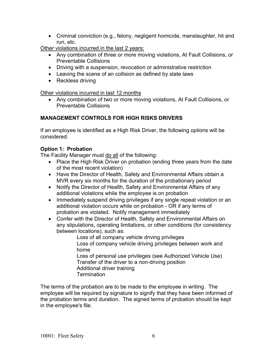Criminal conviction (e.g., felony, negligent homicide, manslaughter, hit and run, etc.

Other violations incurred in the last 2 years:

- Any combination of three or more moving violations, At Fault Collisions, or Preventable Collisions
- Driving with a suspension, revocation or administrative restriction
- Leaving the scene of an collision as defined by state laws
- Reckless driving

Other violations incurred in last 12 months

 Any combination of two or more moving violations, At Fault Collisions, or Preventable Collisions

# **MANAGEMENT CONTROLS FOR HIGH RISKS DRIVERS**

If an employee is identified as a High Risk Driver, the following options will be considered:

# **Option 1: Probation**

The Facility Manager must do all of the following:

- Place the High Risk Driver on probation (ending three years from the date of the most recent violation)
- Have the Director of Health, Safety and Environmental Affairs obtain a MVR every six months for the duration of the probationary period
- Notify the Director of Health, Safety and Environmental Affairs of any additional violations while the employee is on probation
- Immediately suspend driving privileges if any single repeat violation or an additional violation occurs while on probation - OR if any terms of probation are violated. Notify management immediately
- Confer with the Director of Health, Safety and Environmental Affairs on any stipulations, operating limitations, or other conditions (for consistency between locations), such as:

 Loss of all company vehicle driving privileges Loss of company vehicle driving privileges between work and home Loss of personal use privileges (see Authorized Vehicle Use) Transfer of the driver to a non-driving position

Additional driver training

**Termination** 

The terms of the probation are to be made to the employee in writing. The employee will be required by signature to signify that they have been informed of the probation terms and duration. The signed terms of probation should be kept in the employee's file.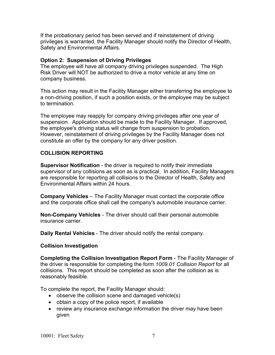If the probationary period has been served and if reinstatement of driving privileges is warranted, the Facility Manager should notify the Director of Health, Safety and Environmental Affairs.

#### **Option 2: Suspension of Driving Privileges**

The employee will have all company driving privileges suspended. The High Risk Driver will NOT be authorized to drive a motor vehicle at any time on company business.

This action may result in the Facility Manager either transferring the employee to a non-driving position, if such a position exists, or the employee may be subject to termination.

The employee may reapply for company driving privileges after one year of suspension. Application should be made to the Facility Manager. If approved, the employee's driving status will change from suspension to probation. However, reinstatement of driving privileges by the Facility Manager does not constitute an offer by the company for any driver position.

# **COLLISION REPORTING**

**Supervisor Notification** - the driver is required to notify their immediate supervisor of any collisions as soon as is practical. In addition, Facility Managers are responsible for reporting all collisions to the Director of Health, Safety and Environmental Affairs within 24 hours.

**Company Vehicles** – The Facility Manager must contact the corporate office and the corporate office shall call the company's automobile insurance carrier.

**Non-Company Vehicles** - The driver should call their personal automobile insurance carrier.

**Daily Rental Vehicles** - The driver should notify the rental company.

# **Collision Investigation**

**Completing the Collision Investigation Report Form** - The Facility Manager of the driver is responsible for completing the form *1009.01 Collision Report* for all collisions. This report should be completed as soon after the collision as is reasonably feasible.

To complete the report, the Facility Manager should:

- observe the collision scene and damaged vehicle(s)
- obtain a copy of the police report, if available
- review any insurance exchange information the driver may have been given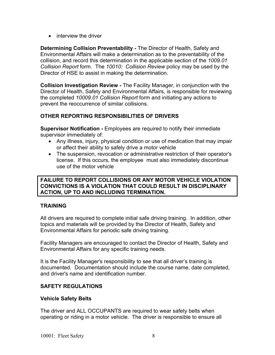• interview the driver

**Determining Collision Preventability -** The Director of Health, Safety and Environmental Affairs will make a determination as to the preventability of the collision, and record this determination in the applicable section of the *1009.01 Collision Report* form. The *10010: Collision Review* policy may be used by the Director of HSE to assist in making the determination.

**Collision Investigation Review -** The Facility Manager, in conjunction with the Director of Health, Safety and Environmental Affairs, is responsible for reviewing the completed *10009.01 Collision Report* form and initiating any actions to prevent the reoccurrence of similar collisions.

# **OTHER REPORTING RESPONSIBILITIES OF DRIVERS**

**Supervisor Notification - Employees are required to notify their immediate** supervisor immediately of:

- Any illness, injury, physical condition or use of medication that may impair or affect their ability to safely drive a motor vehicle
- The suspension, revocation or administrative restriction of their operator's license. If this occurs, the employee must also immediately discontinue use of the motor vehicle

#### **FAILURE TO REPORT COLLISIONS OR ANY MOTOR VEHICLE VIOLATION CONVICTIONS IS A VIOLATION THAT COULD RESULT IN DISCIPLINARY ACTION, UP TO AND INCLUDING TERMINATION.**

# **TRAINING**

All drivers are required to complete initial safe driving training. In addition, other topics and materials will be provided by the Director of Health, Safety and Environmental Affairs for periodic safe driving training.

Facility Managers are encouraged to contact the Director of Health, Safety and Environmental Affairs for any specific training needs.

It is the Facility Manager's responsibility to see that all driver's training is documented. Documentation should include the course name, date completed, and driver's name and identification number.

# **SAFETY REGULATIONS**

#### **Vehicle Safety Belts**

The driver and ALL OCCUPANTS are required to wear safety belts when operating or riding in a motor vehicle. The driver is responsible to ensure all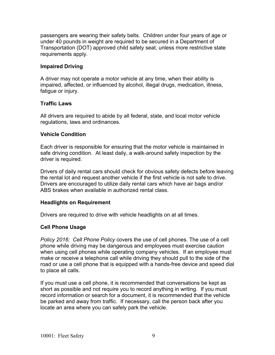passengers are wearing their safety belts. Children under four years of age or under 40 pounds in weight are required to be secured in a Department of Transportation (DOT) approved child safety seat, unless more restrictive state requirements apply.

#### **Impaired Driving**

A driver may not operate a motor vehicle at any time, when their ability is impaired, affected, or influenced by alcohol, illegal drugs, medication, illness, fatigue or injury.

#### **Traffic Laws**

All drivers are required to abide by all federal, state, and local motor vehicle regulations, laws and ordinances.

#### **Vehicle Condition**

Each driver is responsible for ensuring that the motor vehicle is maintained in safe driving condition. At least daily, a walk-around safety inspection by the driver is required.

Drivers of daily rental cars should check for obvious safety defects before leaving the rental lot and request another vehicle if the first vehicle is not safe to drive. Drivers are encouraged to utilize daily rental cars which have air bags and/or ABS brakes when available in authorized rental class.

#### **Headlights on Requirement**

Drivers are required to drive with vehicle headlights on at all times.

# **Cell Phone Usage**

*Policy 2016: Cell Phone Policy* covers the use of cell phones. The use of a cell phone while driving may be dangerous and employees must exercise caution when using cell phones while operating company vehicles. If an employee must make or receive a telephone call while driving they should pull to the side of the road or use a cell phone that is equipped with a hands-free device and speed dial to place all calls.

If you must use a cell phone, it is recommended that conversations be kept as short as possible and not require you to record anything in writing. If you must record information or search for a document, it is recommended that the vehicle be parked and away from traffic. If necessary, call the person back after you locate an area where you can safely park the vehicle.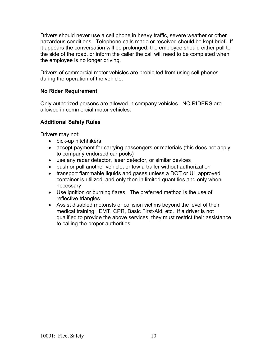Drivers should never use a cell phone in heavy traffic, severe weather or other hazardous conditions. Telephone calls made or received should be kept brief. If it appears the conversation will be prolonged, the employee should either pull to the side of the road, or inform the caller the call will need to be completed when the employee is no longer driving.

Drivers of commercial motor vehicles are prohibited from using cell phones during the operation of the vehicle.

# **No Rider Requirement**

Only authorized persons are allowed in company vehicles. NO RIDERS are allowed in commercial motor vehicles.

# **Additional Safety Rules**

Drivers may not:

- pick-up hitchhikers
- accept payment for carrying passengers or materials (this does not apply to company endorsed car pools)
- use any radar detector, laser detector, or similar devices
- push or pull another vehicle, or tow a trailer without authorization
- transport flammable liquids and gases unless a DOT or UL approved container is utilized, and only then in limited quantities and only when necessary
- Use ignition or burning flares. The preferred method is the use of reflective triangles
- Assist disabled motorists or collision victims beyond the level of their medical training: EMT, CPR, Basic First-Aid, etc. If a driver is not qualified to provide the above services, they must restrict their assistance to calling the proper authorities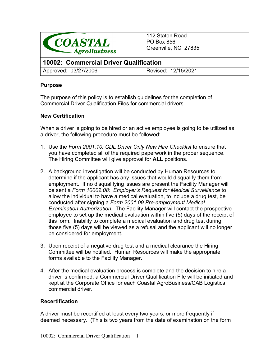

# **10002: Commercial Driver Qualification**

Approved: 03/27/2006 Revised: 12/15/2021

#### **Purpose**

The purpose of this policy is to establish guidelines for the completion of Commercial Driver Qualification Files for commercial drivers.

# **New Certification**

When a driver is going to be hired or an active employee is going to be utilized as a driver, the following procedure must be followed:

- 1. Use the *Form 2001.10: CDL Driver Only New Hire Checklist* to ensure that you have completed all of the required paperwork in the proper sequence. The Hiring Committee will give approval for **ALL** positions.
- 2. A background investigation will be conducted by Human Resources to determine if the applicant has any issues that would disqualify them from employment. If no disqualifying issues are present the Facility Manager will be sent a *Form 10002.08: Employer's Request for Medical Surveillance* to allow the individual to have a medical evaluation, to include a drug test, be conducted after signing a *Form 2001.09 Pre-employment Medical Examination Authorization*. The Facility Manager will contact the prospective employee to set up the medical evaluation within five (5) days of the receipt of this form. Inability to complete a medical evaluation and drug test during those five (5) days will be viewed as a refusal and the applicant will no longer be considered for employment.
- 3. Upon receipt of a negative drug test and a medical clearance the Hiring Committee will be notified. Human Resources will make the appropriate forms available to the Facility Manager.
- 4. After the medical evaluation process is complete and the decision to hire a driver is confirmed, a Commercial Driver Qualification File will be initiated and kept at the Corporate Office for each Coastal AgroBusiness/CAB Logistics commercial driver.

# **Recertification**

A driver must be recertified at least every two years, or more frequently if deemed necessary. (This is two years from the date of examination on the form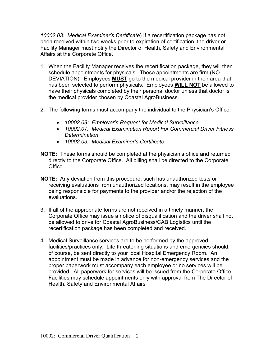*10002.03: Medical Examiner's Certificate*) If a recertification package has not been received within two weeks prior to expiration of certification, the driver or Facility Manager must notify the Director of Health, Safety and Environmental Affairs at the Corporate Office.

- 1. When the Facility Manager receives the recertification package, they will then schedule appointments for physicals. These appointments are firm (NO DEVIATION). Employees **MUST** go to the medical provider in their area that has been selected to perform physicals. Employees **WILL NOT** be allowed to have their physicals completed by their personal doctor unless that doctor is the medical provider chosen by Coastal AgroBusiness.
- 2. The following forms must accompany the individual to the Physician's Office:
	- *10002.08: Employer's Request for Medical Surveillance*
	- *10002.07: Medical Examination Report For Commercial Driver Fitness Determination*
	- *10002.03: Medical Examiner's Certificate*
- **NOTE:** These forms should be completed at the physician's office and returned directly to the Corporate Office. All billing shall be directed to the Corporate Office.
- **NOTE:** Any deviation from this procedure, such has unauthorized tests or receiving evaluations from unauthorized locations, may result in the employee being responsible for payments to the provider and/or the rejection of the evaluations.
- 3. If all of the appropriate forms are not received in a timely manner, the Corporate Office may issue a notice of disqualification and the driver shall not be allowed to drive for Coastal AgroBusiness/CAB Logistics until the recertification package has been completed and received.
- 4. Medical Surveillance services are to be performed by the approved facilities/practices only. Life threatening situations and emergencies should, of course, be sent directly to your local Hospital Emergency Room. An appointment must be made in advance for non-emergency services and the proper paperwork must accompany each employee or no services will be provided. All paperwork for services will be issued from the Corporate Office. Facilities may schedule appointments only with approval from The Director of Health, Safety and Environmental Affairs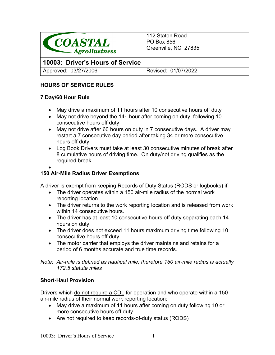

# **10003: Driver's Hours of Service**

Approved: 03/27/2006 Revised: 01/07/2022

# **HOURS OF SERVICE RULES**

# **7 Day/60 Hour Rule**

- May drive a maximum of 11 hours after 10 consecutive hours off duty
- May not drive beyond the 14<sup>th</sup> hour after coming on duty, following 10 consecutive hours off duty
- May not drive after 60 hours on duty in 7 consecutive days. A driver may restart a 7 consecutive day period after taking 34 or more consecutive hours off duty.
- Log Book Drivers must take at least 30 consecutive minutes of break after 8 cumulative hours of driving time. On duty/not driving qualifies as the required break.

### $\bullet$

# **150 Air-Mile Radius Driver Exemptions**

A driver is exempt from keeping Records of Duty Status (RODS or logbooks) if:

- The driver operates within a 150 air-mile radius of the normal work reporting location
- The driver returns to the work reporting location and is released from work within 14 consecutive hours.
- The driver has at least 10 consecutive hours off duty separating each 14 hours on duty.
- The driver does not exceed 11 hours maximum driving time following 10 consecutive hours off duty.
- The motor carrier that employs the driver maintains and retains for a period of 6 months accurate and true time records.

*Note: Air-mile is defined as nautical mile; therefore 150 air-mile radius is actually 172.5 statute miles* 

# **Short-Haul Provision**

Drivers which do not require a CDL for operation and who operate within a 150 air-mile radius of their normal work reporting location:

- May drive a maximum of 11 hours after coming on duty following 10 or more consecutive hours off duty.
- Are not required to keep records-of-duty status (RODS)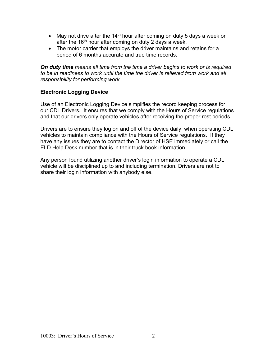- May not drive after the 14<sup>th</sup> hour after coming on duty 5 days a week or after the  $16<sup>th</sup>$  hour after coming on duty 2 days a week.
- The motor carrier that employs the driver maintains and retains for a period of 6 months accurate and true time records.

*On duty time means all time from the time a driver begins to work or is required to be in readiness to work until the time the driver is relieved from work and all responsibility for performing work* 

# **Electronic Logging Device**

Use of an Electronic Logging Device simplifies the record keeping process for our CDL Drivers. It ensures that we comply with the Hours of Service regulations and that our drivers only operate vehicles after receiving the proper rest periods.

Drivers are to ensure they log on and off of the device daily when operating CDL vehicles to maintain compliance with the Hours of Service regulations. If they have any issues they are to contact the Director of HSE immediately or call the ELD Help Desk number that is in their truck book information.

Any person found utilizing another driver's login information to operate a CDL vehicle will be disciplined up to and including termination. Drivers are not to share their login information with anybody else.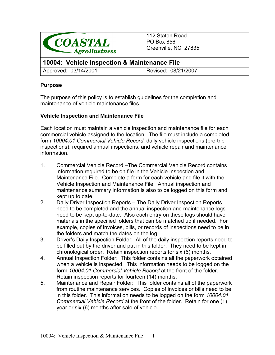

#### **10004: Vehicle Inspection & Maintenance File**

| Approved: 03/14/2001 | Revised: 08/21/2007 |
|----------------------|---------------------|

#### **Purpose**

The purpose of this policy is to establish guidelines for the completion and maintenance of vehicle maintenance files.

#### **Vehicle Inspection and Maintenance File**

Each location must maintain a vehicle inspection and maintenance file for each commercial vehicle assigned to the location. The file must include a completed form *10004.01 Commercial Vehicle Record*, daily vehicle inspections (pre-trip inspections), required annual inspections, and vehicle repair and maintenance information.

- 1. Commercial Vehicle Record –The Commercial Vehicle Record contains information required to be on file in the Vehicle Inspection and Maintenance File. Complete a form for each vehicle and file it with the Vehicle Inspection and Maintenance File. Annual inspection and maintenance summary information is also to be logged on this form and kept up to date.
- 2. Daily Driver Inspection Reports The Daily Driver Inspection Reports need to be completed and the annual inspection and maintenance logs need to be kept up-to-date. Also each entry on these logs should have materials in the specified folders that can be matched up if needed. For example, copies of invoices, bills, or records of inspections need to be in the folders and match the dates on the log.
- 3. Driver's Daily Inspection Folder: All of the daily inspection reports need to be filled out by the driver and put in this folder. They need to be kept in chronological order. Retain inspection reports for six (6) months.
- 4. Annual Inspection Folder: This folder contains all the paperwork obtained when a vehicle is inspected. This information needs to be logged on the form *10004.01 Commercial Vehicle Record* at the front of the folder. Retain inspection reports for fourteen (14) months.
- 5. Maintenance and Repair Folder: This folder contains all of the paperwork from routine maintenance services. Copies of invoices or bills need to be in this folder. This information needs to be logged on the form *10004.01 Commercial Vehicle Record* at the front of the folder. Retain for one (1) year or six (6) months after sale of vehicle.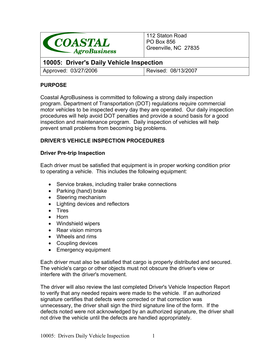

# **10005: Driver's Daily Vehicle Inspection**

Approved: 03/27/2006 Revised: 08/13/2007

# **PURPOSE**

Coastal AgroBusiness is committed to following a strong daily inspection program. Department of Transportation (DOT) regulations require commercial motor vehicles to be inspected every day they are operated. Our daily inspection procedures will help avoid DOT penalties and provide a sound basis for a good inspection and maintenance program. Daily inspection of vehicles will help prevent small problems from becoming big problems.

# **DRIVER'S VEHICLE INSPECTION PROCEDURES**

# **Driver Pre-trip Inspection**

Each driver must be satisfied that equipment is in proper working condition prior to operating a vehicle. This includes the following equipment:

- Service brakes, including trailer brake connections
- Parking (hand) brake
- Steering mechanism
- Lighting devices and reflectors
- Tires
- Horn
- Windshield wipers
- Rear vision mirrors
- Wheels and rims
- Coupling devices
- Emergency equipment

Each driver must also be satisfied that cargo is properly distributed and secured. The vehicle's cargo or other objects must not obscure the driver's view or interfere with the driver's movement.

The driver will also review the last completed Driver's Vehicle Inspection Report to verify that any needed repairs were made to the vehicle. If an authorized signature certifies that defects were corrected or that correction was unnecessary, the driver shall sign the third signature line of the form. If the defects noted were not acknowledged by an authorized signature, the driver shall not drive the vehicle until the defects are handled appropriately.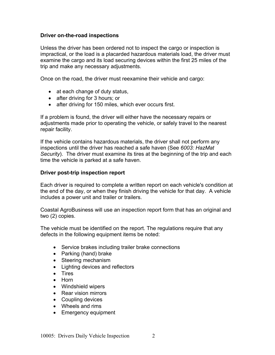#### **Driver on-the-road inspections**

Unless the driver has been ordered not to inspect the cargo or inspection is impractical, or the load is a placarded hazardous materials load, the driver must examine the cargo and its load securing devices within the first 25 miles of the trip and make any necessary adjustments.

Once on the road, the driver must reexamine their vehicle and cargo:

- at each change of duty status,
- after driving for 3 hours; or
- after driving for 150 miles, which ever occurs first.

If a problem is found, the driver will either have the necessary repairs or adjustments made prior to operating the vehicle, or safely travel to the nearest repair facility.

If the vehicle contains hazardous materials, the driver shall not perform any inspections until the driver has reached a safe haven (See *6003: HazMat Security*). The driver must examine its tires at the beginning of the trip and each time the vehicle is parked at a safe haven.

#### **Driver post-trip inspection report**

Each driver is required to complete a written report on each vehicle's condition at the end of the day, or when they finish driving the vehicle for that day. A vehicle includes a power unit and trailer or trailers.

Coastal AgroBusiness will use an inspection report form that has an original and two (2) copies.

The vehicle must be identified on the report. The regulations require that any defects in the following equipment items be noted:

- Service brakes including trailer brake connections
- Parking (hand) brake
- Steering mechanism
- Lighting devices and reflectors
- Tires
- Horn
- Windshield wipers
- Rear vision mirrors
- Coupling devices
- Wheels and rims
- Emergency equipment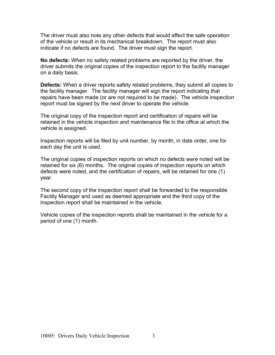The driver must also note any other defects that would affect the safe operation of the vehicle or result in its mechanical breakdown. The report must also indicate if no defects are found. The driver must sign the report.

**No defects:** When no safety related problems are reported by the driver, the driver submits the original copies of the inspection report to the facility manager on a daily basis.

**Defects:** When a driver reports safety related problems, they submit all copies to the facility manager. The facility manager will sign the report indicating that repairs have been made (or are not required to be made). The vehicle inspection report must be signed by the next driver to operate the vehicle.

The original copy of the inspection report and certification of repairs will be retained in the vehicle inspection and maintenance file in the office at which the vehicle is assigned.

Inspection reports will be filed by unit number, by month, in date order, one for each day the unit is used.

The original copies of inspection reports on which no defects were noted will be retained for six (6) months. The original copies of inspection reports on which defects were noted, and the certification of repairs, will be retained for one (1) year.

The second copy of the inspection report shall be forwarded to the responsible Facility Manager and used as deemed appropriate and the third copy of the inspection report shall be maintained in the vehicle.

Vehicle copies of the inspection reports shall be maintained in the vehicle for a period of one (1) month.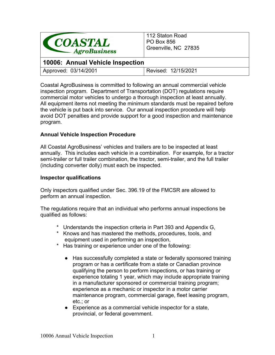

# **10006: Annual Vehicle Inspection**

Approved: 03/14/2001 Revised: 12/15/2021

Coastal AgroBusiness is committed to following an annual commercial vehicle inspection program. Department of Transportation (DOT) regulations require commercial motor vehicles to undergo a thorough inspection at least annually. All equipment items not meeting the minimum standards must be repaired before the vehicle is put back into service. Our annual inspection procedure will help avoid DOT penalties and provide support for a good inspection and maintenance program.

# **Annual Vehicle Inspection Procedure**

All Coastal AgroBusiness' vehicles and trailers are to be inspected at least annually. This includes each vehicle in a combination. For example, for a tractor semi-trailer or full trailer combination, the tractor, semi-trailer, and the full trailer (including converter dolly) must each be inspected.

### **Inspector qualifications**

Only inspectors qualified under Sec. 396.19 of the FMCSR are allowed to perform an annual inspection.

The regulations require that an individual who performs annual inspections be qualified as follows:

- \* Understands the inspection criteria in Part 393 and Appendix G,
- \* Knows and has mastered the methods, procedures, tools, and equipment used in performing an inspection,
- \* Has training or experience under one of the following:
	- Has successfully completed a state or federally sponsored training program or has a certificate from a state or Canadian province qualifying the person to perform inspections, or has training or experience totaling 1 year, which may include appropriate training in a manufacturer sponsored or commercial training program; experience as a mechanic or inspector in a motor carrier maintenance program, commercial garage, fleet leasing program, etc.; or
	- Experience as a commercial vehicle inspector for a state, provincial, or federal government.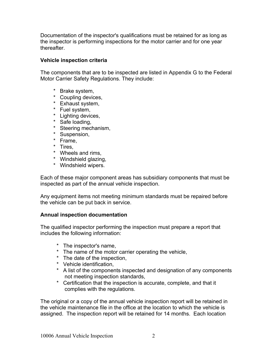Documentation of the inspector's qualifications must be retained for as long as the inspector is performing inspections for the motor carrier and for one year thereafter.

#### **Vehicle inspection criteria**

The components that are to be inspected are listed in Appendix G to the Federal Motor Carrier Safety Regulations. They include:

- \* Brake system,
- \* Coupling devices,
- \* Exhaust system,
- \* Fuel system,
- \* Lighting devices,
- \* Safe loading,
- \* Steering mechanism,
- \* Suspension,
- \* Frame,
- \* Tires,
- \* Wheels and rims,
- \* Windshield glazing,
- \* Windshield wipers.

Each of these major component areas has subsidiary components that must be inspected as part of the annual vehicle inspection.

Any equipment items not meeting minimum standards must be repaired before the vehicle can be put back in service.

# **Annual inspection documentation**

The qualified inspector performing the inspection must prepare a report that includes the following information:

- \* The inspector's name,
- \* The name of the motor carrier operating the vehicle,
- \* The date of the inspection,
- \* Vehicle identification,
- \* A list of the components inspected and designation of any components not meeting inspection standards,
- \* Certification that the inspection is accurate, complete, and that it complies with the regulations.

The original or a copy of the annual vehicle inspection report will be retained in the vehicle maintenance file in the office at the location to which the vehicle is assigned. The inspection report will be retained for 14 months. Each location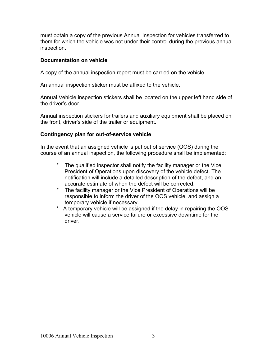must obtain a copy of the previous Annual Inspection for vehicles transferred to them for which the vehicle was not under their control during the previous annual inspection.

#### **Documentation on vehicle**

A copy of the annual inspection report must be carried on the vehicle.

An annual inspection sticker must be affixed to the vehicle.

Annual Vehicle inspection stickers shall be located on the upper left hand side of the driver's door.

Annual inspection stickers for trailers and auxiliary equipment shall be placed on the front, driver's side of the trailer or equipment.

# **Contingency plan for out-of-service vehicle**

In the event that an assigned vehicle is put out of service (OOS) during the course of an annual inspection, the following procedure shall be implemented:

- \* The qualified inspector shall notify the facility manager or the Vice President of Operations upon discovery of the vehicle defect. The notification will include a detailed description of the defect, and an accurate estimate of when the defect will be corrected.
- \* The facility manager or the Vice President of Operations will be responsible to inform the driver of the OOS vehicle, and assign a temporary vehicle if necessary.
- \* A temporary vehicle will be assigned if the delay in repairing the OOS vehicle will cause a service failure or excessive downtime for the driver.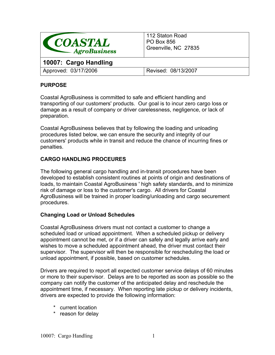

# **10007: Cargo Handling**

Approved: 03/17/2006 Revised: 08/13/2007

# **PURPOSE**

Coastal AgroBusiness is committed to safe and efficient handling and transporting of our customers' products. Our goal is to incur zero cargo loss or damage as a result of company or driver carelessness, negligence, or lack of preparation.

Coastal AgroBusiness believes that by following the loading and unloading procedures listed below, we can ensure the security and integrity of our customers' products while in transit and reduce the chance of incurring fines or penalties.

# **CARGO HANDLING PROCEURES**

The following general cargo handling and in-transit procedures have been developed to establish consistent routines at points of origin and destinations of loads, to maintain Coastal AgroBusiness ' high safety standards, and to minimize risk of damage or loss to the customer's cargo. All drivers for Coastal AgroBusiness will be trained in proper loading/unloading and cargo securement procedures.

#### **Changing Load or Unload Schedules**

Coastal AgroBusiness drivers must not contact a customer to change a scheduled load or unload appointment. When a scheduled pickup or delivery appointment cannot be met, or if a driver can safely and legally arrive early and wishes to move a scheduled appointment ahead, the driver must contact their supervisor. The supervisor will then be responsible for rescheduling the load or unload appointment, if possible, based on customer schedules.

Drivers are required to report all expected customer service delays of 60 minutes or more to their supervisor. Delays are to be reported as soon as possible so the company can notify the customer of the anticipated delay and reschedule the appointment time, if necessary. When reporting late pickup or delivery incidents, drivers are expected to provide the following information:

- current location
- reason for delay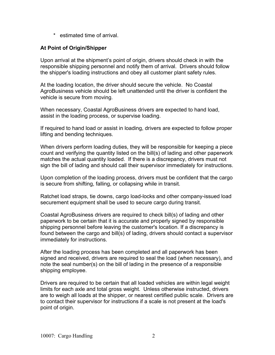\* estimated time of arrival.

### **At Point of Origin/Shipper**

Upon arrival at the shipment's point of origin, drivers should check in with the responsible shipping personnel and notify them of arrival. Drivers should follow the shipper's loading instructions and obey all customer plant safety rules.

At the loading location, the driver should secure the vehicle. No Coastal AgroBusiness vehicle should be left unattended until the driver is confident the vehicle is secure from moving.

When necessary, Coastal AgroBusiness drivers are expected to hand load, assist in the loading process, or supervise loading.

If required to hand load or assist in loading, drivers are expected to follow proper lifting and bending techniques.

When drivers perform loading duties, they will be responsible for keeping a piece count and verifying the quantity listed on the bill(s) of lading and other paperwork matches the actual quantity loaded. If there is a discrepancy, drivers must not sign the bill of lading and should call their supervisor immediately for instructions.

Upon completion of the loading process, drivers must be confident that the cargo is secure from shifting, falling, or collapsing while in transit.

Ratchet load straps, tie downs, cargo load-locks and other company-issued load securement equipment shall be used to secure cargo during transit.

Coastal AgroBusiness drivers are required to check bill(s) of lading and other paperwork to be certain that it is accurate and properly signed by responsible shipping personnel before leaving the customer's location. If a discrepancy is found between the cargo and bill(s) of lading, drivers should contact a supervisor immediately for instructions.

After the loading process has been completed and all paperwork has been signed and received, drivers are required to seal the load (when necessary), and note the seal number(s) on the bill of lading in the presence of a responsible shipping employee.

Drivers are required to be certain that all loaded vehicles are within legal weight limits for each axle and total gross weight. Unless otherwise instructed, drivers are to weigh all loads at the shipper, or nearest certified public scale. Drivers are to contact their supervisor for instructions if a scale is not present at the load's point of origin.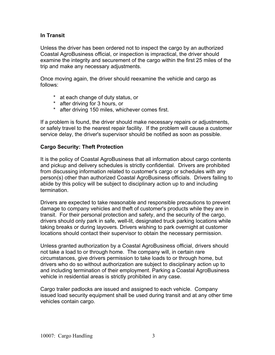#### **In Transit**

Unless the driver has been ordered not to inspect the cargo by an authorized Coastal AgroBusiness official, or inspection is impractical, the driver should examine the integrity and securement of the cargo within the first 25 miles of the trip and make any necessary adjustments.

Once moving again, the driver should reexamine the vehicle and cargo as follows:

- \* at each change of duty status, or
- \* after driving for 3 hours, or
- \* after driving 150 miles, whichever comes first.

If a problem is found, the driver should make necessary repairs or adjustments, or safely travel to the nearest repair facility. If the problem will cause a customer service delay, the driver's supervisor should be notified as soon as possible.

#### **Cargo Security: Theft Protection**

It is the policy of Coastal AgroBusiness that all information about cargo contents and pickup and delivery schedules is strictly confidential. Drivers are prohibited from discussing information related to customer's cargo or schedules with any person(s) other than authorized Coastal AgroBusiness officials. Drivers failing to abide by this policy will be subject to disciplinary action up to and including termination.

Drivers are expected to take reasonable and responsible precautions to prevent damage to company vehicles and theft of customer's products while they are in transit. For their personal protection and safety, and the security of the cargo, drivers should only park in safe, well-lit, designated truck parking locations while taking breaks or during layovers. Drivers wishing to park overnight at customer locations should contact their supervisor to obtain the necessary permission.

Unless granted authorization by a Coastal AgroBusiness official, drivers should not take a load to or through home. The company will, in certain rare circumstances, give drivers permission to take loads to or through home, but drivers who do so without authorization are subject to disciplinary action up to and including termination of their employment. Parking a Coastal AgroBusiness vehicle in residential areas is strictly prohibited in any case.

Cargo trailer padlocks are issued and assigned to each vehicle. Company issued load security equipment shall be used during transit and at any other time vehicles contain cargo.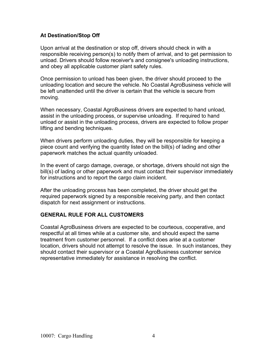### **At Destination/Stop Off**

Upon arrival at the destination or stop off, drivers should check in with a responsible receiving person(s) to notify them of arrival, and to get permission to unload. Drivers should follow receiver's and consignee's unloading instructions, and obey all applicable customer plant safety rules.

Once permission to unload has been given, the driver should proceed to the unloading location and secure the vehicle. No Coastal AgroBusiness vehicle will be left unattended until the driver is certain that the vehicle is secure from moving.

When necessary, Coastal AgroBusiness drivers are expected to hand unload, assist in the unloading process, or supervise unloading. If required to hand unload or assist in the unloading process, drivers are expected to follow proper lifting and bending techniques.

When drivers perform unloading duties, they will be responsible for keeping a piece count and verifying the quantity listed on the bill(s) of lading and other paperwork matches the actual quantity unloaded.

In the event of cargo damage, overage, or shortage, drivers should not sign the bill(s) of lading or other paperwork and must contact their supervisor immediately for instructions and to report the cargo claim incident.

After the unloading process has been completed, the driver should get the required paperwork signed by a responsible receiving party, and then contact dispatch for next assignment or instructions.

#### **GENERAL RULE FOR ALL CUSTOMERS**

Coastal AgroBusiness drivers are expected to be courteous, cooperative, and respectful at all times while at a customer site, and should expect the same treatment from customer personnel. If a conflict does arise at a customer location, drivers should not attempt to resolve the issue. In such instances, they should contact their supervisor or a Coastal AgroBusiness customer service representative immediately for assistance in resolving the conflict.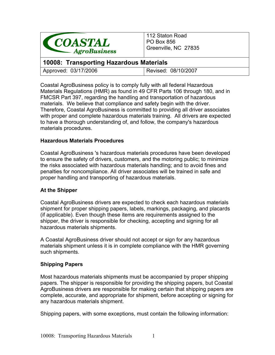

# **10008: Transporting Hazardous Materials**

Approved: 03/17/2006 Revised: 08/10/2007

Coastal AgroBusiness policy is to comply fully with all federal Hazardous Materials Regulations (HMR) as found in 49 CFR Parts 106 through 180, and in FMCSR Part 397, regarding the handling and transportation of hazardous materials. We believe that compliance and safety begin with the driver. Therefore, Coastal AgroBusiness is committed to providing all driver associates with proper and complete hazardous materials training. All drivers are expected to have a thorough understanding of, and follow, the company's hazardous materials procedures.

# **Hazardous Materials Procedures**

Coastal AgroBusiness 's hazardous materials procedures have been developed to ensure the safety of drivers, customers, and the motoring public; to minimize the risks associated with hazardous materials handling; and to avoid fines and penalties for noncompliance. All driver associates will be trained in safe and proper handling and transporting of hazardous materials.

# **At the Shipper**

Coastal AgroBusiness drivers are expected to check each hazardous materials shipment for proper shipping papers, labels, markings, packaging, and placards (if applicable). Even though these items are requirements assigned to the shipper, the driver is responsible for checking, accepting and signing for all hazardous materials shipments.

A Coastal AgroBusiness driver should not accept or sign for any hazardous materials shipment unless it is in complete compliance with the HMR governing such shipments.

# **Shipping Papers**

Most hazardous materials shipments must be accompanied by proper shipping papers. The shipper is responsible for providing the shipping papers, but Coastal AgroBusiness drivers are responsible for making certain that shipping papers are complete, accurate, and appropriate for shipment, before accepting or signing for any hazardous materials shipment.

Shipping papers, with some exceptions, must contain the following information: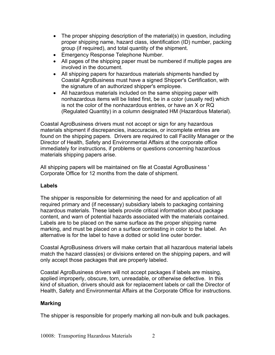- The proper shipping description of the material(s) in question, including proper shipping name, hazard class, identification (ID) number, packing group (if required), and total quantity of the shipment.
- **Emergency Response Telephone Number.**
- All pages of the shipping paper must be numbered if multiple pages are involved in the document.
- All shipping papers for hazardous materials shipments handled by Coastal AgroBusiness must have a signed Shipper's Certification, with the signature of an authorized shipper's employee.
- All hazardous materials included on the same shipping paper with nonhazardous items will be listed first, be in a color (usually red) which is not the color of the nonhazardous entries, or have an X or RQ (Regulated Quantity) in a column designated HM (Hazardous Material).

Coastal AgroBusiness drivers must not accept or sign for any hazardous materials shipment if discrepancies, inaccuracies, or incomplete entries are found on the shipping papers. Drivers are required to call Facility Manager or the Director of Health, Safety and Environmental Affairs at the corporate office immediately for instructions, if problems or questions concerning hazardous materials shipping papers arise.

All shipping papers will be maintained on file at Coastal AgroBusiness ' Corporate Office for 12 months from the date of shipment.

# **Labels**

The shipper is responsible for determining the need for and application of all required primary and (if necessary) subsidiary labels to packaging containing hazardous materials. These labels provide critical information about package content, and warn of potential hazards associated with the materials contained. Labels are to be placed on the same surface as the proper shipping name marking, and must be placed on a surface contrasting in color to the label. An alternative is for the label to have a dotted or solid line outer border.

Coastal AgroBusiness drivers will make certain that all hazardous material labels match the hazard class(es) or divisions entered on the shipping papers, and will only accept those packages that are properly labeled.

Coastal AgroBusiness drivers will not accept packages if labels are missing, applied improperly, obscure, torn, unreadable, or otherwise defective. In this kind of situation, drivers should ask for replacement labels or call the Director of Health, Safety and Environmental Affairs at the Corporate Office for instructions.

# **Marking**

The shipper is responsible for properly marking all non-bulk and bulk packages.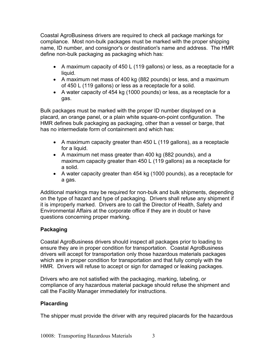Coastal AgroBusiness drivers are required to check all package markings for compliance. Most non-bulk packages must be marked with the proper shipping name, ID number, and consignor's or destination's name and address. The HMR define non-bulk packaging as packaging which has:

- A maximum capacity of 450 L (119 gallons) or less, as a receptacle for a liquid.
- A maximum net mass of 400 kg (882 pounds) or less, and a maximum of 450 L (119 gallons) or less as a receptacle for a solid.
- A water capacity of 454 kg (1000 pounds) or less, as a receptacle for a gas.

Bulk packages must be marked with the proper ID number displayed on a placard, an orange panel, or a plain white square-on-point configuration. The HMR defines bulk packaging as packaging, other than a vessel or barge, that has no intermediate form of containment and which has:

- A maximum capacity greater than 450 L (119 gallons), as a receptacle for a liquid.
- A maximum net mass greater than 400 kg (882 pounds), and a maximum capacity greater than 450 L (119 gallons) as a receptacle for a solid.
- A water capacity greater than 454 kg (1000 pounds), as a receptacle for a gas.

Additional markings may be required for non-bulk and bulk shipments, depending on the type of hazard and type of packaging. Drivers shall refuse any shipment if it is improperly marked. Drivers are to call the Director of Health, Safety and Environmental Affairs at the corporate office if they are in doubt or have questions concerning proper marking.

## **Packaging**

Coastal AgroBusiness drivers should inspect all packages prior to loading to ensure they are in proper condition for transportation. Coastal AgroBusiness drivers will accept for transportation only those hazardous materials packages which are in proper condition for transportation and that fully comply with the HMR. Drivers will refuse to accept or sign for damaged or leaking packages.

Drivers who are not satisfied with the packaging, marking, labeling, or compliance of any hazardous material package should refuse the shipment and call the Facility Manager immediately for instructions.

#### **Placarding**

The shipper must provide the driver with any required placards for the hazardous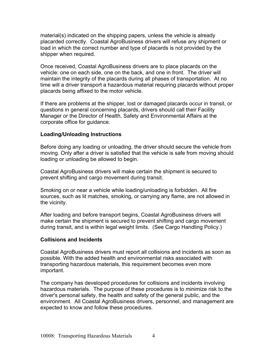material(s) indicated on the shipping papers, unless the vehicle is already placarded correctly. Coastal AgroBusiness drivers will refuse any shipment or load in which the correct number and type of placards is not provided by the shipper when required.

Once received, Coastal AgroBusiness drivers are to place placards on the vehicle: one on each side, one on the back, and one in front. The driver will maintain the integrity of the placards during all phases of transportation. At no time will a driver transport a hazardous material requiring placards without proper placards being affixed to the motor vehicle.

If there are problems at the shipper, lost or damaged placards occur in transit, or questions in general concerning placards, drivers should call their Facility Manager or the Director of Health, Safety and Environmental Affairs at the corporate office for guidance.

#### **Loading/Unloading Instructions**

Before doing any loading or unloading, the driver should secure the vehicle from moving. Only after a driver is satisfied that the vehicle is safe from moving should loading or unloading be allowed to begin.

Coastal AgroBusiness drivers will make certain the shipment is secured to prevent shifting and cargo movement during transit.

Smoking on or near a vehicle while loading/unloading is forbidden. All fire sources, such as lit matches, smoking, or carrying any flame, are not allowed in the vicinity.

After loading and before transport begins, Coastal AgroBusiness drivers will make certain the shipment is secured to prevent shifting and cargo movement during transit, and is within legal weight limits. (See Cargo Handling Policy.)

#### **Collisions and Incidents**

Coastal AgroBusiness drivers must report all collisions and incidents as soon as possible. With the added health and environmental risks associated with transporting hazardous materials, this requirement becomes even more important.

The company has developed procedures for collisions and incidents involving hazardous materials. The purpose of these procedures is to minimize risk to the driver's personal safety, the health and safety of the general public, and the environment. All Coastal AgroBusiness drivers, personnel, and management are expected to know and follow these procedures.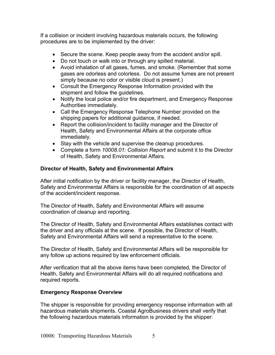If a collision or incident involving hazardous materials occurs, the following procedures are to be implemented by the driver:

- Secure the scene. Keep people away from the accident and/or spill.
- Do not touch or walk into or through any spilled material.
- Avoid inhalation of all gases, fumes, and smoke. (Remember that some gases are odorless and colorless. Do not assume fumes are not present simply because no odor or visible cloud is present.)
- Consult the Emergency Response Information provided with the shipment and follow the guidelines.
- Notify the local police and/or fire department, and Emergency Response Authorities immediately.
- Call the Emergency Response Telephone Number provided on the shipping papers for additional guidance, if needed.
- Report the collision/incident to facility manager and the Director of Health, Safety and Environmental Affairs at the corporate office immediately.
- Stay with the vehicle and supervise the cleanup procedures.
- Complete a form *10008.01: Collision Report* and submit it to the Director of Health, Safety and Environmental Affairs.

## **Director of Health, Safety and Environmental Affairs**

After initial notification by the driver or facility manager, the Director of Health, Safety and Environmental Affairs is responsible for the coordination of all aspects of the accident/incident response.

The Director of Health, Safety and Environmental Affairs will assume coordination of cleanup and reporting.

The Director of Health, Safety and Environmental Affairs establishes contact with the driver and any officials at the scene. If possible, the Director of Health, Safety and Environmental Affairs will send a representative to the scene.

The Director of Health, Safety and Environmental Affairs will be responsible for any follow up actions required by law enforcement officials.

After verification that all the above items have been completed, the Director of Health, Safety and Environmental Affairs will do all required notifications and required reports.

#### **Emergency Response Overview**

The shipper is responsible for providing emergency response information with all hazardous materials shipments. Coastal AgroBusiness drivers shall verify that the following hazardous materials information is provided by the shipper: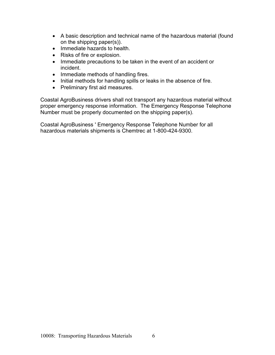- A basic description and technical name of the hazardous material (found on the shipping paper(s)).
- Immediate hazards to health.
- Risks of fire or explosion.
- Immediate precautions to be taken in the event of an accident or incident.
- Immediate methods of handling fires.
- Initial methods for handling spills or leaks in the absence of fire.
- Preliminary first aid measures.

Coastal AgroBusiness drivers shall not transport any hazardous material without proper emergency response information. The Emergency Response Telephone Number must be properly documented on the shipping paper(s).

Coastal AgroBusiness ' Emergency Response Telephone Number for all hazardous materials shipments is Chemtrec at 1-800-424-9300.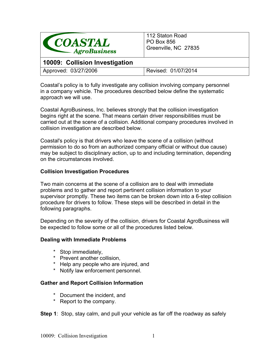

112 Staton Road PO Box 856 Greenville, NC 27835

## **10009: Collision Investigation**

Approved: 03/27/2006 Revised: 01/07/2014

Coastal's policy is to fully investigate any collision involving company personnel in a company vehicle. The procedures described below define the systematic approach we will use.

Coastal AgroBusiness, Inc. believes strongly that the collision investigation begins right at the scene. That means certain driver responsibilities must be carried out at the scene of a collision. Additional company procedures involved in collision investigation are described below.

Coastal's policy is that drivers who leave the scene of a collision (without permission to do so from an authorized company official or without due cause) may be subject to disciplinary action, up to and including termination, depending on the circumstances involved.

#### **Collision Investigation Procedures**

Two main concerns at the scene of a collision are to deal with immediate problems and to gather and report pertinent collision information to your supervisor promptly. These two items can be broken down into a 6-step collision procedure for drivers to follow. These steps will be described in detail in the following paragraphs.

Depending on the severity of the collision, drivers for Coastal AgroBusiness will be expected to follow some or all of the procedures listed below.

#### **Dealing with Immediate Problems**

- \* Stop immediately,
- \* Prevent another collision,
- \* Help any people who are injured, and
- \* Notify law enforcement personnel.

#### **Gather and Report Collision Information**

- \* Document the incident, and
- Report to the company.

**Step 1**: Stop, stay calm, and pull your vehicle as far off the roadway as safely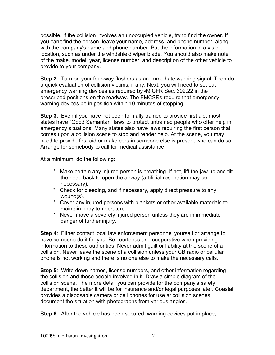possible. If the collision involves an unoccupied vehicle, try to find the owner. If you can't find the person, leave your name, address, and phone number, along with the company's name and phone number. Put the information in a visible location, such as under the windshield wiper blade. You should also make note of the make, model, year, license number, and description of the other vehicle to provide to your company.

**Step 2**: Turn on your four-way flashers as an immediate warning signal. Then do a quick evaluation of collision victims, if any. Next, you will need to set out emergency warning devices as required by 49 CFR Sec. 392.22 in the prescribed positions on the roadway. The FMCSRs require that emergency warning devices be in position within 10 minutes of stopping.

**Step 3**: Even if you have not been formally trained to provide first aid, most states have "Good Samaritan" laws to protect untrained people who offer help in emergency situations. Many states also have laws requiring the first person that comes upon a collision scene to stop and render help. At the scene, you may need to provide first aid or make certain someone else is present who can do so. Arrange for somebody to call for medical assistance.

At a minimum, do the following:

- \* Make certain any injured person is breathing. If not, lift the jaw up and tilt the head back to open the airway (artificial respiration may be necessary).
- \* Check for bleeding, and if necessary, apply direct pressure to any wound(s).
- \* Cover any injured persons with blankets or other available materials to maintain body temperature.
- \* Never move a severely injured person unless they are in immediate danger of further injury.

**Step 4**: Either contact local law enforcement personnel yourself or arrange to have someone do it for you. Be courteous and cooperative when providing information to these authorities. Never admit guilt or liability at the scene of a collision. Never leave the scene of a collision unless your CB radio or cellular phone is not working and there is no one else to make the necessary calls.

**Step 5**: Write down names, license numbers, and other information regarding the collision and those people involved in it. Draw a simple diagram of the collision scene. The more detail you can provide for the company's safety department, the better it will be for insurance and/or legal purposes later. Coastal provides a disposable camera or cell phones for use at collision scenes; document the situation with photographs from various angles.

**Step 6**: After the vehicle has been secured, warning devices put in place,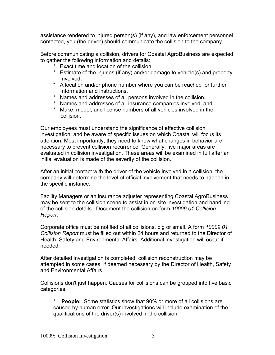assistance rendered to injured person(s) (if any), and law enforcement personnel contacted, you (the driver) should communicate the collision to the company.

Before communicating a collision, drivers for Coastal AgroBusiness are expected to gather the following information and details:

- \* Exact time and location of the collision,
- \* Estimate of the injuries (if any) and/or damage to vehicle(s) and property involved,
- \* A location and/or phone number where you can be reached for further information and instructions,
- \* Names and addresses of all persons involved in the collision,
- \* Names and addresses of all insurance companies involved, and
- \* Make, model, and license numbers of all vehicles involved in the collision.

Our employees must understand the significance of effective collision investigation, and be aware of specific issues on which Coastal will focus its attention. Most importantly, they need to know what changes in behavior are necessary to prevent collision recurrence. Generally, five major areas are evaluated in collision investigation. These areas will be examined in full after an initial evaluation is made of the severity of the collision.

After an initial contact with the driver of the vehicle involved in a collision, the company will determine the level of official involvement that needs to happen in the specific instance.

Facility Managers or an insurance adjuster representing Coastal AgroBusiness may be sent to the collision scene to assist in on-site investigation and handling of the collision details. Document the collision on form *10009.01 Collision Report*.

Corporate office must be notified of all collisions, big or small. A form *10009.01 Collision Report* must be filled out within 24 hours and returned to the Director of Health, Safety and Environmental Affairs. Additional investigation will occur if needed.

After detailed investigation is completed, collision reconstruction may be attempted in some cases, if deemed necessary by the Director of Health, Safety and Environmental Affairs.

Collisions don't just happen. Causes for collisions can be grouped into five basic categories:

\* **People:** Some statistics show that 90% or more of all collisions are caused by human error. Our investigations will include examination of the qualifications of the driver(s) involved in the collision.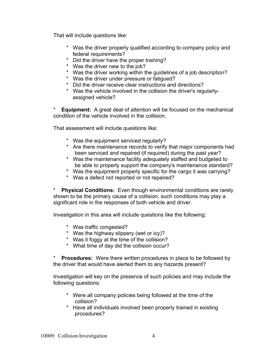That will include questions like:

- \* Was the driver properly qualified according to company policy and federal requirements?
- \* Did the driver have the proper training?
- \* Was the driver new to the job?
- \* Was the driver working within the guidelines of a job description?
- \* Was the driver under pressure or fatigued?
- \* Did the driver receive clear instructions and directions?
- \* Was the vehicle involved in the collision the driver's regularlyassigned vehicle?

**Equipment:** A great deal of attention will be focused on the mechanical condition of the vehicle involved in the collision.

That assessment will include questions like:

- \* Was the equipment serviced regularly?
- \* Are there maintenance records to verify that major components had been serviced and repaired (if required) during the past year?
- \* Was the maintenance facility adequately staffed and budgeted to be able to properly support the company's maintenance standard?
- \* Was the equipment properly specific for the cargo it was carrying?
- \* Was a defect not reported or not repaired?

**Physical Conditions:** Even though environmental conditions are rarely shown to be the primary cause of a collision, such conditions may play a significant role in the responses of both vehicle and driver.

Investigation in this area will include questions like the following:

- \* Was traffic congested?
- \* Was the highway slippery (wet or icy)?
- \* Was it foggy at the time of the collision?
- \* What time of day did the collision occur?

**Procedures:** Were there written procedures in place to be followed by the driver that would have alerted them to any hazards present?

Investigation will key on the presence of such policies and may include the following questions:

- \* Were all company policies being followed at the time of the collision?
- \* Have all individuals involved been properly trained in existing procedures?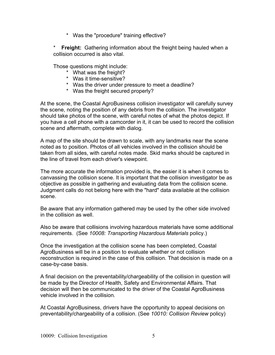\* Was the "procedure" training effective?

**Freight:** Gathering information about the freight being hauled when a collision occurred is also vital.

Those questions might include:

- \* What was the freight?
- \* Was it time-sensitive?
- \* Was the driver under pressure to meet a deadline?
- \* Was the freight secured properly?

At the scene, the Coastal AgroBusiness collision investigator will carefully survey the scene, noting the position of any debris from the collision. The investigator should take photos of the scene, with careful notes of what the photos depict. If you have a cell phone with a camcorder in it, it can be used to record the collision scene and aftermath, complete with dialog.

A map of the site should be drawn to scale, with any landmarks near the scene noted as to position. Photos of all vehicles involved in the collision should be taken from all sides, with careful notes made. Skid marks should be captured in the line of travel from each driver's viewpoint.

The more accurate the information provided is, the easier it is when it comes to canvassing the collision scene. It is important that the collision investigator be as objective as possible in gathering and evaluating data from the collision scene. Judgment calls do not belong here with the "hard" data available at the collision scene.

Be aware that any information gathered may be used by the other side involved in the collision as well.

Also be aware that collisions involving hazardous materials have some additional requirements. (See *10008: Transporting Hazardous Materials* policy.)

Once the investigation at the collision scene has been completed, Coastal AgroBusiness will be in a position to evaluate whether or not collision reconstruction is required in the case of this collision. That decision is made on a case-by-case basis.

A final decision on the preventability/chargeability of the collision in question will be made by the Director of Health, Safety and Environmental Affairs. That decision will then be communicated to the driver of the Coastal AgroBusiness vehicle involved in the collision.

At Coastal AgroBusiness, drivers have the opportunity to appeal decisions on preventability/chargeability of a collision. (See *10010: Collision Review* policy)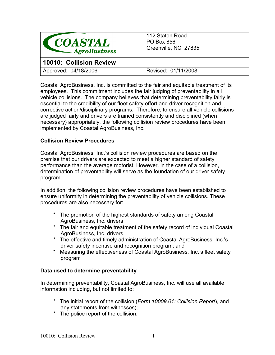

112 Staton Road PO Box 856 Greenville, NC 27835

## **10010: Collision Review**

Approved: 04/18/2006 Revised: 01/11/2008

Coastal AgroBusiness, Inc. is committed to the fair and equitable treatment of its employees. This commitment includes the fair judging of preventability in all vehicle collisions. The company believes that determining preventability fairly is essential to the credibility of our fleet safety effort and driver recognition and corrective action/disciplinary programs. Therefore, to ensure all vehicle collisions are judged fairly and drivers are trained consistently and disciplined (when necessary) appropriately, the following collision review procedures have been implemented by Coastal AgroBusiness, Inc.

## **Collision Review Procedures**

Coastal AgroBusiness, Inc.'s collision review procedures are based on the premise that our drivers are expected to meet a higher standard of safety performance than the average motorist. However, in the case of a collision, determination of preventability will serve as the foundation of our driver safety program.

In addition, the following collision review procedures have been established to ensure uniformity in determining the preventability of vehicle collisions. These procedures are also necessary for:

- \* The promotion of the highest standards of safety among Coastal AgroBusiness, Inc. drivers
- \* The fair and equitable treatment of the safety record of individual Coastal AgroBusiness, Inc. drivers
- \* The effective and timely administration of Coastal AgroBusiness, Inc.'s driver safety incentive and recognition program; and
- Measuring the effectiveness of Coastal AgroBusiness, Inc.'s fleet safety program

#### **Data used to determine preventability**

In determining preventability, Coastal AgroBusiness, Inc. will use all available information including, but not limited to:

- \* The initial report of the collision (*Form 10009.01: Collision Report*), and any statements from witnesses);
- \* The police report of the collision;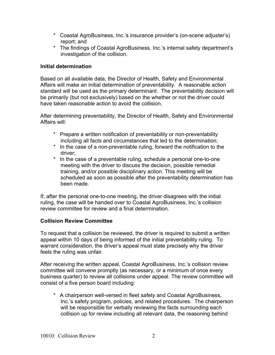- \* Coastal AgroBusiness, Inc.'s insurance provider's (on-scene adjuster's) report; and
- \* The findings of Coastal AgroBusiness, Inc.'s internal safety department's investigation of the collision.

#### **Initial determination**

Based on all available data, the Director of Health, Safety and Environmental Affairs will make an initial determination of preventability. A reasonable action standard will be used as the primary determinant. The preventability decision will be primarily (but not exclusively) based on the whether or not the driver could have taken reasonable action to avoid the collision.

After determining preventability, the Director of Health, Safety and Environmental Affairs will:

- \* Prepare a written notification of preventability or non-preventability including all facts and circumstances that led to the determination;
- \* In the case of a non-preventable ruling, forward the notification to the driver;
- \* In the case of a preventable ruling, schedule a personal one-to-one meeting with the driver to discuss the decision, possible remedial training, and/or possible disciplinary action. This meeting will be scheduled as soon as possible after the preventability determination has been made.

If, after the personal one-to-one meeting, the driver disagrees with the initial ruling, the case will be handed over to Coastal AgroBusiness, Inc.'s collision review committee for review and a final determination.

#### **Collision Review Committee**

To request that a collision be reviewed, the driver is required to submit a written appeal within 10 days of being informed of the initial preventability ruling. To warrant consideration, the driver's appeal must state precisely why the driver feels the ruling was unfair.

After receiving the written appeal, Coastal AgroBusiness, Inc.'s collision review committee will convene promptly (as necessary, or a minimum of once every business quarter) to review all collisions under appeal. The review committee will consist of a five person board including:

\* A chairperson well-versed in fleet safety and Coastal AgroBusiness, Inc.'s safety program, policies, and related procedures. The chairperson will be responsible for verbally reviewing the facts surrounding each collision up for review including all relevant data, the reasoning behind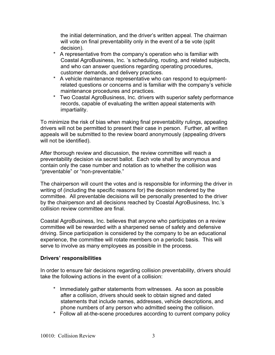the initial determination, and the driver's written appeal. The chairman will vote on final preventability only in the event of a tie vote (split decision).

- \* A representative from the company's operation who is familiar with Coastal AgroBusiness, Inc. 's scheduling, routing, and related subjects, and who can answer questions regarding operating procedures, customer demands, and delivery practices.
- \* A vehicle maintenance representative who can respond to equipmentrelated questions or concerns and is familiar with the company's vehicle maintenance procedures and practices.
- \* Two Coastal AgroBusiness, Inc. drivers with superior safety performance records, capable of evaluating the written appeal statements with impartiality.

To minimize the risk of bias when making final preventability rulings, appealing drivers will not be permitted to present their case in person. Further, all written appeals will be submitted to the review board anonymously (appealing drivers will not be identified).

After thorough review and discussion, the review committee will reach a preventability decision via secret ballot. Each vote shall by anonymous and contain only the case number and notation as to whether the collision was "preventable" or "non-preventable."

The chairperson will count the votes and is responsible for informing the driver in writing of (including the specific reasons for) the decision rendered by the committee. All preventable decisions will be personally presented to the driver by the chairperson and all decisions reached by Coastal AgroBusiness, Inc.'s collision review committee are final.

Coastal AgroBusiness, Inc. believes that anyone who participates on a review committee will be rewarded with a sharpened sense of safety and defensive driving. Since participation is considered by the company to be an educational experience, the committee will rotate members on a periodic basis. This will serve to involve as many employees as possible in the process.

#### **Drivers' responsibilities**

In order to ensure fair decisions regarding collision preventability, drivers should take the following actions in the event of a collision:

- \* Immediately gather statements from witnesses. As soon as possible after a collision, drivers should seek to obtain signed and dated statements that include names, addresses, vehicle descriptions, and phone numbers of any person who admitted seeing the collision.
- \* Follow all at-the-scene procedures according to current company policy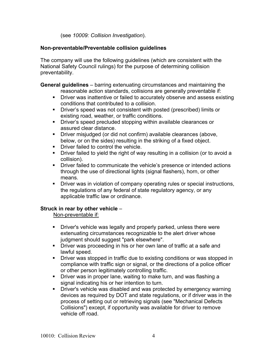(see *10009: Collision Investigation*).

#### **Non-preventable/Preventable collision guidelines**

The company will use the following guidelines (which are consistent with the National Safety Council rulings) for the purpose of determining collision preventability.

**General guidelines** – barring extenuating circumstances and maintaining the reasonable action standards, collisions are generally preventable if:

- **Driver was inattentive or failed to accurately observe and assess existing** conditions that contributed to a collision.
- Driver's speed was not consistent with posted (prescribed) limits or existing road, weather, or traffic conditions.
- **Driver's speed precluded stopping within available clearances or** assured clear distance.
- Driver misjudged (or did not confirm) available clearances (above, below, or on the sides) resulting in the striking of a fixed object.
- **Driver failed to control the vehicle.**
- Driver failed to yield the right of way resulting in a collision (or to avoid a collision).
- **•** Driver failed to communicate the vehicle's presence or intended actions through the use of directional lights (signal flashers), horn, or other means.
- Driver was in violation of company operating rules or special instructions, the regulations of any federal of state regulatory agency, or any applicable traffic law or ordinance.

#### **Struck in rear by other vehicle** –

Non-preventable if:

- **Driver's vehicle was legally and properly parked, unless there were** extenuating circumstances recognizable to the alert driver whose judgment should suggest "park elsewhere".
- **Driver was proceeding in his or her own lane of traffic at a safe and** lawful speed.
- **Driver was stopped in traffic due to existing conditions or was stopped in** compliance with traffic sign or signal, or the directions of a police officer or other person legitimately controlling traffic.
- **Driver was in proper lane, waiting to make turn, and was flashing a** signal indicating his or her intention to turn.
- Driver's vehicle was disabled and was protected by emergency warning devices as required by DOT and state regulations, or if driver was in the process of setting out or retrieving signals (see "Mechanical Defects Collisions") except, if opportunity was available for driver to remove vehicle off road.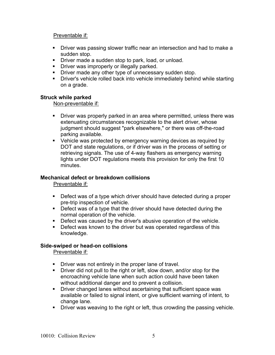#### Preventable if:

- **Driver was passing slower traffic near an intersection and had to make a** sudden stop.
- **Driver made a sudden stop to park, load, or unload.**
- **Driver was improperly or illegally parked.**
- **Driver made any other type of unnecessary sudden stop.**
- **Driver's vehicle rolled back into vehicle immediately behind while starting** on a grade.

#### **Struck while parked**

Non-preventable if:

- **Driver was properly parked in an area where permitted, unless there was** extenuating circumstances recognizable to the alert driver, whose judgment should suggest "park elsewhere," or there was off-the-road parking available.
- Vehicle was protected by emergency warning devices as required by DOT and state regulations, or if driver was in the process of setting or retrieving signals. The use of 4-way flashers as emergency warning lights under DOT regulations meets this provision for only the first 10 minutes.

#### **Mechanical defect or breakdown collisions**

Preventable if:

- Defect was of a type which driver should have detected during a proper pre-trip inspection of vehicle.
- Defect was of a type that the driver should have detected during the normal operation of the vehicle.
- Defect was caused by the driver's abusive operation of the vehicle.
- **Defect was known to the driver but was operated regardless of this** knowledge.

#### **Side-swiped or head-on collisions**

Preventable if:

- **Driver was not entirely in the proper lane of travel.**
- **Driver did not pull to the right or left, slow down, and/or stop for the** encroaching vehicle lane when such action could have been taken without additional danger and to prevent a collision.
- Driver changed lanes without ascertaining that sufficient space was available or failed to signal intent, or give sufficient warning of intent, to change lane.
- **Driver was weaving to the right or left, thus crowding the passing vehicle.**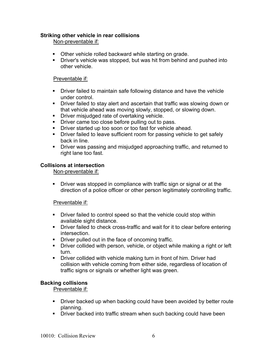#### **Striking other vehicle in rear collisions**

Non-preventable if:

- **Other vehicle rolled backward while starting on grade.**
- **Driver's vehicle was stopped, but was hit from behind and pushed into** other vehicle.

#### Preventable if:

- **Driver failed to maintain safe following distance and have the vehicle** under control.
- **Driver failed to stay alert and ascertain that traffic was slowing down or** that vehicle ahead was moving slowly, stopped, or slowing down.
- **Driver misjudged rate of overtaking vehicle.**
- Driver came too close before pulling out to pass.
- **Driver started up too soon or too fast for vehicle ahead.**
- **Driver failed to leave sufficient room for passing vehicle to get safely** back in line.
- **Driver was passing and misjudged approaching traffic, and returned to** right lane too fast.

#### **Collisions at intersection**

Non-preventable if:

 Driver was stopped in compliance with traffic sign or signal or at the direction of a police officer or other person legitimately controlling traffic.

#### Preventable if:

- **Driver failed to control speed so that the vehicle could stop within** available sight distance.
- **Driver failed to check cross-traffic and wait for it to clear before entering** intersection.
- **Driver pulled out in the face of oncoming traffic.**
- **Driver collided with person, vehicle, or object while making a right or left** turn.
- **Driver collided with vehicle making turn in front of him. Driver had** collision with vehicle coming from either side, regardless of location of traffic signs or signals or whether light was green.

#### **Backing collisions**

Preventable if:

- **Driver backed up when backing could have been avoided by better route** planning.
- **Driver backed into traffic stream when such backing could have been**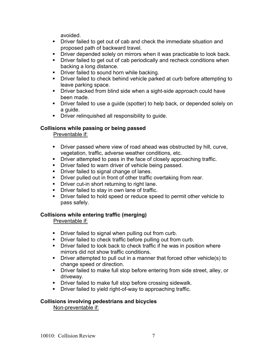avoided.

- Driver failed to get out of cab and check the immediate situation and proposed path of backward travel.
- **Driver depended solely on mirrors when it was practicable to look back.**
- **Driver failed to get out of cab periodically and recheck conditions when** backing a long distance.
- **Driver failed to sound horn while backing.**
- **Driver failed to check behind vehicle parked at curb before attempting to** leave parking space.
- **Driver backed from blind side when a sight-side approach could have** been made.
- **Driver failed to use a guide (spotter) to help back, or depended solely on** a guide.
- **•** Driver relinquished all responsibility to guide.

## **Collisions while passing or being passed**

Preventable if:

- **Driver passed where view of road ahead was obstructed by hill, curve,** vegetation, traffic, adverse weather conditions, etc.
- **•** Driver attempted to pass in the face of closely approaching traffic.
- **Driver failed to warn driver of vehicle being passed.**
- **Driver failed to signal change of lanes.**
- **Driver pulled out in front of other traffic overtaking from rear.**
- **Driver cut-in short returning to right lane.**
- **Driver failed to stay in own lane of traffic.**
- **Driver failed to hold speed or reduce speed to permit other vehicle to** pass safely.

## **Collisions while entering traffic (merging)**

#### Preventable if:

- **Driver failed to signal when pulling out from curb.**
- **•** Driver failed to check traffic before pulling out from curb.
- **Driver failed to look back to check traffic if he was in position where** mirrors did not show traffic conditions.
- Driver attempted to pull out in a manner that forced other vehicle(s) to change speed or direction.
- **•** Driver failed to make full stop before entering from side street, alley, or driveway.
- **Driver failed to make full stop before crossing sidewalk.**
- **Driver failed to yield right-of-way to approaching traffic.**

## **Collisions involving pedestrians and bicycles**

Non-preventable if: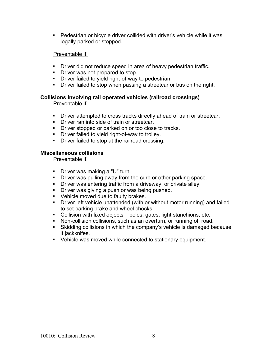Pedestrian or bicycle driver collided with driver's vehicle while it was legally parked or stopped.

#### Preventable if:

- **Driver did not reduce speed in area of heavy pedestrian traffic.**
- Driver was not prepared to stop.
- **Driver failed to yield right-of-way to pedestrian.**
- **Driver failed to stop when passing a streetcar or bus on the right.**

#### **Collisions involving rail operated vehicles (railroad crossings)** Preventable if:

- **Driver attempted to cross tracks directly ahead of train or streetcar.**
- **Driver ran into side of train or streetcar.**
- **Driver stopped or parked on or too close to tracks.**
- **Driver failed to yield right-of-way to trolley.**
- **Driver failed to stop at the railroad crossing.**

#### **Miscellaneous collisions**

Preventable if:

- Driver was making a "U" turn.
- **Driver was pulling away from the curb or other parking space.**
- **Driver was entering traffic from a driveway, or private alley.**
- Driver was giving a push or was being pushed.
- **Vehicle moved due to faulty brakes.**
- Driver left vehicle unattended (with or without motor running) and failed to set parking brake and wheel chocks.
- Collision with fixed objects poles, gates, light stanchions, etc.
- Non-collision collisions, such as an overturn, or running off road.
- Skidding collisions in which the company's vehicle is damaged because it jackknifes.
- Vehicle was moved while connected to stationary equipment.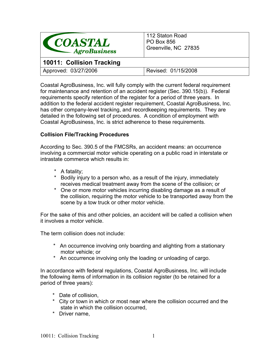

112 Staton Road PO Box 856 Greenville, NC 27835

## **10011: Collision Tracking**

Approved: 03/27/2006 Revised: 01/15/2008

Coastal AgroBusiness, Inc. will fully comply with the current federal requirement for maintenance and retention of an accident register (Sec. 390.15(b)). Federal requirements specify retention of the register for a period of three years. In addition to the federal accident register requirement, Coastal AgroBusiness, Inc. has other company-level tracking, and recordkeeping requirements. They are detailed in the following set of procedures. A condition of employment with Coastal AgroBusiness, Inc. is strict adherence to these requirements.

## **Collision File/Tracking Procedures**

According to Sec. 390.5 of the FMCSRs, an accident means: an occurrence involving a commercial motor vehicle operating on a public road in interstate or intrastate commerce which results in:

- \* A fatality;
- \* Bodily injury to a person who, as a result of the injury, immediately receives medical treatment away from the scene of the collision; or
- \* One or more motor vehicles incurring disabling damage as a result of the collision, requiring the motor vehicle to be transported away from the scene by a tow truck or other motor vehicle.

For the sake of this and other policies, an accident will be called a collision when it involves a motor vehicle.

The term collision does not include:

- \* An occurrence involving only boarding and alighting from a stationary motor vehicle; or
- \* An occurrence involving only the loading or unloading of cargo.

In accordance with federal regulations, Coastal AgroBusiness, Inc. will include the following items of information in its collision register (to be retained for a period of three years):

- \* Date of collision,
- \* City or town in which or most near where the collision occurred and the state in which the collision occurred,
- \* Driver name,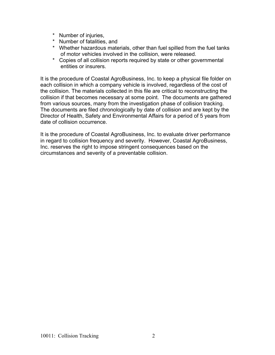- \* Number of injuries,
- \* Number of fatalities, and
- \* Whether hazardous materials, other than fuel spilled from the fuel tanks of motor vehicles involved in the collision, were released.
- \* Copies of all collision reports required by state or other governmental entities or insurers.

It is the procedure of Coastal AgroBusiness, Inc. to keep a physical file folder on each collision in which a company vehicle is involved, regardless of the cost of the collision. The materials collected in this file are critical to reconstructing the collision if that becomes necessary at some point. The documents are gathered from various sources, many from the investigation phase of collision tracking. The documents are filed chronologically by date of collision and are kept by the Director of Health, Safety and Environmental Affairs for a period of 5 years from date of collision occurrence.

It is the procedure of Coastal AgroBusiness, Inc. to evaluate driver performance in regard to collision frequency and severity. However, Coastal AgroBusiness, Inc. reserves the right to impose stringent consequences based on the circumstances and severity of a preventable collision.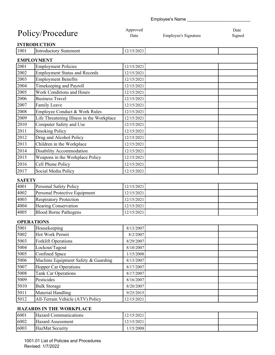Employee's Name \_\_\_\_\_\_\_\_\_\_\_\_\_\_\_\_\_\_\_\_\_\_\_\_\_\_

| Policy/Procedure |                                           | Approved<br>Date | Employee's Signature | Date<br>Signed |
|------------------|-------------------------------------------|------------------|----------------------|----------------|
|                  | <b>INTRODUCTION</b>                       |                  |                      |                |
| 1001             | <b>Introductory Statement</b>             | 12/15/2021       |                      |                |
|                  | <b>EMPLOYMENT</b>                         |                  |                      |                |
| 2001             | <b>Employment Policies</b>                | 12/15/2021       |                      |                |
| 2002             | <b>Employment Status and Records</b>      | 12/15/2021       |                      |                |
| 2003             | <b>Employment Benefits</b>                | 12/15/2021       |                      |                |
| 2004             | Timekeeping and Payroll                   | 12/15/2021       |                      |                |
| 2005             | Work Conditions and Hours                 | 12/15/2021       |                      |                |
| 2006             | <b>Business Travel</b>                    | 12/15/2021       |                      |                |
| 2007             | Family Leave                              | 12/15/2021       |                      |                |
| 2008             | Employee Conduct & Work Rules             | 12/15/2021       |                      |                |
| 2009             | Life Threatening Illness in the Workplace | 12/15/2021       |                      |                |
| 2010             | Computer Safety and Use                   | 12/15/2021       |                      |                |
| 2011             | Smoking Policy                            | 12/15/2021       |                      |                |
| 2012             | Drug and Alcohol Policy                   | 12/15/2021       |                      |                |
| 2013             | Children in the Workplace                 | 12/15/2021       |                      |                |
| 2014             | Disability Accommodation                  | 12/15/2021       |                      |                |
| 2015             | Weapons in the Workplace Policy           | 12/15/2021       |                      |                |
| 2016             | Cell Phone Policy                         | 12/15/2021       |                      |                |
| 2017             | Social Media Policy                       | 12/15/2021       |                      |                |
| <b>SAFETY</b>    |                                           |                  |                      |                |
| 4001             | Personal Safety Policy                    | 12/15/2021       |                      |                |
| 4002             | Personal Protective Equipment             | 12/15/2021       |                      |                |
| 4003             | <b>Respiratory Protection</b>             | 12/15/2021       |                      |                |
| 4004             | Hearing Conservation                      | 12/15/2021       |                      |                |
| 4005             | <b>Blood Borne Pathogens</b>              | 12/15/2021       |                      |                |
|                  | <b>OPERATIONS</b>                         |                  |                      |                |
| 5001             | Housekeeping                              | 8/13/2007        |                      |                |
| 5002             | Hot Work Permit                           | 8/2/2007         |                      |                |
| 5003             | Forklift Operations                       | 8/29/2007        |                      |                |
| 5004             | Lockout/Tagout                            | 8/10/2007        |                      |                |
| 5005             | Confined Space                            | 1/15/2008        |                      |                |
| 5006             | Machine Equipment Safety & Guarding       | 8/13/2007        |                      |                |
| 5007             | <b>Hopper Car Operations</b>              | 8/17/2007        |                      |                |
| 5008             | Tank Car Operations                       | 8/17/2007        |                      |                |
| 5009             | Pesticides                                | 8/16/2007        |                      |                |
| 5010             | <b>Bulk Storage</b>                       | 8/20/2007        |                      |                |
| 5011             | Material Handling                         | 9/25/2015        |                      |                |
| 5012             | All-Terrain Vehicle (ATV) Policy          | 12/15/2021       |                      |                |

#### **HAZARDS IN THE WORKPLACE**

| 6001 | <b>Hazard Communications</b> | 12/15/2021 |  |
|------|------------------------------|------------|--|
| 6002 | Hazard Assessment            | 12/15/2021 |  |
| 6003 | <b>HazMat Security</b>       | 1/15/2008  |  |